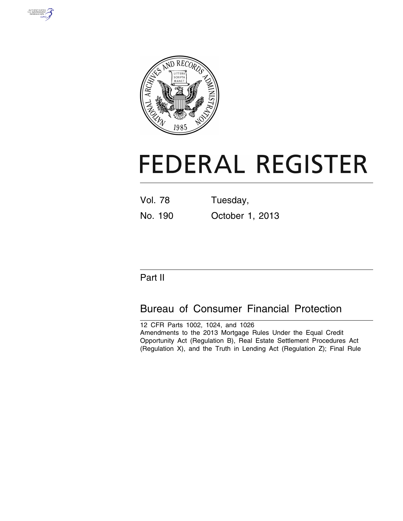



# **FEDERAL REGISTER**

Vol. 78 Tuesday, No. 190 October 1, 2013

# Part II

# Bureau of Consumer Financial Protection

12 CFR Parts 1002, 1024, and 1026 Amendments to the 2013 Mortgage Rules Under the Equal Credit Opportunity Act (Regulation B), Real Estate Settlement Procedures Act (Regulation X), and the Truth in Lending Act (Regulation Z); Final Rule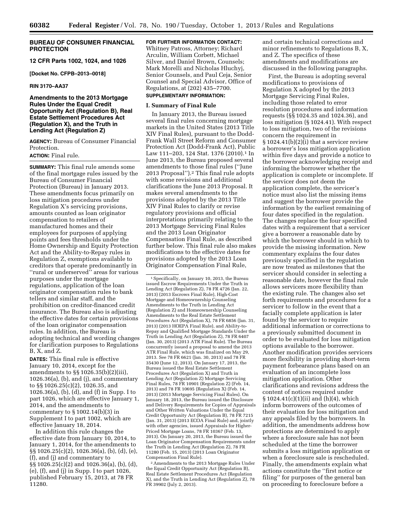# **BUREAU OF CONSUMER FINANCIAL PROTECTION**

# **12 CFR Parts 1002, 1024, and 1026**

**[Docket No. CFPB–2013–0018]** 

#### **RIN 3170–AA37**

# **Amendments to the 2013 Mortgage Rules Under the Equal Credit Opportunity Act (Regulation B), Real Estate Settlement Procedures Act (Regulation X), and the Truth in Lending Act (Regulation Z)**

**AGENCY:** Bureau of Consumer Financial Protection.

# **ACTION:** Final rule.

**SUMMARY:** This final rule amends some of the final mortgage rules issued by the Bureau of Consumer Financial Protection (Bureau) in January 2013. These amendments focus primarily on loss mitigation procedures under Regulation X's servicing provisions, amounts counted as loan originator compensation to retailers of manufactured homes and their employees for purposes of applying points and fees thresholds under the Home Ownership and Equity Protection Act and the Ability-to-Repay rules in Regulation Z, exemptions available to creditors that operate predominantly in ''rural or underserved'' areas for various purposes under the mortgage regulations, application of the loan originator compensation rules to bank tellers and similar staff, and the prohibition on creditor-financed credit insurance. The Bureau also is adjusting the effective dates for certain provisions of the loan originator compensation rules. In addition, the Bureau is adopting technical and wording changes for clarification purposes to Regulations B, X, and Z.

**DATES:** This final rule is effective January 10, 2014, except for the amendments to §§ 1026.35(b)(2)(iii), 1026.36(a), (b), and (j), and commentary to §§ 1026.25(c)(2), 1026.35, and 1026.36(a), (b), (d), and (f) in Supp. I to part 1026, which are effective January 1, 2014, and the amendments to commentary to § 1002.14(b)(3) in Supplement I to part 1002, which are effective January 18, 2014.

In addition this rule changes the effective date from January 10, 2014, to January 1, 2014, for the amendments to §§ 1026.25(c)(2), 1026.36(a), (b), (d), (e), (f), and (j) and commentary to §§ 1026.25(c)(2) and 1026.36(a), (b), (d), (e), (f), and (j) in Supp. I to part 1026, published February 15, 2013, at 78 FR 11280.

# **FOR FURTHER INFORMATION CONTACT:**

Whitney Patross, Attorney; Richard Arculin, William Corbett, Michael Silver, and Daniel Brown, Counsels; Mark Morelli and Nicholas Hluchyj, Senior Counsels, and Paul Ceja, Senior Counsel and Special Advisor, Office of Regulations, at (202) 435–7700.

# **SUPPLEMENTARY INFORMATION:**

# **I. Summary of Final Rule**

In January 2013, the Bureau issued several final rules concerning mortgage markets in the United States (2013 Title XIV Final Rules), pursuant to the Dodd-Frank Wall Street Reform and Consumer Protection Act (Dodd-Frank Act), Public Law 111–203, 124 Stat. 1376 (2010).<sup>1</sup> In June 2013, the Bureau proposed several amendments to those final rules (''June 2013 Proposal'').2 This final rule adopts with some revisions and additional clarifications the June 2013 Proposal. It makes several amendments to the provisions adopted by the 2013 Title XIV Final Rules to clarify or revise regulatory provisions and official interpretations primarily relating to the 2013 Mortgage Servicing Final Rules and the 2013 Loan Originator Compensation Final Rule, as described further below. This final rule also makes modifications to the effective dates for provisions adopted by the 2013 Loan Originator Compensation Final Rule,

1Specifically, on January 10, 2013, the Bureau issued Escrow Requirements Under the Truth in Lending Act (Regulation Z), 78 FR 4726 (Jan. 22, 2013) (2013 Escrows Final Rule), High-Cost Mortgage and Homeownership Counseling Amendments to the Truth in Lending Act (Regulation Z) and Homeownership Counseling Amendments to the Real Estate Settlement Procedures Act (Regulation X), 78 FR 6856 (Jan. 31, 2013) (2013 HOEPA Final Rule), and Ability-to-Repay and Qualified Mortgage Standards Under the Truth in Lending Act (Regulation Z), 78 FR 6407 (Jan. 30, 2013) (2013 ATR Final Rule). The Bureau concurrently issued a proposal to amend the 2013 ATR Final Rule, which was finalized on May 29, 2013. See 78 FR 6621 (Jan. 30, 2013) and 78 FR 35430 (June 12, 2013). On January 17, 2013, the Bureau issued the Real Estate Settlement Procedures Act (Regulation X) and Truth in Lending Act (Regulation Z) Mortgage Servicing Final Rules, 78 FR 10901 (Regulation Z) (Feb. 14, 2013) and 78 FR 10695 (Regulation X) (Feb. 14, 2013) (2013 Mortgage Servicing Final Rules). On January 18, 2013, the Bureau issued the Disclosure and Delivery Requirements for Copies of Appraisals and Other Written Valuations Under the Equal Credit Opportunity Act (Regulation B), 78 FR 7215 (Jan. 31, 2013) (2013 ECOA Final Rule) and, jointly with other agencies, issued Appraisals for Higher-Priced Mortgage Loans, 78 FR 10367 (Feb. 13, 2013). On January 20, 2013, the Bureau issued the Loan Originator Compensation Requirements under the Truth in Lending Act (Regulation Z), 78 FR 11280 (Feb. 15, 2013) (2013 Loan Originator Compensation Final Rule).

2Amendments to the 2013 Mortgage Rules Under the Equal Credit Opportunity Act (Regulation B), Real Estate Settlement Procedures Act (Regulation X), and the Truth in Lending Act (Regulation Z), 78 FR 39902 (July 2, 2013).

and certain technical corrections and minor refinements to Regulations B, X, and Z. The specifics of these amendments and modifications are discussed in the following paragraphs.

First, the Bureau is adopting several modifications to provisions of Regulation X adopted by the 2013 Mortgage Servicing Final Rules, including those related to error resolution procedures and information requests (§§ 1024.35 and 1024.36), and loss mitigation (§ 1024.41). With respect to loss mitigation, two of the revisions concern the requirement in § 1024.41(b)(2)(i) that a servicer review a borrower's loss mitigation application within five days and provide a notice to the borrower acknowledging receipt and informing the borrower whether the application is complete or incomplete. If the servicer does not deem the application complete, the servicer's notice must also list the missing items and suggest the borrower provide the information by the earliest remaining of four dates specified in the regulation. The changes replace the four specified dates with a requirement that a servicer give a borrower a reasonable date by which the borrower should in which to provide the missing information. New commentary explains the four dates previously specified in the regulation are now treated as milestones that the servicer should consider in selecting a reasonable date, however the final rule allows servicers more flexibility than the existing rule. The changes also set forth requirements and procedures for a servicer to follow in the event that a facially complete application is later found by the servicer to require additional information or corrections to a previously submitted document in order to be evaluated for loss mitigation options available to the borrower. Another modification provides servicers more flexibility in providing short-term payment forbearance plans based on an evaluation of an incomplete loss mitigation application. Other clarifications and revisions address the content of notices required under § 1024.41(c)(1)(ii) and (h)(4), which inform borrowers of the outcomes of their evaluation for loss mitigation and any appeals filed by the borrowers. In addition, the amendments address how protections are determined to apply where a foreclosure sale has not been scheduled at the time the borrower submits a loss mitigation application or when a foreclosure sale is rescheduled. Finally, the amendments explain what actions constitute the ''first notice or filing'' for purposes of the general ban on proceeding to foreclosure before a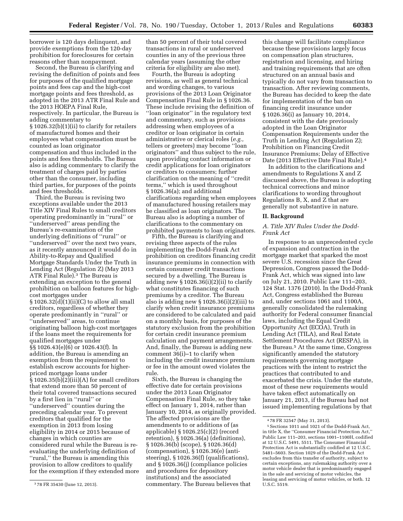borrower is 120 days delinquent, and provide exemptions from the 120-day prohibition for foreclosures for certain reasons other than nonpayment.

Second, the Bureau is clarifying and revising the definition of points and fees for purposes of the qualified mortgage points and fees cap and the high-cost mortgage points and fees threshold, as adopted in the 2013 ATR Final Rule and the 2013 HOEPA Final Rule, respectively. In particular, the Bureau is adding commentary to § 1026.32(b)(1)(ii) to clarify for retailers of manufactured homes and their employees what compensation must be counted as loan originator compensation and thus included in the points and fees thresholds. The Bureau also is adding commentary to clarify the treatment of charges paid by parties other than the consumer, including third parties, for purposes of the points and fees thresholds.

Third, the Bureau is revising two exceptions available under the 2013 Title XIV Final Rules to small creditors operating predominantly in ''rural'' or ''underserved'' areas pending the Bureau's re-examination of the underlying definitions of ''rural'' or ''underserved'' over the next two years, as it recently announced it would do in Ability-to-Repay and Qualified Mortgage Standards Under the Truth in Lending Act (Regulation Z) (May 2013 ATR Final Rule).3 The Bureau is extending an exception to the general prohibition on balloon features for highcost mortgages under  $\S 1026.32(d)(1)(ii)(C)$  to allow all small creditors, regardless of whether they operate predominantly in ''rural'' or ''underserved'' areas, to continue originating balloon high-cost mortgages if the loans meet the requirements for qualified mortgages under §§ 1026.43(e)(6) or 1026.43(f). In addition, the Bureau is amending an exemption from the requirement to establish escrow accounts for higherpriced mortgage loans under § 1026.35(b)(2)(iii)(A) for small creditors that extend more than 50 percent of their total covered transactions secured by a first lien in ''rural'' or ''underserved'' counties during the preceding calendar year. To prevent creditors that qualified for the exemption in 2013 from losing eligibility in 2014 or 2015 because of changes in which counties are considered rural while the Bureau is reevaluating the underlying definition of ''rural,'' the Bureau is amending this provision to allow creditors to qualify for the exemption if they extended more than 50 percent of their total covered transactions in rural or underserved counties in any of the previous three calendar years (assuming the other criteria for eligibility are also met).

Fourth, the Bureau is adopting revisions, as well as general technical and wording changes, to various provisions of the 2013 Loan Originator Compensation Final Rule in § 1026.36. These include revising the definition of ''loan originator'' in the regulatory text and commentary, such as provisions addressing when employees of a creditor or loan originator in certain administrative or clerical roles (*e.g.,*  tellers or greeters) may become ''loan originators'' and thus subject to the rule, upon providing contact information or credit applications for loan originators or creditors to consumers; further clarification on the meaning of ''credit terms,'' which is used throughout § 1026.36(a); and additional clarifications regarding when employees of manufactured housing retailers may be classified as loan originators. The Bureau also is adopting a number of clarifications to the commentary on prohibited payments to loan originators.

Fifth, the Bureau is clarifying and revising three aspects of the rules implementing the Dodd-Frank Act prohibition on creditors financing credit insurance premiums in connection with certain consumer credit transactions secured by a dwelling. The Bureau is adding new § 1026.36(i)(2)(ii) to clarify what constitutes financing of such premiums by a creditor. The Bureau also is adding new § 1026.36(i)(2)(iii) to clarify when credit insurance premiums are considered to be calculated and paid on a monthly basis, for purposes of the statutory exclusion from the prohibition for certain credit insurance premium calculation and payment arrangements. And, finally, the Bureau is adding new comment 36(i)–1 to clarify when including the credit insurance premium or fee in the amount owed violates the rule.

Sixth, the Bureau is changing the effective date for certain provisions under the 2013 Loan Originator Compensation Final Rule, so they take effect on January 1, 2014, rather than January 10, 2014, as originally provided. The affected provisions are the amendments to or additions of (as applicable) § 1026.25(c)(2) (record retention), § 1026.36(a) (definitions), § 1026.36(b) (scope), § 1026.36(d) (compensation), § 1026.36(e) (antisteering), § 1026.36(f) (qualifications), and § 1026.36(j) (compliance policies and procedures for depository institutions) and the associated commentary. The Bureau believes that

this change will facilitate compliance because these provisions largely focus on compensation plan structures, registration and licensing, and hiring and training requirements that are often structured on an annual basis and typically do not vary from transaction to transaction. After reviewing comments, the Bureau has decided to keep the date for implementation of the ban on financing credit insurance under § 1026.36(i) as January 10, 2014, consistent with the date previously adopted in the Loan Originator Compensation Requirements under the Truth in Lending Act (Regulation Z); Prohibition on Financing Credit Insurance Premiums; Delay of Effective Date (2013 Effective Date Final Rule).4

In addition to the clarifications and amendments to Regulations X and Z discussed above, the Bureau is adopting technical corrections and minor clarifications to wording throughout Regulations B, X, and Z that are generally not substantive in nature.

#### **II. Background**

# *A. Title XIV Rules Under the Dodd-Frank Act*

In response to an unprecedented cycle of expansion and contraction in the mortgage market that sparked the most severe U.S. recession since the Great Depression, Congress passed the Dodd-Frank Act, which was signed into law on July 21, 2010. Public Law 111–203, 124 Stat. 1376 (2010). In the Dodd-Frank Act, Congress established the Bureau and, under sections 1061 and 1100A, generally consolidated the rulemaking authority for Federal consumer financial laws, including the Equal Credit Opportunity Act (ECOA), Truth in Lending Act (TILA), and Real Estate Settlement Procedures Act (RESPA), in the Bureau.5 At the same time, Congress significantly amended the statutory requirements governing mortgage practices with the intent to restrict the practices that contributed to and exacerbated the crisis. Under the statute, most of these new requirements would have taken effect automatically on January 21, 2013, if the Bureau had not issued implementing regulations by that

<sup>3</sup> 78 FR 35430 (June 12, 2013).

<sup>4</sup> 78 FR 32547 (May 31, 2013).

<sup>5</sup>Sections 1011 and 1021 of the Dodd-Frank Act, in title X, the "Consumer Financial Protection Act, Public Law 111–203, sections 1001–1100H, codified at 12 U.S.C. 5491, 5511. The Consumer Financial Protection Act is substantially codified at 12 U.S.C. 5481–5603. Section 1029 of the Dodd-Frank Act excludes from this transfer of authority, subject to certain exceptions, any rulemaking authority over a motor vehicle dealer that is predominantly engaged in the sale and servicing of motor vehicles, the leasing and servicing of motor vehicles, or both. 12 U.S.C. 5519.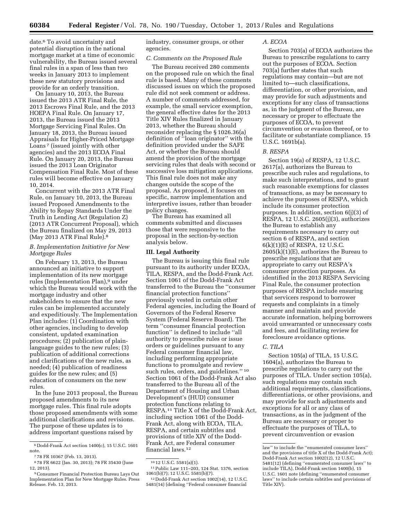date.6 To avoid uncertainty and potential disruption in the national mortgage market at a time of economic vulnerability, the Bureau issued several final rules in a span of less than two weeks in January 2013 to implement these new statutory provisions and provide for an orderly transition.

On January 10, 2013, the Bureau issued the 2013 ATR Final Rule, the 2013 Escrows Final Rule, and the 2013 HOEPA Final Rule. On January 17, 2013, the Bureau issued the 2013 Mortgage Servicing Final Rules. On January 18, 2013, the Bureau issued Appraisals for Higher-Priced Mortgage Loans<sup>7</sup> (issued jointly with other agencies) and the 2013 ECOA Final Rule. On January 20, 2013, the Bureau issued the 2013 Loan Originator Compensation Final Rule. Most of these rules will become effective on January 10, 2014.

Concurrent with the 2013 ATR Final Rule, on January 10, 2013, the Bureau issued Proposed Amendments to the Ability to Repay Standards Under the Truth in Lending Act (Regulation Z) (2013 ATR Concurrent Proposal), which the Bureau finalized on May 29, 2013 (May 2013 ATR Final Rule).8

#### *B. Implementation Initiative for New Mortgage Rules*

On February 13, 2013, the Bureau announced an initiative to support implementation of its new mortgage rules (Implementation Plan),9 under which the Bureau would work with the mortgage industry and other stakeholders to ensure that the new rules can be implemented accurately and expeditiously. The Implementation Plan includes: (1) Coordination with other agencies, including to develop consistent, updated examination procedures; (2) publication of plainlanguage guides to the new rules; (3) publication of additional corrections and clarifications of the new rules, as needed; (4) publication of readiness guides for the new rules; and (5) education of consumers on the new rules.

In the June 2013 proposal, the Bureau proposed amendments to its new mortgage rules. This final rule adopts those proposed amendments with some additional clarifications and revisions. The purpose of these updates is to address important questions raised by

industry, consumer groups, or other agencies.

# *C. Comments on the Proposed Rule*

The Bureau received 280 comments on the proposed rule on which the final rule is based. Many of these comments discussed issues on which the proposed rule did not seek comment or address. A number of comments addressed, for example, the small servicer exemption, the general effective dates for the 2013 Title XIV Rules finalized in January 2013, whether the Bureau should reconsider replacing the § 1026.36(a) definition of ''loan originator'' with the definition provided under the SAFE Act, or whether the Bureau should amend the provision of the mortgage servicing rules that deals with second or successive loss mitigation applications. This final rule does not make any changes outside the scope of the proposal. As proposed, it focuses on specific, narrow implementation and interpretive issues, rather than broader policy changes.

The Bureau has examined all comments submitted and discusses those that were responsive to the proposal in the section-by-section analysis below.

#### **III. Legal Authority**

The Bureau is issuing this final rule pursuant to its authority under ECOA, TILA, RESPA, and the Dodd-Frank Act. Section 1061 of the Dodd-Frank Act transferred to the Bureau the ''consumer financial protection functions'' previously vested in certain other Federal agencies, including the Board of Governors of the Federal Reserve System (Federal Reserve Board). The term ''consumer financial protection function'' is defined to include ''all authority to prescribe rules or issue orders or guidelines pursuant to any Federal consumer financial law, including performing appropriate functions to promulgate and review such rules, orders, and guidelines."<sup>10</sup> Section 1061 of the Dodd-Frank Act also transferred to the Bureau all of the Department of Housing and Urban Development's (HUD) consumer protection functions relating to RESPA.11 Title X of the Dodd-Frank Act, including section 1061 of the Dodd-Frank Act, along with ECOA, TILA, RESPA, and certain subtitles and provisions of title XIV of the Dodd-Frank Act, are Federal consumer financial laws.12

#### *A. ECOA*

Section 703(a) of ECOA authorizes the Bureau to prescribe regulations to carry out the purposes of ECOA. Section 703(a) further states that such regulations may contain—but are not limited to—such classifications, differentiation, or other provision, and may provide for such adjustments and exceptions for any class of transactions as, in the judgment of the Bureau, are necessary or proper to effectuate the purposes of ECOA, to prevent circumvention or evasion thereof, or to facilitate or substantiate compliance. 15 U.S.C. 1691b(a).

## *B. RESPA*

Section 19(a) of RESPA, 12 U.S.C. 2617(a), authorizes the Bureau to prescribe such rules and regulations, to make such interpretations, and to grant such reasonable exemptions for classes of transactions, as may be necessary to achieve the purposes of RESPA, which include its consumer protection purposes. In addition, section 6(j)(3) of RESPA, 12 U.S.C. 2605(j)(3), authorizes the Bureau to establish any requirements necessary to carry out section 6 of RESPA, and section 6(k)(1)(E) of RESPA, 12 U.S.C.  $2605(k)(1)(E)$ , authorizes the Bureau to prescribe regulations that are appropriate to carry out RESPA's consumer protection purposes. As identified in the 2013 RESPA Servicing Final Rule, the consumer protection purposes of RESPA include ensuring that servicers respond to borrower requests and complaints in a timely manner and maintain and provide accurate information, helping borrowers avoid unwarranted or unnecessary costs and fees, and facilitating review for foreclosure avoidance options.

#### *C. TILA*

Section 105(a) of TILA, 15 U.S.C. 1604(a), authorizes the Bureau to prescribe regulations to carry out the purposes of TILA. Under section 105(a), such regulations may contain such additional requirements, classifications, differentiations, or other provisions, and may provide for such adjustments and exceptions for all or any class of transactions, as in the judgment of the Bureau are necessary or proper to effectuate the purposes of TILA, to prevent circumvention or evasion

<sup>6</sup> Dodd-Frank Act section 1400(c), 15 U.S.C. 1601 note.

<sup>7</sup> 78 FR 10367 (Feb. 13, 2013).

<sup>8</sup> 78 FR 6622 (Jan. 30, 2013); 78 FR 35430 (June 12, 2013).

<sup>9</sup>Consumer Financial Protection Bureau Lays Out Implementation Plan for New Mortgage Rules. Press Release. Feb. 13, 2013.

<sup>10 12</sup> U.S.C. 5581(a)(1).<br><sup>11</sup> Public Law 111–203, 124 Stat. 1376, section<br>1061(b)(7); 12 U.S.C. 5581(b)(7).

<sup>&</sup>lt;sup>12</sup> Dodd-Frank Act section 1002(14), 12 U.S.C. 5481(14) (defining ''Federal consumer financial

law'' to include the ''enumerated consumer laws'' and the provisions of title X of the Dodd-Frank Act); Dodd-Frank Act section 1002(12), 12 U.S.C. 5481(12) (defining ''enumerated consumer laws'' to include TILA), Dodd-Frank section 1400(b), 15 U.S.C. 1601 note (defining ''enumerated consumer laws'' to include certain subtitles and provisions of Title XIV).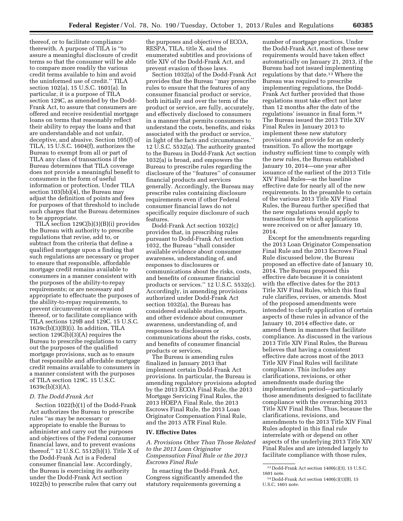thereof, or to facilitate compliance therewith. A purpose of TILA is ''to assure a meaningful disclosure of credit terms so that the consumer will be able to compare more readily the various credit terms available to him and avoid the uninformed use of credit.'' TILA section 102(a), 15 U.S.C. 1601(a). In particular, it is a purpose of TILA section 129C, as amended by the Dodd-Frank Act, to assure that consumers are offered and receive residential mortgage loans on terms that reasonably reflect their ability to repay the loans and that are understandable and not unfair, deceptive, and abusive. Section 105(f) of TILA, 15 U.S.C. 1604(f), authorizes the Bureau to exempt from all or part of TILA any class of transactions if the Bureau determines that TILA coverage does not provide a meaningful benefit to consumers in the form of useful information or protection. Under TILA section 103(bb)(4), the Bureau may adjust the definition of points and fees for purposes of that threshold to include such charges that the Bureau determines to be appropriate.

TILA section 129C(b)(3)(B)(i) provides the Bureau with authority to prescribe regulations that revise, add to, or subtract from the criteria that define a qualified mortgage upon a finding that such regulations are necessary or proper to ensure that responsible, affordable mortgage credit remains available to consumers in a manner consistent with the purposes of the ability-to-repay requirements; or are necessary and appropriate to effectuate the purposes of the ability-to-repay requirements, to prevent circumvention or evasion thereof, or to facilitate compliance with TILA sections 129B and 129C. 15 U.S.C.  $1639c(b)(3)(B)(i)$ . In addition, TILA section 129C(b)(3)(A) requires the Bureau to prescribe regulations to carry out the purposes of the qualified mortgage provisions, such as to ensure that responsible and affordable mortgage credit remains available to consumers in a manner consistent with the purposes of TILA section 129C. 15 U.S.C. 1639c(b)(3)(A).

# *D. The Dodd-Frank Act*

Section 1022(b)(1) of the Dodd-Frank Act authorizes the Bureau to prescribe rules ''as may be necessary or appropriate to enable the Bureau to administer and carry out the purposes and objectives of the Federal consumer financial laws, and to prevent evasions thereof." 12 U.S.C.  $5512(b)(1)$ . Title X of the Dodd-Frank Act is a Federal consumer financial law. Accordingly, the Bureau is exercising its authority under the Dodd-Frank Act section 1022(b) to prescribe rules that carry out

the purposes and objectives of ECOA, RESPA, TILA, title X, and the enumerated subtitles and provisions of title XIV of the Dodd-Frank Act, and prevent evasion of those laws.

Section 1032(a) of the Dodd-Frank Act provides that the Bureau ''may prescribe rules to ensure that the features of any consumer financial product or service, both initially and over the term of the product or service, are fully, accurately, and effectively disclosed to consumers in a manner that permits consumers to understand the costs, benefits, and risks associated with the product or service, in light of the facts and circumstances.'' 12 U.S.C. 5532(a). The authority granted to the Bureau in Dodd-Frank Act section 1032(a) is broad, and empowers the Bureau to prescribe rules regarding the disclosure of the ''features'' of consumer financial products and services generally. Accordingly, the Bureau may prescribe rules containing disclosure requirements even if other Federal consumer financial laws do not specifically require disclosure of such features.

Dodd-Frank Act section 1032(c) provides that, in prescribing rules pursuant to Dodd-Frank Act section 1032, the Bureau ''shall consider available evidence about consumer awareness, understanding of, and responses to disclosures or communications about the risks, costs, and benefits of consumer financial products or services.'' 12 U.S.C. 5532(c). Accordingly, in amending provisions authorized under Dodd-Frank Act section 1032(a), the Bureau has considered available studies, reports, and other evidence about consumer awareness, understanding of, and responses to disclosures or communications about the risks, costs, and benefits of consumer financial products or services.

The Bureau is amending rules finalized in January 2013 that implement certain Dodd-Frank Act provisions. In particular, the Bureau is amending regulatory provisions adopted by the 2013 ECOA Final Rule, the 2013 Mortgage Servicing Final Rules, the 2013 HOEPA Final Rule, the 2013 Escrows Final Rule, the 2013 Loan Originator Compensation Final Rule, and the 2013 ATR Final Rule.

#### **IV. Effective Dates**

*A. Provisions Other Than Those Related to the 2013 Loan Originator Compensation Final Rule or the 2013 Escrows Final Rule* 

In enacting the Dodd-Frank Act, Congress significantly amended the statutory requirements governing a

number of mortgage practices. Under the Dodd-Frank Act, most of these new requirements would have taken effect automatically on January 21, 2013, if the Bureau had not issued implementing regulations by that date.13 Where the Bureau was required to prescribe implementing regulations, the Dodd-Frank Act further provided that those regulations must take effect not later than 12 months after the date of the regulations' issuance in final form.14 The Bureau issued the 2013 Title XIV Final Rules in January 2013 to implement these new statutory provisions and provide for an orderly transition. To allow the mortgage industry sufficient time to comply with the new rules, the Bureau established January 10, 2014—one year after issuance of the earliest of the 2013 Title XIV Final Rules—as the baseline effective date for nearly all of the new requirements. In the preamble to certain of the various 2013 Title XIV Final Rules, the Bureau further specified that the new regulations would apply to transactions for which applications were received on or after January 10, 2014.

Except for the amendments regarding the 2013 Loan Originator Compensation Final Rule and the 2013 Escrows Final Rule discussed below, the Bureau proposed an effective date of January 10, 2014. The Bureau proposed this effective date because it is consistent with the effective dates for the 2013 Title XIV Final Rules, which this final rule clarifies, revises, or amends. Most of the proposed amendments were intended to clarify application of certain aspects of these rules in advance of the January 10, 2014 effective date, or amend them in manners that facilitate compliance. As discussed in the various 2013 Title XIV Final Rules, the Bureau believes that having a consistent effective date across most of the 2013 Title XIV Final Rules will facilitate compliance. This includes any clarifications, revisions, or other amendments made during the implementation period—particularly those amendments designed to facilitate compliance with the overarching 2013 Title XIV Final Rules. Thus, because the clarifications, revisions, and amendments to the 2013 Title XIV Final Rules adopted in this final rule interrelate with or depend on other aspects of the underlying 2013 Title XIV Final Rules and are intended largely to facilitate compliance with those rules,

 $^{\rm 13}\, \rm Dodd\mbox{-} Frank$  Act section 1400(c)(3), 15 U.S.C. 1601 note.

<sup>14</sup> Dodd-Frank Act section 1400(c)(1)(B), 15 U.S.C. 1601 note.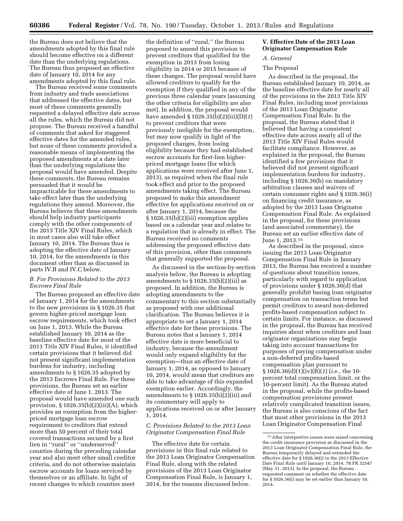the Bureau does not believe that the amendments adopted by this final rule should become effective on a different date than the underlying regulations. The Bureau thus proposed an effective date of January 10, 2014 for any amendments adopted by this final rule.

The Bureau received some comments from industry and trade associations that addressed the effective dates, but most of these comments generally requested a delayed effective date across all the rules, which the Bureau did not propose. The Bureau received a handful of comments that asked for staggered effective dates for the amended rules, but none of these comments provided a reasonable means of implementing the proposed amendments at a date later than the underlying regulations the proposal would have amended. Despite these comments, the Bureau remains persuaded that it would be impracticable for these amendments to take effect later than the underlying regulations they amend. Moreover, the Bureau believes that these amendments should help industry participants comply with the other components of the 2013 Title XIV Final Rules, which in most cases also will take effect January 10, 2014. The Bureau thus is adopting the effective date of January 10, 2014, for the amendments in this document other than as discussed in parts IV.B and IV.C below.

#### *B. For Provisions Related to the 2013 Escrows Final Rule*

The Bureau proposed an effective date of January 1, 2014 for the amendments to the new provisions in § 1026.35 that govern higher-priced mortgage loan escrow requirements, which took effect on June 1, 2013. While the Bureau established January 10, 2014 as the baseline effective date for most of the 2013 Title XIV Final Rules, it identified certain provisions that it believed did not present significant implementation burdens for industry, including amendments to § 1026.35 adopted by the 2013 Escrows Final Rule. For these provisions, the Bureau set an earlier effective date of June 1, 2013. The proposal would have amended one such provision, § 1026.35(b)(2)(iii)(A), which provides an exemption from the higherpriced mortgage loan escrow requirement to creditors that extend more than 50 percent of their total covered transactions secured by a first lien in ''rural'' or ''underserved'' counties during the preceding calendar year and also meet other small creditor criteria, and do not otherwise maintain escrow accounts for loans serviced by themselves or an affiliate. In light of recent changes to which counties meet

the definition of ''rural,'' the Bureau proposed to amend this provision to prevent creditors that qualified for the exemption in 2013 from losing eligibility in 2014 or 2015 because of these changes. The proposal would have allowed creditors to qualify for the exemption if they qualified in any of the previous three calendar years (assuming the other criteria for eligibility are also met). In addition, the proposal would have amended § 1026.35(b)(2)(iii)(D)(*1*) to prevent creditors that were previously ineligible for the exemption, but may now qualify in light of the proposed changes, from losing eligibility because they had established escrow accounts for first-lien higherpriced mortgage loans (for which applications were received after June 1, 2013), as required when the final rule took effect and prior to the proposed amendments taking effect. The Bureau proposed to make this amendment effective for applications received on or after January 1, 2014, because the § 1026.35(b)(2)(iii) exemption applies based on a calendar year and relates to a regulation that is already in effect. The Bureau received no comments addressing the proposed effective date of this provision, other than comments that generally supported the proposal.

As discussed in the section-by-section analysis below, the Bureau is adopting amendments to  $\S 1026.35(b)(2)(iii)$  as proposed. In addition, the Bureau is adopting amendments to the commentary to this section substantially as proposed with one additional clarification. The Bureau believes it is appropriate to set a January 1, 2014 effective date for these provisions. The Bureau notes that a January 1, 2014 effective date is more beneficial to industry, because the amendment would only expand eligibility for the exemption—thus an effective date of January 1, 2014, as opposed to January 10, 2014, would mean that creditors are able to take advantage of this expanded exemption earlier. Accordingly, the amendments to § 1026.35(b)(2)(iii) and its commentary will apply to applications received on or after January 1, 2014.

# *C. Provisions Related to the 2013 Loan Originator Compensation Final Rule*

The effective date for certain provisions in this final rule related to the 2013 Loan Originator Compensation Final Rule, along with the related provisions of the 2013 Loan Originator Compensation Final Rule, is January 1, 2014, for the reasons discussed below.

# **V. Effective Date of the 2013 Loan Originator Compensation Rule**

# *A. General*

#### The Proposal

As described in the proposal, the Bureau established January 10, 2014, as the baseline effective date for nearly all of the provisions in the 2013 Title XIV Final Rules, including most provisions of the 2013 Loan Originator Compensation Final Rule. In the proposal, the Bureau stated that it believed that having a consistent effective date across nearly all of the 2013 Title XIV Final Rules would facilitate compliance. However, as explained in the proposal, the Bureau identified a few provisions that it believed did not present significant implementation burdens for industry, including § 1026.36(h) on mandatory arbitration clauses and waivers of certain consumer rights and § 1026.36(i) on financing credit insurance, as adopted by the 2013 Loan Originator Compensation Final Rule. As explained in the proposal, for these provisions (and associated commentary), the Bureau set an earlier effective date of June 1, 2013.15

As described in the proposal, since issuing the 2013 Loan Originator Compensation Final Rule in January 2013, the Bureau has received a number of questions about transition issues, particularly with regard to application of provisions under § 1026.36(d) that generally prohibit basing loan originator compensation on transaction terms but permit creditors to award non-deferred profits-based compensation subject to certain limits. For instance, as discussed in the proposal, the Bureau has received inquiries about when creditors and loan originator organizations may begin taking into account transactions for purposes of paying compensation under a non-deferred profits-based compensation plan pursuant to § 1026.36(d)(1)(iv)(B)(*1*) (*i.e.,* the 10 percent total compensation limit, or the 10-percent limit). As the Bureau stated in the proposal, while the profits-based compensation provisions present relatively complicated transition issues, the Bureau is also conscious of the fact that most other provisions in the 2013 Loan Originator Compensation Final

<sup>15</sup>After interpretive issues were raised concerning the credit insurance provision as discussed in the 2013 Loan Originator Compensation Final Rule, the Bureau temporarily delayed and extended the effective date for § 1026.36(i) in the 2013 Effective Date Final Rule until January 10, 2014. 78 FR 32547 (May 31, 2013). In the proposal, the Bureau requested comment on whether the effective date for § 1026.36(i) may be set earlier than January 10, 2014.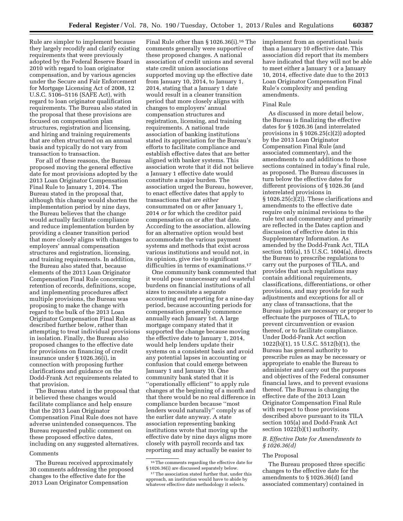Rule are simpler to implement because they largely recodify and clarify existing requirements that were previously adopted by the Federal Reserve Board in 2010 with regard to loan originator compensation, and by various agencies under the Secure and Fair Enforcement for Mortgage Licensing Act of 2008, 12 U.S.C. 5106–5116 (SAFE Act), with regard to loan originator qualification requirements. The Bureau also stated in the proposal that these provisions are focused on compensation plan structures, registration and licensing, and hiring and training requirements that are often structured on an annual basis and typically do not vary from transaction to transaction.

For all of these reasons, the Bureau proposed moving the general effective date for most provisions adopted by the 2013 Loan Originator Compensation Final Rule to January 1, 2014. The Bureau stated in the proposal that, although this change would shorten the implementation period by nine days, the Bureau believes that the change would actually facilitate compliance and reduce implementation burden by providing a cleaner transition period that more closely aligns with changes to employers' annual compensation structures and registration, licensing, and training requirements. In addition, the Bureau also stated that, because elements of the 2013 Loan Originator Compensation Final Rule concerning retention of records, definitions, scope, and implementing procedures affect multiple provisions, the Bureau was proposing to make the change with regard to the bulk of the 2013 Loan Originator Compensation Final Rule as described further below, rather than attempting to treat individual provisions in isolation. Finally, the Bureau also proposed changes to the effective date for provisions on financing of credit insurance under § 1026.36(i), in connection with proposing further clarifications and guidance on the Dodd-Frank Act requirements related to that provision.

The Bureau stated in the proposal that it believed these changes would facilitate compliance and help ensure that the 2013 Loan Originator Compensation Final Rule does not have adverse unintended consequences. The Bureau requested public comment on these proposed effective dates, including on any suggested alternatives.

#### Comments

The Bureau received approximately 30 comments addressing the proposed changes to the effective date for the 2013 Loan Originator Compensation

Final Rule other than  $\S 1026.36(i).$ <sup>16</sup> The comments generally were supportive of these proposed changes. A national association of credit unions and several state credit union associations supported moving up the effective date from January 10, 2014, to January 1, 2014, stating that a January 1 date would result in a cleaner transition period that more closely aligns with changes to employers' annual compensation structures and registration, licensing, and training requirements. A national trade association of banking institutions stated its appreciation for the Bureau's efforts to facilitate compliance and establish effective dates that are better aligned with banker systems. This association wrote that it did not believe a January 1 effective date would constitute a major burden. The association urged the Bureau, however, to enact effective dates that apply to transactions that are *either*  consummated on or after January 1, 2014 *or* for which the creditor paid compensation on or after that date. According to the association, allowing for an alternative option would best accommodate the various payment systems and methods that exist across various institutions and would not, in its opinion, give rise to significant difficulties in terms of examinations.<sup>17</sup>

One community bank commented that it would pose unnecessary and wasteful burdens on financial institutions of all sizes to necessitate a separate accounting and reporting for a nine-day period, because accounting periods for compensation generally commence annually each January 1st. A large mortgage company stated that it supported the change because moving the effective date to January 1, 2014, would help lenders update their systems on a consistent basis and avoid any potential lapses in accounting or confusion that could emerge between January 1 and January 10. One community bank stated that it is ''operationally efficient'' to apply rule changes at the beginning of a month and that there would be no real difference in compliance burden because ''most lenders would naturally'' comply as of the earlier date anyway. A state association representing banking institutions wrote that moving up the effective date by nine days aligns more closely with payroll records and tax reporting and may actually be easier to

implement from an operational basis than a January 10 effective date. This association did report that its members have indicated that they will not be able to meet either a January 1 or a January 10, 2014, effective date due to the 2013 Loan Originator Compensation Final Rule's complexity and pending amendments.

#### Final Rule

As discussed in more detail below, the Bureau is finalizing the effective dates for § 1026.36 (and interrelated provisions in § 1026.25(c)(2)) adopted by the 2013 Loan Originator Compensation Final Rule (and associated commentary), and the amendments to and additions to those sections contained in today's final rule, as proposed. The Bureau discusses in turn below the effective dates for different provisions of § 1026.36 (and interrelated provisions in § 1026.25(c)(2)). These clarifications and amendments to the effective date require only minimal revisions to the rule text and commentary and primarily are reflected in the Dates caption and discussion of effective dates in this Supplementary Information. As amended by the Dodd-Frank Act, TILA section 105(a), 15 U.S.C. 1604(a), directs the Bureau to prescribe regulations to carry out the purposes of TILA, and provides that such regulations may contain additional requirements, classifications, differentiations, or other provisions, and may provide for such adjustments and exceptions for all or any class of transactions, that the Bureau judges are necessary or proper to effectuate the purposes of TILA, to prevent circumvention or evasion thereof, or to facilitate compliance. Under Dodd-Frank Act section 1022(b)(1), 15 U.S.C. 5512(b)(1), the Bureau has general authority to prescribe rules as may be necessary or appropriate to enable the Bureau to administer and carry out the purposes and objectives of the Federal consumer financial laws, and to prevent evasions thereof. The Bureau is changing the effective date of the 2013 Loan Originator Compensation Final Rule with respect to those provisions described above pursuant to its TILA section 105(a) and Dodd-Frank Act section 1022(b)(1) authority.

# *B. Effective Date for Amendments to § 1026.36(d)*

#### The Proposal

The Bureau proposed three specific changes to the effective date for the amendments to § 1026.36(d) (and associated commentary) contained in

<sup>16</sup>The comments regarding the effective date for § 1026.36(i) are discussed separately below.

<sup>&</sup>lt;sup>17</sup>The association stated further that, under this approach, an institution would have to abide by whatever effective date methodology it selects.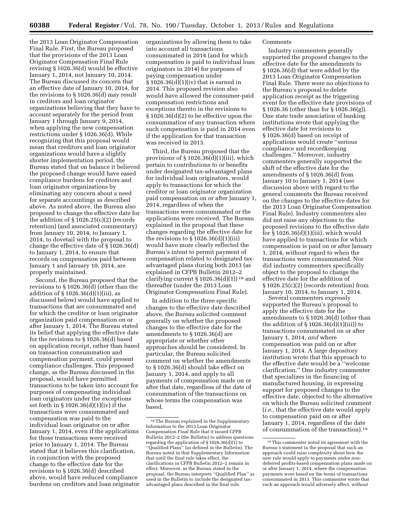the 2013 Loan Originator Compensation Final Rule. First, the Bureau proposed that the provisions of the 2013 Loan Originator Compensation Final Rule revising § 1026.36(d) would be effective January 1, 2014, not January 10, 2014. The Bureau discussed its concern that an effective date of January 10, 2014, for the revisions to § 1026.36(d) may result in creditors and loan originator organizations believing that they have to account separately for the period from January 1 through January 9, 2014, when applying the new compensation restrictions under § 1026.36(d). While recognizing that this proposal would mean that creditors and loan originator organizations would have a slightly shorter implementation period, the Bureau stated that on balance it believed the proposed change would have eased compliance burdens for creditors and loan originator organizations by eliminating any concern about a need for separate accountings as described above. As noted above, the Bureau also proposed to change the effective date for the addition of § 1026.25(c)(2) (records retention) (and associated commentary) from January 10, 2014, to January 1, 2014, to dovetail with the proposal to change the effective date of § 1026.36(d) to January 1, 2014, to ensure that records on compensation paid between January 1 and January 10, 2014, are properly maintained.

Second, the Bureau proposed that the revisions to § 1026.36(d) (other than the addition of § 1026.36(d)(1)(iii), as discussed below) would have applied to transactions that are consummated and for which the creditor or loan originator organization paid compensation on or after January 1, 2014. The Bureau stated its belief that applying the effective date for the revisions to § 1026.36(d) based on application receipt, rather than based on transaction consummation and compensation payment, could present compliance challenges. This proposed change, as the Bureau discussed in the proposal, would have permitted transactions to be taken into account for purposes of compensating individual loan originators under the exceptions set forth in § 1026.36(d)(1)(iv) if the transactions were consummated and compensation was paid to the individual loan originator on or after January 1, 2014, even if the applications for those transactions were received prior to January 1, 2014. The Bureau stated that it believes this clarification, in conjunction with the proposed change to the effective date for the revisions to § 1026.36(d) described above, would have reduced compliance burdens on creditors and loan originator

organizations by allowing them to take into account all transactions consummated in 2014 (and for which compensation is paid to individual loan originators in 2014) for purposes of paying compensation under § 1026.36(d)(1)(iv) that is earned in 2014. This proposed revision also would have allowed the consumer-paid compensation restrictions and exceptions thereto in the revisions to § 1026.36(d)(2) to be effective upon the consummation of any transaction where such compensation is paid in 2014 even if the application for that transaction was received in 2013.

Third, the Bureau proposed that the provisions of § 1026.36(d)(1)(iii), which pertain to contributions to or benefits under designated tax-advantaged plans for individual loan originators, would apply to transactions for which the creditor or loan originator organization paid compensation on or after January 1, 2014, regardless of when the transactions were consummated or the applications were received. The Bureau explained in the proposal that these changes regarding the effective date for the revisions to  $\S 1026.36(d)(1)(iii)$ would have more clearly reflected the Bureau's intent to permit payment of compensation related to designated taxadvantaged plans during both 2013 (as explained in CFPB Bulletin 2012–2 clarifying current  $$1026.36(d)(1))$ <sup>18</sup> and thereafter (under the 2013 Loan Originator Compensation Final Rule).

In addition to the three specific changes to the effective date described above, the Bureau solicited comment generally on whether the proposed changes to the effective date for the amendments to § 1026.36(d) are appropriate or whether other approaches should be considered. In particular, the Bureau solicited comment on whether the amendments to § 1026.36(d) should take effect on January 1, 2014, and apply to all payments of compensation made on or after that date, regardless of the date of consummation of the transactions on whose terms the compensation was based.

#### Comments

Industry commenters generally supported the proposed changes to the effective date for the amendments to § 1026.36(d) that were added by the 2013 Loan Originator Compensation Final Rule. There were no objections to the Bureau's proposal to delete application receipt as the triggering event for the effective date provisions of § 1026.36 (other than for § 1026.36(g)). One state trade association of banking institutions wrote that applying the effective date for revisions to § 1026.36(d) based on receipt of applications would create ''serious compliance and recordkeeping challenges.'' Moreover, industry commenters generally supported the shift of the effective date for the amendments of § 1026.36(d) from January 10 to January 1, 2014 (see discussion above with regard to the general comments the Bureau received on the changes to the effective dates for the 2013 Loan Originator Compensation Final Rule). Industry commenters also did not raise any objections to the proposed revisions to the effective date for  $\S 1026.36(d)(1)(iii)$ , which would have applied to transactions for which compensation is paid on or after January 1, 2014, without regard to when the transactions were consummated. Nor did industry commenters specifically object to the proposal to change the effective date for the addition of § 1026.25(c)(2) (records retention) from January 10, 2014, to January 1, 2014.

Several commenters expressly supported the Bureau's proposal to apply the effective date for the amendments to § 1026.36(d) (other than the addition of  $\S 1026.36(d)(1)(iii)$  to transactions consummated on or after January 1, 2014, *and* where compensation was paid on or after January 1, 2014. A large depository institution wrote that this approach to the effective date would be a ''welcome clarification.'' One industry commenter that specializes in the financing of manufactured housing, in expressing support for proposed changes to the effective date, objected to the alternative on which the Bureau solicited comment (*i.e.,* that the effective date would apply to compensation paid on or after January 1, 2014, regardless of the date of consummation of the transaction).19

<sup>18</sup>The Bureau explained in the Supplementary Information to the 2013 Loan Originator Compensation Final Rule that it issued CFPB Bulletin 2012–2 (the Bulletin) to address questions regarding the application of  $\S 1026.36(d)(1)$  to ''Qualified Plans'' (as defined in the Bulletin). The Bureau noted in that Supplementary Information that until the final rule takes effect, the clarifications in CFPB Bulletin 2012–2 remain in effect. Moreover, as the Bureau stated in the proposal, the Bureau interprets ''Qualified Plan'' as used in the Bulletin to include the designated taxadvantaged plans described in the final rule.

<sup>19</sup>This commenter noted its agreement with the Bureau's statement in the proposal that such an approach could raise complexity about how the new rule would apply to payments under nondeferred profits-based compensation plans made on or after January 1, 2014, where the compensation payments were based on the terms of transactions consummated in 2013. This commenter wrote that such an approach would adversely affect, without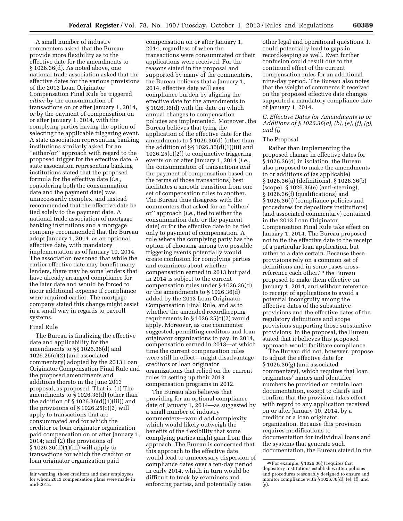A small number of industry commenters asked that the Bureau provide more flexibility as to the effective date for the amendments to § 1026.36(d). As noted above, one national trade association asked that the effective dates for the various provisions of the 2013 Loan Originator Compensation Final Rule be triggered *either* by the consummation of transactions on or after January 1, 2014, *or* by the payment of compensation on or after January 1, 2014, with the complying parties having the option of selecting the applicable triggering event. A state association representing banking institutions similarly asked for an ''either/or'' approach with regard to the proposed trigger for the effective date. A state association representing banking institutions stated that the proposed formula for the effective date (*i.e.,*  considering both the consummation date and the payment date) was unnecessarily complex, and instead recommended that the effective date be tied solely to the payment date. A national trade association of mortgage banking institutions and a mortgage company recommended that the Bureau adopt January 1, 2014, as an optional effective date, with mandatory implementation as of January 10, 2014. The association reasoned that while the earlier effective date may benefit many lenders, there may be some lenders that have already arranged compliance for the later date and would be forced to incur additional expense if compliance were required earlier. The mortgage company stated this change might assist in a small way in regards to payroll systems.

#### Final Rule

The Bureau is finalizing the effective date and applicability for the amendments to §§ 1026.36(d) and 1026.25(c)(2) (and associated commentary) adopted by the 2013 Loan Originator Compensation Final Rule and the proposed amendments and additions thereto in the June 2013 proposal, as proposed. That is: (1) The amendments to § 1026.36(d) (other than the addition of  $\S 1026.36(d)(1)(iii)$  and the provisions of  $\S 1026.25(c)(2)$  will apply to transactions that are consummated and for which the creditor or loan originator organization paid compensation on or after January 1, 2014; and (2) the provisions of § 1026.36(d)(1)(iii) will apply to transactions for which the creditor or loan originator organization paid

compensation on or after January 1, 2014, regardless of when the transactions were consummated or their applications were received. For the reasons stated in the proposal and supported by many of the commenters, the Bureau believes that a January 1, 2014, effective date will ease compliance burden by aligning the effective date for the amendments to § 1026.36(d) with the date on which annual changes to compensation policies are implemented. Moreover, the Bureau believes that tying the application of the effective date for the amendments to § 1026.36(d) (other than the addition of §§ 1026.36(d)(1)(iii) and  $1026.25(c)(2)$ ) to conjunctive triggering events on or after January 1, 2014 (*i.e.,*  the consummation of transactions *and*  the payment of compensation based on the terms of those transactions) best facilitates a smooth transition from one set of compensation rules to another. The Bureau thus disagrees with the commenters that asked for an ''either/ or'' approach (*i.e.,* tied to either the consummation date or the payment date) or for the effective date to be tied only to payment of compensation. A rule where the complying party has the option of choosing among two possible triggering events potentially would create confusion for complying parties and examiners about whether compensation earned in 2013 but paid in 2014 is subject to the current compensation rules under § 1026.36(d) or the amendments to § 1026.36(d) added by the 2013 Loan Originator Compensation Final Rule, and as to whether the amended recordkeeping requirements in § 1026.25(c)(2) would apply. Moreover, as one commenter suggested, permitting creditors and loan originator organizations to pay, in 2014, compensation earned in 2013—at which time the current compensation rules were still in effect—might disadvantage creditors or loan originator organizations that relied on the current rules in setting up their 2013 compensation programs in 2012.

The Bureau also believes that providing for an optional compliance date of January 1, 2014—as suggested by a small number of industry commenters—would add complexity which would likely outweigh the benefits of the flexibility that some complying parties might gain from this approach. The Bureau is concerned that this approach to the effective date would lead to unnecessary dispersion of compliance dates over a ten-day period in early 2014, which in turn would be difficult to track by examiners and enforcing parties, and potentially raise

other legal and operational questions. It could potentially lead to gaps in recordkeeping as well. Even further confusion could result due to the continued effect of the current compensation rules for an additional nine-day period. The Bureau also notes that the weight of comments it received on the proposed effective date changes supported a mandatory compliance date of January 1, 2014.

*C. Effective Dates for Amendments to or Additions of § 1026.36(a), (b), (e), (f), (g), and (j)* 

#### The Proposal

Rather than implementing the proposed change in effective dates for § 1026.36(d) in isolation, the Bureau also proposed to make the amendments to or additions of (as applicable) § 1026.36(a) (definitions), § 1026.36(b) (scope), § 1026.36(e) (anti-steering), § 1026.36(f) (qualifications) and § 1026.36(j) (compliance policies and procedures for depository institutions) (and associated commentary) contained in the 2013 Loan Originator Compensation Final Rule take effect on January 1, 2014. The Bureau proposed not to tie the effective date to the receipt of a particular loan application, but rather to a date certain. Because these provisions rely on a common set of definitions and in some cases crossreference each other,20 the Bureau proposed to make them effective on January 1, 2014, and without reference to receipt of applications to avoid a potential incongruity among the effective dates of the substantive provisions and the effective dates of the regulatory definitions and scope provisions supporting those substantive provisions. In the proposal, the Bureau stated that it believes this proposed approach would facilitate compliance.

The Bureau did not, however, propose to adjust the effective date for § 1026.36(g) (and associated commentary), which requires that loan originators' names and identifier numbers be provided on certain loan documentation, except to clarify and confirm that the provision takes effect with regard to any application received on or after January 10, 2014, by a creditor or a loan originator organization. Because this provision requires modifications to documentation for individual loans and the systems that generate such documentation, the Bureau stated in the

fair warning, those creditors and their employees for whom 2013 compensation plans were made in mid-2012.

<sup>20</sup>For example, § 1026.36(j) requires that depository institutions establish written policies and procedures reasonably designed to ensure and monitor compliance with § 1026.36(d), (e), (f), and (g).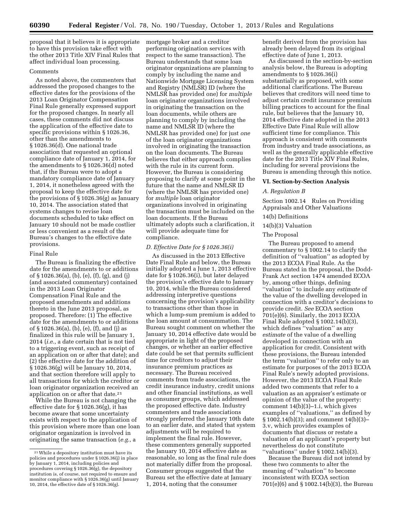proposal that it believes it is appropriate to have this provision take effect with the other 2013 Title XIV Final Rules that affect individual loan processing.

#### Comments

As noted above, the commenters that addressed the proposed changes to the effective dates for the provisions of the 2013 Loan Originator Compensation Final Rule generally expressed support for the proposed changes. In nearly all cases, these comments did not discuss the application of the effective date to specific provisions within § 1026.36, other than the amendments to § 1026.36(d). One national trade association that requested an optional compliance date of January 1, 2014, for the amendments to § 1026.36(d) noted that, if the Bureau were to adopt a mandatory compliance date of January 1, 2014, it nonetheless agreed with the proposal to keep the effective date for the provisions of § 1026.36(g) as January 10, 2014. The association stated that systems changes to revise loan documents scheduled to take effect on January 10 should not be made costlier or less convenient as a result of the Bureau's changes to the effective date provisions.

#### Final Rule

The Bureau is finalizing the effective date for the amendments to or additions of § 1026.36(a), (b), (e), (f), (g), and (j) (and associated commentary) contained in the 2013 Loan Originator Compensation Final Rule and the proposed amendments and additions thereto in the June 2013 proposal, as proposed. Therefore: (1) The effective date for the amendments to or additions of § 1026.36(a), (b), (e), (f), and (j) as finalized in this rule will be January 1, 2014 (*i.e.,* a date certain that is not tied to a triggering event, such as receipt of an application on or after that date); and (2) the effective date for the addition of § 1026.36(g) will be January 10, 2014, and that section therefore will apply to all transactions for which the creditor or loan originator organization received an application on or after that date.<sup>21</sup>

While the Bureau is not changing the effective date for § 1026.36(g), it has become aware that some uncertainty exists with respect to the application of this provision where more than one loan originator organization is involved in originating the same transaction (*e.g.,* a

mortgage broker and a creditor performing origination services with respect to the same transaction). The Bureau understands that some loan originator organizations are planning to comply by including the name and Nationwide Mortgage Licensing System and Registry (NMLSR) ID (where the NMLSR has provided one) for *multiple*  loan originator organizations involved in originating the transaction on the loan documents, while others are planning to comply by including the name and NMLSR ID (where the NMLSR has provided one) for just *one*  of the loan originator organizations involved in originating the transaction on the loan documents. The Bureau believes that either approach complies with the rule in its current form. However, the Bureau is considering proposing to clarify at some point in the future that the name and NMLSR ID (where the NMLSR has provided one) for *multiple* loan originator organizations involved in originating the transaction must be included on the loan documents. If the Bureau ultimately adopts such a clarification, it will provide adequate time for compliance.

#### *D. Effective Date for § 1026.36(i)*

As discussed in the 2013 Effective Date Final Rule and below, the Bureau initially adopted a June 1, 2013 effective date for § 1026.36(i), but later delayed the provision's effective date to January 10, 2014, while the Bureau considered addressing interpretive questions concerning the provision's applicability to transactions other than those in which a lump-sum premium is added to the loan amount at consummation. The Bureau sought comment on whether the January 10, 2014 effective date would be appropriate in light of the proposed changes, or whether an earlier effective date could be set that permits sufficient time for creditors to adjust their insurance premium practices as necessary. The Bureau received comments from trade associations, the credit insurance industry, credit unions and other financial institutions, as well as consumer groups, which addressed the proposed effective date. Industry commenters and trade associations strongly preferred the January 10th date to an earlier date, and stated that system adjustments will be required to implement the final rule. However, these commenters generally supported the January 10, 2014 effective date as reasonable, so long as the final rule does not materially differ from the proposal. Consumer groups suggested that the Bureau set the effective date at January 1, 2014, noting that the consumer

benefit derived from the provision has already been delayed from its original effective date of June 1, 2013.

As discussed in the section-by-section analysis below, the Bureau is adopting amendments to § 1026.36(i) substantially as proposed, with some additional clarifications. The Bureau believes that creditors will need time to adjust certain credit insurance premium billing practices to account for the final rule, but believes that the January 10, 2014 effective date adopted in the 2013 Effective Date Final Rule will allow sufficient time for compliance. This approach is consistent with comments from industry and trade associations, as well as the generally applicable effective date for the 2013 Title XIV Final Rules, including for several provisions the Bureau is amending through this notice.

#### **VI. Section-by-Section Analysis**

#### *A. Regulation B*

Section 1002.14 Rules on Providing Appraisals and Other Valuations

# 14(b) Definitions

# 14(b)(3) Valuation

#### The Proposal

The Bureau proposed to amend commentary to § 1002.14 to clarify the definition of ''valuation'' as adopted by the 2013 ECOA Final Rule. As the Bureau stated in the proposal, the Dodd-Frank Act section 1474 amended ECOA by, among other things, defining ''valuation'' to include any *estimate* of the value of the dwelling developed in connection with a creditor's decisions to provide credit. *See* ECOA section 701(e)(6). Similarly, the 2013 ECOA Final Rule adopted § 1002.14(b)(3), which defines "valuation" as any *estimate* of the value of a dwelling developed in connection with an application for credit. Consistent with these provisions, the Bureau intended the term ''valuation'' to refer only to an estimate for purposes of the 2013 ECOA Final Rule's newly adopted provisions. However, the 2013 ECOA Final Rule added two comments that refer to a valuation as an appraiser's estimate or opinion of the value of the property: comment 14(b)(3)–1.i, which gives examples of ''valuations,'' as defined by § 1002.14(b)(3); and comment 14(b)(3)– 3.v, which provides examples of documents that discuss or restate a valuation of an applicant's property but nevertheless do not constitute ''valuations'' under § 1002.14(b)(3).

Because the Bureau did not intend by these two comments to alter the meaning of ''valuation'' to become inconsistent with ECOA section 701(e)(6) and § 1002.14(b)(3), the Bureau

<sup>21</sup>While a depository institution must have its policies and procedures under § 1026.36(j) in place by January 1, 2014, including policies and procedures covering § 1026.36(g), the depository institution is, of course, not required to ensure and monitor compliance with § 1026.36(g) until January 10, 2014, the effective date of § 1026.36(g).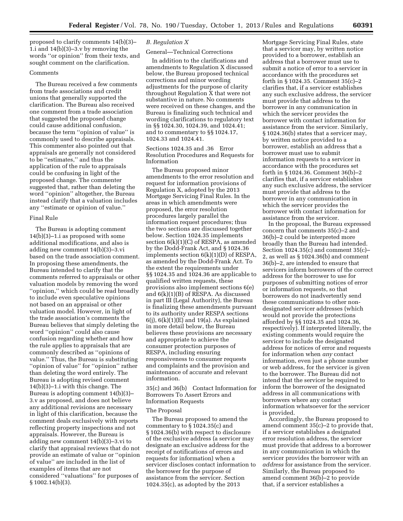proposed to clarify comments 14(b)(3)– 1.i and 14(b)(3)–3.v by removing the words ''or opinion'' from their texts, and sought comment on the clarification.

#### Comments

The Bureau received a few comments from trade associations and credit unions that generally supported the clarification. The Bureau also received one comment from a trade association that suggested the proposed change could cause additional confusion, because the term ''opinion of value'' is commonly used to describe appraisals. This commenter also pointed out that appraisals are generally not considered to be ''estimates,'' and thus the application of the rule to appraisals could be confusing in light of the proposed change. The commenter suggested that, rather than deleting the word ''opinion'' altogether, the Bureau instead clarify that a valuation includes any ''estimate or opinion of value.''

#### Final Rule

The Bureau is adopting comment 14(b)(3)–1.i as proposed with some additional modifications, and also is adding new comment 14(b)(3)–3.vi based on the trade association comment. In proposing these amendments, the Bureau intended to clarify that the comments referred to appraisals or other valuation models by removing the word ''opinion,'' which could be read broadly to include even speculative opinions not based on an appraisal or other valuation model. However, in light of the trade association's comments the Bureau believes that simply deleting the word ''opinion'' could also cause confusion regarding whether and how the rule applies to appraisals that are commonly described as ''opinions of value.'' Thus, the Bureau is substituting ''opinion of value'' for ''opinion'' rather than deleting the word entirely. The Bureau is adopting revised comment 14(b)(3)–1.i with this change. The Bureau is adopting comment 14(b)(3)– 3.v as proposed, and does not believe any additional revisions are necessary in light of this clarification, because the comment deals exclusively with reports reflecting property inspections and not appraisals. However, the Bureau is adding new comment 14(b)(3)–3.vi to clarify that appraisal reviews that do not provide an estimate of value or ''opinion of value'' are included in the list of examples of items that are not considered ''valuations'' for purposes of § 1002.14(b)(3).

#### *B. Regulation X*

#### General—Technical Corrections

In addition to the clarifications and amendments to Regulation X discussed below, the Bureau proposed technical corrections and minor wording adjustments for the purpose of clarity throughout Regulation X that were not substantive in nature. No comments were received on these changes, and the Bureau is finalizing such technical and wording clarifications to regulatory text in §§ 1024.30, 1024.39, and 1024.41; and to commentary to §§ 1024.17, 1024.33 and 1024.41.

Sections 1024.35 and .36 Error Resolution Procedures and Requests for Information

The Bureau proposed minor amendments to the error resolution and request for information provisions of Regulation X, adopted by the 2013 Mortgage Servicing Final Rules. In the areas in which amendments were proposed, the error resolution procedures largely parallel the information request procedures; thus the two sections are discussed together below. Section 1024.35 implements section  $6(k)(1)(C)$  of RESPA, as amended by the Dodd-Frank Act, and § 1024.36 implements section 6(k)(1)(D) of RESPA, as amended by the Dodd-Frank Act. To the extent the requirements under §§ 1024.35 and 1024.36 are applicable to qualified written requests, these provisions also implement sections 6(e) and 6(k)(1)(B) of RESPA. As discussed in part III (Legal Authority), the Bureau is finalizing these amendments pursuant to its authority under RESPA sections 6(j), 6(k)(1)(E) and 19(a). As explained in more detail below, the Bureau believes these provisions are necessary and appropriate to achieve the consumer protection purposes of RESPA, including ensuring responsiveness to consumer requests and complaints and the provision and maintenance of accurate and relevant information.

35(c) and 36(b) Contact Information for Borrowers To Assert Errors and Information Requests

#### The Proposal

The Bureau proposed to amend the commentary to § 1024.35(c) and § 1024.36(b) with respect to disclosure of the exclusive address (a servicer may designate an exclusive address for the receipt of notifications of errors and requests for information) when a servicer discloses contact information to the borrower for the purpose of assistance from the servicer. Section 1024.35(c), as adopted by the 2013

Mortgage Servicing Final Rules, state that a servicer may, by written notice provided to a borrower, establish an address that a borrower must use to submit a notice of error to a servicer in accordance with the procedures set forth in § 1024.35. Comment 35(c)–2 clarifies that, if a servicer establishes any such exclusive address, the servicer must provide that address to the borrower in any communication in which the servicer provides the borrower with contact information for assistance from the servicer. Similarly, § 1024.36(b) states that a servicer may, by written notice provided to a borrower, establish an address that a borrower must use to submit information requests to a servicer in accordance with the procedures set forth in § 1024.36. Comment 36(b)–2 clarifies that, if a servicer establishes any such exclusive address, the servicer must provide that address to the borrower in any communication in which the servicer provides the borrower with contact information for assistance from the servicer.

In the proposal, the Bureau expressed concern that comments 35(c)–2 and 36(b)–2 could be interpreted more broadly than the Bureau had intended. Section 1024.35(c) and comment 35(c)– 2, as well as § 1024.36(b) and comment 36(b)–2, are intended to ensure that servicers inform borrowers of the correct address for the borrower to use for purposes of submitting notices of error or information requests, so that borrowers do not inadvertently send these communications to other nondesignated servicer addresses (which would not provide the protections afforded by §§ 1024.35 and 1024.36, respectively). If interpreted literally, the existing comments would require the servicer to include the designated address for notices of error and requests for information when *any* contact information, even just a phone number or web address, for the servicer is given to the borrower. The Bureau did not intend that the servicer be required to inform the borrower of the designated address in all communications with borrowers where any contact information whatsoever for the servicer is provided.

Accordingly, the Bureau proposed to amend comment 35(c)–2 to provide that, if a servicer establishes a designated error resolution address, the servicer must provide that address to a borrower in any communication in which the servicer provides the borrower with an *address* for assistance from the servicer. Similarly, the Bureau proposed to amend comment 36(b)–2 to provide that, if a servicer establishes a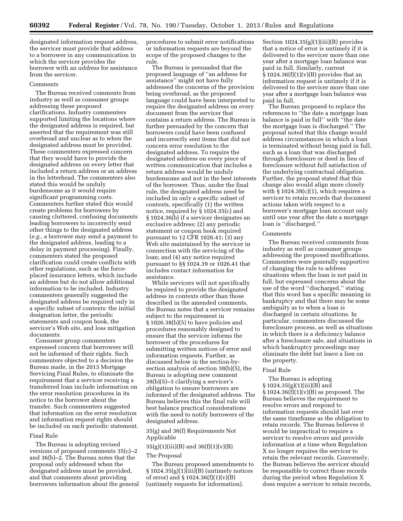designated information request address, the servicer must provide that address to a borrower in any communication in which the servicer provides the borrower with an *address* for assistance from the servicer.

#### Comments

The Bureau received comments from industry as well as consumer groups addressing these proposed clarifications. Industry commenters supported limiting the locations where the designated address is required, but asserted that the requirement was still overbroad and unclear as to when the designated address must be provided. These commenters expressed concern that they would have to provide the designated address on every letter that included a return address or an address in the letterhead. The commenters also stated this would be unduly burdensome as it would require significant programming costs. Commenters further stated this would create problems for borrowers by causing cluttered, confusing documents leading borrowers to incorrectly send other things to the designated address (*e.g.,* a borrower may send a payment to the designated address, leading to a delay in payment processing). Finally, commenters stated the proposed clarification could create conflicts with other regulations, such as the forceplaced insurance letters, which include an address but do not allow additional information to be included. Industry commenters generally suggested the designated address be required only in a specific subset of contexts: the initial designation letter, the periodic statements and coupon book, the servicer's Web site, and loss mitigation documents.

Consumer group commenters expressed concern that borrowers will not be informed of their rights. Such commenters objected to a decision the Bureau made, in the 2013 Mortgage Servicing Final Rules, to eliminate the requirement that a servicer receiving a transferred loan include information on the error resolution procedures in its notice to the borrower about the transfer. Such commenters suggested that information on the error resolution and information request rights should be included on each periodic statement.

# Final Rule

The Bureau is adopting revised versions of proposed comments 35(c)–2 and 36(b)–2. The Bureau notes that the proposal only addressed when the designated address must be provided, and that comments about providing borrowers information about the general

procedures to submit error notifications or information requests are beyond the scope of the proposed changes to the rule.

The Bureau is persuaded that the proposed language of ''an address for assistance'' might not have fully addressed the concerns of the provision being overbroad, as the proposed language could have been interpreted to require the designated address on every document from the servicer that contains a return address. The Bureau is further persuaded by the concern that borrowers could have been confused and incorrectly sent items that did not concern error resolution to the designated address. To require the designated address on every piece of written communication that includes a return address would be unduly burdensome and not in the best interests of the borrower. Thus, under the final rule, the designated address need be included in only a specific subset of contexts, specifically (1) the written notice, required by § 1024.35(c) and § 1024.36(b) if a servicer designates an exclusive address; (2) any periodic statement or coupon book required pursuant to 12 CFR 1026.41; (3) any Web site maintained by the servicer in connection with the servicing of the loan; and (4) any notice required pursuant to §§ 1024.39 or 1026.41 that includes contact information for assistance.

While servicers will not specifically be required to provide the designated address in contexts other than those described in the amended comments, the Bureau notes that a servicer remains subject to the requirement in § 1026.38(b)(5) to have policies and procedures reasonably designed to ensure that the servicer informs the borrower of the procedures for submitting written notices of error and information requests. Further, as discussed below in the section-bysection analysis of section 38(b)(5), the Bureau is adopting new comment 38(b)(5)–3 clarifying a servicer's obligation to ensure borrowers are informed of the designated address. The Bureau believes this the final rule will best balance practical considerations with the need to notify borrowers of the designated address.

35(g) and 36(f) Requirements Not Applicable

# $35(g)(1)(iii)(B)$  and  $36(f)(1)(v)(B)$

# The Proposal

The Bureau proposed amendments to  $§ 1024.35(g)(1)(iii)(B) (untimely notices)$ of error) and  $\S 1024.36(f)(1)(v)(B)$ (untimely requests for information).

Section  $1024.35(g)(1)(iii)(B)$  provides that a notice of error is untimely if it is delivered to the servicer more than one year after a mortgage loan balance was paid in full. Similarly, current  $\S 1024.36(f)(1)(v)(B)$  provides that an information request is untimely if it is delivered to the servicer more than one year after a mortgage loan balance was paid in full.

The Bureau proposed to replace the references to ''the date a mortgage loan balance is paid in full'' with ''the date the mortgage loan is discharged.'' The proposal noted that this change would address circumstances in which a loan is terminated without being paid in full, such as a loan that was discharged through foreclosure or deed in lieu of foreclosure without full satisfaction of the underlying contractual obligation. Further, the proposal stated that this change also would align more closely with  $\S 1024.38(c)(1)$ , which requires a servicer to retain records that document actions taken with respect to a borrower's mortgage loan account only until one year after the date a mortgage loan is ''discharged.''

#### Comments

The Bureau received comments from industry as well as consumer groups addressing the proposed modifications. Commenters were generally supportive of changing the rule to address situations when the loan is not paid in full, but expressed concerns about the use of the word ''discharged,'' stating that this word has a specific meaning in bankruptcy and that there may be some ambiguity as to when a loan is discharged in certain situations. In particular, commenters discussed the foreclosure process, as well as situations in which there is a deficiency balance after a foreclosure sale, and situations in which bankruptcy proceedings may eliminate the debt but leave a lien on the property.

#### Final Rule

The Bureau is adopting § 1024.35(g)(1)(iii)(B) and  $\S 1024.36(f)(1)(v)(B)$  as proposed. The Bureau believes the requirement to resolve errors and respond to information requests should last over the same timeframe as the obligation to retain records. The Bureau believes it would be impractical to require a servicer to resolve errors and provide information at a time when Regulation X no longer requires the servicer to retain the relevant records. Conversely, the Bureau believes the servicer should be responsible to correct those records during the period when Regulation X does require a servicer to retain records,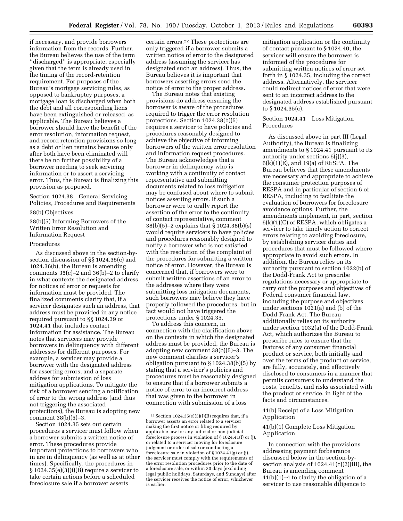if necessary, and provide borrowers information from the records. Further, the Bureau believes the use of the term "discharged" is appropriate, especially given that the term is already used in the timing of the record-retention requirement. For purposes of the Bureau's mortgage servicing rules, as opposed to bankruptcy purposes, a mortgage loan is discharged when both the debt and all corresponding liens have been extinguished or released, as applicable. The Bureau believes a borrower should have the benefit of the error resolution, information request, and record retention provisions so long as a debt *or* lien remains because only after both have been eliminated will there be no further possibility of a borrower needing to seek servicing information or to assert a servicing error. Thus, the Bureau is finalizing this provision as proposed.

Section 1024.38 General Servicing Policies, Procedures and Requirements

#### 38(b) Objectives

38(b)(5) Informing Borrowers of the Written Error Resolution and Information Request

#### Procedures

As discussed above in the section-bysection discussion of §§ 1024.35(c) and 1024.36(b), the Bureau is amending comments 35(c)–2 and 36(b)–2 to clarify in what contexts the designated address for notices of error or requests for information must be provided. The finalized comments clarify that, if a servicer designates such an address, that address must be provided in any notice required pursuant to §§ 1024.39 or 1024.41 that includes contact information for assistance. The Bureau notes that servicers may provide borrowers in delinquency with different addresses for different purposes. For example, a servicer may provide a borrower with the designated address for asserting errors, and a separate address for submission of loss mitigation applications. To mitigate the risk of a borrower sending a notification of error to the wrong address (and thus not triggering the associated protections), the Bureau is adopting new comment 38(b)(5)–3.

Section 1024.35 sets out certain procedures a servicer must follow when a borrower submits a written notice of error. These procedures provide important protections to borrowers who in are in delinquency (as well as at other times). Specifically, the procedures in  $§ 1024.35(e)(3)(i)(B)$  require a servicer to take certain actions before a scheduled foreclosure sale if a borrower asserts

certain errors.<sup>22</sup> These protections are only triggered if a borrower submits a written notice of error to the designated address (assuming the servicer has designated such an address). Thus, the Bureau believes it is important that borrowers asserting errors send the notice of error to the proper address.

The Bureau notes that existing provisions do address ensuring the borrower is aware of the procedures required to trigger the error resolution protections. Section 1024.38(b)(5) requires a servicer to have policies and procedures reasonably designed to achieve the objective of informing borrowers of the written error resolution and information request procedures. The Bureau acknowledges that a borrower in delinquency who is working with a continuity of contact representative and submitting documents related to loss mitigation may be confused about where to submit notices asserting errors. If such a borrower were to orally report the assertion of the error to the continuity of contact representative, comment 38(b)(5)–2 explains that § 1024.38(b)(s) would require servicers to have policies and procedures reasonably designed to notify a borrower who is not satisfied with the resolution of the complaint of the procedures for submitting a written notice of error. However, the Bureau is concerned that, if borrowers were to submit written assertions of an error to the addresses where they were submitting loss mitigation documents, such borrowers may believe they have properly followed the procedures, but in fact would not have triggered the protections under § 1024.35.

To address this concern, in connection with the clarification above on the contexts in which the designated address must be provided, the Bureau is adopting new comment 38(b)(5)–3. The new comment clarifies a servicer's obligation pursuant to § 1024.38(b)(5) by stating that a servicer's policies and procedures must be reasonably designed to ensure that if a borrower submits a notice of error to an incorrect address that was given to the borrower in connection with submission of a loss

mitigation application or the continuity of contact pursuant to § 1024.40, the servicer will ensure the borrower is informed of the procedures for submitting written notices of error set forth in § 1024.35, including the correct address. Alternatively, the servicer could redirect notices of error that were sent to an incorrect address to the designated address established pursuant to § 1024.35(c).

#### Section 1024.41 Loss Mitigation Procedures

As discussed above in part III (Legal Authority), the Bureau is finalizing amendments to § 1024.41 pursuant to its authority under sections 6(j)(3), 6(k)(1)(E), and 19(a) of RESPA. The Bureau believes that these amendments are necessary and appropriate to achieve the consumer protection purposes of RESPA and in particular of section 6 of RESPA, including to facilitate the evaluation of borrowers for foreclosure avoidance options. Further, the amendments implement, in part, section 6(k)(1)(C) of RESPA, which obligates a servicer to take timely action to correct errors relating to avoiding foreclosure, by establishing servicer duties and procedures that must be followed where appropriate to avoid such errors. In addition, the Bureau relies on its authority pursuant to section 1022(b) of the Dodd-Frank Act to prescribe regulations necessary or appropriate to carry out the purposes and objectives of Federal consumer financial law, including the purpose and objectives under sections 1021(a) and (b) of the Dodd-Frank Act. The Bureau additionally relies on its authority under section 1032(a) of the Dodd-Frank Act, which authorizes the Bureau to prescribe rules to ensure that the features of any consumer financial product or service, both initially and over the terms of the product or service, are fully, accurately, and effectively disclosed to consumers in a manner that permits consumers to understand the costs, benefits, and risks associated with the product or service, in light of the facts and circumstances.

#### 41(b) Receipt of a Loss Mitigation Application

# 41(b)(1) Complete Loss Mitigation Application

In connection with the provisions addressing payment forbearance discussed below in the section-bysection analysis of 1024.41(c)(2)(iii), the Bureau is amending comment 41(b)(1)–4 to clarify the obligation of a servicer to use reasonable diligence to

 $22$  Section 1024.35(e)(3)(i)(B) requires that, if a borrower asserts an error related to a servicer making the first notice or filing required by applicable law for any judicial or non-judicial foreclosure process in violation of § 1024.41(f) or (j), or related to a servicer moving for foreclosure judgment or order of sale or conducting a foreclosure sale in violation of § 1024.41(g) or (j), the servicer must comply with the requirements of the error resolution procedures prior to the date of a foreclosure sale, or within 30 days (excluding legal public holidays, Saturdays, and Sundays) after the servicer receives the notice of error, whichever is earlier.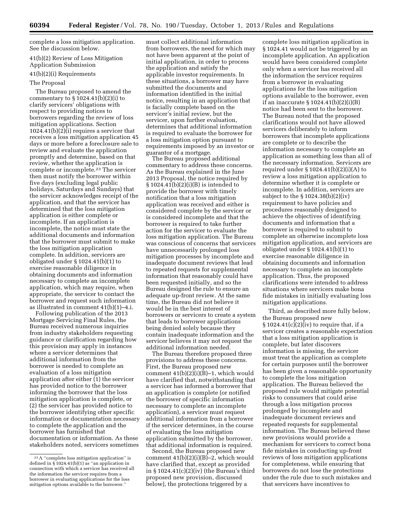complete a loss mitigation application. See the discussion below.

41(b)(2) Review of Loss Mitigation Application Submission

#### 41(b)(2)(i) Requirements

#### The Proposal

The Bureau proposed to amend the commentary to  $\S 1024.41(b)(2)(i)$  to clarify servicers' obligations with respect to providing notices to borrowers regarding the review of loss mitigation applications. Section 1024.41(b)(2)(i) requires a servicer that receives a loss mitigation application 45 days or more before a foreclosure sale to review and evaluate the application promptly and determine, based on that review, whether the application is complete or incomplete.23 The servicer then must notify the borrower within five days (excluding legal public holidays, Saturdays and Sundays) that the servicer acknowledges receipt of the application, and that the servicer has determined that the loss mitigation application is either complete or incomplete. If an application is incomplete, the notice must state the additional documents and information that the borrower must submit to make the loss mitigation application complete. In addition, servicers are obligated under § 1024.41(b)(1) to exercise reasonable diligence in obtaining documents and information necessary to complete an incomplete application, which may require, when appropriate, the servicer to contact the borrower and request such information as illustrated in comment 41(b)(1)–4.i.

Following publication of the 2013 Mortgage Servicing Final Rules, the Bureau received numerous inquiries from industry stakeholders requesting guidance or clarification regarding how this provision may apply in instances where a servicer determines that additional information from the borrower is needed to complete an evaluation of a loss mitigation application after either (1) the servicer has provided notice to the borrower informing the borrower that the loss mitigation application is complete, or (2) the servicer has provided notice to the borrower identifying other specific information or documentation necessary to complete the application and the borrower has furnished that documentation or information. As these stakeholders noted, servicers sometimes

must collect additional information from borrowers, the need for which may not have been apparent at the point of initial application, in order to process the application and satisfy the applicable investor requirements. In these situations, a borrower may have submitted the documents and information identified in the initial notice, resulting in an application that is facially complete based on the servicer's initial review, but the servicer, upon further evaluation, determines that additional information is required to evaluate the borrower for a loss mitigation option pursuant to requirements imposed by an investor or guarantor of a mortgage.

The Bureau proposed additional commentary to address these concerns. As the Bureau explained in the June 2013 Proposal, the notice required by § 1024.41(b)(2)(i)(B) is intended to provide the borrower with timely notification that a loss mitigation application was received and either is considered complete by the servicer or is considered incomplete and that the borrower is required to take further action for the servicer to evaluate the loss mitigation application. The Bureau was conscious of concerns that servicers have unnecessarily prolonged loss mitigation processes by incomplete and inadequate document reviews that lead to repeated requests for supplemental information that reasonably could have been requested initially, and so the Bureau designed the rule to ensure an adequate up-front review. At the same time, the Bureau did not believe it would be in the best interest of borrowers or servicers to create a system that leads to borrower applications being denied solely because they contain inadequate information and the servicer believes it may not request the additional information needed.

The Bureau therefore proposed three provisions to address these concerns. First, the Bureau proposed new comment  $41(b)(2)(i)(B)-1$ , which would have clarified that, notwithstanding that a servicer has informed a borrower that an application is complete (or notified the borrower of specific information necessary to complete an incomplete application), a servicer must request additional information from a borrower if the servicer determines, in the course of evaluating the loss mitigation application submitted by the borrower, that additional information is required.

Second, the Bureau proposed new comment 41(b)(2)(i)(B)–2, which would have clarified that, except as provided in § 1024.41(c)(2)(iv) (the Bureau's third proposed new provision, discussed below), the protections triggered by a

complete loss mitigation application in § 1024.41 would not be triggered by an incomplete application. An application would have been considered complete only when a servicer has received all the information the servicer requires from a borrower in evaluating applications for the loss mitigation options available to the borrower, even if an inaccurate  $\S 1024.41(b)(2)(i)(B)$ notice had been sent to the borrower. The Bureau noted that the proposed clarifications would not have allowed servicers deliberately to inform borrowers that incomplete applications are complete or to describe the information necessary to complete an application as something less than all of the necessary information. Servicers are required under  $\S 1024.41(b)(2)(i)(A)$  to review a loss mitigation application to determine whether it is complete or incomplete. In addition, servicers are subject to the § 1024.38(b)(2)(iv) requirement to have policies and procedures reasonably designed to achieve the objectives of identifying documents and information that a borrower is required to submit to complete an otherwise incomplete loss mitigation application, and servicers are obligated under § 1024.41(b)(1) to exercise reasonable diligence in obtaining documents and information necessary to complete an incomplete application. Thus, the proposed clarifications were intended to address situations where servicers make bona fide mistakes in initially evaluating loss mitigation applications.

Third, as described more fully below, the Bureau proposed new  $\S 1024.41(c)(2)(iv)$  to require that, if a servicer creates a reasonable expectation that a loss mitigation application is complete, but later discovers information is missing, the servicer must treat the application as complete for certain purposes until the borrower has been given a reasonable opportunity to complete the loss mitigation application. The Bureau believed the proposed rule would mitigate potential risks to consumers that could arise through a loss mitigation process prolonged by incomplete and inadequate document reviews and repeated requests for supplemental information. The Bureau believed these new provisions would provide a mechanism for servicers to correct bona fide mistakes in conducting up-front reviews of loss mitigation applications for completeness, while ensuring that borrowers do not lose the protections under the rule due to such mistakes and that servicers have incentives to

<sup>23</sup>A ''complete loss mitigation application'' is defined in  $\S$ 1024.41(b)(1) as "an application in connection with which a servicer has received all the information the servicer requires from a borrower in evaluating applications for the loss mitigation options available to the borrower.''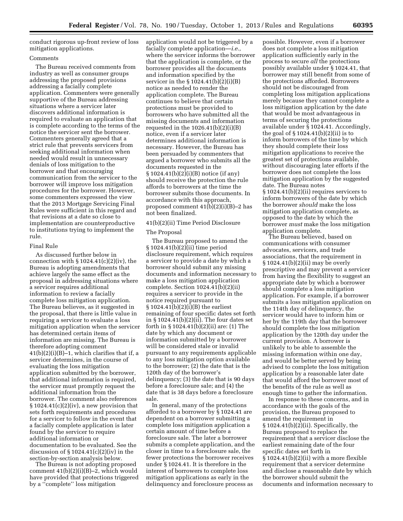conduct rigorous up-front review of loss mitigation applications.

# Comments

The Bureau received comments from industry as well as consumer groups addressing the proposed provisions addressing a facially complete application. Commenters were generally supportive of the Bureau addressing situations where a servicer later discovers additional information is required to evaluate an application that is complete according to the terms of the notice the servicer sent the borrower. Commenters generally agreed that a strict rule that prevents servicers from seeking additional information when needed would result in unnecessary denials of loss mitigation to the borrower and that encouraging communication from the servicer to the borrower will improve loss mitigation procedures for the borrower. However, some commenters expressed the view that the 2013 Mortgage Servicing Final Rules were sufficient in this regard and that revisions at a date so close to implementation are counterproductive to institutions trying to implement the rule.

#### Final Rule

As discussed further below in connection with  $\S 1024.41(c)(2)(iv)$ , the Bureau is adopting amendments that achieve largely the same effect as the proposal in addressing situations where a servicer requires additional information to review a facially complete loss mitigation application. The Bureau believes, as it suggested in the proposal, that there is little value in requiring a servicer to evaluate a loss mitigation application when the servicer has determined certain items of information are missing. The Bureau is therefore adopting comment 41(b)(2)(i)(B)–1, which clarifies that if, a servicer determines, in the course of evaluating the loss mitigation application submitted by the borrower, that additional information is required, the servicer must promptly request the additional information from the borrower. The comment also references  $\S 1024.41(c)(2)(iv)$ , a new provision that sets forth requirements and procedures for a servicer to follow in the event that a facially complete application is later found by the servicer to require additional information or documentation to be evaluated. See the discussion of  $\S 1024.41(c)(2)(iv)$  in the section-by-section analysis below.

The Bureau is not adopting proposed comment  $41(b)(2)(i)(B)-2$ , which would have provided that protections triggered by a ''complete'' loss mitigation

application would not be triggered by a facially complete application—*i.e.,*  where the servicer informs the borrower that the application is complete, or the borrower provides all the documents and information specified by the servicer in the § 1024.41(b)(2)(i)(B) notice as needed to render the application complete. The Bureau continues to believe that certain protections must be provided to borrowers who have submitted all the missing documents and information requested in the  $1026.41(b)(2)(i)(B)$ notice, even if a servicer later determines additional information is necessary. However, the Bureau has been persuaded by commenters that argued a borrower who submits all the documents requested in the § 1024.41(b)(2)(i)(B) notice (if any) should receive the protection the rule affords to borrowers at the time the borrower submits those documents. In accordance with this approach, proposed comment  $41(b)(2)(i)(B)-2$  has not been finalized.

# 41(b)(2)(ii) Time Period Disclosure

# The Proposal

The Bureau proposed to amend the § 1024.41(b)(2)(ii) time period disclosure requirement, which requires a servicer to provide a date by which a borrower should submit any missing documents and information necessary to make a loss mitigation application complete. Section 1024.41(b)(2)(ii) requires a servicer to provide in the notice required pursuant to § 1024.41(b)(2)(i)(B) the earliest remaining of four specific dates set forth in § 1024.41(b)(2)(ii). The four dates set forth in § 1024.41(b)(2)(ii) are: (1) The date by which any document or information submitted by a borrower will be considered stale or invalid pursuant to any requirements applicable to any loss mitigation option available to the borrower; (2) the date that is the 120th day of the borrower's delinquency; (3) the date that is 90 days before a foreclosure sale; and (4) the date that is 38 days before a foreclosure sale.

In general, many of the protections afforded to a borrower by § 1024.41 are dependent on a borrower submitting a complete loss mitigation application a certain amount of time before a foreclosure sale. The later a borrower submits a complete application, and the closer in time to a foreclosure sale, the fewer protections the borrower receives under § 1024.41. It is therefore in the interest of borrowers to complete loss mitigation applications as early in the delinquency and foreclosure process as

possible. However, even if a borrower does not complete a loss mitigation application sufficiently early in the process to secure *all* the protections possibly available under § 1024.41, that borrower may still benefit from some of the protections afforded. Borrowers should not be discouraged from completing loss mitigation applications merely because they cannot complete a loss mitigation application by the date that would be most advantageous in terms of securing the protections available under § 1024.41. Accordingly, the goal of  $\S 1024.41(b)(2)(ii)$  is to inform borrowers of the time by which they should complete their loss mitigation applications to receive the greatest set of protections available, without discouraging later efforts if the borrower does not complete the loss mitigation application by the suggested date. The Bureau notes § 1024.41(b)(2)(ii) requires servicers to inform borrowers of the date by which the borrower *should* make the loss mitigation application complete, as opposed to the date by which the borrower *must* make the loss mitigation application complete.

The Bureau believed, based on communications with consumer advocates, servicers, and trade associations, that the requirement in § 1024.41(b)(2)(ii) may be overly prescriptive and may prevent a servicer from having the flexibility to suggest an appropriate date by which a borrower should complete a loss mitigation application. For example, if a borrower submits a loss mitigation application on the 114th day of delinquency, the servicer would have to inform him or her by the 119th day that the borrower should complete the loss mitigation application by the 120th day under the current provision. A borrower is unlikely to be able to assemble the missing information within one day, and would be better served by being advised to complete the loss mitigation application by a reasonable later date that would afford the borrower most of the benefits of the rule as well as enough time to gather the information.

In response to these concerns, and in accordance with the goals of the provision, the Bureau proposed to amend the requirement in § 1024.41(b)(2)(ii). Specifically, the Bureau proposed to replace the requirement that a servicer disclose the earliest remaining date of the four specific dates set forth in § 1024.41(b)(2)(ii) with a more flexible requirement that a servicer determine and disclose a reasonable date by which the borrower should submit the documents and information necessary to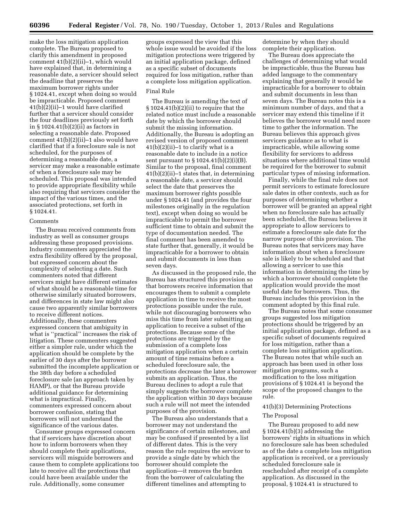make the loss mitigation application complete. The Bureau proposed to clarify this amendment in proposed comment 41(b)(2)(ii)–1, which would have explained that, in determining a reasonable date, a servicer should select the deadline that preserves the maximum borrower rights under § 1024.41, except when doing so would be impracticable. Proposed comment 41(b)(2)(ii)–1 would have clarified further that a servicer should consider the four deadlines previously set forth in § 1024.41(b)(2)(ii) as factors in selecting a reasonable date. Proposed comment 41(b)(2)(ii)–1 also would have clarified that if a foreclosure sale is not scheduled, for the purposes of determining a reasonable date, a servicer may make a reasonable estimate of when a foreclosure sale may be scheduled. This proposal was intended to provide appropriate flexibility while also requiring that servicers consider the impact of the various times, and the associated protections, set forth in § 1024.41.

#### **Comments**

The Bureau received comments from industry as well as consumer groups addressing these proposed provisions. Industry commenters appreciated the extra flexibility offered by the proposal, but expressed concern about the complexity of selecting a date. Such commenters noted that different servicers might have different estimates of what should be a reasonable time for otherwise similarly situated borrowers, and differences in state law might also cause two apparently similar borrowers to receive different notices. Additionally, these commenters expressed concern that ambiguity in what is ''practical'' increases the risk of litigation. These commenters suggested either a simpler rule, under which the application should be complete by the earlier of 30 days after the borrower submitted the incomplete application or the 38th day before a scheduled foreclosure sale (an approach taken by HAMP), or that the Bureau provide additional guidance for determining what is impractical. Finally, commenters expressed concern about borrower confusion, stating that borrowers will not understand the significance of the various dates.

Consumer groups expressed concern that if servicers have discretion about how to inform borrowers when they should complete their applications, servicers will misguide borrowers and cause them to complete applications too late to receive all the protections that could have been available under the rule. Additionally, some consumer

groups expressed the view that this whole issue would be avoided if the loss mitigation protections were triggered by an initial application package, defined as a specific subset of documents required for loss mitigation, rather than a complete loss mitigation application.

#### Final Rule

The Bureau is amending the text of § 1024.41(b)(2)(ii) to require that the related notice must include a reasonable date by which the borrower should submit the missing information. Additionally, the Bureau is adopting an revised version of proposed comment  $41(b)(2)(ii) - 1$  to clarify what is a reasonable date to include in a notice sent pursuant to  $\S 1024.41(b)(2)(i)(B)$ . Similar to the proposal, final comment 41(b)(2)(ii)–1 states that, in determining a reasonable date, a servicer should select the date that preserves the maximum borrower rights possible under § 1024.41 (and provides the four milestones originally in the regulation text), except when doing so would be impracticable to permit the borrower sufficient time to obtain and submit the type of documentation needed. The final comment has been amended to state further that, generally, it would be impracticable for a borrower to obtain and submit documents in less than seven days.

As discussed in the proposed rule, the Bureau has structured this provision so that borrowers receive information that encourages them to submit a complete application in time to receive the most protections possible under the rule, while not discouraging borrowers who miss this time from later submitting an application to receive a subset of the protections. Because some of the protections are triggered by the submission of a complete loss mitigation application when a certain amount of time remains before a scheduled foreclosure sale, the protections decrease the later a borrower submits an application. Thus, the Bureau declines to adopt a rule that simply suggests the borrower complete the application within 30 days because such a rule will not meet the intended purposes of the provision.

The Bureau also understands that a borrower may not understand the significance of certain milestones, and may be confused if presented by a list of different dates. This is the very reason the rule requires the servicer to provide a single date by which the borrower should complete the application—it removes the burden from the borrower of calculating the different timelines and attempting to

determine by when they should complete their application.

The Bureau does appreciate the challenges of determining what would be impracticable, thus the Bureau has added language to the commentary explaining that generally it would be impracticable for a borrower to obtain and submit documents in less than seven days. The Bureau notes this is a minimum number of days, and that a servicer may extend this timeline if it believes the borrower would need more time to gather the information. The Bureau believes this approach gives servicers guidance as to what is impracticable, while allowing some flexibility for servicers to address situations where additional time would be required for the borrower to submit particular types of missing information.

Finally, while the final rule does not permit servicers to estimate foreclosure sale dates in other contexts, such as for purposes of determining whether a borrower will be granted an appeal right when no foreclosure sale has actually been scheduled, the Bureau believes it appropriate to allow servicers to estimate a foreclosure sale date for the narrow purpose of this provision. The Bureau notes that servicers may have information about when a foreclosure sale is likely to be scheduled and that allowing a servicer to use this information in determining the time by which a borrower should complete the application would provide the most useful date for borrowers. Thus, the Bureau includes this provision in the comment adopted by this final rule.

The Bureau notes that some consumer groups suggested loss mitigation protections should be triggered by an initial application package, defined as a specific subset of documents required for loss mitigation, rather than a complete loss mitigation application. The Bureau notes that while such an approach has been used in other loss mitigation programs, such a modification to the loss mitigation provisions of § 1024.41 is beyond the scope of the proposed changes to the rule.

#### 41(b)(3) Determining Protections

#### The Proposal

The Bureau proposed to add new § 1024.41(b)(3) addressing the borrowers' rights in situations in which no foreclosure sale has been scheduled as of the date a complete loss mitigation application is received, or a previously scheduled foreclosure sale is rescheduled after receipt of a complete application. As discussed in the proposal, § 1024.41 is structured to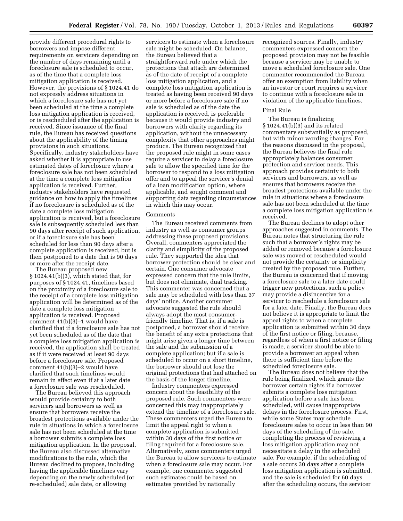provide different procedural rights to borrowers and impose different requirements on servicers depending on the number of days remaining until a foreclosure sale is scheduled to occur, as of the time that a complete loss mitigation application is received. However, the provisions of § 1024.41 do not expressly address situations in which a foreclosure sale has not yet been scheduled at the time a complete loss mitigation application is received, or is rescheduled after the application is received. Since issuance of the final rule, the Bureau has received questions about the applicability of the timing provisions in such situations. Specifically, industry stakeholders have asked whether it is appropriate to use estimated dates of foreclosure where a foreclosure sale has not been scheduled at the time a complete loss mitigation application is received. Further, industry stakeholders have requested guidance on how to apply the timelines if no foreclosure is scheduled as of the date a complete loss mitigation application is received, but a foreclosure sale is subsequently scheduled less than 90 days after receipt of such application, or if a foreclosure sale has been scheduled for less than 90 days after a complete application is received, but is then postponed to a date that is 90 days or more after the receipt date.

The Bureau proposed new § 1024.41(b)(3), which stated that, for purposes of § 1024.41, timelines based on the proximity of a foreclosure sale to the receipt of a complete loss mitigation application will be determined as of the date a complete loss mitigation application is received. Proposed comment 41(b)(3)–1 would have clarified that if a foreclosure sale has not yet been scheduled as of the date that a complete loss mitigation application is received, the application shall be treated as if it were received at least 90 days before a foreclosure sale. Proposed comment 41(b)(3)–2 would have clarified that such timelines would remain in effect even if at a later date a foreclosure sale was rescheduled.

The Bureau believed this approach would provide certainty to both servicers and borrowers as well as ensure that borrowers receive the broadest protections available under the rule in situations in which a foreclosure sale has not been scheduled at the time a borrower submits a complete loss mitigation application. In the proposal, the Bureau also discussed alternative modifications to the rule, which the Bureau declined to propose, including having the applicable timelines vary depending on the newly scheduled (or re-scheduled) sale date, or allowing

servicers to estimate when a foreclosure sale might be scheduled. On balance, the Bureau believed that a straightforward rule under which the protections that attach are determined as of the date of receipt of a complete loss mitigation application, and a complete loss mitigation application is treated as having been received 90 days or more before a foreclosure sale if no sale is scheduled as of the date the application is received, is preferable because it would provide industry and borrowers with clarity regarding its application, without the unnecessary complexity that other approaches might produce. The Bureau recognized that the proposed rule might in some cases require a servicer to delay a foreclosure sale to allow the specified time for the borrower to respond to a loss mitigation offer and to appeal the servicer's denial of a loan modification option, where applicable, and sought comment and supporting data regarding circumstances in which this may occur.

#### Comments

The Bureau received comments from industry as well as consumer groups addressing these proposed provisions. Overall, commenters appreciated the clarity and simplicity of the proposed rule. They supported the idea that borrower protection should be clear and certain. One consumer advocate expressed concern that the rule limits, but does not eliminate, dual tracking. This commenter was concerned that a sale may be scheduled with less than 37 days' notice. Another consumer advocate suggested the rule should always adopt the most consumerfriendly timeline. That is, if a sale is postponed, a borrower should receive the benefit of any extra protections that might arise given a longer time between the sale and the submission of a complete application; but if a sale is scheduled to occur on a short timeline, the borrower should not lose the original protections that had attached on the basis of the longer timeline.

Industry commenters expressed concern about the feasibility of the proposed rule. Such commenters were concerned this may inappropriately extend the timeline of a foreclosure sale. These commenters urged the Bureau to limit the appeal right to when a complete application is submitted within 30 days of the first notice or filing required for a foreclosure sale. Alternatively, some commenters urged the Bureau to allow servicers to estimate when a foreclosure sale may occur. For example, one commenter suggested such estimates could be based on estimates provided by nationally

recognized sources. Finally, industry commenters expressed concern the proposed provision may not be feasible because a servicer may be unable to move a scheduled foreclosure sale. One commenter recommended the Bureau offer an exemption from liability when an investor or court requires a servicer to continue with a foreclosure sale in violation of the applicable timelines.

#### Final Rule

The Bureau is finalizing § 1024.41(b)(3) and its related commentary substantially as proposed, but with minor wording changes. For the reasons discussed in the proposal, the Bureau believes the final rule appropriately balances consumer protection and servicer needs. This approach provides certainty to both servicers and borrowers, as well as ensures that borrowers receive the broadest protections available under the rule in situations where a foreclosure sale has not been scheduled at the time a complete loss mitigation application is received.

The Bureau declines to adopt other approaches suggested in comments. The Bureau notes that structuring the rule such that a borrower's rights may be added or removed because a foreclosure sale was moved or rescheduled would not provide the certainty or simplicity created by the proposed rule. Further, the Bureau is concerned that if moving a foreclosure sale to a later date could trigger new protections, such a policy may provide a disincentive for a servicer to reschedule a foreclosure sale for a later date. Finally, the Bureau does not believe it is appropriate to limit the appeal rights to when a complete application is submitted within 30 days of the first notice or filing, because, regardless of when a first notice or filing is made, a servicer should be able to provide a borrower an appeal when there is sufficient time before the scheduled foreclosure sale.

The Bureau does not believe that the rule being finalized, which grants the borrower certain rights if a borrower submits a complete loss mitigation application before a sale has been scheduled, will cause inappropriate delays in the foreclosure process. First, while some States may schedule foreclosure sales to occur in less than 90 days of the scheduling of the sale, completing the process of reviewing a loss mitigation application may not necessitate a delay in the scheduled sale. For example, if the scheduling of a sale occurs 30 days after a complete loss mitigation application is submitted, and the sale is scheduled for 60 days after the scheduling occurs, the servicer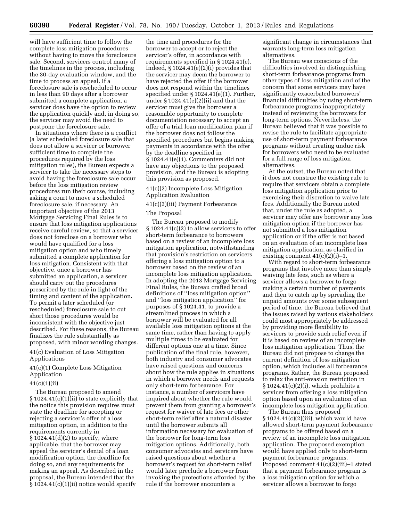will have sufficient time to follow the complete loss mitigation procedures without having to move the foreclosure sale. Second, servicers control many of the timelines in the process, including the 30-day evaluation window, and the time to process an appeal. If a foreclosure sale is rescheduled to occur in less than 90 days after a borrower submitted a complete application, a servicer does have the option to review the application quickly and, in doing so, the servicer may avoid the need to postpone the foreclosure sale.

In situations where there is a conflict (a later scheduled foreclosure sale that does not allow a servicer or borrower sufficient time to complete the procedures required by the loss mitigation rules), the Bureau expects a servicer to take the necessary steps to avoid having the foreclosure sale occur before the loss mitigation review procedures run their course, including asking a court to move a scheduled foreclosure sale, if necessary. An important objective of the 2013 Mortgage Servicing Final Rules is to ensure that loss mitigation applications receive careful review, so that a servicer does not foreclose on a borrower who would have qualified for a loss mitigation option and who timely submitted a complete application for loss mitigation. Consistent with that objective, once a borrower has submitted an application, a servicer should carry out the procedures prescribed by the rule in light of the timing and content of the application. To permit a later scheduled (or rescheduled) foreclosure sale to cut short those procedures would be inconsistent with the objective just described. For these reasons, the Bureau finalizes the rule substantially as proposed, with minor wording changes.

41(c) Evaluation of Loss Mitigation Applications

41(c)(1) Complete Loss Mitigation Application

#### 41(c)(1)(ii)

The Bureau proposed to amend § 1024.41(c)(1)(ii) to state explicitly that the notice this provision requires must state the deadline for accepting or rejecting a servicer's offer of a loss mitigation option, in addition to the requirements currently in  $\S 1024.41(d)(2)$  to specify, where applicable, that the borrower may appeal the servicer's denial of a loan modification option, the deadline for doing so, and any requirements for making an appeal. As described in the proposal, the Bureau intended that the § 1024.41(c)(1)(ii) notice would specify

the time and procedures for the borrower to accept or to reject the servicer's offer, in accordance with requirements specified in § 1024.41(e). Indeed, § 1024.41(e)(2)(i) provides that the servicer may deem the borrower to have rejected the offer if the borrower does not respond within the timelines specified under § 1024.41(e)(1). Further, under  $\S 1024.41(e)(2)(ii)$  and that the servicer must give the borrower a reasonable opportunity to complete documentation necessary to accept an offer of a trial loan modification plan if the borrower does not follow the specified procedures but begins making payments in accordance with the offer by the deadline specified in § 1024.41(e)(1). Commenters did not have any objections to the proposed provision, and the Bureau is adopting this provision as proposed.

41(c)(2) Incomplete Loss Mitigation Application Evaluation

41(c)(2)(iii) Payment Forbearance

# The Proposal

The Bureau proposed to modify § 1024.41(c)(2) to allow servicers to offer short-term forbearance to borrowers based on a review of an incomplete loss mitigation application, notwithstanding that provision's restriction on servicers offering a loss mitigation option to a borrower based on the review of an incomplete loss mitigation application. In adopting the 2013 Mortgage Servicing Final Rules, the Bureau crafted broad definitions of ''loss mitigation option'' and ''loss mitigation application'' for purposes of § 1024.41, to provide a streamlined process in which a borrower will be evaluated for all available loss mitigation options at the same time, rather than having to apply multiple times to be evaluated for different options one at a time. Since publication of the final rule, however, both industry and consumer advocates have raised questions and concerns about how the rule applies in situations in which a borrower needs and requests only short-term forbearance. For instance, a number of servicers have inquired about whether the rule would prevent them from granting a borrower's request for waiver of late fees or other short-term relief after a natural disaster until the borrower submits all information necessary for evaluation of the borrower for long-term loss mitigation options. Additionally, both consumer advocates and servicers have raised questions about whether a borrower's request for short-term relief would later preclude a borrower from invoking the protections afforded by the rule if the borrower encounters a

significant change in circumstances that warrants long-term loss mitigation alternatives.

The Bureau was conscious of the difficulties involved in distinguishing short-term forbearance programs from other types of loss mitigation and of the concern that some servicers may have significantly exacerbated borrowers' financial difficulties by using short-term forbearance programs inappropriately instead of reviewing the borrowers for long-term options. Nevertheless, the Bureau believed that it was possible to revise the rule to facilitate appropriate use of short-term payment forbearance programs without creating undue risk for borrowers who need to be evaluated for a full range of loss mitigation alternatives.

At the outset, the Bureau noted that it does not construe the existing rule to require that servicers obtain a complete loss mitigation application prior to exercising their discretion to waive late fees. Additionally the Bureau noted that, under the rule as adopted, a servicer may offer any borrower any loss mitigation option if the borrower has not submitted a loss mitigation application or if the offer is not based on an evaluation of an incomplete loss mitigation application, as clarified in existing comment  $41(c)(2)(i)-1$ .

With regard to short-term forbearance programs that involve more than simply waiving late fees, such as where a servicer allows a borrower to forgo making a certain number of payments and then to catch up by spreading the unpaid amounts over some subsequent period of time, the Bureau believed that the issues raised by various stakeholders could most appropriately be addressed by providing more flexibility to servicers to provide such relief even if it is based on review of an incomplete loss mitigation application. Thus, the Bureau did not propose to change the current definition of loss mitigation option, which includes all forbearance programs. Rather, the Bureau proposed to relax the anti-evasion restriction in § 1024.41(c)(2)(i), which prohibits a servicer from offering a loss mitigation option based upon an evaluation of an incomplete loss mitigation application.

The Bureau thus proposed  $§ 1024.41(c)(2)(iii)$ , which would have allowed short-term payment forbearance programs to be offered based on a review of an incomplete loss mitigation application. The proposed exemption would have applied only to short-term payment forbearance programs. Proposed comment 41(c)(2)(iii)–1 stated that a payment forbearance program is a loss mitigation option for which a servicer allows a borrower to forgo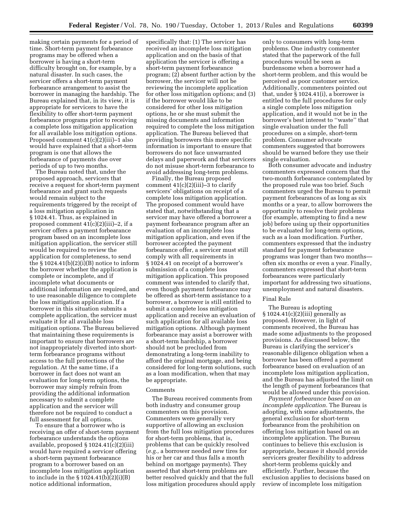making certain payments for a period of time. Short-term payment forbearance programs may be offered when a borrower is having a short-term difficulty brought on, for example, by a natural disaster. In such cases, the servicer offers a short-term payment forbearance arrangement to assist the borrower in managing the hardship. The Bureau explained that, in its view, it is appropriate for servicers to have the flexibility to offer short-term payment forbearance programs prior to receiving a complete loss mitigation application for all available loss mitigation options. Proposed comment 41(c)(2)(iii)–1 also would have explained that a short-term program is one that allows the forbearance of payments due over periods of up to two months.

The Bureau noted that, under the proposed approach, servicers that receive a request for short-term payment forbearance and grant such requests would remain subject to the requirements triggered by the receipt of a loss mitigation application in § 1024.41. Thus, as explained in proposed comment 41(c)(2)(iii)–2, if a servicer offers a payment forbearance program based on an incomplete loss mitigation application, the servicer still would be required to review the application for completeness, to send the  $\S 1024.41(b)(2)(i)(B)$  notice to inform the borrower whether the application is complete or incomplete, and if incomplete what documents or additional information are required, and to use reasonable diligence to complete the loss mitigation application. If a borrower in this situation submits a complete application, the servicer must evaluate it for all available loss mitigation options. The Bureau believed that maintaining these requirements is important to ensure that borrowers are not inappropriately diverted into shortterm forbearance programs without access to the full protections of the regulation. At the same time, if a borrower in fact does not want an evaluation for long-term options, the borrower may simply refrain from providing the additional information necessary to submit a complete application and the servicer will therefore not be required to conduct a full assessment for all options.

To ensure that a borrower who is receiving an offer of short-term payment forbearance understands the options available, proposed § 1024.41(c)(2)(iii) would have required a servicer offering a short-term payment forbearance program to a borrower based on an incomplete loss mitigation application to include in the § 1024.41(b)(2)(i)(B) notice additional information,

specifically that: (1) The servicer has received an incomplete loss mitigation application and on the basis of that application the servicer is offering a short-term payment forbearance program; (2) absent further action by the borrower, the servicer will not be reviewing the incomplete application for other loss mitigation options; and (3) if the borrower would like to be considered for other loss mitigation options, he or she must submit the missing documents and information required to complete the loss mitigation application. The Bureau believed that providing borrowers this more specific information is important to ensure that borrowers do not face unwarranted delays and paperwork and that servicers do not misuse short-term forbearance to avoid addressing long-term problems.

Finally, the Bureau proposed comment  $41(c)(2)(iii)$ –3 to clarify servicers' obligations on receipt of a complete loss mitigation application. The proposed comment would have stated that, notwithstanding that a servicer may have offered a borrower a payment forbearance program after an evaluation of an incomplete loss mitigation application, and even if the borrower accepted the payment forbearance offer, a servicer must still comply with all requirements in § 1024.41 on receipt of a borrower's submission of a complete loss mitigation application. This proposed comment was intended to clarify that, even though payment forbearance may be offered as short-term assistance to a borrower, a borrower is still entitled to submit a complete loss mitigation application and receive an evaluation of such application for all available loss mitigation options. Although payment forbearance may assist a borrower with a short-term hardship, a borrower should not be precluded from demonstrating a long-term inability to afford the original mortgage, and being considered for long-term solutions, such as a loan modification, when that may be appropriate.

#### Comments

The Bureau received comments from both industry and consumer group commenters on this provision. Commenters were generally very supportive of allowing an exclusion from the full loss mitigation procedures for short-term problems, that is, problems that can be quickly resolved (*e.g.,* a borrower needed new tires for his or her car and thus falls a month behind on mortgage payments). They asserted that short-term problems are better resolved quickly and that the full loss mitigation procedures should apply

only to consumers with long-term problems. One industry commenter stated that the paperwork of the full procedures would be seen as burdensome when a borrower had a short-term problem, and this would be perceived as poor customer service. Additionally, commenters pointed out that, under  $\S 1024.41(i)$ , a borrower is entitled to the full procedures for only a single complete loss mitigation application, and it would not be in the borrower's best interest to ''waste'' that single evaluation under the full procedures on a simple, short-term problem. Consumer advocate commenters suggested that borrowers should be warned before they use their single evaluation.

Both consumer advocate and industry commenters expressed concern that the two-month forbearance contemplated by the proposed rule was too brief. Such commenters urged the Bureau to permit payment forbearances of as long as six months or a year, to allow borrowers the opportunity to resolve their problems (for example, attempting to find a new job) before using up their opportunities to be evaluated for long-term options, such as a loan modification. Further, commenters expressed that the industry standard for payment forbearance programs was longer than two months often six months or even a year. Finally, commenters expressed that short-term forbearances were particularly important for addressing two situations, unemployment and natural disasters.

#### Final Rule

The Bureau is adopting  $§ 1024.41(c)(2)(iii)$  generally as proposed. However, in light of comments received, the Bureau has made some adjustments to the proposed provisions. As discussed below, the Bureau is clarifying the servicer's reasonable diligence obligation when a borrower has been offered a payment forbearance based on evaluation of an incomplete loss mitigation application, and the Bureau has adjusted the limit on the length of payment forbearances that would be allowed under this provision.

*Payment forbearance based on an incomplete application.* The Bureau is adopting, with some adjustments, the general exclusion for short-term forbearance from the prohibition on offering loss mitigation based on an incomplete application. The Bureau continues to believe this exclusion is appropriate, because it should provide servicers greater flexibility to address short-term problems quickly and efficiently. Further, because the exclusion applies to decisions based on review of incomplete loss mitigation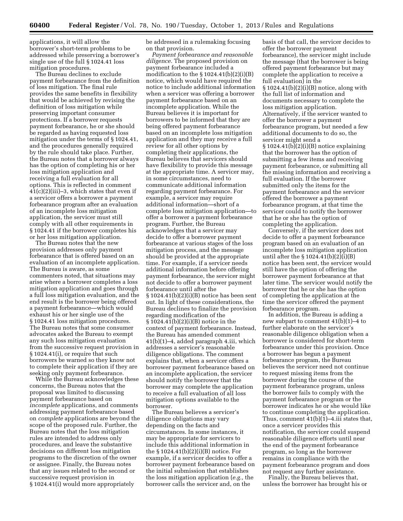applications, it will allow the borrower's short-term problems to be addressed while preserving a borrower's single use of the full § 1024.41 loss mitigation procedures.

The Bureau declines to exclude payment forbearance from the definition of loss mitigation. The final rule provides the same benefits in flexibility that would be achieved by revising the definition of loss mitigation while preserving important consumer protections. If a borrower requests payment forbearance, he or she should be regarded as having requested loss mitigation under the terms of § 1024.41, and the procedures generally required by the rule should take place. Further, the Bureau notes that a borrower always has the option of completing his or her loss mitigation application and receiving a full evaluation for all options. This is reflected in comment 41(c)(2)(iii)–3, which states that even if a servicer offers a borrower a payment forbearance program after an evaluation of an incomplete loss mitigation application, the servicer must still comply with all other requirements in § 1024.41 if the borrower completes his or her loss mitigation application.

The Bureau notes that the new provision addresses only payment forbearance that is offered based on an evaluation of an incomplete application. The Bureau is aware, as some commenters noted, that situations may arise where a borrower completes a loss mitigation application and goes through a full loss mitigation evaluation, and the end result is the borrower being offered a payment forbearance—which would exhaust his or her single use of the § 1024.41 loss mitigation procedures. The Bureau notes that some consumer advocates asked the Bureau to exempt any such loss mitigation evaluation from the successive request provision in § 1024.41(i), or require that such borrowers be warned so they know not to complete their application if they are seeking only payment forbearance.

While the Bureau acknowledges these concerns, the Bureau notes that the proposal was limited to discussing payment forbearance based on *incomplete* applications, and comments addressing payment forbearance based on *complete* applications are beyond the scope of the proposed rule. Further, the Bureau notes that the loss mitigation rules are intended to address only procedures, and leave the substantive decisions on different loss mitigation programs to the discretion of the owner or assignee. Finally, the Bureau notes that any issues related to the second or successive request provision in § 1024.41(i) would more appropriately

be addressed in a rulemaking focusing on that provision.

*Payment forbearance and reasonable diligence.* The proposed provision on payment forbearance included a modification to the § 1024.41(b)(2)(i)(B) notice, which would have required the notice to include additional information when a servicer was offering a borrower payment forbearance based on an incomplete application. While the Bureau believes it is important for borrowers to be informed that they are being offered payment forbearance based on an incomplete loss mitigation application and they may receive a full review for all other options by completing their applications, the Bureau believes that servicers should have flexibility to provide this message at the appropriate time. A servicer may, in some circumstances, need to communicate additional information regarding payment forbearance. For example, a servicer may require additional information—short of a complete loss mitigation application—to offer a borrower a payment forbearance program. Further, the Bureau acknowledges that a servicer may decide to offer a borrower payment forbearance at various stages of the loss mitigation process, and the message should be provided at the appropriate time. For example, if a servicer needs additional information before offering payment forbearance, the servicer might not decide to offer a borrower payment forbearance until after the § 1024.41(b)(2)(i)(B) notice has been sent out. In light of these considerations, the Bureau declines to finalize the provision regarding modification of the § 1024.41(b)(2)(i)(B) notice in the context of payment forbearance. Instead, the Bureau has amended comment 41(b)(1)–4, added paragraph 4.iii, which addresses a servicer's reasonable diligence obligations. The comment explains that, when a servicer offers a borrower payment forbearance based on an incomplete application, the servicer should notify the borrower that the borrower may complete the application to receive a full evaluation of all loss mitigation options available to the borrower.

The Bureau believes a servicer's diligence obligations may vary depending on the facts and circumstances. In some instances, it may be appropriate for servicers to include this additional information in the § 1024.41(b)(2)(i)(B) notice. For example, if a servicer decides to offer a borrower payment forbearance based on the initial submission that establishes the loss mitigation application (*e.g.,* the borrower calls the servicer and, on the

basis of that call, the servicer decides to offer the borrower payment forbearance), the servicer might include the message (that the borrower is being offered payment forbearance but may complete the application to receive a full evaluation) in the § 1024.41(b)(2)(i)(B) notice, along with the full list of information and documents necessary to complete the loss mitigation application. Alternatively, if the servicer wanted to offer the borrower a payment forbearance program, but needed a few additional documents to do so, the servicer might send a  $\S 1024.41(b)(2)(i)(B)$  notice explaining that the borrower has the option of submitting a few items and receiving payment forbearance, or submitting all the missing information and receiving a full evaluation. If the borrower submitted only the items for the payment forbearance and the servicer offered the borrower a payment forbearance program, at that time the servicer could to notify the borrower that he or she has the option of completing the application.

Conversely, if the servicer does not decide to offer a payment forbearance program based on an evaluation of an incomplete loss mitigation application until after the § 1024.41(b)(2)(i)(B) notice has been sent, the servicer would still have the option of offering the borrower payment forbearance at that later time. The servicer would notify the borrower that he or she has the option of completing the application at the time the servicer offered the payment forbearance program.

In addition, the Bureau is adding a new subpart to comment 41(b)(1)–4 to further elaborate on the servicer's reasonable diligence obligation when a borrower is considered for short-term forbearance under this provision. Once a borrower has begun a payment forbearance program, the Bureau believes the servicer need not continue to request missing items from the borrower during the course of the payment forbearance program, unless the borrower fails to comply with the payment forbearance program or the borrower indicates he or she would like to continue completing the application. Thus, comment 41(b)(1)–4.iii states that, once a servicer provides this notification, the servicer could suspend reasonable diligence efforts until near the end of the payment forbearance program, so long as the borrower remains in compliance with the payment forbearance program and does not request any further assistance.

Finally, the Bureau believes that, unless the borrower has brought his or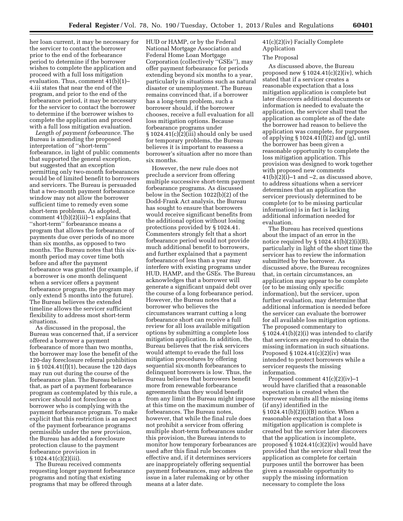her loan current, it may be necessary for the servicer to contact the borrower prior to the end of the forbearance period to determine if the borrower wishes to complete the application and proceed with a full loss mitigation evaluation. Thus, comment 41(b)(1)– 4.iii states that near the end of the program, and prior to the end of the forbearance period, it may be necessary for the servicer to contact the borrower to determine if the borrower wishes to complete the application and proceed with a full loss mitigation evaluation.

*Length of payment forbearance.* The Bureau is amending the proposed interpretation of ''short-term'' forbearance, in light of public comments that supported the general exception, but suggested that an exception permitting only two-month forbearances would be of limited benefit to borrowers and servicers. The Bureau is persuaded that a two-month payment forbearance window may not allow the borrower sufficient time to remedy even some short-term problems. As adopted, comment 41(b)(2)(iii)–1 explains that ''short-term'' forbearance means a program that allows the forbearance of payments due over periods of no more than six months, as opposed to two months. The Bureau notes that this sixmonth period may cover time both before and after the payment forbearance was granted (for example, if a borrower is one month delinquent when a servicer offers a payment forbearance program, the program may only extend 5 months into the future). The Bureau believes the extended timeline allows the servicer sufficient flexibility to address most short-term situations.

As discussed in the proposal, the Bureau was concerned that, if a servicer offered a borrower a payment forbearance of more than two months, the borrower may lose the benefit of the 120-day foreclosure referral prohibition in § 1024.41(f)(1), because the 120 days may run out during the course of the forbearance plan. The Bureau believes that, as part of a payment forbearance program as contemplated by this rule, a servicer should not foreclose on a borrower who is complying with the payment forbearance program. To make explicit that this restriction is an aspect of the payment forbearance programs permissible under the new provision, the Bureau has added a foreclosure protection clause to the payment forbearance provision in § 1024.41(c)(2)(iii).

The Bureau received comments requesting longer payment forbearance programs and noting that existing programs that may be offered through

HUD or HAMP, or by the Federal National Mortgage Association and Federal Home Loan Mortgage Corporation (collectively ''GSEs''), may offer payment forbearance for periods extending beyond six months to a year, particularly in situations such as natural disaster or unemployment. The Bureau remains convinced that, if a borrower has a long-term problem, such a borrower should, if the borrower chooses, receive a full evaluation for all loss mitigation options. Because forbearance programs under § 1024.41(c)(2)(iii) should only be used for temporary problems, the Bureau believes it is important to reassess a borrower's situation after no more than six months.

However, the new rule does not preclude a servicer from offering multiple successive short-term payment forbearance programs. As discussed below in the Section 1022(b)(2) of the Dodd-Frank Act analysis, the Bureau has sought to ensure that borrowers would receive significant benefits from the additional option without losing protections provided by § 1024.41. Commenters strongly felt that a short forbearance period would not provide much additional benefit to borrowers, and further explained that a payment forbearance of less than a year may interfere with existing programs under HUD, HAMP, and the GSEs. The Bureau acknowledges that a borrower will generate a significant unpaid debt over the course of a long forbearance period. However, the Bureau notes that a borrower who believes the circumstances warrant cutting a long forbearance short can receive a full review for all loss available mitigation options by submitting a complete loss mitigation application. In addition, the Bureau believes that the risk servicers would attempt to evade the full loss mitigation procedures by offering sequential six-month forbearances to delinquent borrowers is low. Thus, the Bureau believes that borrowers benefit more from renewable forbearance agreements than they would benefit from any limit the Bureau might impose at this time on the maximum number of forbearances. The Bureau notes, however, that while the final rule does not prohibit a servicer from offering multiple short-term forbearances under this provision, the Bureau intends to monitor how temporary forbearances are used after this final rule becomes effective and, if it determines servicers are inappropriately offering sequential payment forbearances, may address the issue in a later rulemaking or by other means at a later date.

41(c)(2)(iv) Facially Complete Application

#### The Proposal

As discussed above, the Bureau proposed new § 1024.41(c)(2)(iv), which stated that if a servicer creates a reasonable expectation that a loss mitigation application is complete but later discovers additional documents or information is needed to evaluate the application, the servicer shall treat the application as complete as of the date the borrower had reason to believe the application was complete, for purposes of applying § 1024.41(f)(2) and (g), until the borrower has been given a reasonable opportunity to complete the loss mitigation application. This provision was designed to work together with proposed new comments  $41(b)\overline{(2)}\overline{(i)}$ –1 and –2, as discussed above, to address situations when a servicer determines that an application the servicer previously determined to be complete (or to be missing particular information) is in fact is lacking additional information needed for evaluation.

The Bureau has received questions about the impact of an error in the notice required by  $\S 1024.41(b)(2)(i)(B)$ , particularly in light of the short time the servicer has to review the information submitted by the borrower. As discussed above, the Bureau recognizes that, in certain circumstances, an application may appear to be complete (or to be missing only specific information), but the servicer, upon further evaluation, may determine that additional information is needed before the servicer can evaluate the borrower for all available loss mitigation options. The proposed commentary to § 1024.41(b)(2)(i) was intended to clarify that servicers are required to obtain the missing information in such situations. Proposed  $\S 1024.41(c)(2)(iv)$  was intended to protect borrowers while a servicer requests the missing information.

Proposed comment 41(c)(2)(iv)–1 would have clarified that a reasonable expectation is created when the borrower submits all the missing items (if any) identified in the § 1024.41(b)(2)(i)(B) notice. When a reasonable expectation that a loss mitigation application is complete is created but the servicer later discovers that the application is incomplete, proposed  $\S 1024.41(c)(2)(iv)$  would have provided that the servicer shall treat the application as complete for certain purposes until the borrower has been given a reasonable opportunity to supply the missing information necessary to complete the loss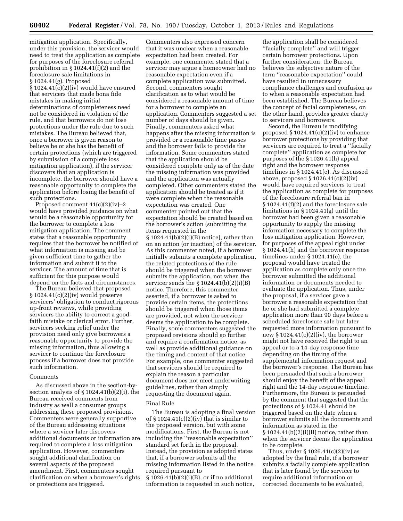mitigation application. Specifically, under this provision, the servicer would need to treat the application as complete for purposes of the foreclosure referral prohibition in § 1024.41(f)(2) and the foreclosure sale limitations in § 1024.41(g). Proposed § 1024.41(c)(2)(iv) would have ensured that servicers that made bona fide mistakes in making initial determinations of completeness need not be considered in violation of the rule, and that borrowers do not lose protections under the rule due to such mistakes. The Bureau believed that, once a borrower is given reason to believe he or she has the benefit of certain protections (which are triggered by submission of a complete loss mitigation application), if the servicer discovers that an application is incomplete, the borrower should have a reasonable opportunity to complete the application before losing the benefit of such protections.

Proposed comment 41(c)(2)(iv)–2 would have provided guidance on what would be a reasonable opportunity for the borrower to complete a loss mitigation application. The comment states that a reasonable opportunity requires that the borrower be notified of what information is missing and be given sufficient time to gather the information and submit it to the servicer. The amount of time that is sufficient for this purpose would depend on the facts and circumstances.

The Bureau believed that proposed  $§ 1024.41(c)(2)(iv)$  would preserve servicers' obligation to conduct rigorous up-front reviews, while providing servicers the ability to correct a goodfaith mistake or clerical error. Further, servicers seeking relief under the provision need only give borrowers a reasonable opportunity to provide the missing information, thus allowing a servicer to continue the foreclosure process if a borrower does not provide such information.

#### Comments

As discussed above in the section-bysection analysis of § 1024.41(b)(2)(i), the Bureau received comments from industry as well a consumer groups addressing these proposed provisions. Commenters were generally supportive of the Bureau addressing situations where a servicer later discovers additional documents or information are required to complete a loss mitigation application. However, commenters sought additional clarification on several aspects of the proposed amendment. First, commenters sought clarification on when a borrower's rights or protections are triggered.

Commenters also expressed concern that it was unclear when a reasonable expectation had been created. For example, one commenter stated that a servicer may argue a homeowner had no reasonable expectation even if a complete application was submitted. Second, commenters sought clarification as to what would be considered a reasonable amount of time for a borrower to complete an application. Commenters suggested a set number of days should be given. Finally, commenters asked what happens after the missing information is provided or a reasonable time passes and the borrower fails to provide the information. Some commenters stated that the application should be considered complete only as of the date the missing information was provided and the application was actually completed. Other commenters stated the application should be treated as if it were complete when the reasonable expectation was created. One commenter pointed out that the expectation should be created based on the borrower's action (submitting the items requested in the § 1024.41(b)(2)(i)(B) notice), rather than on an action (or inaction) of the servicer. As this commenter noted, if a borrower initially submits a complete application, the related protections of the rule should be triggered when the borrower submits the application, not when the servicer sends the  $\S 1024.41(b)(2)(i)(B)$ notice. Therefore, this commenter asserted, if a borrower is asked to provide certain items, the protections should be triggered when those items are provided, not when the servicer deems the application to be complete. Finally, some commenters suggested the proposed revisions should go further and require a confirmation notice, as well as provide additional guidance on the timing and content of that notice. For example, one commenter suggested that servicers should be required to explain the reason a particular document does not meet underwriting guidelines, rather than simply requesting the document again.

#### Final Rule

The Bureau is adopting a final version of  $\S 1024.41(c)(2)(iv)$  that is similar to the proposed version, but with some modifications. First, the Bureau is not including the ''reasonable expectation'' standard set forth in the proposal. Instead, the provision as adopted states that, if a borrower submits all the missing information listed in the notice required pursuant to

 $\S 1026.41(b)(2)(i)(B)$ , or if no additional information is requested in such notice,

the application shall be considered ''facially complete'' and will trigger certain borrower protections. Upon further consideration, the Bureau believes the subjective nature of the term ''reasonable expectation'' could have resulted in unnecessary compliance challenges and confusion as to when a reasonable expectation had been established. The Bureau believes the concept of facial completeness, on the other hand, provides greater clarity to servicers and borrowers.

Second, the Bureau is modifying proposed  $\S 1024.41(c)(2)(iv)$  to enhance borrower protections by providing that servicers are required to treat a ''facially complete'' application as complete for purposes of the § 1026.41(h) appeal right and the borrower response timelines in § 1024.41(e). As discussed above, proposed  $\S 1026.41(c)(2)(iv)$ would have required servicers to treat the application as complete for purposes of the foreclosure referral ban in § 1024.41(f)(2) and the foreclosure sale limitations in § 1024.41(g) until the borrower had been given a reasonable opportunity to supply the missing information necessary to complete the loss mitigation application. However, for purposes of the appeal right under § 1024.41(h) and the borrower response timelines under § 1024.41(e), the proposal would have treated the application as complete only once the borrower submitted the additional information or documents needed to evaluate the application. Thus, under the proposal, if a servicer gave a borrower a reasonable expectation that he or she had submitted a complete application more than 90 days before a scheduled foreclosure sale but later requested more information pursuant to new  $\S 1024.41(c)(2)(iv)$ , the borrower might not have received the right to an appeal or to a 14-day response time depending on the timing of the supplemental information request and the borrower's response. The Bureau has been persuaded that such a borrower should enjoy the benefit of the appeal right and the 14-day response timeline. Furthermore, the Bureau is persuaded by the comment that suggested that the protections of § 1024.41 should be triggered based on the date when a borrower submits all the documents and information as stated in the  $§ 1024.41(b)(2)(i)(B)$  notice, rather than when the servicer deems the application to be complete.

Thus, under  $\S 1026.41(c)(2)(iv)$  as adopted by the final rule, if a borrower submits a facially complete application that is later found by the servicer to require additional information or corrected documents to be evaluated,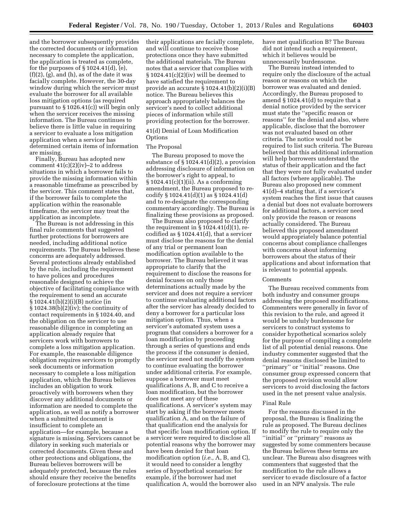and the borrower subsequently provides the corrected documents or information necessary to complete the application, the application is treated as complete, for the purposes of  $\S 1024.41(d)$ ,  $(e)$ ,  $(f)(2)$ ,  $(g)$ , and  $(h)$ , as of the date it was facially complete. However, the 30-day window during which the servicer must evaluate the borrower for all available loss mitigation options (as required pursuant to § 1026.41(c)) will begin only when the servicer receives the missing information. The Bureau continues to believe there is little value in requiring a servicer to evaluate a loss mitigation application when a servicer has determined certain items of information are missing.

Finally, Bureau has adopted new comment  $41(c)(2)(iv)-2$  to address situations in which a borrower fails to provide the missing information within a reasonable timeframe as prescribed by the servicer. This comment states that, if the borrower fails to complete the application within the reasonable timeframe, the servicer may treat the application as incomplete.

The Bureau is not addressing in this final rule comments that suggested further protections for borrowers are needed, including additional notice requirements. The Bureau believes these concerns are adequately addressed. Several protections already established by the rule, including the requirement to have polices and procedures reasonable designed to achieve the objective of facilitating compliance with the requirement to send an accurate § 1024.41(b)(2)(i)(B) notice (in § 1024.38(b)(2)(iv); the continuity of contact requirements in § 1024.40, and the obligation on the servicer to use reasonable diligence in completing an application already require that servicers work with borrowers to complete a loss mitigation application. For example, the reasonable diligence obligation requires servicers to promptly seek documents or information necessary to complete a loss mitigation application, which the Bureau believes includes an obligation to work proactively with borrowers when they discover any additional documents or information are needed to complete the application, as well as notify a borrower when a submitted document is insufficient to complete an application—for example, because a signature is missing. Servicers cannot be dilatory in seeking such materials or corrected documents. Given these and other protections and obligations, the Bureau believes borrowers will be adequately protected, because the rules should ensure they receive the benefits of foreclosure protections at the time

their applications are facially complete, and will continue to receive those protections once they have submitted the additional materials. The Bureau notes that a servicer that complies with § 1024.41(c)(2)(iv) will be deemed to have satisfied the requirement to provide an accurate § 1024.41(b)(2)(i)(B) notice. The Bureau believes this approach appropriately balances the servicer's need to collect additional pieces of information while still providing protection for the borrower.

# 41(d) Denial of Loan Modification **Options**

#### The Proposal

The Bureau proposed to move the substance of § 1024.41(d)(2), a provision addressing disclosure of information on the borrower's right to appeal, to  $§ 1024.41(c)(1)(ii)$ . As a conforming amendment, the Bureau proposed to recodify § 1024.41(d)(1) as § 1024.41(d) and to re-designate the corresponding commentary accordingly. The Bureau is finalizing these provisions as proposed.

The Bureau also proposed to clarify the requirement in  $\S 1024.41(d)(1)$ , recodified as § 1024.41(d), that a servicer must disclose the reasons for the denial of any trial or permanent loan modification option available to the borrower. The Bureau believed it was appropriate to clarify that the requirement to disclose the reasons for denial focuses on only those determinations actually made by the servicer and does not require a servicer to continue evaluating additional factors after the servicer has already decided to deny a borrower for a particular loss mitigation option. Thus, when a servicer's automated system uses a program that considers a borrower for a loan modification by proceeding through a series of questions and ends the process if the consumer is denied, the servicer need not modify the system to continue evaluating the borrower under additional criteria. For example, suppose a borrower must meet qualifications A, B, and C to receive a loan modification, but the borrower does not meet any of these qualifications. A servicer's system may start by asking if the borrower meets qualification A, and on the failure of that qualification end the analysis for that specific loan modification option. If a servicer were required to disclose all potential reasons why the borrower may have been denied for that loan modification option (*i.e.,* A, B, and C), it would need to consider a lengthy series of hypothetical scenarios: for example, if the borrower had met qualification A, would the borrower also have met qualification B? The Bureau did not intend such a requirement, which it believes would be unnecessarily burdensome.

The Bureau instead intended to require only the disclosure of the actual reason or reasons on which the borrower was evaluated and denied. Accordingly, the Bureau proposed to amend § 1024.41(d) to require that a denial notice provided by the servicer must state the ''specific reason or reasons'' for the denial and also, where applicable, disclose that the borrower was not evaluated based on other criteria. The notice would not be required to list such criteria. The Bureau believed that this additional information will help borrowers understand the status of their application and the fact that they were not fully evaluated under all factors (where applicable). The Bureau also proposed new comment 41(d)–4 stating that, if a servicer's system reaches the first issue that causes a denial but does not evaluate borrowers for additional factors, a servicer need only provide the reason or reasons actually considered. The Bureau believed this proposed amendment would appropriately balance potential concerns about compliance challenges with concerns about informing borrowers about the status of their applications and about information that is relevant to potential appeals.

#### Comments

The Bureau received comments from both industry and consumer groups addressing the proposed modifications. Commenters were generally in favor of this revision to the rule, and agreed it would be unduly burdensome for servicers to construct systems to consider hypothetical scenarios solely for the purpose of compiling a complete list of all potential denial reasons. One industry commenter suggested that the denial reasons disclosed be limited to ''primary'' or ''initial'' reasons. One consumer group expressed concern that the proposed revision would allow servicers to avoid disclosing the factors used in the net present value analysis.

# Final Rule

For the reasons discussed in the proposal, the Bureau is finalizing the rule as proposed. The Bureau declines to modify the rule to require only the "initial" or "primary" reasons as suggested by some commenters because the Bureau believes these terms are unclear. The Bureau also disagrees with commenters that suggested that the modification to the rule allows a servicer to evade disclosure of a factor used in an NPV analysis. The rule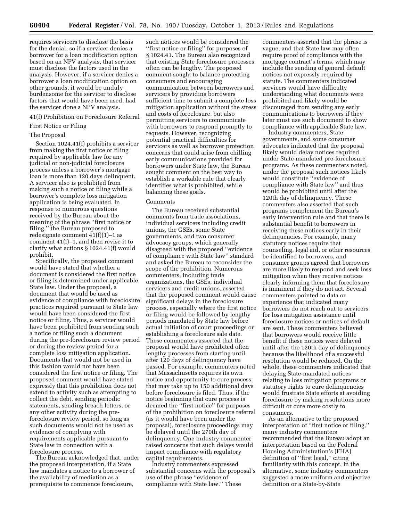requires servicers to disclose the basis for the denial, so if a servicer denies a borrower for a loan modification option based on an NPV analysis, that servicer must disclose the factors used in the analysis. However, if a servicer denies a borrower a loan modification option on other grounds, it would be unduly burdensome for the servicer to disclose factors that would have been used, had the servicer done a NPV analysis.

#### 41(f) Prohibition on Foreclosure Referral

# First Notice or Filing

#### The Proposal

Section 1024.41(f) prohibits a servicer from making the first notice or filing required by applicable law for any judicial or non-judicial foreclosure process unless a borrower's mortgage loan is more than 120 days delinquent. A servicer also is prohibited from making such a notice or filing while a borrower's complete loss mitigation application is being evaluated. In response to numerous questions received by the Bureau about the meaning of the phrase ''first notice or filing,'' the Bureau proposed to redesignate comment 41(f)(1)–1 as comment 41(f)–1, and then revise it to clarify what actions § 1024.41(f) would prohibit.

Specifically, the proposed comment would have stated that whether a document is considered the first notice or filing is determined under applicable State law. Under the proposal, a document that would be used as evidence of compliance with foreclosure practices required pursuant to State law would have been considered the first notice or filing. Thus, a servicer would have been prohibited from sending such a notice or filing such a document during the pre-foreclosure review period or during the review period for a complete loss mitigation application. Documents that would not be used in this fashion would not have been considered the first notice or filing. The proposed comment would have stated expressly that this prohibition does not extend to activity such as attempting to collect the debt, sending periodic statements, sending breach letters, or any other activity during the preforeclosure review period, so long as such documents would not be used as evidence of complying with requirements applicable pursuant to State law in connection with a foreclosure process.

The Bureau acknowledged that, under the proposed interpretation, if a State law mandates a notice to a borrower of the availability of mediation as a prerequisite to commence foreclosure,

such notices would be considered the ''first notice or filing'' for purposes of § 1024.41. The Bureau also recognized that existing State foreclosure processes often can be lengthy. The proposed comment sought to balance protecting consumers and encouraging communication between borrowers and servicers by providing borrowers sufficient time to submit a complete loss mitigation application without the stress and costs of foreclosure, but also permitting servicers to communicate with borrowers to respond promptly to requests. However, recognizing potential practical difficulties for servicers as well as borrower protection concerns that could arise from chilling early communications provided for borrowers under State law, the Bureau sought comment on the best way to establish a workable rule that clearly identifies what is prohibited, while balancing these goals.

#### **Comments**

The Bureau received substantial comments from trade associations, individual servicers including credit unions, the GSEs, some State governments, and two consumer advocacy groups, which generally disagreed with the proposed ''evidence of compliance with State law'' standard and asked the Bureau to reconsider the scope of the prohibition. Numerous commenters, including trade organizations, the GSEs, individual servicers and credit unions, asserted that the proposed comment would cause significant delays in the foreclosure process, especially where the first notice or filing would be followed by lengthy periods mandated by State law before actual initiation of court proceedings or establishing a foreclosure sale date. These commenters asserted that the proposal would have prohibited often lengthy processes from starting until after 120 days of delinquency have passed. For example, commenters noted that Massachusetts requires its own notice and opportunity to cure process that may take up to 150 additional days before foreclosure is filed. Thus, if the notice beginning that cure process is deemed the ''first notice'' for purposes of the prohibition on foreclosure referral (as it would have been under the proposal), foreclosure proceedings may be delayed until the 270th day of delinquency. One industry commenter raised concerns that such delays would impact compliance with regulatory capital requirements.

Industry commenters expressed substantial concerns with the proposal's use of the phrase ''evidence of compliance with State law.'' These

commenters asserted that the phrase is vague, and that State law may often require proof of compliance with the mortgage contract's terms, which may include the sending of general default notices not expressly required by statute. The commenters indicated servicers would have difficulty understanding what documents were prohibited and likely would be discouraged from sending any early communications to borrowers if they later must use such document to show compliance with applicable State law.

Industry commenters, State governments, and some consumer advocates indicated that the proposal likely would delay notices required under State-mandated pre-foreclosure programs. As these commenters noted, under the proposal such notices likely would constitute ''evidence of compliance with State law'' and thus would be prohibited until after the 120th day of delinquency. These commenters also asserted that such programs complement the Bureau's early intervention rule and that there is substantial benefit to borrowers in receiving these notices early in their delinquencies. For example, many statutory notices require that counseling, legal aid, or other resources be identified to borrowers, and consumer groups agreed that borrowers are more likely to respond and seek loss mitigation when they receive notices clearly informing them that foreclosure is imminent if they do not act. Several commenters pointed to data or experience that indicated many borrowers do not reach out to servicers for loss mitigation assistance until foreclosure notices or notices of default are sent. These commenters believed that borrowers would receive little benefit if these notices were delayed until after the 120th day of delinquency because the likelihood of a successful resolution would be reduced. On the whole, these commenters indicated that delaying State-mandated notices relating to loss mitigation programs or statutory rights to cure delinquencies would frustrate State efforts at avoiding foreclosure by making resolutions more difficult or cure more costly to consumers.

As an alternative to the proposed interpretation of ''first notice or filing,'' many industry commenters recommended that the Bureau adopt an interpretation based on the Federal Housing Administration's (FHA) definition of ''first legal,'' citing familiarity with this concept. In the alternative, some industry commenters suggested a more uniform and objective definition or a State-by-State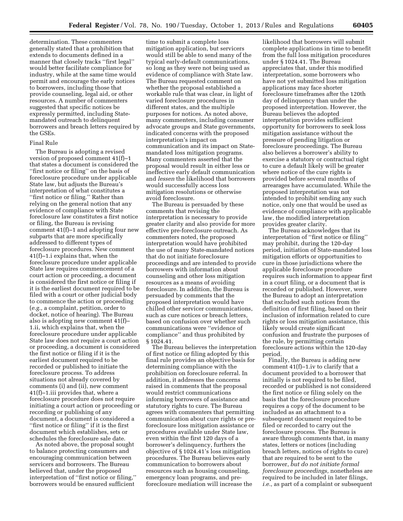determination. These commenters generally stated that a prohibition that extends to documents defined in a manner that closely tracks ''first legal'' would better facilitate compliance for industry, while at the same time would permit and encourage the early notices to borrowers, including those that provide counseling, legal aid, or other resources. A number of commenters suggested that specific notices be expressly permitted, including Statemandated outreach to delinquent borrowers and breach letters required by the GSEs.

#### Final Rule

The Bureau is adopting a revised version of proposed comment 41(f)–1 that states a document is considered the ''first notice or filing'' on the basis of foreclosure procedure under applicable State law, but adjusts the Bureau's interpretation of what constitutes a ''first notice or filing.'' Rather than relying on the general notion that any evidence of compliance with State foreclosure law constitutes a first notice or filing, the Bureau is revising comment 41(f)–1 and adopting four new subparts that are more specifically addressed to different types of foreclosure procedures. New comment 41(f)–1.i explains that, when the foreclosure procedure under applicable State law requires commencement of a court action or proceeding, a document is considered the first notice or filing if it is the earliest document required to be filed with a court or other judicial body to commence the action or proceeding (*e.g.,* a complaint, petition, order to docket, notice of hearing). The Bureau also is adopting new comment 41(f)– 1.ii, which explains that, when the foreclosure procedure under applicable State law does not require a court action or proceeding, a document is considered the first notice or filing if it is the earliest document required to be recorded or published to initiate the foreclosure process. To address situations not already covered by comments (i) and (ii), new comment 41(f)–1.iii provides that, where a foreclosure procedure does not require initiating a court action or proceeding or recording or publishing of any document, a document is considered a ''first notice or filing'' if it is the first document which establishes, sets or schedules the foreclosure sale date.

As noted above, the proposal sought to balance protecting consumers and encouraging communication between servicers and borrowers. The Bureau believed that, under the proposed interpretation of ''first notice or filing,'' borrowers would be ensured sufficient

time to submit a complete loss mitigation application, but servicers would still be able to send many of the typical early-default communications, so long as they were not being used as evidence of compliance with State law. The Bureau requested comment on whether the proposal established a workable rule that was clear, in light of varied foreclosure procedures in different states, and the multiple purposes for notices. As noted above, many commenters, including consumer advocate groups and State governments, indicated concerns with the proposed interpretation's impact on communication and its impact on Statemandated loss mitigation programs. Many commenters asserted that the proposal would result in either less or ineffective early default communication and *lessen* the likelihood that borrowers would successfully access loss mitigation resolutions or otherwise avoid foreclosure.

The Bureau is persuaded by these comments that revising the interpretation is necessary to provide greater clarity and also provide for more effective pre-foreclosure outreach. As commenters noted, the proposed interpretation would have prohibited the use of many State-mandated notices that do not initiate foreclosure proceedings and are intended to provide borrowers with information about counseling and other loss mitigation resources as a means of avoiding foreclosure. In addition, the Bureau is persuaded by comments that the proposed interpretation would have chilled other servicer communications, such as cure notices or breach letters, based on confusion over whether such communications were ''evidence of compliance'' and thus prohibited by § 1024.41.

The Bureau believes the interpretation of first notice or filing adopted by this final rule provides an objective basis for determining compliance with the prohibition on foreclosure referral. In addition, it addresses the concerns raised in comments that the proposal would restrict communications informing borrowers of assistance and statutory rights to cure. The Bureau agrees with commenters that permitting communication about cure rights or preforeclosure loss mitigation assistance or procedures available under State law, even within the first 120 days of a borrower's delinquency, furthers the objective of § 1024.41's loss mitigation procedures. The Bureau believes early communication to borrowers about resources such as housing counseling, emergency loan programs, and preforeclosure mediation will increase the

likelihood that borrowers will submit complete applications in time to benefit from the full loss mitigation procedures under § 1024.41. The Bureau appreciates that, under this modified interpretation, some borrowers who have not yet submitted loss mitigation applications may face shorter foreclosure timeframes after the 120th day of delinquency than under the proposed interpretation. However, the Bureau believes the adopted interpretation provides sufficient opportunity for borrowers to seek loss mitigation assistance without the pressure of pending litigation or foreclosure proceedings. The Bureau also believes a borrower's ability to exercise a statutory or contractual right to cure a default likely will be greater where notice of the cure rights is provided before several months of arrearages have accumulated. While the proposed interpretation was not intended to prohibit sending any such notice, only one that would be used as evidence of compliance with applicable law, the modified interpretation provides greater clarity.

The Bureau acknowledges that its interpretation of ''first notice or filing'' may prohibit, during the 120-day period, initiation of State-mandated loss mitigation efforts or opportunities to cure in those jurisdictions where the applicable foreclosure procedure requires such information to appear first in a court filing, or a document that is recorded or published. However, were the Bureau to adopt an interpretation that excluded such notices from the definition of first filing, based on their inclusion of information related to cure rights or loss mitigation assistance, this likely would create significant confusion and frustrate the purposes of the rule, by permitting certain foreclosure actions within the 120-day period.

Finally, the Bureau is adding new comment 41(f)–1.iv to clarify that a document provided to a borrower that initially is not required to be filed, recorded or published is not considered the first notice or filing solely on the basis that the foreclosure procedure requires a copy of the document to be included as an attachment to a subsequent document required to be filed or recorded to carry out the foreclosure process. The Bureau is aware through comments that, in many states, letters or notices (including breach letters, notices of rights to cure) that are required to be sent to the borrower, *but do not initiate formal foreclosure proceedings,* nonetheless are required to be included in later filings, *i.e.,* as part of a complaint or subsequent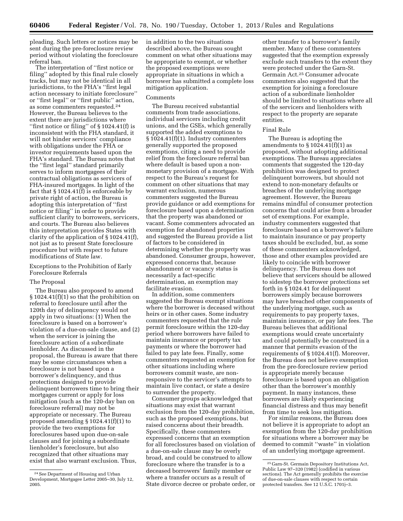pleading. Such letters or notices may be sent during the pre-foreclosure review period without violating the foreclosure referral ban.

The interpretation of ''first notice or filing'' adopted by this final rule closely tracks, but may not be identical in all jurisdictions, to the FHA's ''first legal action necessary to initiate foreclosure'' or ''first legal'' or ''first public'' action, as some commenters requested.24 However, the Bureau believes to the extent there are jurisdictions where ''first notice or filing'' of § 1024.41(f) is inconsistent with the FHA standard, it will not hinder servicers' compliance with obligations under the FHA or investor requirements based upon the FHA's standard. The Bureau notes that the ''first legal'' standard primarily serves to inform mortgagees of their contractual obligations as servicers of FHA-insured mortgages. In light of the fact that § 1024.41(f) is enforceable by private right of action, the Bureau is adopting this interpretation of ''first notice or filing'' in order to provide sufficient clarity to borrowers, servicers, and courts. The Bureau also believes this interpretation provides States with clarity of the application of § 1024.41(f), not just as to present State foreclosure procedure but with respect to future modifications of State law.

Exceptions to the Prohibition of Early Foreclosure Referrals

# The Proposal

The Bureau also proposed to amend § 1024.41(f)(1) so that the prohibition on referral to foreclosure until after the 120th day of delinquency would not apply in two situations: (1) When the foreclosure is based on a borrower's violation of a due-on-sale clause, and (2) when the servicer is joining the foreclosure action of a subordinate lienholder. As discussed in the proposal, the Bureau is aware that there may be some circumstances when a foreclosure is not based upon a borrower's delinquency, and thus protections designed to provide delinquent borrowers time to bring their mortgages current or apply for loss mitigation (such as the 120-day ban on foreclosure referral) may not be appropriate or necessary. The Bureau proposed amending § 1024.41(f)(1) to provide the two exemptions for foreclosures based upon due-on-sale clauses and for joining a subordinate lienholder's foreclosure, but also recognized that other situations may exist that also warrant exclusion. Thus,

in addition to the two situations described above, the Bureau sought comment on what other situations may be appropriate to exempt, or whether the proposed exemptions were appropriate in situations in which a borrower has submitted a complete loss mitigation application.

#### Comments

The Bureau received substantial comments from trade associations, individual servicers including credit unions, and the GSEs, which generally supported the added exemptions to § 1024.41(f)(1). Industry commenters generally supported the proposed exemptions, citing a need to provide relief from the foreclosure referral ban where default is based upon a nonmonetary provision of a mortgage. With respect to the Bureau's request for comment on other situations that may warrant exclusion, numerous commenters suggested the Bureau provide guidance or add exemptions for foreclosure based upon a determination that the property was abandoned or vacant. Some commenters advocated an exemption for abandoned properties and suggested the Bureau provide a list of factors to be considered in determining whether the property was abandoned. Consumer groups, however, expressed concerns that, because abandonment or vacancy status is necessarily a fact-specific determination, an exemption may facilitate evasion.

In addition, some commenters suggested the Bureau exempt situations where the borrower is deceased without heirs or in other cases. Some industry commenters requested that the rule permit foreclosure within the 120-day period where borrowers have failed to maintain insurance or property tax payments or where the borrower had failed to pay late fees. Finally, some commenters requested an exemption for other situations including where borrowers commit waste, are nonresponsive to the servicer's attempts to maintain live contact, or state a desire to surrender the property.

Consumer groups acknowledged that situations may exist that warrant exclusion from the 120-day prohibition, such as the proposed exemptions, but raised concerns about their breadth. Specifically, these commenters expressed concerns that an exemption for all foreclosures based on violation of a due-on-sale clause may be overly broad, and could be construed to allow foreclosure where the transfer is to a deceased borrowers' family member or where a transfer occurs as a result of State divorce decree or probate order, or

other transfer to a borrower's family member. Many of these commenters suggested that the exemption expressly exclude such transfers to the extent they were protected under the Garn-St. Germain Act.25 Consumer advocate commenters also suggested that the exemption for joining a foreclosure action of a subordinate lienholder should be limited to situations where all of the servicers and lienholders with respect to the property are separate entities.

#### Final Rule

The Bureau is adopting the amendments to  $\S 1024.41(f)(1)$  as proposed, without adopting additional exemptions. The Bureau appreciates comments that suggested the 120-day prohibition was designed to protect delinquent borrowers, but should not extend to non-monetary defaults or breaches of the underlying mortgage agreement. However, the Bureau remains mindful of consumer protection concerns that could arise from a broader set of exemptions. For example, industry commenters suggested that foreclosure based on a borrower's failure to maintain insurance or pay property taxes should be excluded, but, as some of these commenters acknowledged, those and other examples provided are likely to coincide with borrower delinquency. The Bureau does not believe that servicers should be allowed to sidestep the borrower protections set forth in § 1024.41 for delinquent borrowers simply because borrowers may have breached other components of the underlying mortgage, such as requirements to pay property taxes, maintain insurance, or pay late fees. The Bureau believes that additional exemptions would create uncertainty and could potentially be construed in a manner that permits evasion of the requirements of § 1024.41(f). Moreover, the Bureau does not believe exemption from the pre-foreclosure review period is appropriate merely because foreclosure is based upon an obligation other than the borrower's monthly payment. In many instances, these borrowers are likely experiencing financial distress and thus may benefit from time to seek loss mitigation.

For similar reasons, the Bureau does not believe it is appropriate to adopt an exemption from the 120-day prohibition for situations where a borrower may be deemed to commit ''waste'' in violation of an underlying mortgage agreement.

<sup>24</sup>See Department of Housing and Urban Development, Mortgagee Letter 2005–30, July 12, 2005.

<sup>25</sup> Garn-St. Germain Depository Institutions Act, Public Law 97–320 (1982) (codified in various sections). The Act generally prohibits the exercise of due-on-sale clauses with respect to certain protected transfers. See 12 U.S.C. 1701j–3.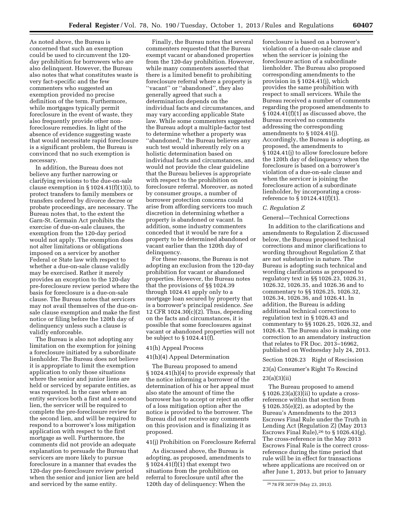As noted above, the Bureau is concerned that such an exemption could be used to circumvent the 120 day prohibition for borrowers who are also delinquent. However, the Bureau also notes that what constitutes waste is very fact-specific and the few commenters who suggested an exemption provided no precise definition of the term. Furthermore, while mortgages typically permit foreclosure in the event of waste, they also frequently provide other nonforeclosure remedies. In light of the absence of evidence suggesting waste that would necessitate rapid foreclosure is a significant problem, the Bureau is convinced that no such exemption is necessary.

In addition, the Bureau does not believe any further narrowing or clarifying revisions to the due-on-sale clause exemption in  $\S 1024.41(f)(1)(i)$ , to protect transfers to family members or transfers ordered by divorce decree or probate proceedings, are necessary. The Bureau notes that, to the extent the Garn-St. Germain Act prohibits the exercise of due-on-sale clauses, the exemption from the 120-day period would not apply. The exemption does not alter limitations or obligations imposed on a servicer by another Federal or State law with respect to whether a due-on-sale clause validly may be exercised. Rather it merely provides an exception to the 120-day pre-foreclosure review period where the basis for foreclosure is a due-on-sale clause. The Bureau notes that servicers may not avail themselves of the due-onsale clause exemption and make the first notice or filing before the 120th day of delinquency unless such a clause is validly enforceable.

The Bureau is also not adopting any limitation on the exemption for joining a foreclosure initiated by a subordinate lienholder. The Bureau does not believe it is appropriate to limit the exemption application to only those situations where the senior and junior liens are held or serviced by separate entities, as was requested. In the case where an entity services both a first and a second lien, the servicer will be required to complete the pre-foreclosure review for the second lien, and will be required to respond to a borrower's loss mitigation application with respect to the first mortgage as well. Furthermore, the comments did not provide an adequate explanation to persuade the Bureau that servicers are more likely to pursue foreclosure in a manner that evades the 120-day pre-foreclosure review period when the senior and junior lien are held and serviced by the same entity.

Finally, the Bureau notes that several commenters requested that the Bureau exempt vacant or abandoned properties from the 120-day prohibition. However, while many commenters asserted that there is a limited benefit to prohibiting foreclosure referral where a property is ''vacant'' or ''abandoned'', they also generally agreed that such a determination depends on the individual facts and circumstances, and may vary according applicable State law. While some commenters suggested the Bureau adopt a multiple-factor test to determine whether a property was ''abandoned,'' the Bureau believes any such test would inherently rely on a holistic determination based on individual facts and circumstances, and would not provide the clear guideline that the Bureau believes is appropriate with respect to the prohibition on foreclosure referral. Moreover, as noted by consumer groups, a number of borrower protection concerns could arise from affording servicers too much discretion in determining whether a property is abandoned or vacant. In addition, some industry commenters conceded that it would be rare for a property to be determined abandoned or vacant earlier than the 120th day of delinquency.

For these reasons, the Bureau is not adopting an exclusion from the 120-day prohibition for vacant or abandoned properties. However, the Bureau notes that the provisions of §§ 1024.39 through 1024.41 apply only to a mortgage loan secured by property that is a borrower's principal residence. *See*  12 CFR 1024.30(c)(2). Thus, depending on the facts and circumstances, it is possible that some foreclosures against vacant or abandoned properties will not be subject to § 1024.41(f).

# 41(h) Appeal Process

41(h)(4) Appeal Determination

The Bureau proposed to amend § 1024.41(h)(4) to provide expressly that the notice informing a borrower of the determination of his or her appeal must also state the amount of time the borrower has to accept or reject an offer of a loss mitigation option after the notice is provided to the borrower. The Bureau did not receive any comments on this provision and is finalizing it as proposed.

41(j) Prohibition on Foreclosure Referral

As discussed above, the Bureau is adopting, as proposed, amendments to § 1024.41(f)(1) that exempt two situations from the prohibition on referral to foreclosure until after the 120th day of delinquency: When the

foreclosure is based on a borrower's violation of a due-on-sale clause and when the servicer is joining the foreclosure action of a subordinate lienholder. The Bureau also proposed corresponding amendments to the provision in § 1024.41(j), which provides the same prohibition with respect to small servicers. While the Bureau received a number of comments regarding the proposed amendments to § 1024.41(f)(1) as discussed above, the Bureau received no comments addressing the corresponding amendments to § 1024.41(j). Accordingly, the Bureau is adopting, as proposed, the amendments to § 1024.41(j) to allow foreclosure before the 120th day of delinquency when the foreclosure is based on a borrower's violation of a due-on-sale clause and when the servicer is joining the foreclosure action of a subordinate lienholder, by incorporating a crossreference to § 10124.41(f)(1).

#### *C. Regulation Z*

# General—Technical Corrections

In addition to the clarifications and amendments to Regulation Z discussed below, the Bureau proposed technical corrections and minor clarifications to wording throughout Regulation Z that are not substantive in nature. The Bureau is adopting such technical and wording clarifications as proposed to regulatory text in §§ 1026.23, 1026.31, 1026.32, 1026.35, and 1026.36 and to commentary to §§ 1026.25, 1026.32, 1026.34, 1026.36, and 1026.41. In addition, the Bureau is adding additional technical corrections to regulation text in § 1026.43 and commentary to §§ 1026.25, 1026.32, and 1026.43. The Bureau also is making one correction to an amendatory instruction that relates to FR Doc. 2013–16962, published on Wednesday July 24, 2013.

Section 1026.23 Right of Rescission

# 23(a) Consumer's Right To Rescind 23(a)(3)(ii)

The Bureau proposed to amend § 1026.23(a)(3)(ii) to update a crossreference within that section from § 1026.35(e)(2), as adopted by the Bureau's Amendments to the 2013 Escrows Final Rule under the Truth in Lending Act (Regulation Z) (May 2013 Escrows Final Rule),  $26$  to § 1026.43(g). The cross-reference in the May 2013 Escrows Final Rule is the correct crossreference during the time period that rule will be in effect for transactions where applications are received on or after June 1, 2013, but prior to January

<sup>26</sup> 78 FR 30739 (May 23, 2013).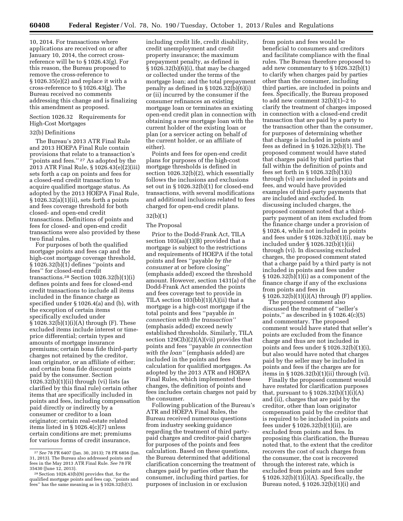10, 2014. For transactions where applications are received on or after January 10, 2014, the correct crossreference will be to § 1026.43(g). For this reason, the Bureau proposed to remove the cross-reference to § 1026.35(e)(2) and replace it with a cross-reference to § 1026.43(g). The Bureau received no comments addressing this change and is finalizing this amendment as proposed.

# Section 1026.32 Requirements for High-Cost Mortgages

#### 32(b) Definitions

The Bureau's 2013 ATR Final Rule and 2013 HOEPA Final Rule contain provisions that relate to a transaction's ''points and fees.'' 27 As adopted by the 2013 ATR Final Rule, § 1026.43(e)(2)(iii) sets forth a cap on points and fees for a closed-end credit transaction to acquire qualified mortgage status. As adopted by the 2013 HOEPA Final Rule,  $§ 1026.32(a)(1)(ii)$ , sets forth a points and fees coverage threshold for both closed- and open-end credit transactions. Definitions of points and fees for closed- and open-end credit transactions were also provided by these two final rules.

For purposes of both the qualified mortgage points and fees cap and the high-cost mortgage coverage threshold, § 1026.32(b)(1) defines "points and fees'' for closed-end credit transactions.28 Section 1026.32(b)(1)(i) defines points and fees for closed-end credit transactions to include all items included in the finance charge as specified under § 1026.4(a) and (b), with the exception of certain items specifically excluded under § 1026.32(b)(1)(i)(A) through (F). These excluded items include interest or timeprice differential; certain types and amounts of mortgage insurance premiums; certain bona fide third-party charges not retained by the creditor, loan originator, or an affiliate of either; and certain bona fide discount points paid by the consumer. Section  $1026.32(b)(1)(ii)$  through (vi) lists (as clarified by this final rule) certain other items that are specifically included in points and fees, including compensation paid directly or indirectly by a consumer or creditor to a loan originator; certain real-estate related items listed in § 1026.4(c)(7) unless certain conditions are met; premiums for various forms of credit insurance,

including credit life, credit disability, credit unemployment and credit property insurance; the maximum prepayment penalty, as defined in § 1026.32(b)(6)(i), that may be charged or collected under the terms of the mortgage loan; and the total prepayment penalty as defined in § 1026.32(b)(6)(i) or (ii) incurred by the consumer if the consumer refinances an existing mortgage loan or terminates an existing open-end credit plan in connection with obtaining a new mortgage loan with the current holder of the existing loan or plan (or a servicer acting on behalf of the current holder, or an affiliate of either).

Points and fees for open-end credit plans for purposes of the high-cost mortgage thresholds is defined in section 1026.32(b)(2), which essentially follows the inclusions and exclusions set out in § 1026.32(b)(1) for closed-end transactions, with several modifications and additional inclusions related to fees charged for open-end credit plans.

# 32(b)(1)

# The Proposal

Prior to the Dodd-Frank Act, TILA section 103(aa)(1)(B) provided that a mortgage is subject to the restrictions and requirements of HOEPA if the total points and fees ''payable *by the consumer* at or before closing'' (emphasis added) exceed the threshold amount. However, section 1431(a) of the Dodd-Frank Act amended the points and fees coverage test to provide in TILA section  $103(bb)(1)(A)(ii)$  that a mortgage is a high-cost mortgage if the total points and fees ''payable *in connection with the transaction''*  (emphasis added) exceed newly established thresholds. Similarly, TILA section 129C(b)(2)(A)(vii) provides that points and fees ''payable *in connection with the loan''* (emphasis added) are included in the points and fees calculation for qualified mortgages. As adopted by the 2013 ATR and HOEPA Final Rules, which implemented these changes, the definition of points and fees includes certain charges not paid by the consumer.

Following publication of the Bureau's ATR and HOEPA Final Rules, the Bureau received numerous questions from industry seeking guidance regarding the treatment of third partypaid charges and creditor-paid charges for purposes of the points and fees calculation. Based on these questions, the Bureau determined that additional clarification concerning the treatment of charges paid by parties other than the consumer, including third parties, for purposes of inclusion in or exclusion

from points and fees would be beneficial to consumers and creditors and facilitate compliance with the final rules. The Bureau therefore proposed to add new commentary to  $\S 1026.32(b)(1)$ to clarify when charges paid by parties other than the consumer, including third parties, are included in points and fees. Specifically, the Bureau proposed to add new comment 32(b)(1)–2 to clarify the treatment of charges imposed in connection with a closed-end credit transaction that are paid by a party to the transaction other than the consumer, for purposes of determining whether that charge is included in points and fees as defined in § 1026.32(b)(1). The proposed comment would have stated that charges paid by third parties that fall within the definition of points and fees set forth in § 1026.32(b)(1)(i) through (vi) are included in points and fees, and would have provided examples of third-party payments that are included and excluded. In discussing included charges, the proposed comment noted that a thirdparty payment of an item excluded from the finance charge under a provision of § 1026.4, while not included in points and fees under § 1026.32(b)(1)(i), may be included under § 1026.32(b)(1)(ii) through (vi). In discussing excluded charges, the proposed comment stated that a charge paid by a third party is not included in points and fees under  $\S 1026.32(b)\overline{(1)}$  as a component of the finance charge if any of the exclusions from points and fees in  $§ 1026.32(b)(1)(i)(A)$  through (F) applies.

The proposed comment also discussed the treatment of ''seller's points," as described in  $\S 1026.4(c)(5)$ and commentary. The proposed comment would have stated that seller's points are excluded from the finance charge and thus are not included in points and fees under § 1026.32(b)(1)(i), but also would have noted that charges paid by the seller may be included in points and fees if the charges are for items in  $\S 1026.32(b)(1)(ii)$  through (vi).

Finally the proposed comment would have restated for clarification purposes that, pursuant to  $\S 1026.32(b)(1)(i)(A)$ and (ii), charges that are paid by the creditor, other than loan originator compensation paid by the creditor that is required to be included in points and fees under § 1026.32(b)(1)(ii), are excluded from points and fees. In proposing this clarification, the Bureau noted that, to the extent that the creditor recovers the cost of such charges from the consumer, the cost is recovered through the interest rate, which is excluded from points and fees under  $§ 1026.32(b)(1)(i)(A)$ . Specifically, the Bureau noted, § 1026.32(b)(1)(i) and

<sup>27</sup>*See* 78 FR 6407 (Jan. 30, 2013); 78 FR 6856 (Jan. 31, 2013). The Bureau also addressed points and fees in the May 2013 ATR Final Rule. *See* 78 FR

 $28$  Section 1026.43(b)(9) provides that, for the qualified mortgage points and fees cap, ''points and fees" has the same meaning as in  $\S 1026.32(b)(1)$ .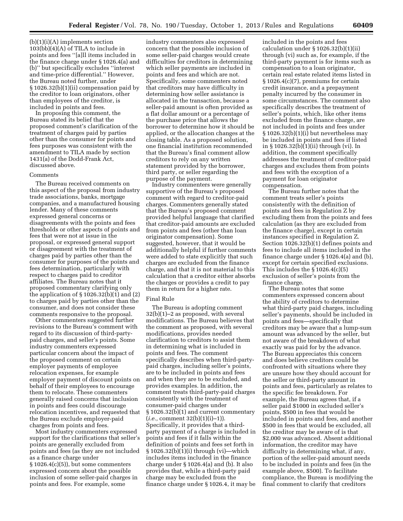$(b)(1)(i)(A)$  implements section 103(bb)(4)(A) of TILA to include in points and fees ''[a]ll items included in the finance charge under § 1026.4(a) and (b)'' but specifically excludes ''interest and time-price differential.'' However, the Bureau noted further, under § 1026.32(b)(1)(ii) compensation paid by the creditor to loan originators, other than employees of the creditor, is included in points and fees.

In proposing this comment, the Bureau stated its belief that the proposed comment's clarification of the treatment of charges paid by parties other than the consumer for points and fees purposes was consistent with the amendment to TILA made by section 1431(a) of the Dodd-Frank Act, discussed above.

#### Comments

The Bureau received comments on this aspect of the proposal from industry trade associations, banks, mortgage companies, and a manufactured housing lender. Many of these comments expressed general concerns or disagreements with the points and fees thresholds or other aspects of points and fees that were not at issue in the proposal, or expressed general support or disagreement with the treatment of charges paid by parties other than the consumer for purposes of the points and fees determination, particularly with respect to charges paid to creditor affiliates. The Bureau notes that it proposed commentary clarifying only the application of § 1026.32(b)(1) and (2) to charges paid by parties other than the consumer, and does not consider these comments responsive to the proposal.

Other commenters suggested further revisions to the Bureau's comment with regard to its discussion of third-partypaid charges, and seller's points. Some industry commenters expressed particular concern about the impact of the proposed comment on certain employer payments of employee relocation expenses, for example employer payment of discount points on behalf of their employees to encourage them to relocate. These commenters generally raised concerns that inclusion in points and fees could discourage relocation incentives, and requested that the Bureau exclude employer-paid charges from points and fees.

Most industry commenters expressed support for the clarifications that seller's points are generally excluded from points and fees (as they are not included as a finance charge under  $\S 1026.4(c)(5)$ , but some commenters expressed concern about the possible inclusion of some seller-paid charges in points and fees. For example, some

industry commenters also expressed concern that the possible inclusion of some seller-paid charges would create difficulties for creditors in determining which seller payments are included in points and fees and which are not. Specifically, some commenters noted that creditors may have difficulty in determining how seller assistance is allocated in the transaction, because a seller-paid amount is often provided as a flat dollar amount or a percentage of the purchase price that allows the borrower to determine how it should be applied, or the allocation changes at the closing table. As a proposed solution, one financial institution recommended that the Bureau's final comment allow creditors to rely on any written statement provided by the borrower, third party, or seller regarding the purpose of the payment.

Industry commenters were generally supportive of the Bureau's proposed comment with regard to creditor-paid charges. Commenters generally stated that the Bureau's proposed comment provided helpful language that clarified that creditor-paid amounts are excluded from points and fees (other than loan originator compensation). Some suggested, however, that it would be additionally helpful if further comments were added to state explicitly that such charges are excluded from the finance charge, and that it is not material to this calculation that a creditor either absorbs the charges or provides a credit to pay them in return for a higher rate.

#### Final Rule

The Bureau is adopting comment 32(b)(1)–2 as proposed, with several modifications. The Bureau believes that the comment as proposed, with several modifications, provides needed clarification to creditors to assist them in determining what is included in points and fees. The comment specifically describes when third-partypaid charges, including seller's points, are to be included in points and fees and when they are to be excluded, and provides examples. In addition, the comment treats third-party-paid charges consistently with the treatment of consumer-paid charges under  $\S 1026.32(b)(1)$  and current commentary  $(i.e., comment 32(b)(1)(i)-1)$ . Specifically, it provides that a thirdparty payment of a charge is included in points and fees if it falls within the definition of points and fees set forth in  $§ 1026.32(b)(1)(i)$  through (vi)—which includes items included in the finance charge under § 1026.4(a) and (b). It also provides that, while a third-party paid charge may be excluded from the finance charge under § 1026.4, it may be

included in the points and fees calculation under § 1026.32(b)(1)(ii) through (vi) such as, for example, if the third-party payment is for items such as compensation to a loan originator, certain real estate related items listed in § 1026.4(c)(7), premiums for certain credit insurance, and a prepayment penalty incurred by the consumer in some circumstances. The comment also specifically describes the treatment of seller's points, which, like other items excluded from the finance charge, are not included in points and fees under § 1026.32(b)(1)(i) but nevertheless may be included in points and fees if listed in § 1026.32(b)(1)(ii) through (vi). In addition, the comment specifically addresses the treatment of creditor-paid charges and excludes them from points and fees with the exception of a payment for loan originator compensation.

The Bureau further notes that the comment treats seller's points consistently with the definition of points and fees in Regulation Z by excluding them from the points and fees calculation (as they are excluded from the finance charge), except in certain instances specified in Regulation Z. Section 1026.32(b)(1) defines points and fees to include all items included in the finance charge under § 1026.4(a) and (b), except for certain specified exclusions. This includes the  $\S$  1026.4(c)(5) exclusion of seller's points from the finance charge.

The Bureau notes that some commenters expressed concern about the ability of creditors to determine what third-party paid charges, including seller's payments, should be included in points and fees—specifically that creditors may be aware that a lump-sum amount was advanced by the seller, but not aware of the breakdown of what exactly was paid for by the advance. The Bureau appreciates this concern and does believe creditors could be confronted with situations where they are unsure how they should account for the seller or third-party amount in points and fees, particularly as relates to the specific fee breakdown. For example, the Bureau agrees that, if a seller paid \$1000 in excluded seller's points, \$500 in fees that would be included in points and fees, and another \$500 in fees that would be excluded, all the creditor may be aware of is that \$2,000 was advanced. Absent additional information, the creditor may have difficulty in determining what, if any, portion of the seller-paid amount needs to be included in points and fees (in the example above, \$500). To facilitate compliance, the Bureau is modifying the final comment to clarify that creditors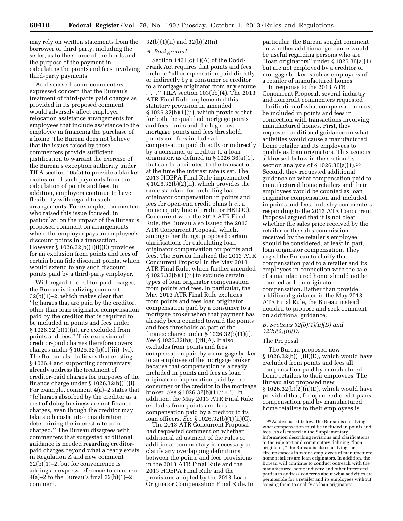may rely on written statements from the borrower or third party, including the seller, as to the source of the funds and the purpose of the payment in calculating the points and fees involving third-party payments.

As discussed, some commenters expressed concern that the Bureau's treatment of third-party paid charges as provided in its proposed comment would adversely affect employer relocation assistance arrangements for employees that include assistance to the employee in financing the purchase of a home. The Bureau does not believe that the issues raised by these commenters provide sufficient justification to warrant the exercise of the Bureau's exception authority under TILA section 105(a) to provide a blanket exclusion of such payments from the calculation of points and fees. In addition, employers continue to have flexibility with regard to such arrangements. For example, commenters who raised this issue focused, in particular, on the impact of the Bureau's proposed comment on arrangements where the employer pays an employee's discount points in a transaction. However § 1026.32(b)(1)(i)(E) provides for an exclusion from points and fees of certain bona fide discount points, which would extend to any such discount points paid by a third-party employer.

With regard to creditor-paid charges, the Bureau is finalizing comment 32(b)(1)–2, which makes clear that ''[c]harges that are paid by the creditor, other than loan originator compensation paid by the creditor that is required to be included in points and fees under § 1026.32(b)(1)(ii), are excluded from points and fees.'' This exclusion of creditor-paid charges therefore covers charges under § 1026.32(b)(1)(iii)–(vi). The Bureau also believes that existing § 1026.4 and supporting commentary already address the treatment of creditor-paid charges for purposes of the finance charge under § 1026.32(b)(1)(i). For example, comment 4(a)–2 states that ''[c]harges absorbed by the creditor as a cost of doing business are not finance charges, even though the creditor may take such costs into consideration in determining the interest rate to be charged.'' The Bureau disagrees with commenters that suggested additional guidance is needed regarding creditorpaid charges beyond what already exists in Regulation Z and new comment 32(b)(1)–2, but for convenience is adding an express reference to comment  $4(a)-2$  to the Bureau's final  $32(b)(1)-2$ comment.

# 32(b)(1)(ii) and 32(b)(2)(ii)

#### *A. Background*

Section 1431(c)(1)(A) of the Dodd-Frank Act requires that points and fees include ''all compensation paid directly or indirectly by a consumer or creditor to a mortgage originator from any source . . .'' TILA section 103(bb)(4). The 2013 ATR Final Rule implemented this statutory provision in amended § 1026.32(b)(1)(ii), which provides that, for both the qualified mortgage points and fees limits and the high-cost mortgage points and fees threshold, points and fees include all compensation paid directly or indirectly by a consumer or creditor to a loan originator, as defined in § 1026.36(a)(1), that can be attributed to the transaction at the time the interest rate is set. The 2013 HOEPA Final Rule implemented § 1026.32(b)(2)(ii), which provides the same standard for including loan originator compensation in points and fees for open-end credit plans (*i.e.,* a home equity line of credit, or HELOC). Concurrent with the 2013 ATR Final Rule, the Bureau also issued the 2013 ATR Concurrent Proposal, which, among other things, proposed certain clarifications for calculating loan originator compensation for points and fees. The Bureau finalized the 2013 ATR Concurrent Proposal in the May 2013 ATR Final Rule, which further amended § 1026.32(b)(1)(ii) to exclude certain types of loan originator compensation from points and fees. In particular, the May 2013 ATR Final Rule excludes from points and fees loan originator compensation paid by a consumer to a mortgage broker when that payment has already been counted toward the points and fees thresholds as part of the finance charge under § 1026.32(b)(1)(i). *See* § 1026.32(b)(1)(ii)(A). It also excludes from points and fees compensation paid by a mortgage broker to an employee of the mortgage broker because that compensation is already included in points and fees as loan originator compensation paid by the consumer or the creditor to the mortgage broker. *See* § 1026.32(b)(1)(ii)(B). In addition, the May 2013 ATR Final Rule excludes from points and fees compensation paid by a creditor to its loan officers. *See* § 1026.32(b)(1)(ii)(C).

The 2013 ATR Concurrent Proposal had requested comment on whether additional adjustment of the rules or additional commentary is necessary to clarify any overlapping definitions between the points and fees provisions in the 2013 ATR Final Rule and the 2013 HOEPA Final Rule and the provisions adopted by the 2013 Loan Originator Compensation Final Rule. In

particular, the Bureau sought comment on whether additional guidance would be useful regarding persons who are ''loan originators'' under § 1026.36(a)(1) but are not employed by a creditor or mortgage broker, such as employees of a retailer of manufactured homes.

In response to the 2013 ATR Concurrent Proposal, several industry and nonprofit commenters requested clarification of what compensation must be included in points and fees in connection with transactions involving manufactured homes. First, they requested additional guidance on what activities would cause a manufactured home retailer and its employees to qualify as loan originators. This issue is addressed below in the section-bysection analysis of § 1026.36(a)(1).29 Second, they requested additional guidance on what compensation paid to manufactured home retailers and their employees would be counted as loan originator compensation and included in points and fees. Industry commenters responding to the 2013 ATR Concurrent Proposal argued that it is not clear whether the sales price received by the retailer or the sales commission received by the retailer's employee should be considered, at least in part, loan originator compensation. They urged the Bureau to clarify that compensation paid to a retailer and its employees in connection with the sale of a manufactured home should not be counted as loan originator compensation. Rather than provide additional guidance in the May 2013 ATR Final Rule, the Bureau instead decided to propose and seek comment on additional guidance.

#### *B. Sections 32(b)(1)(ii)(D) and 32(b)(2)(ii)(D)*

#### The Proposal

The Bureau proposed new § 1026.32(b)(1) $(iii)$ (D), which would have excluded from points and fees all compensation paid by manufactured home retailers to their employees. The Bureau also proposed new § 1026.32(b)(2)(ii)(D), which would have provided that, for open-end credit plans, compensation paid by manufactured home retailers to their employees is

<sup>29</sup>As discussed below, the Bureau is clarifying what compensation must be included in points and fees. As discussed in the Supplementary Information describing revisions and clarifications to the rule text and commentary defining ''loan originator,'' the Bureau is also clarifying the circumstances in which employees of manufactured home retailers are loan originators. In addition, the Bureau will continue to conduct outreach with the manufactured home industry and other interested parties to address concerns about what activities are permissible for a retailer and its employees without causing them to qualify as loan originators.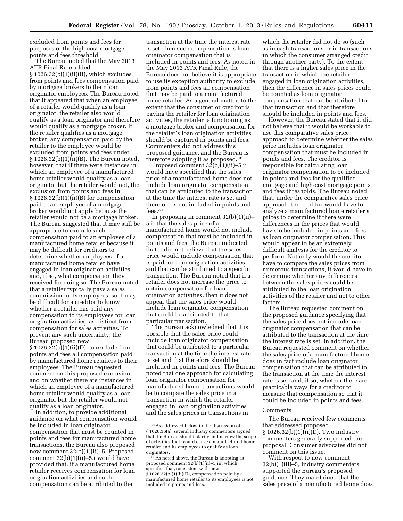excluded from points and fees for purposes of the high-cost mortgage points and fees threshold.

The Bureau noted that the May 2013 ATR Final Rule added § 1026.32(b)(1)(ii)(B), which excludes from points and fees compensation paid by mortgage brokers to their loan originator employees. The Bureau noted that it appeared that when an employee of a retailer would qualify as a loan originator, the retailer also would qualify as a loan originator and therefore would qualify as a mortgage broker. If the retailer qualifies as a mortgage broker, any compensation paid by the retailer to the employee would be excluded from points and fees under  $§ 1026.32(b)(1)(ii)(B)$ . The Bureau noted, however, that if there were instances in which an employee of a manufactured home retailer would qualify as a loan originator but the retailer would not, the exclusion from points and fees in § 1026.32(b)(1)(ii)(B) for compensation paid to an employee of a mortgage broker would not apply because the retailer would not be a mortgage broker. The Bureau suggested that it may still be appropriate to exclude such compensation paid to an employee of a manufactured home retailer because it may be difficult for creditors to determine whether employees of a manufactured home retailer have engaged in loan origination activities and, if so, what compensation they received for doing so. The Bureau noted that a retailer typically pays a sales commission to its employees, so it may be difficult for a creditor to know whether a retailer has paid any compensation to its employees for loan origination activities, as distinct from compensation for sales activities. To prevent any such uncertainty, the Bureau proposed new § 1026.32(b)(1)(ii)(D), to exclude from points and fees all compensation paid by manufactured home retailers to their employees. The Bureau requested comment on this proposed exclusion and on whether there are instances in which an employee of a manufactured home retailer would qualify as a loan originator but the retailer would not

In addition, to provide additional guidance on what compensation would be included in loan originator compensation that must be counted in points and fees for manufactured home transactions, the Bureau also proposed new comment 32(b)(1)(ii)–5. Proposed comment 32(b)(1)(ii)–5.i would have provided that, if a manufactured home retailer receives compensation for loan origination activities and such compensation can be attributed to the

qualify as a loan originator.

transaction at the time the interest rate is set, then such compensation is loan originator compensation that is included in points and fees. As noted in the May 2013 ATR Final Rule, the Bureau does not believe it is appropriate to use its exception authority to exclude from points and fees all compensation that may be paid to a manufactured home retailer. As a general matter, to the extent that the consumer or creditor is paying the retailer for loan origination activities, the retailer is functioning as a mortgage broker and compensation for the retailer's loan origination activities should be captured in points and fees. Commenters did not address this proposed guidance, and the Bureau is therefore adopting it as proposed.30

Proposed comment  $32(b)(1)(ii)-5.ii$ would have specified that the sales price of a manufactured home does not include loan originator compensation that can be attributed to the transaction at the time the interest rate is set and therefore is not included in points and fees.31

In proposing in comment  $32(b)(1)(ii)$ – 5.ii that the sales price of a manufactured home would not include compensation that must be included in points and fees, the Bureau indicated that it did not believe that the sales price would include compensation that is paid for loan origination activities and that can be attributed to a specific transaction. The Bureau noted that if a retailer does not increase the price to obtain compensation for loan origination activities, then it does not appear that the sales price would include loan originator compensation that could be attributed to that particular transaction.

The Bureau acknowledged that it is possible that the sales price could include loan originator compensation that could be attributed to a particular transaction at the time the interest rate is set and that therefore should be included in points and fees. The Bureau noted that one approach for calculating loan originator compensation for manufactured home transactions would be to compare the sales price in a transaction in which the retailer engaged in loan origination activities and the sales prices in transactions in

which the retailer did not do so (such as in cash transactions or in transactions in which the consumer arranged credit through another party). To the extent that there is a higher sales price in the transaction in which the retailer engaged in loan origination activities, then the difference in sales prices could be counted as loan originator compensation that can be attributed to that transaction and that therefore should be included in points and fees.

However, the Bureau stated that it did not believe that it would be workable to use this comparative sales price approach to determine whether the sales price includes loan originator compensation that must be included in points and fees. The creditor is responsible for calculating loan originator compensation to be included in points and fees for the qualified mortgage and high-cost mortgage points and fees thresholds. The Bureau noted that, under the comparative sales price approach, the creditor would have to analyze a manufactured home retailer's prices to determine if there were differences in the prices that would have to be included in points and fees as loan originator compensation. This would appear to be an extremely difficult analysis for the creditor to perform. Not only would the creditor have to compare the sales prices from numerous transactions, it would have to determine whether any differences between the sales prices could be attributed to the loan origination activities of the retailer and not to other factors.

The Bureau requested comment on the proposed guidance specifying that the sales price does not include loan originator compensation that can be attributed to the transaction at the time the interest rate is set. In addition, the Bureau requested comment on whether the sales price of a manufactured home does in fact include loan originator compensation that can be attributed to the transaction at the time the interest rate is set, and, if so, whether there are practicable ways for a creditor to measure that compensation so that it could be included in points and fees.

#### Comments

The Bureau received few comments that addressed proposed § 1026.32(b)(1)(ii)(D). Two industry commenters generally supported the proposal. Consumer advocates did not comment on this issue.

With respect to new comment 32(b)(1)(ii)–5, industry commenters supported the Bureau's proposed guidance. They maintained that the sales price of a manufactured home does

<sup>30</sup>As addressed below in the discussion of § 1026.36(a), several industry commenters argued that the Bureau should clarify and narrow the scope of activities that would cause a manufactured home retailer and its employees to qualify as loan originators.

<sup>31</sup>As noted above, the Bureau is adopting as proposed comment 32(b)(1)(ii)–5.iii, which specifies that, consistent with new  $\frac{1}{2}$ 1026.32(b)(1)(ii)(D), compensation paid by a manufactured home retailer to its employees is not included in points and fees.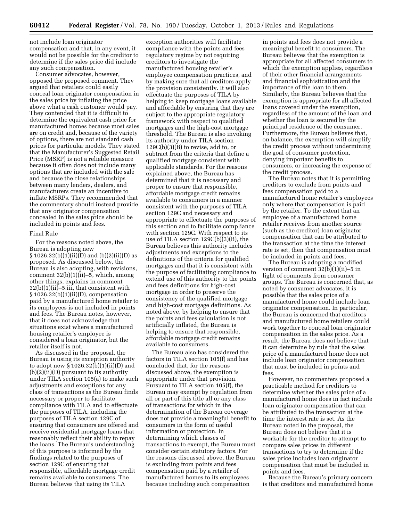not include loan originator compensation and that, in any event, it would not be possible for the creditor to determine if the sales price did include any such compensation.

Consumer advocates, however, opposed the proposed comment. They argued that retailers could easily conceal loan originator compensation in the sales price by inflating the price above what a cash customer would pay. They contended that it is difficult to determine the equivalent cash price for manufactured homes because most sales are on credit and, because of the variety of options, there are not standard cash prices for particular models. They stated that the Manufacturer's Suggested Retail Price (MSRP) is not a reliable measure because it often does not include many options that are included with the sale and because the close relationships between many lenders, dealers, and manufacturers create an incentive to inflate MSRPs. They recommended that the commentary should instead provide that any originator compensation concealed in the sales price should be included in points and fees.

#### Final Rule

For the reasons noted above, the Bureau is adopting new § 1026.32(b)(1)(ii)(D) and (b)(2)(ii)(D) as proposed. As discussed below, the Bureau is also adopting, with revisions, comment 32(b)(1)(ii)–5, which, among other things, explains in comment 32(b)(1)(ii)–5.iii, that consistent with § 1026.32(b)(1)(ii)(D), compensation paid by a manufactured home retailer to its employees is not included in points and fees. The Bureau notes, however, that it does not acknowledge that situations exist where a manufactured housing retailer's employee is considered a loan originator, but the retailer itself is not.

As discussed in the proposal, the Bureau is using its exception authority to adopt new § 1026.32(b)(1)(ii)(D) and (b)(2)(ii)(D) pursuant to its authority under TILA section 105(a) to make such adjustments and exceptions for any class of transactions as the Bureau finds necessary or proper to facilitate compliance with TILA and to effectuate the purposes of TILA, including the purposes of TILA section 129C of ensuring that consumers are offered and receive residential mortgage loans that reasonably reflect their ability to repay the loans. The Bureau's understanding of this purpose is informed by the findings related to the purposes of section 129C of ensuring that responsible, affordable mortgage credit remains available to consumers. The Bureau believes that using its TILA

exception authorities will facilitate compliance with the points and fees regulatory regime by not requiring creditors to investigate the manufactured housing retailer's employee compensation practices, and by making sure that all creditors apply the provision consistently. It will also effectuate the purposes of TILA by helping to keep mortgage loans available and affordable by ensuring that they are subject to the appropriate regulatory framework with respect to qualified mortgages and the high-cost mortgage threshold. The Bureau is also invoking its authority under TILA section  $129C(b)(3)(B)$  to revise, add to, or subtract from the criteria that define a qualified mortgage consistent with applicable standards. For the reasons explained above, the Bureau has determined that it is necessary and proper to ensure that responsible, affordable mortgage credit remains available to consumers in a manner consistent with the purposes of TILA section 129C and necessary and appropriate to effectuate the purposes of this section and to facilitate compliance with section 129C. With respect to its use of TILA section 129C(b)(3)(B), the Bureau believes this authority includes adjustments and exceptions to the definitions of the criteria for qualified mortgages and that it is consistent with the purpose of facilitating compliance to extend use of this authority to the points and fees definitions for high-cost mortgage in order to preserve the consistency of the qualified mortgage and high-cost mortgage definitions. As noted above, by helping to ensure that the points and fees calculation is not artificially inflated, the Bureau is helping to ensure that responsible, affordable mortgage credit remains available to consumers.

The Bureau also has considered the factors in TILA section 105(f) and has concluded that, for the reasons discussed above, the exemption is appropriate under that provision. Pursuant to TILA section 105(f), the Bureau may exempt by regulation from all or part of this title all or any class of transactions for which in the determination of the Bureau coverage does not provide a meaningful benefit to consumers in the form of useful information or protection. In determining which classes of transactions to exempt, the Bureau must consider certain statutory factors. For the reasons discussed above, the Bureau is excluding from points and fees compensation paid by a retailer of manufactured homes to its employees because including such compensation

in points and fees does not provide a meaningful benefit to consumers. The Bureau believes that the exemption is appropriate for all affected consumers to which the exemption applies, regardless of their other financial arrangements and financial sophistication and the importance of the loan to them. Similarly, the Bureau believes that the exemption is appropriate for all affected loans covered under the exemption, regardless of the amount of the loan and whether the loan is secured by the principal residence of the consumer. Furthermore, the Bureau believes that, on balance, the exemption will simplify the credit process without undermining the goal of consumer protection, denying important benefits to consumers, or increasing the expense of the credit process.

The Bureau notes that it is permitting creditors to exclude from points and fees compensation paid to a manufactured home retailer's employees only where that compensation is paid by the retailer. To the extent that an employee of a manufactured home retailer receives from another source (such as the creditor) loan originator compensation that can be attributed to the transaction at the time the interest rate is set, then that compensation must be included in points and fees.

The Bureau is adopting a modified version of comment 32(b)(1)(ii)–5 in light of comments from consumer groups. The Bureau is concerned that, as noted by consumer advocates, it is possible that the sales price of a manufactured home could include loan originator compensation. In particular, the Bureau is concerned that creditors and manufactured home retailers could work together to conceal loan originator compensation in the sales price. As a result, the Bureau does not believe that it can determine by rule that the sales price of a manufactured home does not include loan originator compensation that must be included in points and fees.

However, no commenters proposed a practicable method for creditors to determine whether the sales price of a manufactured home does in fact include loan originator compensation that can be attributed to the transaction at the time the interest rate is set. As the Bureau noted in the proposal, the Bureau does not believe that it is workable for the creditor to attempt to compare sales prices in different transactions to try to determine if the sales price includes loan originator compensation that must be included in points and fees.

Because the Bureau's primary concern is that creditors and manufactured home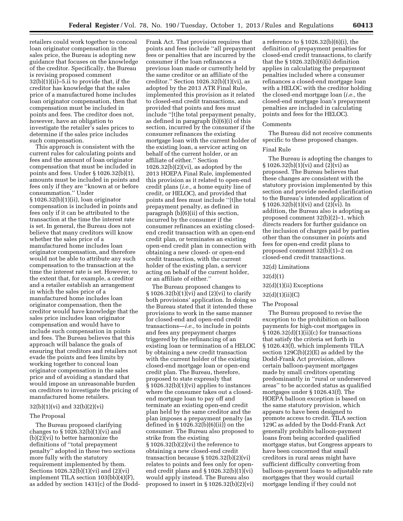retailers could work together to conceal loan originator compensation in the sales price, the Bureau is adopting new guidance that focuses on the knowledge of the creditor. Specifically, the Bureau is revising proposed comment  $32(b)(1)(ii) - 5.ii$  to provide that, if the creditor has knowledge that the sales price of a manufactured home includes loan originator compensation, then that compensation must be included in points and fees. The creditor does not, however, have an obligation to investigate the retailer's sales prices to determine if the sales price includes such compensation.

This approach is consistent with the current rules for calculating points and fees and the amount of loan originator compensation that must be included in points and fees. Under § 1026.32(b)(1), amounts must be included in points and fees only if they are ''known at or before consummation.'' Under § 1026.32(b)(1)(ii), loan originator compensation is included in points and fees only if it can be attributed to the transaction at the time the interest rate is set. In general, the Bureau does not believe that many creditors will know whether the sales price of a manufactured home includes loan originator compensation, and therefore would not be able to attribute any such compensation to the transaction at the time the interest rate is set. However, to the extent that, for example, a creditor and a retailer establish an arrangement in which the sales price of a manufactured home includes loan originator compensation, then the creditor would have knowledge that the sales price includes loan originator compensation and would have to include such compensation in points and fees. The Bureau believes that this approach will balance the goals of ensuring that creditors and retailers not evade the points and fees limits by working together to conceal loan originator compensation in the sales price and of avoiding a standard that would impose an unreasonable burden on creditors to investigate the pricing of manufactured home retailers.

#### 32(b)(1)(vi) and 32(b)(2)(vi)

# The Proposal

The Bureau proposed clarifying changes to § 1026.32(b)(1)(vi) and (b)(2)(vi) to better harmonize the definitions of ''total prepayment penalty'' adopted in these two sections more fully with the statutory requirement implemented by them. Sections 1026.32(b)(1)(vi) and (2)(vi) implement TILA section 103(bb)(4)(F), as added by section 1431(c) of the Dodd-

Frank Act. That provision requires that points and fees include ''all prepayment fees or penalties that are incurred by the consumer if the loan refinances a previous loan made or currently held by the same creditor or an affiliate of the creditor." Section  $1026.32(b)(1)(vi)$ , as adopted by the 2013 ATR Final Rule, implemented this provision as it related to closed-end credit transactions, and provided that points and fees must include ''[t]he total prepayment penalty, as defined in paragraph (b)(6)(i) of this section, incurred by the consumer if the consumer refinances the existing mortgage loan with the current holder of the existing loan, a servicer acting on behalf of the current holder, or an affiliate of either.'' Section  $1026.32(b)(2)(vi)$ , as adopted by the 2013 HOEPA Final Rule, implemented this provision as it related to open-end credit plans (*i.e.,* a home equity line of credit, or HELOC), and provided that points and fees must include ''[t]he total prepayment penalty, as defined in paragraph (b)(6)(ii) of this section, incurred by the consumer if the consumer refinances an existing closedend credit transaction with an open-end credit plan, or terminates an existing open-end credit plan in connection with obtaining a new closed- or open-end credit transaction, with the current holder of the existing plan, a servicer acting on behalf of the current holder, or an affiliate of either.''

The Bureau proposed changes to § 1026.32(b)(1)(vi) and (2)(vi) to clarify both provisions' application. In doing so the Bureau stated that it intended these provisions to work in the same manner for closed-end and open-end credit transactions—*i.e.,* to include in points and fees any prepayment charges triggered by the refinancing of an existing loan or termination of a HELOC by obtaining a new credit transaction with the current holder of the existing closed-end mortgage loan or open-end credit plan. The Bureau, therefore, proposed to state expressly that § 1026.32(b)(1)(vi) applies to instances where the consumer takes out a closedend mortgage loan to pay off and terminate an existing open-end credit plan held by the same creditor and the plan imposes a prepayment penalty (as defined in § 1026.32(b)(6)(ii)) on the consumer. The Bureau also proposed to strike from the existing § 1026.32(b)(2)(vi) the reference to obtaining a new closed-end credit transaction because § 1026.32(b)(2)(vi) relates to points and fees only for openend credit plans and § 1026.32(b)(1)(vi) would apply instead. The Bureau also proposed to insert in § 1026.32(b)(2)(vi)

a reference to § 1026.32(b)(6)(i), the definition of prepayment penalties for closed-end credit transactions, to clarify that the  $\S 1026.32(b)(6)(i)$  definition applies in calculating the prepayment penalties included where a consumer refinances a closed-end mortgage loan with a HELOC with the creditor holding the closed-end mortgage loan (*i.e.,* the closed-end mortgage loan's prepayment penalties are included in calculating points and fees for the HELOC).

#### Comments

The Bureau did not receive comments specific to these proposed changes.

#### Final Rule

The Bureau is adopting the changes to  $§ 1026.32(b)(1)(vi)$  and  $(2)(vi)$  as proposed. The Bureau believes that these changes are consistent with the statutory provision implemented by this section and provide needed clarification to the Bureau's intended application of § 1026.32(b)(1)(vi) and (2)(vi). In addition, the Bureau also is adopting as proposed comment 32(b)(2)–1, which directs readers for further guidance on the inclusion of charges paid by parties other than the consumer in points and fees for open-end credit plans to proposed comment 32(b)(1)–2 on closed-end credit transactions.

# 32(d) Limitations

32(d)(1)

# 32(d)(1)(ii) Exceptions

32(d)(1)(ii)(C)

#### The Proposal

The Bureau proposed to revise the exception to the prohibition on balloon payments for high-cost mortgages in  $§ 1026.32(d)(1)(ii)(c)$  for transactions that satisfy the criteria set forth in § 1026.43(f), which implements TILA section 129C(b)(2)(E) as added by the Dodd-Frank Act provision, allows certain balloon-payment mortgages made by small creditors operating predominantly in ''rural or underserved areas'' to be accorded status as qualified mortgages under § 1026.43(f). The HOEPA balloon exception is based on the same statutory provision, which appears to have been designed to promote access to credit. TILA section 129C as added by the Dodd-Frank Act generally prohibits balloon-payment loans from being accorded qualified mortgage status, but Congress appears to have been concerned that small creditors in rural areas might have sufficient difficulty converting from balloon-payment loans to adjustable rate mortgages that they would curtail mortgage lending if they could not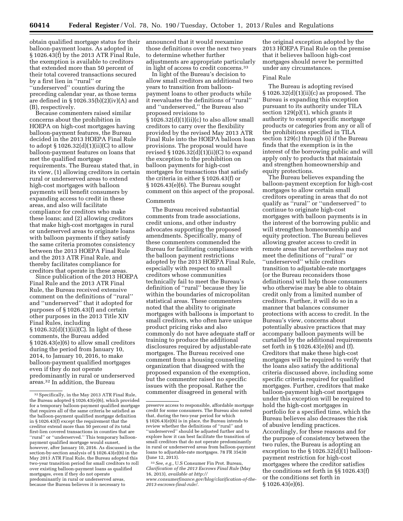obtain qualified mortgage status for their balloon-payment loans. As adopted in § 1026.43(f) by the 2013 ATR Final Rule, the exemption is available to creditors that extended more than 50 percent of their total covered transactions secured by a first lien in ''rural'' or ''underserved'' counties during the preceding calendar year, as those terms are defined in § 1026.35(b)(2)(iv)(A) and (B), respectively.

Because commenters raised similar concerns about the prohibition in HOEPA on high-cost mortgages having balloon-payment features, the Bureau decided in the 2013 HOEPA Final Rule to adopt § 1026.32(d)(1)(ii)(C) to allow balloon-payment features on loans that met the qualified mortgage requirements. The Bureau stated that, in its view, (1) allowing creditors in certain rural or underserved areas to extend high-cost mortgages with balloon payments will benefit consumers by expanding access to credit in these areas, and also will facilitate compliance for creditors who make these loans; and (2) allowing creditors that make high-cost mortgages in rural or underserved areas to originate loans with balloon payments if they satisfy the same criteria promotes consistency between the 2013 HOEPA Final Rule and the 2013 ATR Final Rule, and thereby facilitates compliance for creditors that operate in these areas.

Since publication of the 2013 HOEPA Final Rule and the 2013 ATR Final Rule, the Bureau received extensive comment on the definitions of ''rural'' and ''underserved'' that it adopted for purposes of § 1026.43(f) and certain other purposes in the 2013 Title XIV Final Rules, including § 1026.32(d)(1)(ii)(C). In light of these comments, the Bureau added § 1026.43(e)(6) to allow small creditors during the period from January 10, 2014, to January 10, 2016, to make balloon-payment qualified mortgages even if they do not operate predominantly in rural or underserved areas.32 In addition, the Bureau

announced that it would reexamine those definitions over the next two years to determine whether further adjustments are appropriate particularly in light of access to credit concerns.33

In light of the Bureau's decision to allow small creditors an additional two years to transition from balloonpayment loans to other products while it reevaluates the definitions of ''rural'' and ''underserved,'' the Bureau also proposed revisions to  $\S 1026.32(d)(1)(ii)(c)$  to also allow small creditors to carry over the flexibility provided by the revised May 2013 ATR Final Rule into the HOEPA balloon loan provisions. The proposal would have revised  $\S 1026.32(d)(1)(ii)(C)$  to expand the exception to the prohibition on balloon payments for high-cost mortgages for transactions that satisfy the criteria in either § 1026.43(f) or § 1026.43(e)(6). The Bureau sought comment on this aspect of the proposal.

#### Comments

The Bureau received substantial comments from trade associations, credit unions, and other industry advocates supporting the proposed amendments. Specifically, many of these commenters commended the Bureau for facilitating compliance with the balloon payment restrictions adopted by the 2013 HOEPA Final Rule, especially with respect to small creditors whose communities technically fail to meet the Bureau's definition of ''rural'' because they lie within the boundaries of micropolitan statistical areas. These commenters noted that the ability to originate mortgages with balloons is important to small creditors, who often have unique product pricing risks and also commonly do not have adequate staff or training to produce the additional disclosures required by adjustable-rate mortgages. The Bureau received one comment from a housing counseling organization that disagreed with the proposed expansion of the exemption, but the commenter raised no specific issues with the proposal. Rather the commenter disagreed in general with

the original exception adopted by the 2013 HOEPA Final Rule on the premise that it believes balloon high-cost mortgages should never be permitted under any circumstances.

#### Final Rule

The Bureau is adopting revised § 1026.32(d)(1)(ii)(c) as proposed. The Bureau is expanding this exception pursuant to its authority under TILA section  $129(p)(1)$ , which grants it authority to exempt specific mortgage products or categories from any or all of the prohibitions specified in TILA section 129(c) through (i) if the Bureau finds that the exemption is in the interest of the borrowing public and will apply only to products that maintain and strengthen homeownership and equity protections.

The Bureau believes expanding the balloon-payment exception for high-cost mortgages to allow certain small creditors operating in areas that do not qualify as "rural" or "underserved" to continue to originate high-cost mortgages with balloon payments is in the interest of the borrowing public and will strengthen homeownership and equity protection. The Bureau believes allowing greater access to credit in remote areas that nevertheless may not meet the definitions of ''rural'' or ''underserved'' while creditors transition to adjustable-rate mortgages (or the Bureau reconsiders those definitions) will help those consumers who otherwise may be able to obtain credit only from a limited number of creditors. Further, it will do so in a manner that balances consumer protections with access to credit. In the Bureau's view, concerns about potentially abusive practices that may accompany balloon payments will be curtailed by the additional requirements set forth in § 1026.43(e)(6) and (f). Creditors that make these high-cost mortgages will be required to verify that the loans also satisfy the additional criteria discussed above, including some specific criteria required for qualified mortgages. Further, creditors that make balloon-payment high-cost mortgages under this exception will be required to hold the high-cost mortgages in portfolio for a specified time, which the Bureau believes also decreases the risk of abusive lending practices. Accordingly, for these reasons and for the purpose of consistency between the two rules, the Bureau is adopting an exception to the  $\S 1026.32(d)(1)$  balloonpayment restriction for high-cost mortgages where the creditor satisfies the conditions set forth in §§ 1026.43(f) or the conditions set forth in § 1026.43(e)(6).

<sup>32</sup>Specifically, in the May 2013 ATR Final Rule, the Bureau adopted § 1026.43(e)(6), which provided for a temporary balloon-payment qualified mortgage that requires all of the same criteria be satisfied as the balloon-payment qualified mortgage definition in § 1026.43(f) except the requirement that the creditor extend more than 50 percent of its total first-lien covered transactions in counties that are "rural" or "underserved." This temporary balloonpayment qualified mortgage would sunset, however, after January 10, 2016. As discussed in the section-by-section analysis of § 1026.43(e)(6) in the May 2013 ATR Final Rule, the Bureau adopted this two-year transition period for small creditors to roll over existing balloon-payment loans as qualified mortgages, even if they do not operate predominantly in rural or underserved areas, because the Bureau believes it is necessary to

preserve access to responsible, affordable mortgage credit for some consumers. The Bureau also noted that, during the two-year period for which § 1026.43(e)(6) is in place, the Bureau intends to review whether the definitions of ''rural'' and ''underserved'' should be adjusted further and to explore how it can best facilitate the transition of small creditors that do not operate predominantly in rural or underserved areas from balloon-payment loans to adjustable-rate mortgages. 78 FR 35430 (June 12, 2013).

<sup>33</sup>*See, e.g.,* U.S Consumer Fin Prot. Bureau, *Clarification of the 2013 Escrows Final Rule* (May 16, 2013), *available at [http://](http://www.consumerfinance.gov/blog/clarification-of-the-2013-escrows-final-rule/)* 

*[www.consumerfinance.gov/blog/clarification-of-the-](http://www.consumerfinance.gov/blog/clarification-of-the-2013-escrows-final-rule/)[2013-escrows-final-rule/.](http://www.consumerfinance.gov/blog/clarification-of-the-2013-escrows-final-rule/)*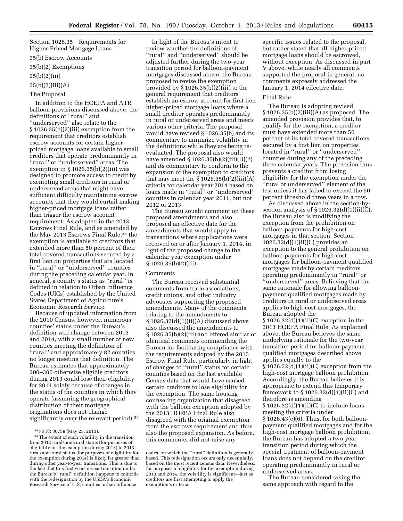Section 1026.35 Requirements for Higher-Priced Mortgage Loans

35(b) Escrow Accounts

35(b)(2) Exemptions

35(b)(2)(iii)

# $35(b)(2)(iii)(A)$

# The Proposal

In addition to the HOEPA and ATR balloon provisions discussed above, the definitions of ''rural'' and ''underserved'' also relate to the § 1026.35(b)(2)(iii) exemption from the requirement that creditors establish escrow accounts for certain higherpriced mortgage loans available to small creditors that operate predominantly in ''rural'' or ''underserved'' areas. The exemption in  $\S 1026.35(b)(2)(iii)$  was designed to promote access to credit by exempting small creditors in rural or underserved areas that might have sufficient difficulty maintaining escrow accounts that they would curtail making higher-priced mortgage loans rather than trigger the escrow account requirement. As adopted in the 2013 Escrows Final Rule, and as amended by the May 2013 Escrows Final Rule,34 the exemption is available to creditors that extended more than 50 percent of their total covered transactions secured by a first lien on properties that are located in ''rural'' or ''underserved'' counties during the preceding calendar year. In general, a county's status as ''rural'' is defined in relation to Urban Influence Codes (UICs) established by the United States Department of Agriculture's Economic Research Service.

Because of updated information from the 2010 Census, however, numerous counties' status under the Bureau's definition will change between 2013 and 2014, with a small number of new counties meeting the definition of ''rural'' and approximately 82 counties no longer meeting that definition. The Bureau estimates that approximately 200–300 otherwise eligible creditors during 2013 could lose their eligibility for 2014 solely because of changes in the status of the counties in which they operate (assuming the geographical distribution of their mortgage originations does not change significantly over the relevant period).<sup>35</sup>

In light of the Bureau's intent to review whether the definitions of ''rural'' and ''underserved'' should be adjusted further during the two-year transition period for balloon-payment mortgages discussed above, the Bureau proposed to revise the exemption provided by § 1026.35(b)(2)(iii) to the general requirement that creditors establish an escrow account for first lien higher-priced mortgage loans where a small creditor operates predominantly in rural or underserved areas and meets various other criteria. The proposal would have revised § 1026.35(b) and its commentary to minimize volatility in the definitions while they are being reevaluated. The proposal also would have amended § 1026.35(b)(2)(iii)(D)(*1*) and its commentary to conform to the expansion of the exemption to creditors that may meet the  $\S 1026.35(b)(2)(iii)(A)$ criteria for calendar year 2014 based on loans made in ''rural'' or ''underserved'' counties in calendar year 2011, but not 2012 or 2013.

The Bureau sought comment on these proposed amendments and also proposed an effective date for the amendments that would apply to transactions where applications were received on or after January 1, 2014, in light of the proposed change to the calendar year exemption under § 1026.35(b)(2)(iii).

#### Comments

The Bureau received substantial comments from trade associations, credit unions, and other industry advocates supporting the proposed amendments. Many of the comments relating to the amendments to § 1026.32(d)(1)(ii)(A) discussed above also discussed the amendments to § 1026.35(b)(2)(iii) and offered similar or identical comments commending the Bureau for facilitating compliance with the requirements adopted by the 2013 Escrow Final Rule, particularly in light of changes to ''rural'' status for certain counties based on the last available Census data that would have caused certain creditors to lose eligibility for the exemption. The same housing counseling organization that disagreed with the balloon exception adopted by the 2013 HOEPA Final Rule also disagreed with the original exemption from the escrows requirement and thus also the proposed expansion. As before, this commenter did not raise any

specific issues related to the proposal, but rather stated that all higher-priced mortgage loans should be escrowed, without exception. As discussed in part V above, while nearly all comments supported the proposal in general, no comments expressly addressed the January 1, 2014 effective date.

#### Final Rule

The Bureau is adopting revised § 1026.35(b)(2)(iii)(A) as proposed. The amended provision provides that, to qualify for the exemption, a creditor must have extended more than 50 percent of its total covered transactions secured by a first lien on properties located in ''rural'' or ''underserved'' counties during any of the preceding three calendar years. The provision thus prevents a creditor from losing eligibility for the exemption under the ''rural or underserved'' element of the test unless it has failed to exceed the 50 percent threshold three years in a row.

As discussed above in the section-bysection analysis of  $\S 1026.32(d)(1)(ii)(C)$ , the Bureau also is modifying the exception from the prohibition on balloon payments for high-cost mortgages in that section. Section 1026.32(d)(1)(ii)(C) provides an exception to the general prohibition on balloon payments for high-cost mortgages for balloon-payment qualified mortgages made by certain creditors operating predominantly in ''rural'' or ''underserved'' areas. Believing that the same rationale for allowing balloonpayment qualified mortgages made by creditors in rural or underserved areas applies to high-cost mortgages, the Bureau adopted the § 1026.32(d)(1)(ii)(C) exception in the 2013 HOEPA Final Rule. As explained above, the Bureau believes the same underlying rationale for the two-year transition period for balloon-payment qualified mortgages described above applies equally to the

§ 1026.32(d)(1)(ii)(C) exception from the high-cost mortgage balloon prohibition. Accordingly, the Bureau believes it is appropriate to extend this temporary framework to  $\S 1026.32(d)(1)(ii)(C)$  and therefore is amending § 1026.32(d)(1)(ii)(C) to include loans meeting the criteria under § 1026.43(e)(6). Thus, for both balloonpayment qualified mortgages and for the high-cost mortgage balloon prohibition, the Bureau has adopted a two-year transition period during which the special treatment of balloon-payment loans does not depend on the creditor operating predominantly in rural or underserved areas.

The Bureau considered taking the same approach with regard to the

<sup>34</sup> 78 FR 30739 (May 23, 2013).

<sup>35</sup>The extent of such volatility in the transition from 2012 rural/non-rural status (for purposes of eligibility for the exemption during 2013) to 2013 rural/non-rural status (for purposes of eligibility for the exemption during 2014) is likely far greater than during other year-to-year transitions. This is due to the fact that this first year-to-year transition under the Bureau's ''rural'' definition happens to coincide with the redesignation by the USDA's Economic Research Service of U.S. counties' urban influence

codes, on which the ''rural'' definition is generally based. This redesignation occurs only decennially, based on the most recent census data. Nevertheless, for purposes of eligibility for the exemption during 2013 and 2014, the volatility is significant—just as creditors are first attempting to apply the exemption's criteria.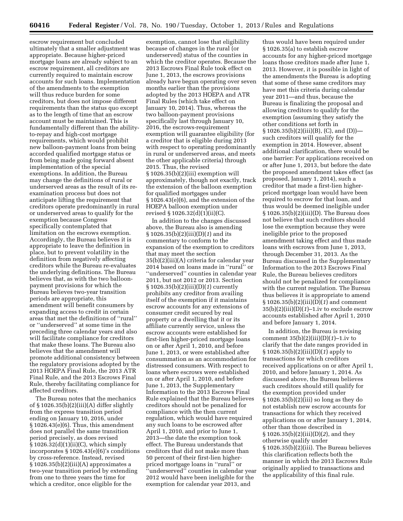escrow requirement but concluded ultimately that a smaller adjustment was appropriate. Because higher-priced mortgage loans are already subject to an escrow requirement, all creditors are currently required to maintain escrow accounts for such loans. Implementation of the amendments to the exemption will thus reduce burden for some creditors, but does not impose different requirements than the status quo except as to the length of time that an escrow account must be maintained. This is fundamentally different than the abilityto-repay and high-cost mortgage requirements, which would prohibit new balloon-payment loans from being accorded qualified mortgage status or from being made going forward absent implementation of the special exemptions. In addition, the Bureau may change the definitions of rural or underserved areas as the result of its reexamination process but does not anticipate lifting the requirement that creditors operate predominantly in rural or underserved areas to qualify for the exemption because Congress specifically contemplated that limitation on the escrows exemption. Accordingly, the Bureau believes it is appropriate to leave the definition in place, but to prevent volatility in the definition from negatively affecting creditors while the Bureau re-evaluates the underlying definitions. The Bureau believes that, as with the two balloonpayment provisions for which the Bureau believes two-year transition periods are appropriate, this amendment will benefit consumers by expanding access to credit in certain areas that met the definitions of ''rural'' or ''underserved'' at some time in the preceding three calendar years and also will facilitate compliance for creditors that make these loans. The Bureau also believes that the amendment will promote additional consistency between the regulatory provisions adopted by the 2013 HOEPA Final Rule, the 2013 ATR Final Rule, and the 2013 Escrows Final Rule, thereby facilitating compliance for affected creditors.

The Bureau notes that the mechanics of § 1026.35(b)(2)(iii)(A) differ slightly from the express transition period ending on January 10, 2016, under § 1026.43(e)(6). Thus, this amendment does not parallel the same transition period precisely, as does revised § 1026.32(d)(1)(ii)(C), which simply incorporates § 1026.43(e)(6)'s conditions by cross-reference. Instead, revised § 1026.35(b)(2)(iii)(A) approximates a two-year transition period by extending from one to three years the time for which a creditor, once eligible for the

exemption, cannot lose that eligibility because of changes in the rural (or underserved) status of the counties in which the creditor operates. Because the 2013 Escrows Final Rule took effect on June 1, 2013, the escrows provisions already have begun operating over seven months earlier than the provisions adopted by the 2013 HOEPA and ATR Final Rules (which take effect on January 10, 2014). Thus, whereas the two balloon-payment provisions specifically last through January 10, 2016, the escrows-requirement exemption will guarantee eligibility (for a creditor that is eligible during 2013 with respect to operating predominantly in rural or underserved areas, and meets the other applicable criteria) through 2015. Thus, the revised § 1026.35(b)(2)(iii) exemption will approximately, though not exactly, track the extension of the balloon exemption for qualified mortgages under § 1026.43(e)(6), and the extension of the HOEPA balloon exemption under revised § 1026.32(d)(1)(ii)(C).

In addition to the changes discussed above, the Bureau also is amending § 1026.35(b)(2)(iii)(D)(*1*) and its commentary to conform to the expansion of the exemption to creditors that may meet the section 35(b)(2)(iii)(A) criteria for calendar year 2014 based on loans made in ''rural'' or ''underserved'' counties in calendar year 2011, but not 2012 or 2013. Section § 1026.35(b)(2)(iii)(D)(*1*) currently prohibits any creditor from availing itself of the exemption if it maintains escrow accounts for any extensions of consumer credit secured by real property or a dwelling that it or its affiliate currently service, unless the escrow accounts were established for first-lien higher-priced mortgage loans on or after April 1, 2010, and before June 1, 2013, or were established after consummation as an accommodation for distressed consumers. With respect to loans where escrows were established on or after April 1, 2010, and before June 1, 2013, the Supplementary Information to the 2013 Escrows Final Rule explained that the Bureau believes creditors should not be penalized for compliance with the then current regulation, which would have required any such loans to be escrowed after April 1, 2010, and prior to June 1, 2013—the date the exemption took effect. The Bureau understands that creditors that did not make more than 50 percent of their first-lien higherpriced mortgage loans in ''rural'' or ''underserved'' counties in calendar year 2012 would have been ineligible for the exemption for calendar year 2013, and

thus would have been required under § 1026.35(a) to establish escrow accounts for any higher-priced mortgage loans those creditors made after June 1, 2013. However, it is possible in light of the amendments the Bureau is adopting that some of these same creditors may have met this criteria during calendar year 2011—and thus, because the Bureau is finalizing the proposal and allowing creditors to qualify for the exemption (assuming they satisfy the other conditions set forth in § 1026.35(b)(2)(iii)(B), (C), and (D)) such creditors will qualify for the exemption in 2014. However, absent additional clarification, there would be one barrier: For applications received on or after June 1, 2013, but before the date the proposed amendment takes effect (as proposed, January 1, 2014), such a creditor that made a first-lien higherpriced mortgage loan would have been required to escrow for that loan, and thus would be deemed ineligible under § 1026.35(b)(2)(iii)(D). The Bureau does not believe that such creditors should lose the exemption because they were ineligible prior to the proposed amendment taking effect and thus made loans with escrows from June 1, 2013, through December 31, 2013. As the Bureau discussed in the Supplementary Information to the 2013 Escrows Final Rule, the Bureau believes creditors should not be penalized for compliance with the current regulation. The Bureau thus believes it is appropriate to amend § 1026.35(b)(2)(iii)(D)(*1*) and comment 35(b)(2)(iii)(D)(*1*)–1.iv to exclude escrow accounts established after April 1, 2010 and before January 1, 2014.

In addition, the Bureau is revising comment 35(b)(2)(iii)(D)(*1*)–1.iv to clarify that the date ranges provided in § 1026.35(b)(2)(iii)(D)(*1*) apply to transactions for which creditors received applications on or after April 1, 2010, and before January 1, 2014. As discussed above, the Bureau believes such creditors should still qualify for the exemption provided under § 1026.35(b)(2)(iii) so long as they do not establish new escrow accounts for transactions for which they received applications on or after January 1, 2014, other than those described in § 1026.35(b)(2)(iii)(D)(*2*), and they otherwise qualify under § 1026.35(b)(2)(iii). The Bureau believes this clarification reflects both the manner in which the 2013 Escrows Rule originally applied to transactions and the applicability of this final rule.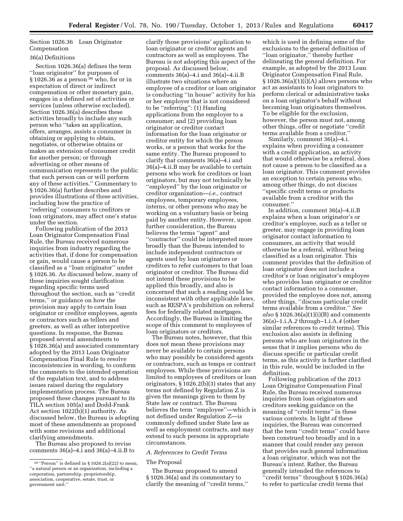Section 1026.36 Loan Originator Compensation

#### 36(a) Definitions

Section 1026.36(a) defines the term ''loan originator'' for purposes of § 1026.36 as a person 36 who, for or in expectation of direct or indirect compensation or other monetary gain, engages in a defined set of activities or services (unless otherwise excluded). Section 1026.36(a) describes these activities broadly to include any such person who ''takes an application, offers, arranges, assists a consumer in obtaining or applying to obtain, negotiates, or otherwise obtains or makes an extension of consumer credit for another person; or through advertising or other means of communication represents to the public that such person can or will perform any of these activities.'' Commentary to § 1026.36(a) further describes and provides illustrations of these activities, including how the practice of ''referring'' consumers to creditors or loan originators, may affect one's status under the section.

Following publication of the 2013 Loan Originator Compensation Final Rule, the Bureau received numerous inquiries from industry regarding the activities that, if done for compensation or gain, would cause a person to be classified as a ''loan originator'' under § 1026.36. As discussed below, many of these inquiries sought clarification regarding specific terms used throughout the section, such as ''credit terms,'' or guidance on how the provision may apply to certain loan originator or creditor employees, agents or contractors such as tellers and greeters, as well as other interpretive questions. In response, the Bureau proposed several amendments to § 1026.36(a) and associated commentary adopted by the 2013 Loan Originator Compensation Final Rule to resolve inconsistencies in wording, to conform the comments to the intended operation of the regulation text, and to address issues raised during the regulatory implementation process. The Bureau proposed these changes pursuant to its TILA section 105(a) and Dodd-Frank Act section 1022(b)(1) authority. As discussed below, the Bureau is adopting most of these amendments as proposed with some revisions and additional clarifying amendments.

The Bureau also proposed to revise comments 36(a)–4.i and 36(a)–4.ii.B to

clarify those provisions' application to loan originator or creditor agents and contractors as well as employees. The Bureau is not adopting this aspect of the proposal. As discussed below, comments  $36(a)$ –4.i and  $36(a)$ –4.ii.B illustrate two situations where an employee of a creditor or loan originator is conducting ''in house'' activity for his or her employer that is not considered to be ''referring'': (1) Handing applications from the employer to a consumer; and (2) providing loan originator or creditor contact information for the loan originator or creditor entity for which the person works, or a person that works for the same entity. The Bureau proposed to clarify that comments 36(a)–4.i and 36(a)–4.ii.B may be available to certain persons who work for creditors or loan originators, but may not technically be ''employed'' by the loan originator or creditor organization—*i.e.,* contract employees, temporary employees, interns, or other persons who may be working on a voluntary basis or being paid by another entity. However, upon further consideration, the Bureau believes the terms ''agent'' and ''contractor'' could be interpreted more broadly than the Bureau intended to include independent contractors or agents used by loan originators or creditors to refer customers to that loan originator or creditor. The Bureau did not intend these provisions to be applied this broadly, and also is concerned that such a reading could be inconsistent with other applicable laws, such as RESPA's prohibition on referral fees for federally related mortgages. Accordingly, the Bureau is limiting the scope of this comment to employees of loan originators or creditors.

The Bureau notes, however, that this does not mean these provisions may never be available to certain persons who may possibly be considered agents or contractors, such as temps or contract employees. While these provisions are limited to employees of creditors or loan originators, § 1026.2(b)(3) states that any terms not defined by Regulation Z is given the meanings given to them by State law or contract. The Bureau believes the term ''employee''—which is not defined under Regulation Z—is commonly defined under State law as well as employment contracts, and may extend to such persons in appropriate circumstances.

#### *A. References to Credit Terms*

#### The Proposal

The Bureau proposed to amend § 1026.36(a) and its commentary to clarify the meaning of ''credit terms,''

which is used in defining some of the exclusions to the general definition of ''loan originator,'' thereby further delineating the general definition. For example, as adopted by the 2013 Loan Originator Compensation Final Rule,  $\S 1026.36(a)(1)(i)(A)$  allows persons who act as assistants to loan originators to perform clerical or administrative tasks on a loan originator's behalf without becoming loan originators themselves. To be eligible for the exclusion, however, the person must not, among other things, offer or negotiate ''credit terms available from a creditor.''

Similarly, comment 36(a)–4.i. explains when providing a consumer with a credit application, an activity that would otherwise be a referral, does not cause a person to be classified as a loan originator. This comment provides an exception to certain persons who, among other things, do not discuss ''specific credit terms or products available from a creditor with the consumer.''

In addition, comment 36(a)–4.ii.B explains when a loan originator's or creditor's employee, such as a teller or greeter, may engage in providing loan originator contact information to consumers, an activity that would otherwise be a referral, without being classified as a loan originator. This comment provides that the definition of loan originator does not include a creditor's or loan originator's employee who provides loan originator or creditor contact information to a consumer, provided the employee does not, among other things, ''discuss particular credit terms available from a creditor.'' *See also* § 1026.36(a)(1)(i)(B) and comments 36(a)–1.i.A.*2* through–1.i.A.*4* (other similar references to credit terms). This exclusion also assists in defining persons who are loan originators in the sense that it implies persons who do discuss specific or particular credit terms, as this activity is further clarified in this rule, would be included in the definition.

Following publication of the 2013 Loan Originator Compensation Final Rule, the Bureau received numerous inquiries from loan originators and creditors seeking guidance on the meaning of ''credit terms'' in these various contexts. In light of these inquiries, the Bureau was concerned that the term ''credit terms'' could have been construed too broadly and in a manner that could render any person that provides such general information a loan originator, which was not the Bureau's intent. Rather, the Bureau generally intended the references to 'credit terms'' throughout § 1026.36(a) to refer to particular credit terms that

<sup>36</sup> ''Person'' is defined in § 1026.2(a)(22) to mean, ''a natural person or an organization, including a corporation, partnership, proprietorship, association, cooperative, estate, trust, or government unit.''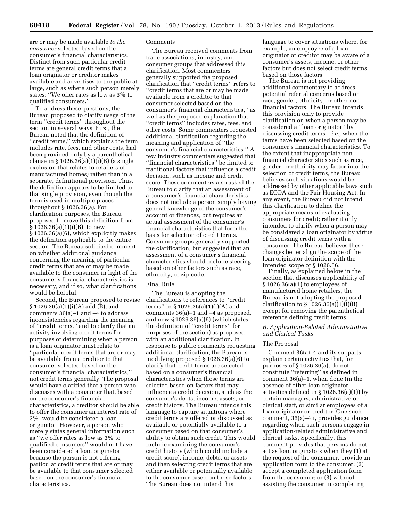are or may be made available *to the consumer* selected based on the consumer's financial characteristics. Distinct from such particular credit terms are general credit terms that a loan originator or creditor makes available and advertises to the public at large, such as where such person merely states: ''We offer rates as low as 3% to qualified consumers.''

To address these questions, the Bureau proposed to clarify usage of the term ''credit terms'' throughout the section in several ways. First, the Bureau noted that the definition of ''credit terms,'' which explains the term includes rate, fees, and other costs, had been provided only by a parenthetical clause in § 1026.36(a)(1)(i)(B) (a single exclusion that relates to retailers of manufactured homes) rather than in a separate, definitional provision. Thus, the definition appears to be limited to that single provision, even though the term is used in multiple places throughout § 1026.36(a). For clarification purposes, the Bureau proposed to move this definition from  $§ 1026.36(a)(1)(i)(B)$ , to new § 1026.36(a)(6), which explicitly makes the definition applicable to the entire section. The Bureau solicited comment on whether additional guidance concerning the meaning of particular credit terms that are or may be made available to the consumer in light of the consumer's financial characteristics is necessary, and if so, what clarifications would be helpful.

Second, the Bureau proposed to revise § 1026.36(a)(1)(i)(A) and (B), and comments 36(a)–1 and –4 to address inconsistencies regarding the meaning of ''credit terms,'' and to clarify that an activity involving credit terms for purposes of determining when a person is a loan originator must relate to ''particular credit terms that are or may be available from a creditor to that consumer selected based on the consumer's financial characteristics,'' not credit terms generally. The proposal would have clarified that a person who discusses with a consumer that, based on the consumer's financial characteristics, a creditor should be able to offer the consumer an interest rate of 3%, would be considered a loan originator. However, a person who merely states general information such as ''we offer rates as low as 3% to qualified consumers'' would not have been considered a loan originator because the person is not offering particular credit terms that are or may be available to that consumer selected based on the consumer's financial characteristics.

#### Comments

The Bureau received comments from trade associations, industry, and consumer groups that addressed this clarification. Most commenters generally supported the proposed clarification that ''credit terms'' refers to ''credit terms that are or may be made available from a creditor to that consumer selected based on the consumer's financial characteristics,'' as well as the proposed explanation that ''credit terms'' includes rates, fees, and other costs. Some commenters requested additional clarification regarding the meaning and application of ''the consumer's financial characteristics.'' A few industry commenters suggested that ''financial characteristics'' be limited to traditional factors that influence a credit decision, such as income and credit score. These commenters also asked the Bureau to clarify that an assessment of a consumer's financial characteristics does not include a person simply having general knowledge of the consumer's account or finances, but requires an actual assessment of the consumer's financial characteristics that form the basis for selection of credit terms. Consumer groups generally supported the clarification, but suggested that an assessment of a consumer's financial characteristics should include steering based on other factors such as race, ethnicity, or zip code.

#### Final Rule

The Bureau is adopting the clarifications to references to ''credit terms'' in § 1026.36(a)(1)(i)(A) and comments 36(a)–1 and –4 as proposed, and new § 1026.36(a)(6) (which states the definition of ''credit terms'' for purposes of the section) as proposed with an additional clarification. In response to public comments requesting additional clarification, the Bureau is modifying proposed § 1026.36(a)(6) to clarify that credit terms are selected based on a consumer's financial characteristics when those terms are selected based on factors that may influence a credit decision, such as the consumer's debts, income, assets, or credit history. The Bureau intends this language to capture situations where credit terms are offered or discussed as available or potentially available to a consumer based on that consumer's ability to obtain such credit. This would include examining the consumer's credit history (which could include a credit score), income, debts, or assets and then selecting credit terms that are either available or potentially available to the consumer based on those factors. The Bureau does not intend this

language to cover situations where, for example, an employee of a loan originator or creditor may be aware of a consumer's assets, income, or other factors but does not select credit terms based on those factors.

The Bureau is not providing additional commentary to address potential referral concerns based on race, gender, ethnicity, or other nonfinancial factors. The Bureau intends this provision only to provide clarification on when a person may be considered a ''loan originator'' by discussing credit terms—*i.e.,* when the terms have been selected based on the consumer's financial characteristics. To the extent that inappropriate nonfinancial characteristics such as race, gender, or ethnicity may factor into the selection of credit terms, the Bureau believes such situations would be addressed by other applicable laws such as ECOA and the Fair Housing Act. In any event, the Bureau did not intend this clarification to define the appropriate means of evaluating consumers for credit; rather it only intended to clarify when a person may be considered a loan originator by virtue of discussing credit terms with a consumer. The Bureau believes these changes better align the scope of the loan originator definition with the intended scope of § 1026.36.

Finally, as explained below in the section that discusses applicability of § 1026.36(a)(1) to employees of manufactured home retailers, the Bureau is not adopting the proposed clarification to  $\S 1026.36(a)(1)(i)(B)$ except for removing the parenthetical reference defining credit terms.

# *B. Application-Related Administrative and Clerical Tasks*

#### The Proposal

Comment 36(a)–4 and its subparts explain certain activities that, for purposes of § 1026.36(a), do not constitute ''referring'' as defined in comment 36(a)–1, when done (in the absence of other loan originator activities defined in § 1026.36(a)(1)) by certain managers, administrative or clerical staff, or similar employees of a loan originator or creditor. One such comment, 36(a)–4.i, provides guidance regarding when such persons engage in application-related administrative and clerical tasks. Specifically, this comment provides that persons do not act as loan originators when they (1) at the request of the consumer, provide an application form to the consumer; (2) accept a completed application form from the consumer; or (3) without assisting the consumer in completing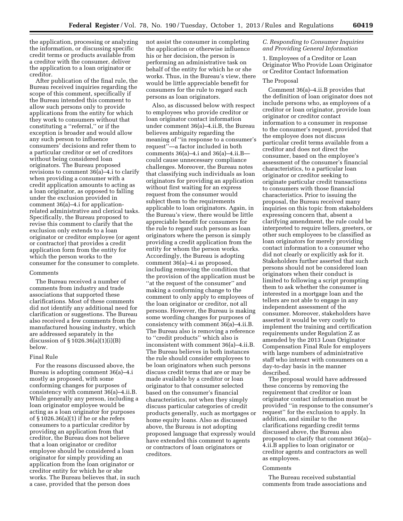the application, processing or analyzing the information, or discussing specific credit terms or products available from a creditor with the consumer, deliver the application to a loan originator or creditor.

After publication of the final rule, the Bureau received inquiries regarding the scope of this comment, specifically if the Bureau intended this comment to allow such persons only to provide applications from the entity for which they work to consumers without that constituting a ''referral,'' or if the exception is broader and would allow any such person to influence consumers' decisions and refer them to a particular creditor or set of creditors without being considered loan originators. The Bureau proposed revisions to comment 36(a)–4.i to clarify when providing a consumer with a credit application amounts to acting as a loan originator, as opposed to falling under the exclusion provided in comment 36(a)–4.i for applicationrelated administrative and clerical tasks. Specifically, the Bureau proposed to revise this comment to clarify that the exclusion only extends to a loan originator or creditor employee (or agent or contractor) that provides a credit application form from the entity for which the person works to the consumer for the consumer to complete.

#### Comments

The Bureau received a number of comments from industry and trade associations that supported these clarifications. Most of these comments did not identify any additional need for clarification or suggestions. The Bureau also received a few comments from the manufactured housing industry, which are addressed separately in the discussion of § 1026.36(a)(1)(i)(B) below.

#### Final Rule

For the reasons discussed above, the Bureau is adopting comment 36(a)–4.i mostly as proposed, with some conforming changes for purposes of consistency with comment 36(a)–4.ii.B. While generally any person, including a loan originator employee would be acting as a loan originator for purposes of § 1026.36(a)(1) if he or she refers consumers to a particular creditor by providing an application from that creditor, the Bureau does not believe that a loan originator or creditor employee should be considered a loan originator for simply providing an application from the loan originator or creditor entity for which he or she works. The Bureau believes that, in such a case, provided that the person does

not assist the consumer in completing the application or otherwise influence his or her decision, the person is performing an administrative task on behalf of the entity for which he or she works. Thus, in the Bureau's view, there would be little appreciable benefit for consumers for the rule to regard such persons as loan originators.

Also, as discussed below with respect to employees who provide creditor or loan originator contact information under comment 36(a)–4.ii.B, the Bureau believes ambiguity regarding the meaning of ''in response to a consumer's request''—a factor included in both comments 36(a)–4.i and 36(a)–4.ii.B could cause unnecessary compliance challenges. Moreover, the Bureau notes that classifying such individuals as loan originators for providing an application without first waiting for an express request from the consumer would subject them to the requirements applicable to loan originators. Again, in the Bureau's view, there would be little appreciable benefit for consumers for the rule to regard such persons as loan originators where the person is simply providing a credit application from the entity for whom the person works. Accordingly, the Bureau is adopting comment 36(a)–4.i as proposed, including removing the condition that the provision of the application must be ''at the request of the consumer'' and making a conforming change to the comment to only apply to employees of the loan originator or creditor, not all persons. However, the Bureau is making some wording changes for purposes of consistency with comment 36(a)–4.ii.B. The Bureau also is removing a reference to ''credit products'' which also is inconsistent with comment 36(a)–4.ii.B. The Bureau believes in both instances the rule should consider employees to be loan originators when such persons discuss credit terms that are or may be made available by a creditor or loan originator to that consumer selected based on the consumer's financial characteristics, not when they simply discuss particular categories of credit products generally, such as mortgages or home equity loans. Also as discussed above, the Bureau is not adopting proposed language that expressly would have extended this comment to agents or contractors of loan originators or creditors.

#### *C. Responding to Consumer Inquiries and Providing General Information*

# 1. Employees of a Creditor or Loan Originator Who Provide Loan Originator or Creditor Contact Information

#### The Proposal

Comment 36(a)–4.ii.B provides that the definition of loan originator does not include persons who, as employees of a creditor or loan originator, provide loan originator or creditor contact information to a consumer in response to the consumer's request, provided that the employee does not discuss particular credit terms available from a creditor and does not direct the consumer, based on the employee's assessment of the consumer's financial characteristics, to a particular loan originator or creditor seeking to originate particular credit transactions to consumers with those financial characteristics. Prior to issuing the proposal, the Bureau received many inquiries on this topic from stakeholders expressing concern that, absent a clarifying amendment, the rule could be interpreted to require tellers, greeters, or other such employees to be classified as loan originators for merely providing contact information to a consumer who did not clearly or explicitly ask for it. Stakeholders further asserted that such persons should not be considered loan originators when their conduct is limited to following a script prompting them to ask whether the consumer is interested in a mortgage loan and the tellers are not able to engage in any independent assessment of the consumer. Moreover, stakeholders have asserted it would be very costly to implement the training and certification requirements under Regulation Z as amended by the 2013 Loan Originator Compensation Final Rule for employers with large numbers of administrative staff who interact with consumers on a day-to-day basis in the manner described.

The proposal would have addressed these concerns by removing the requirement that creditor or loan originator contact information must be provided ''in response to the consumer's request'' for the exclusion to apply. In addition, and similar to the clarifications regarding credit terms discussed above, the Bureau also proposed to clarify that comment 36(a)– 4.ii.B applies to loan originator or creditor agents and contractors as well as employees.

#### Comments

The Bureau received substantial comments from trade associations and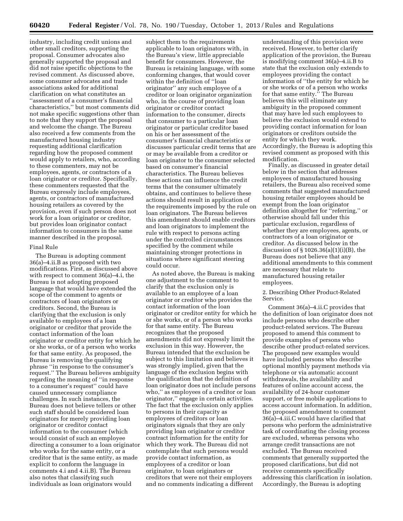industry, including credit unions and other small creditors, supporting the proposal. Consumer advocates also generally supported the proposal and did not raise specific objections to the revised comment. As discussed above, some consumer advocates and trade associations asked for additional clarification on what constitutes an ''assessment of a consumer's financial characteristics,'' but most comments did not make specific suggestions other than to note that they support the proposal and welcome the change. The Bureau also received a few comments from the manufactured housing industry requesting additional clarification regarding how the proposed comment would apply to retailers, who, according to these commenters, may not be employees, agents, or contractors of a loan originator or creditor. Specifically, these commenters requested that the Bureau expressly include employees, agents, or contractors of manufactured housing retailers as covered by the provision, even if such person does not work for a loan originator or creditor, but provides loan originator contact information to consumers in the same manner described in the proposal.

#### Final Rule

The Bureau is adopting comment 36(a)–4.ii.B as proposed with two modifications. First, as discussed above with respect to comment 36(a)–4.i, the Bureau is not adopting proposed language that would have extended the scope of the comment to agents or contractors of loan originators or creditors. Second, the Bureau is clarifying that the exclusion is only available to employees of a loan originator or creditor that provide the contact information of the loan originator or creditor entity for which he or she works, or of a person who works for that same entity. As proposed, the Bureau is removing the qualifying phrase ''in response to the consumer's request.'' The Bureau believes ambiguity regarding the meaning of ''in response to a consumer's request'' could have caused unnecessary compliance challenges. In such instances, the Bureau does not believe tellers or other such staff should be considered loan originators for merely providing loan originator or creditor contact information to the consumer (which would consist of such an employee directing a consumer to a loan originator who works for the same entity, or a creditor that is the same entity, as made explicit to conform the language in comments 4.i and 4.ii.B). The Bureau also notes that classifying such individuals as loan originators would

subject them to the requirements applicable to loan originators with, in the Bureau's view, little appreciable benefit for consumers. However, the Bureau is retaining language, with some conforming changes, that would cover within the definition of ''loan originator'' any such employee of a creditor or loan originator organization who, in the course of providing loan originator or creditor contact information to the consumer, directs that consumer to a particular loan originator or particular creditor based on his or her assessment of the consumer's financial characteristics or discusses particular credit terms that are or may be available from a creditor or loan originator to the consumer selected based on consumer's financial characteristics. The Bureau believes these actions can influence the credit terms that the consumer ultimately obtains, and continues to believe these actions should result in application of the requirements imposed by the rule on loan originators. The Bureau believes this amendment should enable creditors and loan originators to implement the rule with respect to persons acting under the controlled circumstances specified by the comment while maintaining stronger protections in situations where significant steering could occur.

As noted above, the Bureau is making one adjustment to the comment to clarify that the exclusion only is available to an employee of a loan originator or creditor who provides the contact information of the loan originator or creditor entity for which he or she works, or of a person who works for that same entity. The Bureau recognizes that the proposed amendments did not expressly limit the exclusion in this way. However, the Bureau intended that the exclusion be subject to this limitation and believes it was strongly implied, given that the language of the exclusion begins with the qualification that the definition of loan originator does not include persons who,'' as employees of a creditor or loan originator,'' engage in certain activities. The fact that the exclusion only applies to persons in their capacity as employees of creditors or loan originators signals that they are only providing loan originator or creditor contract information for the entity for which they work. The Bureau did not contemplate that such persons would provide contact information, as employees of a creditor or loan originator, to loan originators or creditors that were not their employers and no comments indicating a different

understanding of this provision were received. However, to better clarify application of the provision, the Bureau is modifying comment 36(a)–4.ii.B to state that the exclusion only extends to employees providing the contact information of ''the entity for which he or she works or of a person who works for that same entity.'' The Bureau believes this will eliminate any ambiguity in the proposed comment that may have led such employees to believe the exclusion would extend to providing contact information for loan originators or creditors outside the entity for which they work. Accordingly, the Bureau is adopting this revised comment as proposed with this modification.

Finally, as discussed in greater detail below in the section that addresses employees of manufactured housing retailers, the Bureau also received some comments that suggested manufactured housing retailer employees should be exempt from the loan originator definition altogether for ''referring,'' or otherwise should fall under this particular exclusion, regardless of whether they are employees, agents, or contractors of a loan originator or creditor. As discussed below in the discussion of  $\S 1026.36(a)(1)(i)(B)$ , the Bureau does not believe that any additional amendments to this comment are necessary that relate to manufactured housing retailer employees.

# 2. Describing Other Product-Related Service.

Comment 36(a)–4.ii.C provides that the definition of loan originator does not include persons who describe other product-related services. The Bureau proposed to amend this comment to provide examples of persons who describe other product-related services. The proposed new examples would have included persons who describe optional monthly payment methods via telephone or via automatic account withdrawals, the availability and features of online account access, the availability of 24-hour customer support, or free mobile applications to access account information. In addition, the proposed amendment to comment 36(a)–4.iii.C would have clarified that persons who perform the administrative task of coordinating the closing process are excluded, whereas persons who arrange credit transactions are not excluded. The Bureau received comments that generally supported the proposed clarifications, but did not receive comments specifically addressing this clarification in isolation. Accordingly, the Bureau is adopting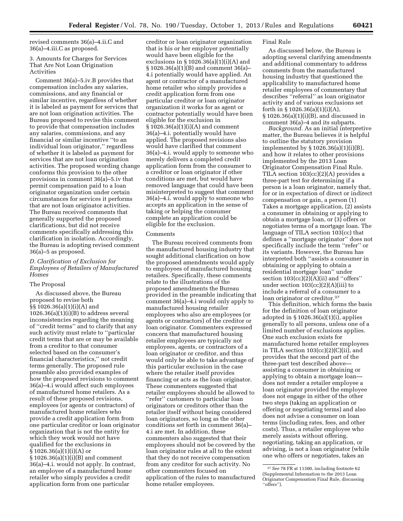revised comments 36(a)–4.ii.C and 36(a)–4.iii.C as proposed.

3. Amounts for Charges for Services That Are Not Loan Origination Activities

Comment 36(a)–5.iv.B provides that compensation includes any salaries, commissions, and any financial or similar incentive, regardless of whether it is labeled as payment for services that are not loan origination activities. The Bureau proposed to revise this comment to provide that compensation includes any salaries, commissions, and any financial or similar incentive ''to an individual loan originator,'' regardless of whether it is labeled as payment for services that are not loan origination activities. The proposed wording change conforms this provision to the other provisions in comment 36(a)–5.iv that permit compensation paid to a loan originator organization under certain circumstances for services it performs that are not loan originator activities. The Bureau received comments that generally supported the proposed clarifications, but did not receive comments specifically addressing this clarification in isolation. Accordingly, the Bureau is adopting revised comment 36(a)–5 as proposed.

# *D. Clarification of Exclusion for Employees of Retailers of Manufactured Homes*

#### The Proposal

As discussed above, the Bureau proposed to revise both §§ 1026.36(a)(1)(i)(A) and  $1026.36(a)(1)(i)(B)$  to address several inconsistencies regarding the meaning of ''credit terms'' and to clarify that any such activity must relate to ''particular credit terms that are or may be available from a creditor to that consumer selected based on the consumer's financial characteristics,'' not credit terms generally. The proposed rule preamble also provided examples of how the proposed revisions to comment 36(a)–4.i would affect such employees of manufactured home retailers. As a result of these proposed revisions, employees (or agents or contractors) of manufactured home retailers who provide a credit application form from one particular creditor or loan originator organization that is not the entity for which they work would not have qualified for the exclusions in  $§ 1026.36(a)(1)(i)(A)$  or § 1026.36(a)(1)(i)(B) and comment 36(a)–4.i. would not apply. In contrast, an employee of a manufactured home retailer who simply provides a credit application form from one particular

creditor or loan originator organization that is his or her employer potentially would have been eligible for the exclusions in § 1026.36(a)(1)(i)(A) and § 1026.36(a)(1)(B) and comment 36(a)– 4.i potentially would have applied. An agent or contractor of a manufactured home retailer who simply provides a credit application form from one particular creditor or loan originator organization it works for as agent or contractor potentially would have been eligible for the exclusion in § 1026.36(a)(1)(i)(A) and comment 36(a)–4.i. potentially would have applied. The proposed revisions also would have clarified that comment 36(a)–4.i. would apply to someone who merely delivers a completed credit application form from the consumer to a creditor or loan originator if other conditions are met, but would have removed language that could have been misinterpreted to suggest that comment 36(a)–4.i. would apply to someone who accepts an application in the sense of taking or helping the consumer complete an application could be eligible for the exclusion.

#### Comments

The Bureau received comments from the manufactured housing industry that sought additional clarification on how the proposed amendments would apply to employees of manufactured housing retailers. Specifically, these comments relate to the illustrations of the proposed amendments the Bureau provided in the preamble indicating that comment 36(a)–4.i would only apply to manufactured housing retailer employees who also are employees (or agents or contractors) of the creditor or loan originator. Commenters expressed concern that manufactured housing retailer employees are typically not employees, agents, or contractors of a loan originator or creditor, and thus would only be able to take advantage of this particular exclusion in the case where the retailer itself provides financing or acts as the loan originator. These commenters suggested that retailer employees should be allowed to ''refer'' customers to particular loan originators or creditors other than the retailer itself without being considered loan originators, so long as the other conditions set forth in comment 36(a)– 4.i are met. In addition, these commenters also suggested that their employees should not be covered by the loan originator rules at all to the extent that they do not receive compensation from any creditor for such activity. No other commenters focused on application of the rules to manufactured home retailer employees.

#### Final Rule

As discussed below, the Bureau is adopting several clarifying amendments and additional commentary to address comments from the manufactured housing industry that questioned the applicability to manufactured home retailer employees of commentary that describes ''referral'' as loan originator activity and of various exclusions set forth in  $\S 1026.36(a)(1)(i)(A)$ , § 1026.36(a)(1)(i)(B), and discussed in comment 36(a)–4 and its subparts.

*Background.* As an initial interpretive matter, the Bureau believes it is helpful to outline the statutory provision implemented by § 1026.36(a)(1)(i)(B), and how it relates to other provisions implemented by the 2013 Loan Originator Compensation Final Rule. TILA section 103(cc)(2)(A) provides a three-part test for determining if a person is a loan originator, namely that, for or in expectation of direct or indirect compensation or gain, a person (1) Takes a mortgage application, (2) assists a consumer in obtaining or applying to obtain a mortgage loan, or (3) offers or negotiates terms of a mortgage loan. The language of TILA section 103(cc) that defines a ''mortgage originator'' does not specifically include the term ''refer'' or its variants. However, the Bureau has interpreted both ''assists a consumer in obtaining or applying to obtain a residential mortgage loan'' under section  $103(cc)(2)(A)(ii)$  and "offers" under section 103(cc)(2)(A)(iii) to include a referral of a consumer to a loan originator or creditor.<sup>37</sup>

This definition, which forms the basis for the definition of loan originator adopted in  $§ 1026.36(a)(1)(i)$ , applies generally to all persons, unless one of a limited number of exclusions applies. One such exclusion exists for manufactured home retailer employees in TILA section  $103(cc)(2)(C)(ii)$ , and provides that the second part of the three-part test described above assisting a consumer in obtaining or applying to obtain a mortgage loan does not render a retailer employee a loan originator provided the employee does not engage in either of the other two steps (taking an application or offering or negotiating terms) and also does not advise a consumer on loan terms (including rates, fees, and other costs). Thus, a retailer employee who merely assists without offering, negotiating, taking an application, or advising, is not a loan originator (while one who offers or negotiates, takes an

<sup>37</sup>*See* 78 FR at 11300, including footnote 62 (Supplemental Information to the 2013 Loan Originator Compensation Final Rule, discussing ''offers'').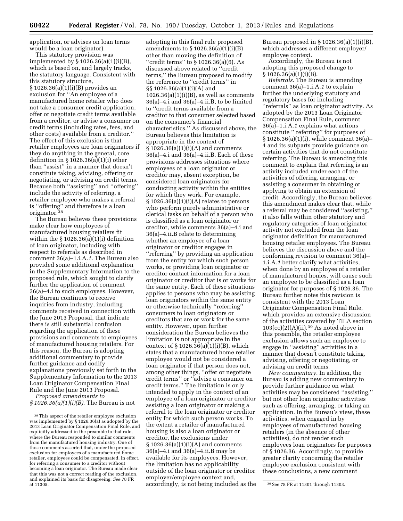application, or advises on loan terms would be a loan originator).

This statutory provision was implemented by § 1026.36(a)(1)(i)(B), which is based on, and largely tracks, the statutory language. Consistent with this statutory structure, § 1026.36(a)(1)(i)(B) provides an exclusion for ''An employee of a manufactured home retailer who does not take a consumer credit application, offer or negotiate credit terms available from a creditor, or advise a consumer on credit terms (including rates, fees, and other costs) available from a creditor.'' The effect of this exclusion is that retailer employees are loan originators if they do anything in the general, core definition in § 1026.36(a)(1)(i) other than ''assist'' in a manner that doesn't constitute taking, advising, offering or negotiating, or advising on credit terms. Because both ''assisting'' and ''offering'' include the activity of referring, a retailer employee who makes a referral is ''offering'' and therefore is a loan originator.38

The Bureau believes these provisions make clear how employees of manufactured housing retailers fit within the  $\S 1026.36(a)(1)(i)$  definition of loan originator, including with respect to referrals as described in comment 36(a)–1.i.A.*1.* The Bureau also provided some additional explanation in the Supplementary Information to the proposed rule, which sought to clarify further the application of comment 36(a)–4.i to such employees. However, the Bureau continues to receive inquiries from industry, including comments received in connection with the June 2013 Proposal, that indicate there is still substantial confusion regarding the application of these provisions and comments to employees of manufactured housing retailers. For this reason, the Bureau is adopting additional commentary to provide further guidance and codify explanations previously set forth in the Supplementary Information to the 2013 Loan Originator Compensation Final Rule and the June 2013 Proposal.

*Proposed amendments to § 1026.36(a)(1)(i)(B).* The Bureau is not

at 11305. 39See 78 FR at 11301 through 11303. accordingly, is not being included as the adopting in this final rule proposed amendments to  $\S 1026.36(a)(1)(i)(B)$ other than moving the definition of ''credit terms'' to § 1026.36(a)(6). As discussed above related to ''credit terms,'' the Bureau proposed to modify the reference to ''credit terms'' in §§ 1026.36(a)(1)(i)(A) and  $1026.36(a)(1)(i)(B)$ , as well as comments 36(a)–4.i and 36(a)–4.ii.B, to be limited to ''credit terms available from a creditor to that consumer selected based on the consumer's financial characteristics.'' As discussed above, the Bureau believes this limitation is appropriate in the context of § 1026.36(a)(1)(i)(A) and comments 36(a)–4.i and 36(a)–4.ii.B. Each of these provisions addresses situations where employees of a loan originator or creditor may, absent exception, be considered loan originators for conducting activity within the entities for which they work. For example,  $§ 1026.36(a)(1)(i)(A)$  relates to persons who perform purely administrative or clerical tasks on behalf of a person who is classified as a loan originator or creditor, while comments 36(a)–4.i and 36(a)–4.ii.B relate to determining whether an employee of a loan originator or creditor engages in ''referring'' by providing an application from the entity for which such person works, or providing loan originator or creditor contact information for a loan originator or creditor that is or works for the same entity. Each of these situations applies to persons who may be assisting loan originators within the same entity or otherwise technically ''referring'' consumers to loan originators or creditors that are or work for the same entity. However, upon further consideration the Bureau believes the limitation is not appropriate in the context of  $\S 1026.36(a)(1)(i)(B)$ , which states that a manufactured home retailer employee would not be considered a loan originator if that person does not, among other things, ''offer or negotiate credit terms'' or ''advise a consumer on credit terms.'' The limitation is only intended to apply in the context of an employee of a loan originator or creditor assisting a loan originator or making a referral to the loan originator or creditor entity for which such person works. To the extent a retailer of manufactured housing is also a loan originator or creditor, the exclusions under § 1026.36(a)(1)(i)(A) and comments 36(a)–4.i and 36(a)–4.ii.B may be available for its employees. However, the limitation has no applicability outside of the loan originator or creditor employer/employee context and,

Bureau proposed in  $\S 1026.36(a)(1)(i)(B)$ , which addresses a different employer/ employee context.

Accordingly, the Bureau is not adopting this proposed change to  $§ 1026.36(a)(1)(i)(B).$ 

*Referrals.* The Bureau is amending comment 36(a)–1.i.A.*1* to explain further the underlying statutory and regulatory bases for including ''referrals'' as loan originator activity. As adopted by the 2013 Loan Originator Compensation Final Rule, comment 36(a)–1.i.A.*1* explains what actions constitute '' referring'' for purposes of § 1026.36(a)(1)(i), while comment 36(a)– 4 and its subparts provide guidance on certain activities that do not constitute referring. The Bureau is amending this comment to explain that referring is an activity included under each of the activities of offering, arranging, or assisting a consumer in obtaining or applying to obtain an extension of credit. Accordingly, the Bureau believes this amendment makes clear that, while a referral may be considered ''assisting,'' it also falls within other statutory and regulatory categories of loan originator activity not excluded from the loan originator definition for manufactured housing retailer employees. The Bureau believes the discussion above and the conforming revision to comment 36(a)– 1.i.A.*1* better clarify what activities, when done by an employee of a retailer of manufactured homes, will cause such an employee to be classified as a loan originator for purposes of § 1026.36. The Bureau further notes this revision is consistent with the 2013 Loan Originator Compensation Final Rule, which provides an extensive discussion of the activities covered by TILA section  $103(cc)(2)(A)(ii).<sup>39</sup> As noted above in$ this preamble, the retailer employee exclusion allows such an employee to engage in ''assisting'' activities in a manner that doesn't constitute taking, advising, offering or negotiating, or advising on credit terms.

*New commentary.* In addition, the Bureau is adding new commentary to provide further guidance on what activities may be considered ''assisting,'' but not other loan originator activities such as offering, arranging, or taking an application. In the Bureau's view, these activities, when engaged in by employees of manufactured housing retailers (in the absence of other activities), do not render such employees loan originators for purposes of § 1026.36. Accordingly, to provide greater clarity concerning the retailer employee exclusion consistent with these conclusions, a new comment

<sup>38</sup>This aspect of the retailer employee exclusion was implemented by § 1026.36(a) as adopted by the 2013 Loan Originator Compensation Final Rule, and explicitly addressed in the preamble to that rule, where the Bureau responded to similar comments from the manufactured housing industry. One of those comments asserted that, under the proposed exclusion for employees of a manufactured home retailer, employees could be compensated, in effect, for referring a consumer to a creditor without becoming a loan originator. The Bureau made clear that this was not a correct reading of the exclusion, and explained its basis for disagreeing. *See* 78 FR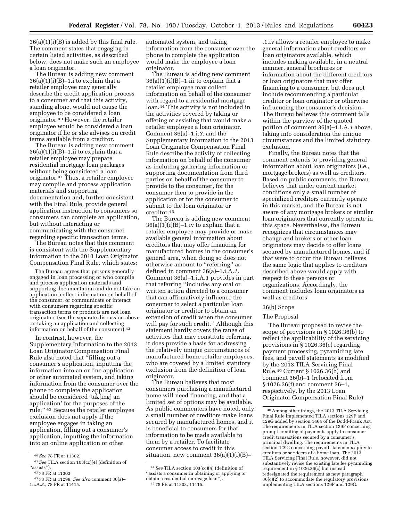$36(a)(1)(i)(B)$  is added by this final rule. The comment states that engaging in certain listed activities, as described below, does not make such an employee a loan originator.

The Bureau is adding new comment  $36(a)(1)(i)(B)-1.i$  to explain that a retailer employee may generally describe the credit application process to a consumer and that this activity, standing alone, would not cause the employee to be considered a loan originator.40 However, the retailer employee would be considered a loan originator if he or she advises on credit terms available from a creditor.

The Bureau is adding new comment  $36(a)(1)(i)(B)-1.$ ii to explain that a retailer employee may prepare residential mortgage loan packages without being considered a loan originator.41 Thus, a retailer employee may compile and process application materials and supporting documentation and, further consistent with the Final Rule, provide general application instruction to consumers so consumers can complete an application, but without interacting or communicating with the consumer regarding specific transaction terms.

The Bureau notes that this comment is consistent with the Supplementary Information to the 2013 Loan Originator Compensation Final Rule, which states:

The Bureau agrees that persons generally engaged in loan processing or who compile and process application materials and supporting documentation and do not take an application, collect information on behalf of the consumer, or communicate or interact with consumers regarding specific transaction terms or products are not loan originators (see the separate discussion above on taking an application and collecting information on behalf of the consumer).42

In contrast, however, the Supplementary Information to the 2013 Loan Originator Compensation Final Rule also noted that ''filling out a consumer's application, inputting the information into an online application or other automated system, and taking information from the consumer over the phone to complete the application should be considered 'tak[ing] an application' for the purposes of the rule.'' 43 Because the retailer employee exclusion does not apply if the employee engages in taking an application, filling out a consumer's application, inputting the information into an online application or other

automated system, and taking information from the consumer over the phone to complete the application would make the employee a loan originator.

The Bureau is adding new comment  $36(a)(1)(i)(B)-1.$ iii to explain that a retailer employee may collect information on behalf of the consumer with regard to a residential mortgage loan.44 This activity is not included in the activities covered by taking or offering or assisting that would make a retailer employee a loan originator. Comment 36(a)–1.i.*3.* and the Supplementary Information to the 2013 Loan Originator Compensation Final Rule describe the activity of collecting information on behalf of the consumer as including gathering information or supporting documentation from third parties on behalf of the consumer to provide to the consumer, for the consumer then to provide in the application or for the consumer to submit to the loan originator or creditor.45

The Bureau is adding new comment  $36(a)(1)(i)(B)-1$  iv to explain that a retailer employee may provide or make available general information about creditors that may offer financing for manufactured homes in the consumer's general area, when doing so does not otherwise amount to ''referring'' as defined in comment 36(a)–1.i.A.*1.*  Comment 36(a)–1.i.A.*1* provides in part that referring ''includes any oral or written action directed to a consumer that can affirmatively influence the consumer to select a particular loan originator or creditor to obtain an extension of credit when the consumer will pay for such credit.'' Although this statement hardly covers the range of activities that may constitute referring, it does provide a basis for addressing the relatively unique circumstances of manufactured home retailer employees, who are covered by a limited statutory exclusion from the definition of loan originator.

The Bureau believes that most consumers purchasing a manufactured home will need financing, and that a limited set of options may be available. As public commenters have noted, only a small number of creditors make loans secured by manufactured homes, and it is beneficial to consumers for that information to be made available to them by a retailer. To facilitate consumer access to credit in this situation, new comment 36(a)(1)(i)(B)–

.1.iv allows a retailer employee to make general information about creditors or loan originators available, which includes making available, in a neutral manner, general brochures or information about the different creditors or loan originators that may offer financing to a consumer, but does not include recommending a particular creditor or loan originator or otherwise influencing the consumer's decision. The Bureau believes this comment falls within the purview of the quoted portion of comment 36(a)–1.i.A.*1* above, taking into consideration the unique circumstances and the limited statutory exclusion.

Finally, the Bureau notes that the comment extends to providing general information about loan originators (*i.e.,*  mortgage brokers) as well as creditors. Based on public comments, the Bureau believes that under current market conditions only a small number of specialized creditors currently operate in this market, and the Bureau is not aware of any mortgage brokers or similar loan originators that currently operate in this space. Nevertheless, the Bureau recognizes that circumstances may change and brokers or other loan originators may decide to offer loans secured by manufactured homes, and if that were to occur the Bureau believes the same logic that applies to creditors described above would apply with respect to these persons or organizations. Accordingly, the comment includes loan originators as well as creditors.

#### 36(b) Scope

#### The Proposal

The Bureau proposed to revise the scope of provisions in § 1026.36(b) to reflect the applicability of the servicing provisions in § 1026.36(c) regarding payment processing, pyramiding late fees, and payoff statements as modified by the 2013 TILA Servicing Final Rule.46 Current § 1026.36(b) and comment 36(b)–1 (relocated from § 1026.36(f) and comment 36–1, respectively, by the 2013 Loan Originator Compensation Final Rule)

<sup>40</sup>*See* 78 FR at 11302.

<sup>41</sup>*See* TILA section 103(cc)(4) (definition of ''assists'').

<sup>42</sup> 78 FR at 11303

<sup>43</sup> 78 FR at 11299. *See also* comment 36(a)– 1.i.A.*3.,* 78 FR at 11415.

<sup>44</sup>*See* TILA section 103(cc)(4) (definition of ''assists a consumer in obtaining or applying to obtain a residential mortgage loan''). 45 78 FR at 11303, 11415.

<sup>46</sup>Among other things, the 2013 TILA Servicing Final Rule implemented TILA sections 129F and 129G added by section 1464 of the Dodd-Frank Act. The requirements in TILA section 129F concerning prompt crediting of payments apply to consumer credit transactions secured by a consumer's principal dwelling. The requirements in TILA section 129G concerning payoff statements apply to creditors or servicers of a home loan. The 2013 TILA Servicing Final Rule, however, did not substantively revise the existing late fee pyramiding requirement in § 1026.36(c) but instead redesignated the requirement as new paragraph 36(c)(2) to accommodate the regulatory provisions implementing TILA sections 129F and 129G.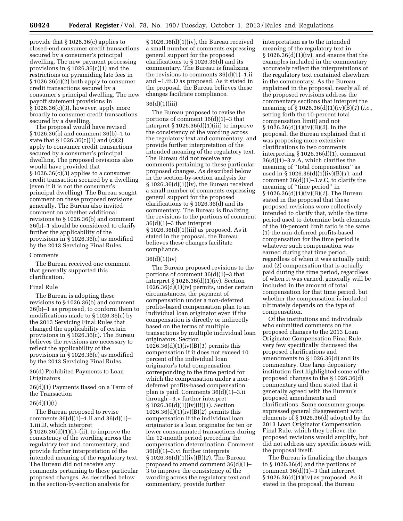provide that § 1026.36(c) applies to closed-end consumer credit transactions secured by a consumer's principal dwelling. The new payment processing provisions in § 1026.36(c)(1) and the restrictions on pyramiding late fees in § 1026.36(c)(2) both apply to consumer credit transactions secured by a consumer's principal dwelling. The new payoff statement provisions in § 1026.36(c)(3), however, apply more broadly to consumer credit transactions secured by a dwelling.

The proposal would have revised § 1026.36(b) and comment 36(b)–1 to state that § 1026.36(c)(1) and (c)(2) apply to consumer credit transactions secured by a consumer's principal dwelling. The proposed revisions also would have provided that § 1026.36(c)(3) applies to a consumer credit transaction secured by a dwelling (even if it is not the consumer's principal dwelling). The Bureau sought comment on these proposed revisions generally. The Bureau also invited comment on whether additional revisions to § 1026.36(b) and comment 36(b)–1 should be considered to clarify further the applicability of the provisions in § 1026.36(c) as modified by the 2013 Servicing Final Rules.

#### Comments

The Bureau received one comment that generally supported this clarification.

#### Final Rule

The Bureau is adopting these revisions to § 1026.36(b) and comment 36(b)–1 as proposed, to conform them to modifications made to § 1026.36(c) by the 2013 Servicing Final Rules that changed the applicability of certain provisions in § 1026.36(c). The Bureau believes the revisions are necessary to reflect the applicability of the provisions in § 1026.36(c) as modified by the 2013 Servicing Final Rules.

# 36(d) Prohibited Payments to Loan **Originators**

36(d)(1) Payments Based on a Term of the Transaction

#### 36(d)(1)(i)

The Bureau proposed to revise comments  $36(d)(1)-1$ .ii and  $36(d)(1)$ 1.iii.D, which interpret § 1026.36(d)(1)(i)–(ii), to improve the consistency of the wording across the regulatory text and commentary, and provide further interpretation of the intended meaning of the regulatory text. The Bureau did not receive any comments pertaining to these particular proposed changes. As described below in the section-by-section analysis for

§ 1026.36(d)(1)(iv), the Bureau received a small number of comments expressing general support for the proposed clarifications to § 1026.36(d) and its commentary. The Bureau is finalizing the revisions to comments  $36(d)(1)-1.ii$ and –1.iii.D as proposed. As it stated in the proposal, the Bureau believes these changes facilitate compliance.

# 36(d)(1)(iii)

The Bureau proposed to revise the portions of comment 36(d)(1)–3 that interpret § 1026.36(d)(1)(iii) to improve the consistency of the wording across the regulatory text and commentary, and provide further interpretation of the intended meaning of the regulatory text. The Bureau did not receive any comments pertaining to these particular proposed changes. As described below in the section-by-section analysis for § 1026.36(d)(1)(iv), the Bureau received a small number of comments expressing general support for the proposed clarifications to § 1026.36(d) and its commentary. The Bureau is finalizing the revisions to the portions of comment 36(d)(1)–3 that interpret § 1026.36(d)(1)(iii) as proposed. As it stated in the proposal, the Bureau believes these changes facilitate compliance.

# 36(d)(1)(iv)

The Bureau proposed revisions to the portions of comment 36(d)(1)–3 that interpret § 1026.36(d)(1)(iv). Section 1026.36(d)(1)(iv) permits, under certain circumstances, the payment of compensation under a non-deferred profits-based compensation plan to an individual loan originator even if the compensation is directly or indirectly based on the terms of multiple transactions by multiple individual loan originators. Section 1026.36(d)(1)(iv)(B)(*1*) permits this compensation if it does not exceed 10 percent of the individual loan originator's total compensation corresponding to the time period for which the compensation under a nondeferred profits-based compensation plan is paid. Comments 36(d)(1)–3.ii through –3.v further interpret § 1026.36(d)(1)(iv)(B)(*1*). Section 1026.36(d)(1)(iv)(B)(*2*) permits this compensation if the individual loan originator is a loan originator for ten or fewer consummated transactions during the 12-month period preceding the compensation determination. Comment 36(d)(1)–3.vi further interprets § 1026.36(d)(1)(iv)(B)(*2*). The Bureau proposed to amend comment 36(d)(1)– 3 to improve the consistency of the wording across the regulatory text and commentary, provide further

interpretation as to the intended meaning of the regulatory text in § 1026.36(d)(1)(iv), and ensure that the examples included in the commentary accurately reflect the interpretations of the regulatory text contained elsewhere in the commentary. As the Bureau explained in the proposal, nearly all of the proposed revisions address the commentary sections that interpret the meaning of § 1026.36(d)(1)(iv)(B)(*1*) (*i.e.,*  setting forth the 10-percent total compensation limit) and not § 1026.36(d)(1)(iv)(B)(*2*). In the proposal, the Bureau explained that it was proposing more extensive clarifications to two comments interpreting § 1026.36(d)(1), comment 36(d)(1)–3.v.A, which clarifies the meaning of ''total compensation'' as used in § 1026.36(d)(1)(iv)(B)(*1*), and comment  $36(d)(1)-3.v.C$ , to clarify the meaning of ''time period'' in § 1026.36(d)(1)(iv)(B)(*1*). The Bureau stated in the proposal that these proposed revisions were collectively intended to clarify that, while the time period used to determine both elements of the 10-percent limit ratio is the same: (1) the non-deferred profits-based compensation for the time period is whatever such compensation was earned during that time period, regardless of when it was actually paid; and (2) compensation that is actually paid during the time period, regardless of when it was earned, generally will be included in the amount of total compensation for that time period, but whether the compensation is included ultimately depends on the type of compensation.

Of the institutions and individuals who submitted comments on the proposed changes to the 2013 Loan Originator Compensation Final Rule, very few specifically discussed the proposed clarifications and amendments to § 1026.36(d) and its commentary. One large depository institution first highlighted some of the proposed changes to the § 1026.36(d) commentary and then stated that it generally agreed with the Bureau's proposed amendments and clarifications. Some consumer groups expressed general disagreement with elements of § 1026.36(d) adopted by the 2013 Loan Originator Compensation Final Rule, which they believe the proposed revisions would amplify, but did not address any specific issues with the proposal itself.

The Bureau is finalizing the changes to § 1026.36(d) and the portions of comment 36(d)(1)–3 that interpret § 1026.36(d)(1)(iv) as proposed. As it stated in the proposal, the Bureau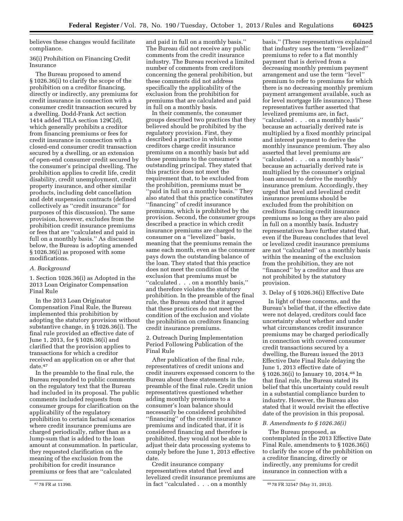believes these changes would facilitate compliance.

# 36(i) Prohibition on Financing Credit Insurance

The Bureau proposed to amend § 1026.36(i) to clarify the scope of the prohibition on a creditor financing, directly or indirectly, any premiums for credit insurance in connection with a consumer credit transaction secured by a dwelling. Dodd-Frank Act section 1414 added TILA section 129C(d), which generally prohibits a creditor from financing premiums or fees for credit insurance in connection with a closed-end consumer credit transaction secured by a dwelling, or an extension of open-end consumer credit secured by the consumer's principal dwelling. The prohibition applies to credit life, credit disability, credit unemployment, credit property insurance, and other similar products, including debt cancellation and debt suspension contracts (defined collectively as ''credit insurance'' for purposes of this discussion). The same provision, however, excludes from the prohibition credit insurance premiums or fees that are ''calculated and paid in full on a monthly basis.'' As discussed below, the Bureau is adopting amended § 1026.36(i) as proposed with some modifications.

#### *A. Background*

1. Section 1026.36(i) as Adopted in the 2013 Loan Originator Compensation Final Rule

In the 2013 Loan Originator Compensation Final Rule, the Bureau implemented this prohibition by adopting the statutory provision without substantive change, in § 1026.36(i). The final rule provided an effective date of June 1, 2013, for § 1026.36(i) and clarified that the provision applies to transactions for which a creditor received an application on or after that date.47

In the preamble to the final rule, the Bureau responded to public comments on the regulatory text that the Bureau had included in its proposal. The public comments included requests from consumer groups for clarification on the applicability of the regulatory prohibition to certain factual scenarios where credit insurance premiums are charged periodically, rather than as a lump-sum that is added to the loan amount at consummation. In particular, they requested clarification on the meaning of the exclusion from the prohibition for credit insurance premiums or fees that are ''calculated

and paid in full on a monthly basis.'' The Bureau did not receive any public comments from the credit insurance industry. The Bureau received a limited number of comments from creditors concerning the general prohibition, but these comments did not address specifically the applicability of the exclusion from the prohibition for premiums that are calculated and paid in full on a monthly basis.

In their comments, the consumer groups described two practices that they believed should be prohibited by the regulatory provision. First, they described a practice in which some creditors charge credit insurance premiums on a monthly basis but add those premiums to the consumer's outstanding principal. They stated that this practice does not meet the requirement that, to be excluded from the prohibition, premiums must be ''paid in full on a monthly basis.'' They also stated that this practice constitutes ''financing'' of credit insurance premiums, which is prohibited by the provision. Second, the consumer groups described a practice in which credit insurance premiums are charged to the consumer on a ''levelized'' basis, meaning that the premiums remain the same each month, even as the consumer pays down the outstanding balance of the loan. They stated that this practice does not meet the condition of the exclusion that premiums must be ''calculated . . . on a monthly basis,'' and therefore violates the statutory prohibition. In the preamble of the final rule, the Bureau stated that it agreed that these practices do not meet the condition of the exclusion and violate the prohibition on creditors financing credit insurance premiums.

2. Outreach During Implementation Period Following Publication of the Final Rule

After publication of the final rule, representatives of credit unions and credit insurers expressed concern to the Bureau about these statements in the preamble of the final rule. Credit union representatives questioned whether adding monthly premiums to a consumer's loan balance should necessarily be considered prohibited ''financing'' of the credit insurance premiums and indicated that, if it is considered financing and therefore is prohibited, they would not be able to adjust their data processing systems to comply before the June 1, 2013 effective date.

<sup>47</sup> 78 FR at 11390. **At also report to the set of the set of the control of the control of the set of the infact "calculated . . . on a monthly**  $\frac{48}{78}$  **FR 32547 (May 31, 2013).** Credit insurance company representatives stated that level and levelized credit insurance premiums are

basis.'' (These representatives explained that industry uses the term ''levelized'' premiums to refer to a flat monthly payment that is derived from a decreasing monthly premium payment arrangement and use the term ''level'' premium to refer to premiums for which there is no decreasing monthly premium payment arrangement available, such as for level mortgage life insurance.) These representatives further asserted that levelized premiums are, in fact, ''calculated . . . on a monthly basis'' because an actuarially derived rate is multiplied by a fixed monthly principal and interest payment to derive the monthly insurance premium. They also asserted that level premiums are ''calculated . . . on a monthly basis'' because an actuarially derived rate is multiplied by the consumer's original loan amount to derive the monthly insurance premium. Accordingly, they urged that level and levelized credit insurance premiums should be excluded from the prohibition on creditors financing credit insurance premiums so long as they are also paid in full on a monthly basis. Industry representatives have further stated that, even if the Bureau concludes that level or levelized credit insurance premiums are not ''calculated'' on a monthly basis within the meaning of the exclusion from the prohibition, they are not "financed" by a creditor and thus are not prohibited by the statutory provision.

# 3. Delay of § 1026.36(i) Effective Date

In light of these concerns, and the Bureau's belief that, if the effective date were not delayed, creditors could face uncertainty about whether and under what circumstances credit insurance premiums may be charged periodically in connection with covered consumer credit transactions secured by a dwelling, the Bureau issued the 2013 Effective Date Final Rule delaying the June 1, 2013 effective date of § 1026.36(i) to January 10, 2014.48 In that final rule, the Bureau stated its belief that this uncertainty could result in a substantial compliance burden to industry. However, the Bureau also stated that it would revisit the effective date of the provision in this proposal.

# *B. Amendments to § 1026.36(i)*

The Bureau proposed, as contemplated in the 2013 Effective Date Final Rule, amendments to § 1026.36(i) to clarify the scope of the prohibition on a creditor financing, directly or indirectly, any premiums for credit insurance in connection with a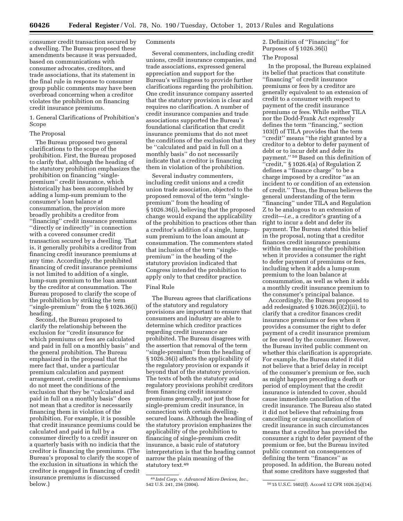consumer credit transaction secured by a dwelling. The Bureau proposed these amendments because it was persuaded, based on communications with consumer advocates, creditors, and trade associations, that its statement in the final rule in response to consumer group public comments may have been overbroad concerning when a creditor violates the prohibition on financing credit insurance premiums.

1. General Clarifications of Prohibition's Scope

#### The Proposal

The Bureau proposed two general clarifications to the scope of the prohibition. First, the Bureau proposed to clarify that, although the heading of the statutory prohibition emphasizes the prohibition on financing ''singlepremium'' credit insurance, which historically has been accomplished by adding a lump-sum premium to the consumer's loan balance at consummation, the provision more broadly prohibits a creditor from ''financing'' credit insurance premiums ''directly or indirectly'' in connection with a covered consumer credit transaction secured by a dwelling. That is, it generally prohibits a creditor from financing credit insurance premiums at any time. Accordingly, the prohibited financing of credit insurance premiums is not limited to addition of a single, lump-sum premium to the loan amount by the creditor at consummation. The Bureau proposed to clarify the scope of the prohibition by striking the term ''single-premium'' from the § 1026.36(i) heading.

Second, the Bureau proposed to clarify the relationship between the exclusion for ''credit insurance for which premiums or fees are calculated and paid in full on a monthly basis'' and the general prohibition. The Bureau emphasized in the proposal that the mere fact that, under a particular premium calculation and payment arrangement, credit insurance premiums do not meet the conditions of the exclusion that they be ''calculated and paid in full on a monthly basis'' does not mean that a creditor is necessarily financing them in violation of the prohibition. For example, it is possible that credit insurance premiums could be calculated and paid in full by a consumer directly to a credit insurer on a quarterly basis with no indicia that the creditor is financing the premiums. (The Bureau's proposal to clarify the scope of the exclusion in situations in which the creditor is engaged in financing of credit insurance premiums is discussed below.)

# Comments

Several commenters, including credit unions, credit insurance companies, and trade associations, expressed general appreciation and support for the Bureau's willingness to provide further clarifications regarding the prohibition. One credit insurance company asserted that the statutory provision is clear and requires no clarification. A number of credit insurance companies and trade associations supported the Bureau's foundational clarification that credit insurance premiums that do not meet the conditions of the exclusion that they be ''calculated and paid in full on a monthly basis'' do not necessarily indicate that a creditor is financing them in violation of the prohibition.

Several industry commenters, including credit unions and a credit union trade association, objected to the proposed removal of the term ''singlepremium'' from the heading of § 1026.36(i), believing that the proposed change would expand the applicability of the prohibition to practices other than a creditor's addition of a single, lumpsum premium to the loan amount at consummation. The commenters stated that inclusion of the term ''singlepremium'' in the heading of the statutory provision indicated that Congress intended the prohibition to apply only to that creditor practice.

# Final Rule

The Bureau agrees that clarifications of the statutory and regulatory provisions are important to ensure that consumers and industry are able to determine which creditor practices regarding credit insurance are prohibited. The Bureau disagrees with the assertion that removal of the term ''single-premium'' from the heading of § 1026.36(i) affects the applicability of the regulatory provision or expands it beyond that of the statutory provision. The texts of both the statutory and regulatory provisions prohibit creditors from financing credit insurance premiums generally, not just those for single-premium credit insurance, in connection with certain dwellingsecured loans. Although the heading of the statutory provision emphasizes the applicability of the prohibition to financing of single-premium credit insurance, a basic rule of statutory interpretation is that the heading cannot narrow the plain meaning of the statutory text.49

# 2. Definition of ''Financing'' for Purposes of § 1026.36(i)

#### The Proposal

In the proposal, the Bureau explained its belief that practices that constitute ''financing'' of credit insurance premiums or fees by a creditor are generally equivalent to an extension of credit to a consumer with respect to payment of the credit insurance premiums or fees. While neither TILA nor the Dodd-Frank Act expressly defines the term ''financing,'' section 103(f) of TILA provides that the term "credit" means "the right granted by a creditor to a debtor to defer payment of debt or to incur debt and defer its payment.'' 50 Based on this definition of ''credit,'' § 1026.4(a) of Regulation Z defines a ''finance charge'' to be a charge imposed by a creditor ''as an incident to or condition of an extension of credit.'' Thus, the Bureau believes the general understanding of the term ''financing'' under TILA and Regulation Z to be analogous to an extension of credit—*i.e.,* a creditor's granting of a right to incur a debt and defer its payment. The Bureau stated this belief in the proposal, noting that a creditor finances credit insurance premiums within the meaning of the prohibition when it provides a consumer the right to defer payment of premiums or fees, including when it adds a lump-sum premium to the loan balance at consummation, as well as when it adds a monthly credit insurance premium to the consumer's principal balance.

Accordingly, the Bureau proposed to add redesignated § 1026.36(i)(2)(ii), to clarify that a creditor finances credit insurance premiums or fees when it provides a consumer the right to defer payment of a credit insurance premium or fee owed by the consumer. However, the Bureau invited public comment on whether this clarification is appropriate. For example, the Bureau stated it did not believe that a brief delay in receipt of the consumer's premium or fee, such as might happen preceding a death or period of employment that the credit insurance is intended to cover, should cause immediate cancellation of the credit insurance. The Bureau also stated it did not believe that refraining from cancelling or causing cancellation of credit insurance in such circumstances means that a creditor has provided the consumer a right to defer payment of the premium or fee, but the Bureau invited public comment on consequences of defining the term ''finances'' as proposed. In addition, the Bureau noted that some creditors have suggested that

<sup>49</sup> *Intel Corp.* v. *Advanced Micro Devices, Inc.,* 

<sup>50 15</sup> U.S.C. 1602(f). Accord 12 CFR 1026.2(a)(14).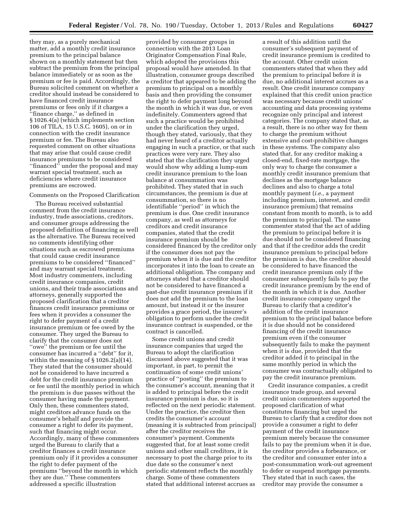they may, as a purely mechanical matter, add a monthly credit insurance premium to the principal balance shown on a monthly statement but then subtract the premium from the principal balance immediately or as soon as the premium or fee is paid. Accordingly, the Bureau solicited comment on whether a creditor should instead be considered to have financed credit insurance premiums or fees only if it charges a ''finance charge,'' as defined in § 1026.4(a) (which implements section 106 of TILA, 15 U.S.C. 1605), on or in connection with the credit insurance premium or fee. The Bureau also requested comment on other situations that may arise that could cause credit insurance premiums to be considered "financed" under the proposal and may warrant special treatment, such as deficiencies where credit insurance premiums are escrowed.

#### Comments on the Proposed Clarification

The Bureau received substantial comment from the credit insurance industry, trade associations, creditors, and consumer groups addressing the proposed definition of financing as well as the alternative. The Bureau received no comments identifying other situations such as escrowed premiums that could cause credit insurance premiums to be considered ''financed'' and may warrant special treatment. Most industry commenters, including credit insurance companies, credit unions, and their trade associations and attorneys, generally supported the proposed clarification that a creditor finances credit insurance premiums or fees when it provides a consumer the right to defer payment of a credit insurance premium or fee owed by the consumer. They urged the Bureau to clarify that the consumer does not "owe" the premium or fee until the consumer has incurred a ''debt'' for it, within the meaning of § 1026.2(a)(14). They stated that the consumer should not be considered to have incurred a debt for the credit insurance premium or fee until the monthly period in which the premium is due passes without the consumer having made the payment. Only then, these commenters stated, might creditors advance funds on the consumer's behalf and provide the consumer a right to defer its payment, such that financing might occur. Accordingly, many of these commenters urged the Bureau to clarify that a creditor finances a credit insurance premium only if it provides a consumer the right to defer payment of the premiums ''beyond the month in which they are due.'' These commenters addressed a specific illustration

provided by consumer groups in connection with the 2013 Loan Originator Compensation Final Rule, which adopted the provisions this proposal would have amended. In that illustration, consumer groups described a creditor that appeared to be adding the premium to principal on a monthly basis and then providing the consumer the right to defer payment long beyond the month in which it was due, or even indefinitely. Commenters agreed that such a practice would be prohibited under the clarification they urged, though they stated, variously, that they had never heard of a creditor actually engaging in such a practice, or that such practices were very rare. They also stated that the clarification they urged would show why adding a lump-sum credit insurance premium to the loan balance at consummation was prohibited. They stated that in such circumstances, the premium is due at consummation, so there is no identifiable ''period'' in which the premium is due. One credit insurance company, as well as attorneys for creditors and credit insurance companies, stated that the credit insurance premium should be considered financed by the creditor only if the consumer does not pay the premium when it is due and the creditor incorporates it into the loan to create an additional obligation. The company and attorneys stated that a creditor should not be considered to have financed a past-due credit insurance premium if it does not add the premium to the loan amount, but instead it or the insurer provides a grace period, the insurer's obligation to perform under the credit insurance contract is suspended, or the contract is cancelled.

Some credit unions and credit insurance companies that urged the Bureau to adopt the clarification discussed above suggested that it was important, in part, to permit the continuation of some credit unions' practice of ''posting'' the premium to the consumer's account, meaning that it is added to principal before the credit insurance premium is due, so it is reflected on the next periodic statement. Under the practice, the creditor then credits the consumer's account (meaning it is subtracted from principal) after the creditor receives the consumer's payment. Comments suggested that, for at least some credit unions and other small creditors, it is necessary to post the charge prior to its due date so the consumer's next periodic statement reflects the monthly charge. Some of these commenters stated that additional interest accrues as

a result of this addition until the consumer's subsequent payment of credit insurance premium is credited to the account. Other credit union commenters stated that when they add the premium to principal before it is due, no additional interest accrues as a result. One credit insurance company explained that this credit union practice was necessary because credit unions' accounting and data processing systems recognize only principal and interest categories. The company stated that, as a result, there is no other way for them to charge the premium without extensive and cost-prohibitive changes in these systems. The company also stated that, for any creditor making a closed-end, fixed-rate mortgage, the only way to charge the consumer a monthly credit insurance premium that declines as the mortgage balance declines and also to charge a total monthly payment (*i.e.,* a payment including premium, interest, and credit insurance premium) that remains constant from month to month, is to add the premium to principal. The same commenter stated that the act of adding the premium to principal before it is due should not be considered financing and that if the creditor adds the credit insurance premium to principal before the premium is due, the creditor should be considered to have financed the credit insurance premium only if the consumer subsequently fails to pay the credit insurance premium by the end of the month in which it is due. Another credit insurance company urged the Bureau to clarify that a creditor's addition of the credit insurance premium to the principal balance before it is due should not be considered financing of the credit insurance premium even if the consumer subsequently fails to make the payment when it is due, provided that the creditor added it to principal in the same monthly period in which the consumer was contractually obligated to pay the credit insurance premium.

Credit insurance companies, a credit insurance trade group, and several credit union commenters supported the proposed clarification of what constitutes financing but urged the Bureau to clarify that a creditor does not provide a consumer a right to defer payment of the credit insurance premium merely because the consumer fails to pay the premium when it is due, the creditor provides a forbearance, or the creditor and consumer enter into a post-consummation work-out agreement to defer or suspend mortgage payments. They stated that in such cases, the creditor may provide the consumer a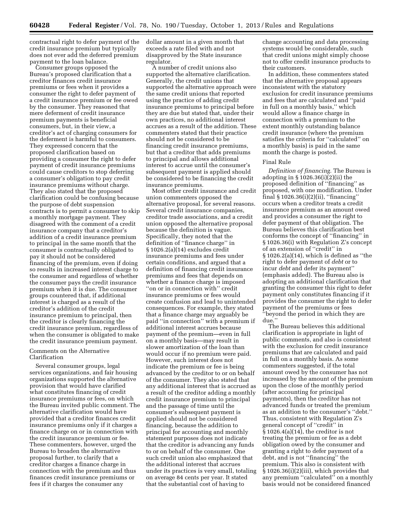contractual right to defer payment of the credit insurance premium but typically does not ever add the deferred premium payment to the loan balance.

Consumer groups opposed the Bureau's proposed clarification that a creditor finances credit insurance premiums or fees when it provides a consumer the right to defer payment of a credit insurance premium or fee owed by the consumer. They reasoned that mere deferment of credit insurance premium payments is beneficial consumers, but, in their view, a creditor's act of charging consumers for the deferment is harmful to consumers. They expressed concern that the proposed clarification based on providing a consumer the right to defer payment of credit insurance premiums could cause creditors to stop deferring a consumer's obligation to pay credit insurance premiums without charge. They also stated that the proposed clarification could be confusing because the purpose of debt suspension contracts is to permit a consumer to skip a monthly mortgage payment. They disagreed with the comment of a credit insurance company that a creditor's addition of a credit insurance premium to principal in the same month that the consumer is contractually obligated to pay it should not be considered financing of the premium, even if doing so results in increased interest charge to the consumer and regardless of whether the consumer pays the credit insurance premium when it is due. The consumer groups countered that, if additional interest is charged as a result of the creditor's addition of the credit insurance premium to principal, then the creditor is clearly financing the credit insurance premium, regardless of when the consumer is obligated to make the credit insurance premium payment.

#### Comments on the Alternative Clarification

Several consumer groups, legal services organizations, and fair housing organizations supported the alternative provision that would have clarified what constitutes financing of credit insurance premiums or fees, on which the Bureau invited public comment. The alternative clarification would have provided that a creditor finances credit insurance premiums only if it charges a finance charge on or in connection with the credit insurance premium or fee. These commenters, however, urged the Bureau to broaden the alternative proposal further, to clarify that a creditor charges a finance charge in connection with the premium and thus finances credit insurance premiums or fees if it charges the consumer any

dollar amount in a given month that exceeds a rate filed with and not disapproved by the State insurance regulator.

A number of credit unions also supported the alternative clarification. Generally, the credit unions that supported the alternative approach were the same credit unions that reported using the practice of adding credit insurance premiums to principal before they are due but stated that, under their own practices, no additional interest accrues as a result of the addition. These commenters stated that their practice should not be considered to be financing credit insurance premiums, but that a creditor that adds premiums to principal and allows additional interest to accrue until the consumer's subsequent payment is applied should be considered to be financing the credit insurance premiums.

Most other credit insurance and credit union commenters opposed the alternative proposal, for several reasons. Several credit insurance companies, creditor trade associations, and a credit union opposed the alternative proposal because the definition is vague. Specifically, they noted that the definition of ''finance charge'' in § 1026.2(a)(14) excludes credit insurance premiums and fees under certain conditions, and argued that a definition of financing credit insurance premiums and fees that depends on whether a finance charge is imposed "on or in connection with" credit insurance premiums or fees would create confusion and lead to unintended consequences. For example, they stated that a finance charge may arguably be paid ''in connection'' with a premium if additional interest accrues because payment of the premium—even in full on a monthly basis—may result in slower amortization of the loan than would occur if no premium were paid. However, such interest does not indicate the premium or fee is being advanced by the creditor to or on behalf of the consumer. They also stated that any additional interest that is accrued as a result of the creditor adding a monthly credit insurance premium to principal and the passage of time until the consumer's subsequent payment is applied should not be considered financing, because the addition to principal for accounting and monthly statement purposes does not indicate that the creditor is advancing any funds to or on behalf of the consumer. One such credit union also emphasized that the additional interest that accrues under its practices is very small, totaling on average 84 cents per year. It stated that the substantial cost of having to

change accounting and data processing systems would be considerable, such that credit unions might simply choose not to offer credit insurance products to their customers.

In addition, these commenters stated that the alternative proposal appears inconsistent with the statutory exclusion for credit insurance premiums and fees that are calculated and ''paid in full on a monthly basis,'' which would allow a finance charge in connection with a premium to the extent monthly outstanding balance credit insurance (where the premium satisfies the criteria for "calculated" on a monthly basis) is paid in the same month the charge is posted.

#### Final Rule

*Definition of financing.* The Bureau is adopting in § 1026.36(i)(2)(ii) the proposed definition of ''financing'' as proposed, with one modification. Under final § 1026.36(i)(2)(ii), ''financing'' occurs when a creditor treats a credit insurance premium as an amount owed and provides a consumer the right to defer payment of that obligation. The Bureau believes this clarification best conforms the concept of ''financing'' in § 1026.36(i) with Regulation Z's concept of an extension of ''credit'' in § 1026.2(a)(14), which is defined as ''the right to defer payment of *debt* or to incur *debt* and defer its payment'' (emphasis added). The Bureau also is adopting an additional clarification that granting the consumer this right to defer payment only constitutes financing if it provides the consumer the right to defer payment of the premiums or fees ''beyond the period in which they are due.''

The Bureau believes this additional clarification is appropriate in light of public comments, and also is consistent with the exclusion for credit insurance premiums that are calculated and paid in full on a monthly basis. As some commenters suggested, if the total amount owed by the consumer has not increased by the amount of the premium upon the close of the monthly period (after accounting for principal payments), then the creditor has not advanced funds or treated the premium as an addition to the consumer's ''debt.'' Thus, consistent with Regulation Z's general concept of ''credit'' in § 1026.4(a)(14), the creditor is not treating the premium or fee as a debt obligation owed by the consumer and granting a right to defer payment of a debt, and is not ''financing'' the premium. This also is consistent with § 1026.36(i)(2)(iii), which provides that any premium ''calculated'' on a monthly basis would not be considered financed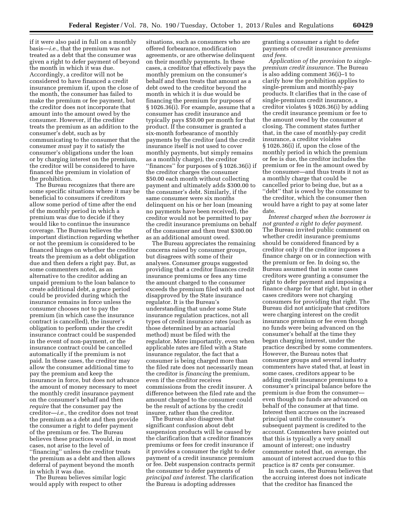if it were also paid in full on a monthly basis—*i.e.,* that the premium was not treated as a debt that the consumer was given a right to defer payment of beyond the month in which it was due. Accordingly, a creditor will not be considered to have financed a credit insurance premium if, upon the close of the month, the consumer has failed to make the premium or fee payment, but the creditor does not incorporate that amount into the amount owed by the consumer. However, if the creditor treats the premium as an addition to the consumer's debt, such as by communicating to the consumer that the consumer *must* pay it to satisfy the consumer's obligations under the loan or by charging interest on the premium, the creditor will be considered to have financed the premium in violation of the prohibition.

The Bureau recognizes that there are some specific situations where it may be beneficial to consumers if creditors allow some period of time after the end of the monthly period in which a premium was due to decide if they would like to continue the insurance coverage. The Bureau believes the important distinction regarding whether or not the premium is considered to be financed hinges on whether the creditor treats the premium as a debt obligation due and then defers a right pay. But, as some commenters noted, as an alternative to the creditor adding an unpaid premium to the loan balance to create additional debt, a grace period could be provided during which the insurance remains in force unless the consumer chooses not to pay the premium (in which case the insurance contract is cancelled), the insurer's obligation to perform under the credit insurance contract could be suspended in the event of non-payment, or the insurance contract could be cancelled automatically if the premium is not paid. In these cases, the creditor may allow the consumer additional time to pay the premium and keep the insurance in force, but does not advance the amount of money necessary to meet the monthly credit insurance payment on the consumer's behalf and then *require* that the consumer pay the creditor—*i.e.,* the creditor does not treat the premium as a debt and then provide the consumer a right to defer payment of the premium or fee. The Bureau believes these practices would, in most cases, not arise to the level of ''financing'' unless the creditor treats the premium as a debt and then allows deferral of payment beyond the month in which it was due.

The Bureau believes similar logic would apply with respect to other

situations, such as consumers who are offered forbearance, modification agreements, or are otherwise delinquent on their monthly payments. In these cases, a creditor that effectively pays the monthly premium on the consumer's behalf and then treats that amount as a debt owed to the creditor beyond the month in which it is due would be financing the premium for purposes of § 1026.36(i). For example, assume that a consumer has credit insurance and typically pays \$50.00 per month for that product. If the consumer is granted a six-month forbearance of monthly payments by the creditor (and the credit insurance itself is not used to cover monthly payments, but simply remains as a monthly charge), the creditor ''finances'' for purposes of § 1026.36(i) if the creditor charges the consumer \$50.00 each month without collecting payment and ultimately adds \$300.00 to the consumer's debt. Similarly, if the same consumer were six months delinquent on his or her loan (meaning no payments have been received), the creditor would not be permitted to pay the credit insurance premiums on behalf of the consumer and then treat \$300.00 as an additional amount owed.

The Bureau appreciates the remaining concerns raised by consumer groups, but disagrees with some of their analyses. Consumer groups suggested providing that a creditor finances credit insurance premiums or fees any time the amount charged to the consumer exceeds the premium filed with and not disapproved by the State insurance regulator. It is the Bureau's understanding that under some State insurance regulation practices, not all types of credit insurance rates (such as those determined by an actuarial method) must be filed with the regulator. More importantly, even when applicable rates are filed with a State insurance regulator, the fact that a consumer is being charged more than the filed rate does not necessarily mean the creditor is *financing* the premium, even if the creditor receives commissions from the credit insurer. A difference between the filed rate and the amount charged to the consumer could be the result of actions by the credit insurer, rather than the creditor.

The Bureau also disagrees that significant confusion about debt suspension products will be caused by the clarification that a creditor finances premiums or fees for credit insurance if it provides a consumer the right to defer payment of a credit insurance premium or fee. Debt suspension contracts permit the consumer to defer payments of *principal and interest.* The clarification the Bureau is adopting addresses

granting a consumer a right to defer payments of credit insurance *premiums and fees.* 

*Application of the provision to singlepremium credit insurance.* The Bureau is also adding comment 36(i)–1 to clarify how the prohibition applies to single-premium and monthly-pay products. It clarifies that in the case of single-premium credit insurance, a creditor violates § 1026.36(i) by adding the credit insurance premium or fee to the amount owed by the consumer at closing. The comment states further that, in the case of monthly-pay credit insurance, a creditor violates § 1026.36(i) if, upon the close of the monthly period in which the premium or fee is due, the creditor includes the premium or fee in the amount owed by the consumer—and thus treats it not as a monthly charge that could be cancelled prior to being due, but as a "debt" that is owed by the consumer to the creditor, which the consumer then would have a right to pay at some later date.

*Interest charged when the borrower is not granted a right to defer payment.*  The Bureau invited public comment on whether credit insurance premiums should be considered financed by a creditor only if the creditor imposes a finance charge on or in connection with the premium or fee. In doing so, the Bureau assumed that in some cases creditors were granting a consumer the right to defer payment and imposing a finance charge for that right, but in other cases creditors were not charging consumers for providing that right. The Bureau did not anticipate that creditors were charging interest on the credit insurance premium or fee even though no funds were being advanced on the consumer's behalf at the time they began charging interest, under the practice described by some commenters. However, the Bureau notes that consumer groups and several industry commenters have stated that, at least in some cases, creditors appear to be adding credit insurance premiums to a consumer's principal balance before the premium is due from the consumer even though no funds are advanced on behalf of the consumer at that time. Interest then accrues on the increased principal until the consumer's subsequent payment is credited to the account. Commenters have pointed out that this is typically a very small amount of interest; one industry commenter noted that, on average, the amount of interest accrued due to this practice is 87 cents per consumer.

In such cases, the Bureau believes that the accruing interest does not indicate that the creditor has financed the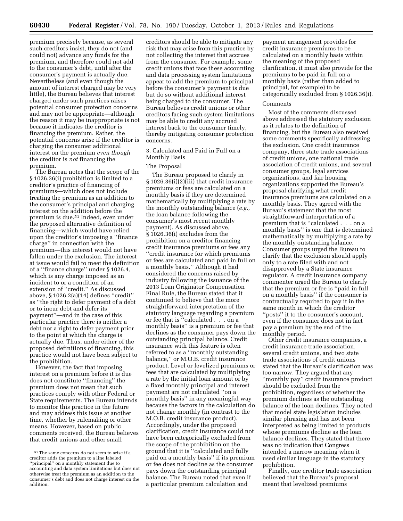premium precisely because, as several such creditors insist, they do not (and could not) advance any funds for the premium, and therefore could not add to the consumer's debt, until after the consumer's payment is actually due. Nevertheless (and even though the amount of interest charged may be very little), the Bureau believes that interest charged under such practices raises potential consumer protection concerns and may not be appropriate—although the reason it may be inappropriate is not because it indicates the creditor is financing the premium. Rather, the potential concerns arise if the creditor is charging the consumer additional interest on the premium *even though*  the creditor is *not* financing the premium.

The Bureau notes that the scope of the § 1026.36(i) prohibition is limited to a creditor's practice of financing of premiums—which does not include treating the premium as an addition to the consumer's principal and charging interest on the addition before the premium is due.51 Indeed, even under the proposed alternative definition of financing—which would have relied upon the creditor's imposing a ''finance charge'' in connection with the premium—this interest would not have fallen under the exclusion. The interest at issue would fail to meet the definition of a ''finance charge'' under § 1026.4, which is any charge imposed as an incident to or a condition of an extension of ''credit.'' As discussed above, § 1026.2(a)(14) defines ''credit'' as ''the right to defer payment of a debt or to incur debt and defer its payment''—and in the case of this particular practice there is neither a debt nor a right to defer payment prior to the point at which the charge is actually due. Thus, under either of the proposed definitions of financing, this practice would not have been subject to the prohibition.

However, the fact that imposing interest on a premium before it is due does not constitute ''financing'' the premium does not mean that such practices comply with other Federal or State requirements. The Bureau intends to monitor this practice in the future and may address this issue at another time, whether by rulemaking or other means. However, based on public comments received, the Bureau believes that credit unions and other small

creditors should be able to mitigate any risk that may arise from this practice by not collecting the interest that accrues from the consumer. For example, some credit unions that face these accounting and data processing system limitations appear to add the premium to principal before the consumer's payment is due but do so without additional interest being charged to the consumer. The Bureau believes credit unions or other creditors facing such system limitations may be able to credit any accrued interest back to the consumer timely, thereby mitigating consumer protection concerns.

3. Calculated and Paid in Full on a Monthly Basis

#### The Proposal

The Bureau proposed to clarify in § 1026.36(i)(2)(iii) that credit insurance premiums or fees are calculated on a monthly basis if they are determined mathematically by multiplying a rate by the monthly outstanding balance (*e.g.,*  the loan balance following the consumer's most recent monthly payment). As discussed above, § 1026.36(i) excludes from the prohibition on a creditor financing credit insurance premiums or fees any ''credit insurance for which premiums or fees are calculated and paid in full on a monthly basis.'' Although it had considered the concerns raised by industry following the issuance of the 2013 Loan Originator Compensation Final Rule, the Bureau stated that it continued to believe that the more straightforward interpretation of the statutory language regarding a premium or fee that is ''calculated . . . on a monthly basis'' is a premium or fee that declines as the consumer pays down the outstanding principal balance. Credit insurance with this feature is often referred to as a ''monthly outstanding balance,'' or M.O.B. credit insurance product. Level or levelized premiums or fees that are calculated by multiplying a rate by the initial loan amount or by a fixed monthly principal and interest payment are not calculated ''on a monthly basis'' in any meaningful way because the factors in the calculation do not change monthly (in contrast to the M.O.B. credit insurance product). Accordingly, under the proposed clarification, credit insurance could not have been categorically excluded from the scope of the prohibition on the ground that it is ''calculated and fully paid on a monthly basis'' if its premium or fee does not decline as the consumer pays down the outstanding principal balance. The Bureau noted that even if a particular premium calculation and

payment arrangement provides for credit insurance premiums to be calculated on a monthly basis within the meaning of the proposed clarification, it must also provide for the premiums to be paid in full on a monthly basis (rather than added to principal, for example) to be categorically excluded from § 1026.36(i).

#### Comments

Most of the comments discussed above addressed the statutory exclusion as it relates to the definition of financing, but the Bureau also received some comments specifically addressing the exclusion. One credit insurance company, three state trade associations of credit unions, one national trade association of credit unions, and several consumer groups, legal services organizations, and fair housing organizations supported the Bureau's proposal clarifying what credit insurance premiums are calculated on a monthly basis. They agreed with the Bureau's statement that the most straightforward interpretation of a premium that is ''calculated . . . on a monthly basis'' is one that is determined mathematically by multiplying a rate by the monthly outstanding balance. Consumer groups urged the Bureau to clarify that the exclusion should apply only to a rate filed with and not disapproved by a State insurance regulator. A credit insurance company commenter urged the Bureau to clarify that the premium or fee is ''paid in full on a monthly basis'' if the consumer is contractually required to pay it in the same month in which the creditor ''posts'' it to the consumer's account, even if the consumer does not in fact pay a premium by the end of the monthly period.

Other credit insurance companies, a credit insurance trade association, several credit unions, and two state trade associations of credit unions stated that the Bureau's clarification was too narrow. They argued that any ''monthly pay'' credit insurance product should be excluded from the prohibition, regardless of whether the premium declines as the outstanding balance of the loan declines. They noted that model state legislation includes similar phrasing and has not been interpreted as being limited to products whose premiums decline as the loan balance declines. They stated that there was no indication that Congress intended a narrow meaning when it used similar language in the statutory prohibition.

Finally, one creditor trade association believed that the Bureau's proposal meant that levelized premiums

<sup>51</sup>The same concerns do not seem to arise if a creditor adds the premium to a line labeled ''principal'' on a monthly statement due to accounting and data system limitations but does not otherwise treat the premium as an addition to the consumer's debt and does not charge interest on the addition.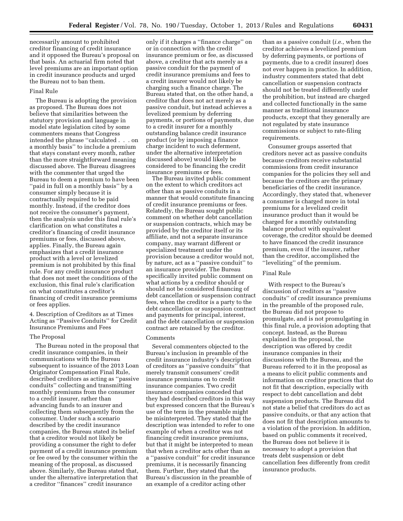necessarily amount to prohibited creditor financing of credit insurance and it opposed the Bureau's proposal on that basis. An actuarial firm noted that level premiums are an important option in credit insurance products and urged the Bureau not to ban them.

#### Final Rule

The Bureau is adopting the provision as proposed. The Bureau does not believe that similarities between the statutory provision and language in model state legislation cited by some commenters means that Congress intended the phrase ''calculated . . . on a monthly basis'' to include a premium that stays constant every month, rather than the more straightforward meaning discussed above. The Bureau disagrees with the commenter that urged the Bureau to deem a premium to have been ''paid in full on a monthly basis'' by a consumer simply because it is contractually required to be paid monthly. Instead, if the creditor does not receive the consumer's payment, then the analysis under this final rule's clarification on what constitutes a creditor's financing of credit insurance premiums or fees, discussed above, applies. Finally, the Bureau again emphasizes that a credit insurance product with a level or levelized premium is not prohibited by this final rule. For any credit insurance product that does not meet the conditions of the exclusion, this final rule's clarification on what constitutes a creditor's financing of credit insurance premiums or fees applies.

4. Description of Creditors as at Times Acting as ''Passive Conduits'' for Credit Insurance Premiums and Fees

# The Proposal

The Bureau noted in the proposal that credit insurance companies, in their communications with the Bureau subsequent to issuance of the 2013 Loan Originator Compensation Final Rule, described creditors as acting as ''passive conduits'' collecting and transmitting monthly premiums from the consumer to a credit insurer, rather than advancing funds to an insurer and collecting them subsequently from the consumer. Under such a scenario described by the credit insurance companies, the Bureau stated its belief that a creditor would not likely be providing a consumer the right to defer payment of a credit insurance premium or fee owed by the consumer within the meaning of the proposal, as discussed above. Similarly, the Bureau stated that, under the alternative interpretation that a creditor ''finances'' credit insurance

only if it charges a ''finance charge'' on or in connection with the credit insurance premium or fee, as discussed above, a creditor that acts merely as a passive conduit for the payment of credit insurance premiums and fees to a credit insurer would not likely be charging such a finance charge. The Bureau stated that, on the other hand, a creditor that does not act merely as a passive conduit, but instead achieves a levelized premium by deferring payments, or portions of payments, due to a credit insurer for a monthly outstanding balance credit insurance product (or by imposing a finance charge incident to such deferment, under the alternative interpretation discussed above) would likely be considered to be financing the credit insurance premiums or fees.

The Bureau invited public comment on the extent to which creditors act other than as passive conduits in a manner that would constitute financing of credit insurance premiums or fees. Relatedly, the Bureau sought public comment on whether debt cancellation or suspension contracts, which may be provided by the creditor itself or its affiliate, and not a separate insurance company, may warrant different or specialized treatment under the provision because a creditor would not, by nature, act as a ''passive conduit'' to an insurance provider. The Bureau specifically invited public comment on what actions by a creditor should or should not be considered financing of debt cancellation or suspension contract fees, when the creditor is a party to the debt cancellation or suspension contract and payments for principal, interest, and the debt cancellation or suspension contract are retained by the creditor.

#### Comments

Several commenters objected to the Bureau's inclusion in preamble of the credit insurance industry's description of creditors as ''passive conduits'' that merely transmit consumers' credit insurance premiums on to credit insurance companies. Two credit insurance companies conceded that they had described creditors in this way but expressed concern that the Bureau's use of the term in the preamble might be misinterpreted. They stated that the description was intended to refer to one example of when a creditor was not financing credit insurance premiums, but that it might be interpreted to mean that when a creditor acts other than as a ''passive conduit'' for credit insurance premiums, it is necessarily financing them. Further, they stated that the Bureau's discussion in the preamble of an example of a creditor acting other

than as a passive conduit (*i.e.,* when the creditor achieves a levelized premium by deferring payments, or portions of payments, due to a credit insurer) does not ever happen in practice. In addition, industry commenters stated that debt cancellation or suspension contracts should not be treated differently under the prohibition, but instead are charged and collected functionally in the same manner as traditional insurance products, except that they generally are not regulated by state insurance commissions or subject to rate-filing requirements.

Consumer groups asserted that creditors never act as passive conduits because creditors receive substantial commissions from credit insurance companies for the policies they sell and because the creditors are the primary beneficiaries of the credit insurance. Accordingly, they stated that, whenever a consumer is charged more in total premiums for a levelized credit insurance product than it would be charged for a monthly outstanding balance product with equivalent coverage, the creditor should be deemed to have financed the credit insurance premium, even if the insurer, rather than the creditor, accomplished the ''levelizing'' of the premium.

#### Final Rule

With respect to the Bureau's discussion of creditors as ''passive conduits'' of credit insurance premiums in the preamble of the proposed rule, the Bureau did not propose to promulgate, and is not promulgating in this final rule, a provision adopting that concept. Instead, as the Bureau explained in the proposal, the description was offered by credit insurance companies in their discussions with the Bureau, and the Bureau referred to it in the proposal as a means to elicit public comments and information on creditor practices that do not fit that description, especially with respect to debt cancellation and debt suspension products. The Bureau did not state a belief that creditors do act as passive conduits, or that any action that does not fit that description amounts to a violation of the provision. In addition, based on public comments it received, the Bureau does not believe it is necessary to adopt a provision that treats debt suspension or debt cancellation fees differently from credit insurance products.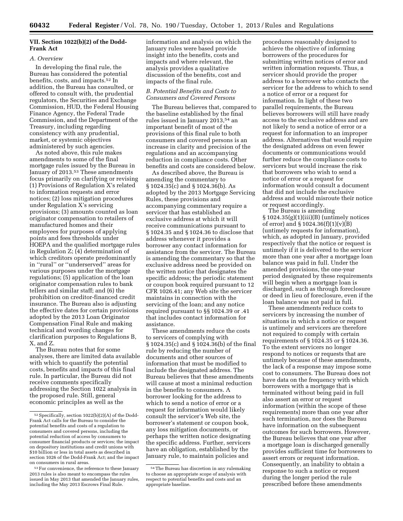# **VII. Section 1022(b)(2) of the Dodd-Frank Act**

# *A. Overview*

In developing the final rule, the Bureau has considered the potential benefits, costs, and impacts.52 In addition, the Bureau has consulted, or offered to consult with, the prudential regulators, the Securities and Exchange Commission, HUD, the Federal Housing Finance Agency, the Federal Trade Commission, and the Department of the Treasury, including regarding consistency with any prudential, market, or systemic objectives administered by such agencies.

As noted above, this rule makes amendments to some of the final mortgage rules issued by the Bureau in January of 2013.<sup>53</sup> These amendments focus primarily on clarifying or revising (1) Provisions of Regulation X's related to information requests and error notices; (2) loss mitigation procedures under Regulation X's servicing provisions; (3) amounts counted as loan originator compensation to retailers of manufactured homes and their employees for purposes of applying points and fees thresholds under HOEPA and the qualified mortgage rules in Regulation Z; (4) determination of which creditors operate predominantly in ''rural'' or ''underserved'' areas for various purposes under the mortgage regulations; (5) application of the loan originator compensation rules to bank tellers and similar staff; and (6) the prohibition on creditor-financed credit insurance. The Bureau also is adjusting the effective dates for certain provisions adopted by the 2013 Loan Originator Compensation Final Rule and making technical and wording changes for clarification purposes to Regulations B, X, and Z.

The Bureau notes that for some analyses, there are limited data available with which to quantify the potential costs, benefits and impacts of this final rule. In particular, the Bureau did not receive comments specifically addressing the Section 1022 analysis in the proposed rule. Still, general economic principles as well as the

information and analysis on which the January rules were based provide insight into the benefits, costs and impacts and where relevant, the analysis provides a qualitative discussion of the benefits, cost and impacts of the final rule.

# *B. Potential Benefits and Costs to Consumers and Covered Persons*

The Bureau believes that, compared to the baseline established by the final rules issued in January 2013,54 an important benefit of most of the provisions of this final rule to both consumers and covered persons is an increase in clarity and precision of the regulations and an accompanying reduction in compliance costs. Other benefits and costs are considered below.

As described above, the Bureau is amending the commentary to § 1024.35(c) and § 1024.36(b). As adopted by the 2013 Mortgage Servicing Rules, these provisions and accompanying commentary require a servicer that has established an exclusive address at which it will receive communications pursuant to § 1024.35 and § 1024.36 to disclose that address whenever it provides a borrower any contact information for assistance from the servicer. The Bureau is amending the commentary so that the exclusive address need be provided on the written notice that designates the specific address; the periodic statement or coupon book required pursuant to 12 CFR 1026.41; any Web site the servicer maintains in connection with the servicing of the loan; and any notice required pursuant to §§ 1024.39 or .41 that includes contact information for assistance.

These amendments reduce the costs to servicers of complying with § 1024.35(c) and § 1024.36(b) of the final rule by reducing the number of documents and other sources of information that must be modified to include the designated address. The Bureau believes that these amendments will cause at most a minimal reduction in the benefits to consumers. A borrower looking for the address to which to send a notice of error or a request for information would likely consult the servicer's Web site, the borrower's statement or coupon book, any loss mitigation documents, or perhaps the written notice designating the specific address. Further, servicers have an obligation, established by the January rule, to maintain policies and

procedures reasonably designed to achieve the objective of informing borrowers of the procedures for submitting written notices of error and written information requests. Thus, a servicer should provide the proper address to a borrower who contacts the servicer for the address to which to send a notice of error or a request for information. In light of these two parallel requirements, the Bureau believes borrowers will still have ready access to the exclusive address and are not likely to send a notice of error or a request for information to an improper address. Alternatives that would require the designated address on even fewer documents or communications would further reduce the compliance costs to servicers but would increase the risk that borrowers who wish to send a notice of error or a request for information would consult a document that did not include the exclusive address and would misroute their notice or request accordingly.

The Bureau is amending  $§ 1024.35(g)(1)(iii)(B)$  (untimely notices of error) and  $\S 1024.36(f)(1)(v)(B)$ (untimely requests for information), which, as adopted in January, provided respectively that the notice or request is untimely if it is delivered to the servicer more than one year after a mortgage loan balance was paid in full. Under the amended provisions, the one-year period designated by these requirements will begin when a mortgage loan is discharged, such as through foreclosure or deed in lieu of foreclosure, even if the loan balance was not paid in full.

These amendments reduce costs to servicers by increasing the number of situations in which a notice or request is untimely and servicers are therefore not required to comply with certain requirements of § 1024.35 or § 1024.36. To the extent servicers no longer respond to notices or requests that are untimely because of these amendments, the lack of a response may impose some cost to consumers. The Bureau does not have data on the frequency with which borrowers with a mortgage that is terminated without being paid in full also assert an error or request information (within the scope of these requirements) more than one year after such termination, nor does the Bureau have information on the subsequent outcomes for such borrowers. However, the Bureau believes that one year after a mortgage loan is discharged generally provides sufficient time for borrowers to assert errors or request information. Consequently, an inability to obtain a response to such a notice or request during the longer period the rule prescribed before these amendments

<sup>52</sup>Specifically, section 1022(b)(2)(A) of the Dodd-Frank Act calls for the Bureau to consider the potential benefits and costs of a regulation to consumers and covered persons, including the potential reduction of access by consumers to consumer financial products or services; the impact on depository institutions and credit unions with \$10 billion or less in total assets as described in section 1026 of the Dodd-Frank Act; and the impact on consumers in rural areas.

<sup>53</sup>For convenience, the reference to these January 2013 rules is also meant to encompass the rules issued in May 2013 that amended the January rules, including the May 2013 Escrows Final Rule.

<sup>54</sup>The Bureau has discretion in any rulemaking to choose an appropriate scope of analysis with respect to potential benefits and costs and an appropriate baseline.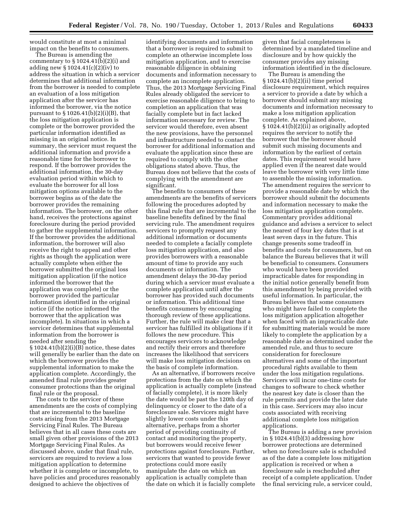would constitute at most a minimal impact on the benefits to consumers.

The Bureau is amending the commentary to § 1024.41(b)(2)(i) and adding new § 1024.41(c)(2)(iv) to address the situation in which a servicer determines that additional information from the borrower is needed to complete an evaluation of a loss mitigation application after the servicer has informed the borrower, via the notice pursuant to  $\S 1026.41(b)(2)(i)(B)$ , that the loss mitigation application is complete or the borrower provided the particular information identified as missing in an original notice. In summary, the servicer must request the additional information and provide a reasonable time for the borrower to respond. If the borrower provides the additional information, the 30-day evaluation period within which to evaluate the borrower for all loss mitigation options available to the borrower begins as of the date the borrower provides the remaining information. The borrower, on the other hand, receives the protections against foreclosure during the period provided to gather the supplemental information. If the borrower provides the additional information, the borrower will also receive the right to appeal and other rights as though the application were actually complete when either the borrower submitted the original loss mitigation application (if the notice informed the borrower that the application was complete) or the borrower provided the particular information identified in the original notice (if the notice informed the borrower that the application was incomplete). In situations in which a servicer determines that supplemental information from the borrower is needed after sending the  $§ 1024.41(b)(2)(i)(B)$  notice, these dates will generally be earlier than the date on which the borrower provides the supplemental information to make the application complete. Accordingly, the amended final rule provides greater consumer protections than the original final rule or the proposal.

The costs to the servicer of these amendments are the costs of complying that are incremental to the baseline costs arising from the 2013 Mortgage Servicing Final Rules. The Bureau believes that in all cases these costs are small given other provisions of the 2013 Mortgage Servicing Final Rules. As discussed above, under that final rule, servicers are required to review a loss mitigation application to determine whether it is complete or incomplete, to have policies and procedures reasonably designed to achieve the objectives of

identifying documents and information that a borrower is required to submit to complete an otherwise incomplete loss mitigation application, and to exercise reasonable diligence in obtaining documents and information necessary to complete an incomplete application. Thus, the 2013 Mortgage Servicing Final Rules already obligated the servicer to exercise reasonable diligence to bring to completion an application that was facially complete but in fact lacked information necessary for review. The servicer would therefore, even absent the new provisions, have the personnel and infrastructure needed to contact the borrower for additional information and evaluate the application since these are required to comply with the other obligations stated above. Thus, the Bureau does not believe that the costs of complying with the amendment are significant.

The benefits to consumers of these amendments are the benefits of servicers following the procedures adopted by this final rule that are incremental to the baseline benefits defined by the final servicing rule. The amendment requires servicers to promptly request any additional information or documents needed to complete a facially complete loss mitigation application, and also provides borrowers with a reasonable amount of time to provide any such documents or information. The amendment delays the 30-day period during which a servicer must evaluate a complete application until after the borrower has provided such documents or information. This additional time benefits consumers by encouraging thorough review of these applications. Further, the rule will make clear that a servicer has fulfilled its obligations if it follows the new procedure. This encourages servicers to acknowledge and rectify their errors and therefore increases the likelihood that servicers will make loss mitigation decisions on the basis of complete information.

As an alternative, if borrowers receive protections from the date on which the application is actually complete (instead of facially complete), it is more likely the date would be past the 120th day of delinquency or closer to the date of a foreclosure sale. Servicers might have slightly lower costs under this alternative, perhaps from a shorter period of providing continuity of contact and monitoring the property, but borrowers would receive fewer protections against foreclosure. Further, servicers that wanted to provide fewer protections could more easily manipulate the date on which an application is actually complete than the date on which it is facially complete

given that facial completeness is determined by a mandated timeline and disclosure and by how quickly the consumer provides any missing information identified in the disclosure.

The Bureau is amending the § 1024.41(b)(2)(ii) time period disclosure requirement, which requires a servicer to provide a date by which a borrower should submit any missing documents and information necessary to make a loss mitigation application complete. As explained above, § 1024.41(b)(2)(ii) as originally adopted requires the servicer to notify the borrower that the borrower should submit such missing documents and information by the earliest of certain dates. This requirement would have applied even if the nearest date would leave the borrower with very little time to assemble the missing information. The amendment requires the servicer to provide a reasonable date by which the borrower should submit the documents and information necessary to make the loss mitigation application complete. Commentary provides additional guidance and advises a servicer to select the nearest of four key dates that is at least seven days in the future. This change presents some tradeoff in benefits and costs for consumers, but on balance the Bureau believes that it will be beneficial to consumers. Consumers who would have been provided impracticable dates for responding in the initial notice generally benefit from this amendment by being provided with useful information. In particular, the Bureau believes that some consumers who might have failed to complete the loss mitigation application altogether when faced with an impracticable date for submitting materials would be more likely to complete the application by a reasonable date as determined under the amended rule, and thus to secure consideration for foreclosure alternatives and some of the important procedural rights available to them under the loss mitigation regulations. Servicers will incur one-time costs for changes to software to check whether the nearest key date is closer than the rule permits and provide the later date in this case. Servicers may also incur costs associated with receiving additional complete loss mitigation applications.

The Bureau is adding a new provision in § 1024.41(b)(3) addressing how borrower protections are determined when no foreclosure sale is scheduled as of the date a complete loss mitigation application is received or when a foreclosure sale is rescheduled after receipt of a complete application. Under the final servicing rule, a servicer could,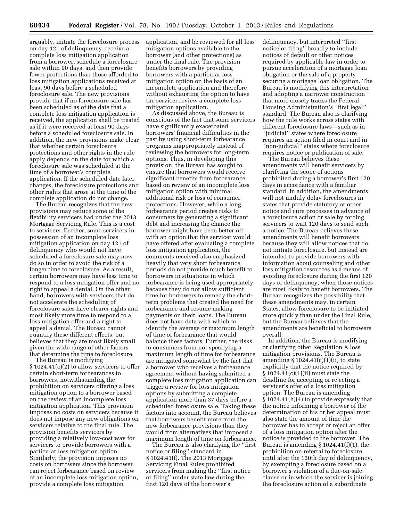arguably, initiate the foreclosure process on day 121 of delinquency, receive a complete loss mitigation application from a borrower, schedule a foreclosure sale within 90 days, and then provide fewer protections than those afforded to loss mitigation applications received at least 90 days before a scheduled foreclosure sale. The new provisions provide that if no foreclosure sale has been scheduled as of the date that a complete loss mitigation application is received, the application shall be treated as if it were received at least 90 days before a scheduled foreclosure sale. In addition, the new provisions make clear that whether certain foreclosure protections and other rights in the rule apply depends on the date for which a foreclosure sale was scheduled at the time of a borrower's complete application. If the scheduled date later changes, the foreclosure protections and other rights that arose at the time of the complete application do not change.

The Bureau recognizes that the new provisions may reduce some of the flexibility servicers had under the 2013 Mortgage Servicing Rule. This is a cost to servicers. Further, some servicers in possession of an incomplete loss mitigation application on day 121 of delinquency who would not have scheduled a foreclosure sale may now do so in order to avoid the risk of a longer time to foreclosure. As a result, certain borrowers may have less time to respond to a loss mitigation offer and no right to appeal a denial. On the other hand, borrowers with servicers that do not accelerate the scheduling of foreclosure sales have clearer rights and most likely more time to respond to a loss mitigation offer and a right to appeal a denial. The Bureau cannot quantify these different effects, but believes that they are most likely small given the wide range of other factors that determine the time to foreclosure.

The Bureau is modifying § 1024.41(c)(2) to allow servicers to offer certain short-term forbearances to borrowers, notwithstanding the prohibition on servicers offering a loss mitigation option to a borrower based on the review of an incomplete loss mitigation application. This provision imposes no costs on servicers because it does not impose any new obligations on servicers relative to the final rule. The provision benefits servicers by providing a relatively low-cost way for servicers to provide borrowers with a particular loss mitigation option. Similarly, the provision imposes no costs on borrowers since the borrower can reject forbearance based on review of an incomplete loss mitigation option, provide a complete loss mitigation

application, and be reviewed for all loss mitigation options available to the borrower (and other protections) as under the final rule. The provision benefits borrowers by providing borrowers with a particular loss mitigation option on the basis of an incomplete application and therefore without exhausting the option to have the servicer review a complete loss mitigation application.

As discussed above, the Bureau is conscious of the fact that some servicers have significantly exacerbated borrowers' financial difficulties in the past by using short-term forbearance programs inappropriately instead of reviewing the borrowers for long-term options. Thus, in developing this provision, the Bureau has sought to ensure that borrowers would receive significant benefits from forbearance based on review of an incomplete loss mitigation option with minimal additional risk or loss of consumer protections. However, while a long forbearance period creates risks to consumers by generating a significant debt and increasing the chance the borrower might have been better off with an option that the servicer would have offered after evaluating a complete loss mitigation application, the comments received also emphasized heavily that very short forbearance periods do not provide much benefit to borrowers in situations in which forbearance is being used appropriately because they do not allow sufficient time for borrowers to remedy the shortterm problems that created the need for forbearance and resume making payments on their loans. The Bureau does not have data with which to identify the average or maximum length of time of forbearance that would balance these factors. Further, the risks to consumers from not specifying a maximum length of time for forbearance are mitigated somewhat by the fact that a borrower who receives a forbearance agreement without having submitted a complete loss mitigation application can trigger a review for loss mitigation options by submitting a complete application more than 37 days before a scheduled foreclosure sale. Taking these factors into account, the Bureau believes that borrowers benefit more from the new forbearance provisions than they would from alternatives that imposed a maximum length of time on forbearance.

The Bureau is also clarifying the ''first notice or filing'' standard in § 1024.41(f). The 2013 Mortgage Servicing Final Rules prohibited servicers from making the ''first notice or filing'' under state law during the first 120 days of the borrower's

delinquency, but interpreted ''first notice or filing'' broadly to include notices of default or other notices required by applicable law in order to pursue acceleration of a mortgage loan obligation or the sale of a property securing a mortgage loan obligation. The Bureau is modifying this interpretation and adopting a narrower construction that more closely tracks the Federal Housing Administration's ''first legal'' standard. The Bureau also is clarifying how the rule works across states with different foreclosure laws—such as in ''judicial'' states where foreclosure requires an action filed in court and in ''non-judicial'' states where foreclosure requires notice or publication of sale.

The Bureau believes these amendments will benefit servicers by clarifying the scope of actions prohibited during a borrower's first 120 days in accordance with a familiar standard. In addition, the amendments will not unduly delay foreclosures in states that provide statutory or other notice and cure processes in advance of a foreclosure action or sale by forcing servicers to wait 120 days to send such a notice. The Bureau believes these amendments will benefit borrowers because they will allow notices that do not initiate foreclosure, but instead are intended to provide borrowers with information about counseling and other loss mitigation resources as a means of avoiding foreclosure during the first 120 days of delinquency, when those notices are most likely to benefit borrowers. The Bureau recognizes the possibility that these amendments may, in certain States, allow foreclosure to be initiated more quickly than under the Final Rule, but the Bureau believes that the amendments are beneficial to borrowers overall.

In addition, the Bureau is modifying or clarifying other Regulation X loss mitigation provisions. The Bureau is amending  $\S 1024.41(c)(1)(ii)$  to state explicitly that the notice required by § 1024.41(c)(1)(ii) must state the deadline for accepting or rejecting a servicer's offer of a loss mitigation option. The Bureau is amending § 1024.41(h)(4) to provide expressly that the notice informing a borrower of the determination of his or her appeal must also state the amount of time the borrower has to accept or reject an offer of a loss mitigation option after the notice is provided to the borrower. The Bureau is amending  $\S 1024.41(f)(1)$ , the prohibition on referral to foreclosure until after the 120th day of delinquency, by exempting a foreclosure based on a borrower's violation of a due-on-sale clause or in which the servicer is joining the foreclosure action of a subordinate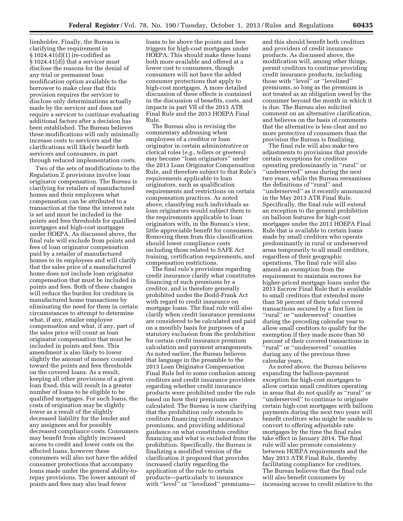lienholder. Finally, the Bureau is clarifying the requirement in § 1024.41(d)(1) (re-codified as  $\S 1024.41(d)$  that a servicer must disclose the reasons for the denial of any trial or permanent loan modification option available to the borrower to make clear that this provision requires the servicer to disclose only determinations actually made by the servicer and does not require a servicer to continue evaluating additional factors after a decision has been established. The Bureau believes these modifications will only minimally increase costs to servicers and the clarifications will likely benefit both servicers and consumers, in part through reduced implementation costs.

Two of the sets of modifications to the Regulation Z provisions involve loan originator compensation. The Bureau is clarifying for retailers of manufactured homes and their employees what compensation can be attributed to a transaction at the time the interest rate is set and must be included in the points and fees thresholds for qualified mortgages and high-cost mortgages under HOEPA. As discussed above, the final rule will exclude from points and fees of loan originator compensation paid by a retailer of manufactured homes to its employees and will clarify that the sales price of a manufactured home does not include loan originator compensation that must be included in points and fees. Both of these changes will reduce the burden for creditors in manufactured home transactions by eliminating the need for them in certain circumstances to attempt to determine what, if any, retailer employee compensation and what, if any, part of the sales price will count as loan originator compensation that must be included in points and fees. This amendment is also likely to lower slightly the amount of money counted toward the points and fees thresholds on the covered loans. As a result, keeping all other provisions of a given loan fixed, this will result in a greater number of loans to be eligible to be qualified mortgages. For such loans, the costs of origination may be slightly lower as a result of the slightly decreased liability for the lender and any assignees and for possibly decreased compliance costs. Consumers may benefit from slightly increased access to credit and lower costs on the affected loans, however these consumers will also not have the added consumer protections that accompany loans made under the general ability-torepay provisions. The lower amount of points and fees may also lead fewer

loans to be above the points and fees triggers for high-cost mortgages under HOEPA: This should make these loans both more available and offered at a lower cost to consumers, though consumers will not have the added consumer protections that apply to high-cost mortgages. A more detailed discussion of these effects is contained in the discussion of benefits, costs, and impacts in part VII of the 2013 ATR Final Rule and the 2013 HOEPA Final Rule.

The Bureau also is revising the commentary addressing when employees of a creditor or loan originator in certain administrative or clerical roles (*e.g.,* tellers or greeters) may become ''loan originators'' under the 2013 Loan Originator Compensation Rule, and therefore subject to that Rule's requirements applicable to loan originators, such as qualification requirements and restrictions on certain compensation practices. As noted above, classifying such individuals as loan originators would subject them to the requirements applicable to loan originators with, in the Bureau's view, little appreciable benefit for consumers. Removing them from this classification should lower compliance costs including those related to SAFE Act training, certification requirements, and compensation restrictions.

The final rule's provisions regarding credit insurance clarify what constitutes financing of such premiums by a creditor, and is therefore generally prohibited under the Dodd-Frank Act with regard to credit insurance on mortgage loans. The final rule will also clarify when credit insurance premiums are considered to be calculated and paid on a monthly basis for purposes of a statutory exclusion from the prohibition for certain credit insurance premium calculation and payment arrangements. As noted earlier, the Bureau believes that language in the preamble to the 2013 Loan Originator Compensation Final Rule led to some confusion among creditors and credit insurance providers regarding whether credit insurance products were prohibited under the rule based on how their premiums are calculated. The Bureau is now clarifying that the prohibition only extends to creditors financing credit insurance premiums, and providing additional guidance on what constitutes creditor financing and what is excluded from the prohibition. Specifically, the Bureau is finalizing a modified version of the clarification it proposed that provides increased clarity regarding the application of the rule to certain products—particularly to insurance with "level" or "levelized" premiumsand this should benefit both creditors and providers of credit insurance products. As discussed above, the modification will, among other things, permit creditors to continue providing credit insurance products, including those with ''level'' or ''levelized'' premiums, so long as the premium is not treated as an obligation owed by the consumer beyond the month in which it is due. The Bureau also solicited comment on an alternative clarification, and believes on the basis of comments that the alternative is less clear and no more protective of consumers than the provision the Bureau is finalizing.

The final rule will also make two adjustments to provisions that provide certain exceptions for creditors operating predominantly in ''rural'' or ''underserved'' areas during the next two years, while the Bureau reexamines the definitions of ''rural'' and ''underserved'' as it recently announced in the May 2013 ATR Final Rule. Specifically, the final rule will extend an exception to the general prohibition on balloon features for high-cost mortgages under the 2013 HOEPA Final Rule that is available to certain loans made by small creditors who operate predominantly in rural or underserved areas temporarily to all small creditors, regardless of their geographic operations. The final rule will also amend an exemption from the requirement to maintain escrows for higher-priced mortgage loans under the 2013 Escrow Final Rule that is available to small creditors that extended more than 50 percent of their total covered transactions secured by a first lien in ''rural'' or ''underserved'' counties during the preceding calendar year to allow small creditors to qualify for the exemption if they made more than 50 percent of their covered transactions in ''rural'' or ''underserved'' counties during any of the previous three calendar years.

As noted above, the Bureau believes expanding the balloon-payment exception for high-cost mortgages to allow certain small creditors operating in areas that do not qualify as ''rural'' or ''underserved'' to continue to originate certain high-cost mortgages with balloon payments during the next two years will benefit creditors who might be unable to convert to offering adjustable rate mortgages by the time the final rules take effect in January 2014. The final rule will also promote consistency between HOEPA requirements and the May 2013 ATR Final Rule, thereby facilitating compliance for creditors. The Bureau believes that the final rule will also benefit consumers by increasing access to credit relative to the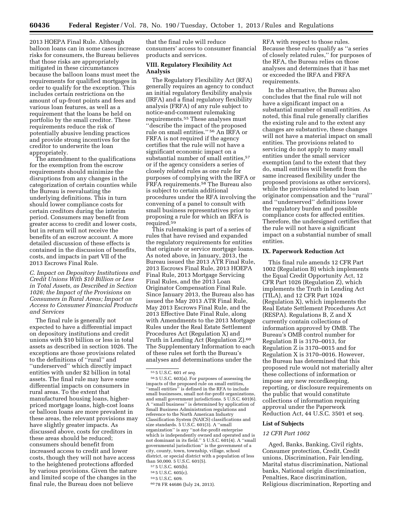2013 HOEPA Final Rule. Although balloon loans can in some cases increase risks for consumers, the Bureau believes that those risks are appropriately mitigated in these circumstances because the balloon loans must meet the requirements for qualified mortgages in order to qualify for the exception. This includes certain restrictions on the amount of up-front points and fees and various loan features, as well as a requirement that the loans be held on portfolio by the small creditor. These requirements reduce the risk of potentially abusive lending practices and provide strong incentives for the creditor to underwrite the loan appropriately.

The amendment to the qualifications for the exemption from the escrow requirements should minimize the disruptions from any changes in the categorization of certain counties while the Bureau is reevaluating the underlying definitions. This in turn should lower compliance costs for certain creditors during the interim period. Consumers may benefit from greater access to credit and lower costs, but in return will not receive the benefits of an escrow account. A more detailed discussion of these effects is contained in the discussion of benefits, costs, and impacts in part VII of the 2013 Escrows Final Rule.

*C. Impact on Depository Institutions and Credit Unions With \$10 Billion or Less in Total Assets, as Described in Section 1026; the Impact of the Provisions on Consumers in Rural Areas; Impact on Access to Consumer Financial Products and Services* 

The final rule is generally not expected to have a differential impact on depository institutions and credit unions with \$10 billion or less in total assets as described in section 1026. The exceptions are those provisions related to the definitions of ''rural'' and ''underserved'' which directly impact entities with under \$2 billion in total assets. The final rule may have some differential impacts on consumers in rural areas. To the extent that manufactured housing loans, higherpriced mortgage loans, high-cost loans or balloon loans are more prevalent in these areas, the relevant provisions may have slightly greater impacts. As discussed above, costs for creditors in these areas should be reduced; consumers should benefit from increased access to credit and lower costs, though they will not have access to the heightened protections afforded by various provisions. Given the nature and limited scope of the changes in the final rule, the Bureau does not believe

that the final rule will reduce consumers' access to consumer financial products and services.

# **VIII. Regulatory Flexibility Act Analysis**

The Regulatory Flexibility Act (RFA) generally requires an agency to conduct an initial regulatory flexibility analysis (IRFA) and a final regulatory flexibility analysis (FRFA) of any rule subject to notice-and-comment rulemaking requirements.55 These analyses must ''describe the impact of the proposed rule on small entities.'' 56 An IRFA or FRFA is not required if the agency certifies that the rule will not have a significant economic impact on a substantial number of small entities,<sup>57</sup> or if the agency considers a series of closely related rules as one rule for purposes of complying with the IRFA or FRFA requirements.58 The Bureau also is subject to certain additional procedures under the RFA involving the convening of a panel to consult with small business representatives prior to proposing a rule for which an IRFA is required.59

This rulemaking is part of a series of rules that have revised and expanded the regulatory requirements for entities that originate or service mortgage loans. As noted above, in January, 2013, the Bureau issued the 2013 ATR Final Rule, 2013 Escrows Final Rule, 2013 HOEPA Final Rule, 2013 Mortgage Servicing Final Rules, and the 2013 Loan Originator Compensation Final Rule. Since January 2013, the Bureau also has issued the May 2013 ATR Final Rule, May 2013 Escrows Final Rule, and the 2013 Effective Date Final Rule, along with Amendments to the 2013 Mortgage Rules under the Real Estate Settlement Procedures Act (Regulation X) and Truth in Lending Act (Regulation Z).<sup>60</sup> The Supplementary Information to each of these rules set forth the Bureau's analyses and determinations under the

RFA with respect to those rules. Because these rules qualify as ''a series of closely related rules,'' for purposes of the RFA, the Bureau relies on those analyses and determines that it has met or exceeded the IRFA and FRFA requirements.

In the alternative, the Bureau also concludes that the final rule will not have a significant impact on a substantial number of small entities. As noted, this final rule generally clarifies the existing rule and to the extent any changes are substantive, these changes will not have a material impact on small entities. The provisions related to servicing do not apply to many small entities under the small servicer exemption (and to the extent that they do, small entities will benefit from the same increased flexibility under the proposed provisions as other servicers), while the provisions related to loan originator compensation and the ''rural'' and ''underserved'' definitions lower the regulatory burden and possible compliance costs for affected entities. Therefore, the undersigned certifies that the rule will not have a significant impact on a substantial number of small entities.

#### **IX. Paperwork Reduction Act**

This final rule amends 12 CFR Part 1002 (Regulation B) which implements the Equal Credit Opportunity Act, 12 CFR Part 1026 (Regulation Z), which implements the Truth in Lending Act (TILA), and 12 CFR Part 1024 (Regulation X), which implements the Real Estate Settlement Procedures Act (RESPA). Regulations B, Z and X currently contain collections of information approved by OMB. The Bureau's OMB control number for Regulation B is 3170–0013, for Regulation Z is 3170–0015 and for Regulation X is 3170–0016. However, the Bureau has determined that this proposed rule would not materially alter these collections of information or impose any new recordkeeping, reporting, or disclosure requirements on the public that would constitute collections of information requiring approval under the Paperwork Reduction Act, 44 U.S.C. 3501 et seq.

#### **List of Subjects**

#### *12 CFR Part 1002*

Aged, Banks, Banking, Civil rights, Consumer protection, Credit, Credit unions, Discrimination, Fair lending, Marital status discrimination, National banks, National origin discrimination, Penalties, Race discrimination, Religious discrimination, Reporting and

<sup>55</sup> 5 U.S.C. 601 *et seq.* 

<sup>56</sup> 5 U.S.C. 603(a). For purposes of assessing the impacts of the proposed rule on small entities, ''small entities'' is defined in the RFA to include small businesses, small not-for-profit organizations, and small government jurisdictions. 5 U.S.C. 601(6). A ''small business'' is determined by application of Small Business Administration regulations and reference to the North American Industry Classification System (NAICS) classifications and size standards. 5 U.S.C. 601(3). A ''small organization'' is any ''not-for-profit enterprise which is independently owned and operated and is not dominant in its field.'' 5 U.S.C. 601(4). A ''small governmental jurisdiction'' is the government of a city, county, town, township, village, school district, or special district with a population of less than 50,000. 5 U.S.C. 601(5).

<sup>57</sup> 5 U.S.C. 605(b).

<sup>58</sup> 5 U.S.C. 605(c).

<sup>59</sup> 5 U.S.C. 609.

<sup>60</sup> 78 FR 44686 (July 24, 2013).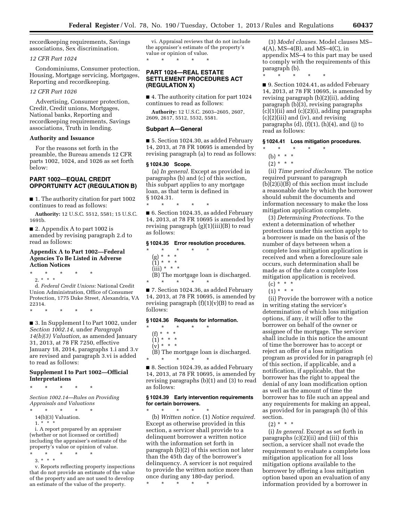recordkeeping requirements, Savings associations, Sex discrimination.

#### *12 CFR Part 1024*

Condominiums, Consumer protection, Housing, Mortgage servicing, Mortgages, Reporting and recordkeeping.

#### *12 CFR Part 1026*

Advertising, Consumer protection, Credit, Credit unions, Mortgages, National banks, Reporting and recordkeeping requirements, Savings associations, Truth in lending.

#### **Authority and Issuance**

For the reasons set forth in the preamble, the Bureau amends 12 CFR parts 1002, 1024, and 1026 as set forth below:

# **PART 1002—EQUAL CREDIT OPPORTUNITY ACT (REGULATION B)**

■ 1. The authority citation for part 1002 continues to read as follows:

**Authority:** 12 U.S.C. 5512, 5581; 15 U.S.C. 1691b.

■ 2. Appendix A to part 1002 is amended by revising paragraph 2.d to read as follows:

#### **Appendix A to Part 1002—Federal Agencies To Be Listed in Adverse Action Notices**

- \* \* \* \* \*
- 2. \* \* \* d. *Federal Credit Unions:* National Credit Union Administration, Office of Consumer Protection, 1775 Duke Street, Alexandria, VA 22314.

\* \* \* \* \*

■ 3. In Supplement I to Part 1002, under *Section 1002.14,* under *Paragraph 14(b)(3) Valuation,* as amended January 31, 2013, at 78 FR 7250, effective January 18, 2014, paragraphs 1.i and 3.v are revised and paragraph 3.vi is added to read as follows:

#### **Supplement I to Part 1002—Official Interpretations**

\* \* \* \* \* *Section 1002.14—Rules on Providing Appraisals and Valuations* 

- $\star$   $\star$   $\star$ 14(b)(3) Valuation.
	- 1. \* \* \*

i. A report prepared by an appraiser (whether or not licensed or certified) including the appraiser's estimate of the property's value or opinion of value.

\* \* \* \* \*  $3. * * * *$ 

v. Reports reflecting property inspections that do not provide an estimate of the value of the property and are not used to develop an estimate of the value of the property.

vi. Appraisal reviews that do not include the appraiser's estimate of the property's value or opinion of value. \* \* \* \* \*

#### **PART 1024—REAL ESTATE SETTLEMENT PROCEDURES ACT (REGULATION X)**

■ 4. The authority citation for part 1024 continues to read as follows:

**Authority:** 12 U.S.C. 2603–2605, 2607, 2609, 2617, 5512, 5532, 5581.

#### **Subpart A—General**

■ 5. Section 1024.30, as added February 14, 2013, at 78 FR 10695 is amended by revising paragraph (a) to read as follows:

#### **§ 1024.30 Scope.**

(a) *In general.* Except as provided in paragraphs (b) and (c) of this section, this subpart applies to any mortgage loan, as that term is defined in § 1024.31.

\* \* \* \* \*

■ 6. Section 1024.35, as added February 14, 2013, at 78 FR 10695 is amended by revising paragraph (g)(1)(iii)(B) to read as follows:

# **§ 1024.35 Error resolution procedures.**

- \* \* \* \* \*
	- (g) \* \* \*
	- (1) \* \* \*  $(iii) * * * *$
- (B) The mortgage loan is discharged.
- \* \* \* \* \*

■ 7. Section 1024.36, as added February 14, 2013, at 78 FR 10695, is amended by revising paragraph  $(f)(1)(v)(B)$  to read as follows:

# **§ 1024.36 Requests for information.**

- \* \* \* \* \*
- (f) \* \* \*  $(1) * * * *$
- $(v) * * * *$

(B) The mortgage loan is discharged. \* \* \* \* \*

■ 8. Section 1024.39, as added February 14, 2013, at 78 FR 10695, is amended by revising paragraphs (b)(1) and (3) to read as follows:

#### **§ 1024.39 Early intervention requirements for certain borrowers.**

\* \* \* \* \* (b) *Written notice.* (1) *Notice required.*  Except as otherwise provided in this section, a servicer shall provide to a delinquent borrower a written notice with the information set forth in paragraph (b)(2) of this section not later than the 45th day of the borrower's delinquency. A servicer is not required to provide the written notice more than once during any 180-day period.

\* \* \* \* \*

(3) *Model clauses.* Model clauses MS– 4(A), MS–4(B), and MS–4(C), in appendix MS–4 to this part may be used to comply with the requirements of this paragraph (b).

\* \* \* \* \*

■ 9. Section 1024.41, as added February 14, 2013, at 78 FR 10695, is amended by revising paragraph (b)(2)(ii), adding paragraph (b)(3), revising paragraphs  $(c)(1)(ii)$  and  $(c)(2)(i)$ , adding paragraphs (c)(2)(iii) and (iv), and revising paragraphs  $(d)$ ,  $(f)(1)$ ,  $(h)(4)$ , and  $(j)$  to read as follows:

#### **§ 1024.41 Loss mitigation procedures.**

- \* \* \* \* \*
- (b) \* \* \*
- $(2) * * * *$

(ii) *Time period disclosure.* The notice required pursuant to paragraph (b)(2)(i)(B) of this section must include a reasonable date by which the borrower should submit the documents and information necessary to make the loss mitigation application complete.

(3) *Determining Protections.* To the extent a determination of whether protections under this section apply to a borrower is made on the basis of the number of days between when a complete loss mitigation application is received and when a foreclosure sale occurs, such determination shall be made as of the date a complete loss mitigation application is received.

 $(c) * * * *$ 

 $(1) * * * *$ 

(ii) Provide the borrower with a notice in writing stating the servicer's determination of which loss mitigation options, if any, it will offer to the borrower on behalf of the owner or assignee of the mortgage. The servicer shall include in this notice the amount of time the borrower has to accept or reject an offer of a loss mitigation program as provided for in paragraph (e) of this section, if applicable, and a notification, if applicable, that the borrower has the right to appeal the denial of any loan modification option as well as the amount of time the borrower has to file such an appeal and any requirements for making an appeal, as provided for in paragraph (h) of this section.

 $(2) * * * *$ 

(i) *In general.* Except as set forth in paragraphs (c)(2)(ii) and (iii) of this section, a servicer shall not evade the requirement to evaluate a complete loss mitigation application for all loss mitigation options available to the borrower by offering a loss mitigation option based upon an evaluation of any information provided by a borrower in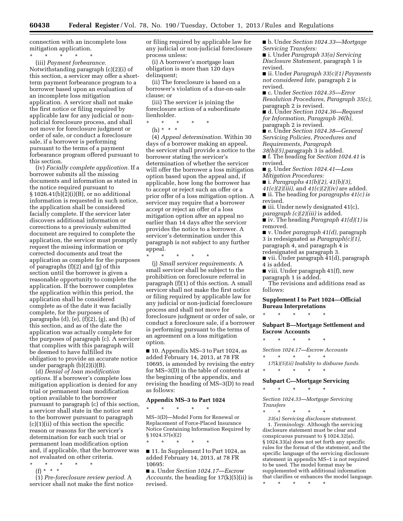connection with an incomplete loss mitigation application.

\* \* \* \* \* (iii) *Payment forbearance.*  Notwithstanding paragraph (c)(2)(i) of this section, a servicer may offer a shortterm payment forbearance program to a borrower based upon an evaluation of an incomplete loss mitigation application. A servicer shall not make the first notice or filing required by applicable law for any judicial or nonjudicial foreclosure process, and shall not move for foreclosure judgment or order of sale, or conduct a foreclosure sale, if a borrower is performing pursuant to the terms of a payment forbearance program offered pursuant to this section.

(iv) *Facially complete application.* If a borrower submits all the missing documents and information as stated in the notice required pursuant to § 1026.41(b)(2)(i)(B), or no additional information is requested in such notice, the application shall be considered facially complete. If the servicer later discovers additional information or corrections to a previously submitted document are required to complete the application, the servicer must promptly request the missing information or corrected documents and treat the application as complete for the purposes of paragraphs (f)(2) and (g) of this section until the borrower is given a reasonable opportunity to complete the application. If the borrower completes the application within this period, the application shall be considered complete as of the date it was facially complete, for the purposes of paragraphs  $(d)$ ,  $(e)$ ,  $(f)(2)$ ,  $(g)$ , and  $(h)$  of this section, and as of the date the application was actually complete for the purposes of paragraph (c). A servicer that complies with this paragraph will be deemed to have fulfilled its obligation to provide an accurate notice under paragraph (b)(2)(i)(B).

(d) *Denial of loan modification options.* If a borrower's complete loss mitigation application is denied for any trial or permanent loan modification option available to the borrower pursuant to paragraph (c) of this section, a servicer shall state in the notice sent to the borrower pursuant to paragraph (c)(1)(ii) of this section the specific reason or reasons for the servicer's determination for each such trial or permanent loan modification option and, if applicable, that the borrower was not evaluated on other criteria.

- \* \* \* \* \*
- $(f) * * * *$

(1) *Pre-foreclosure review period.* A servicer shall not make the first notice or filing required by applicable law for any judicial or non-judicial foreclosure process unless:

(i) A borrower's mortgage loan obligation is more than 120 days delinquent;

(ii) The foreclosure is based on a borrower's violation of a due-on-sale clause; or

(iii) The servicer is joining the foreclosure action of a subordinate lienholder.

\* \* \* \* \*

(h) \* \* \*

(4) *Appeal determination.* Within 30 days of a borrower making an appeal, the servicer shall provide a notice to the borrower stating the servicer's determination of whether the servicer will offer the borrower a loss mitigation option based upon the appeal and, if applicable, how long the borrower has to accept or reject such an offer or a prior offer of a loss mitigation option. A servicer may require that a borrower accept or reject an offer of a loss mitigation option after an appeal no earlier than 14 days after the servicer provides the notice to a borrower. A servicer's determination under this paragraph is not subject to any further appeal.

\* \* \* \* \*

(j) *Small servicer requirements.* A small servicer shall be subject to the prohibition on foreclosure referral in paragraph (f)(1) of this section. A small servicer shall not make the first notice or filing required by applicable law for any judicial or non-judicial foreclosure process and shall not move for foreclosure judgment or order of sale, or conduct a foreclosure sale, if a borrower is performing pursuant to the terms of an agreement on a loss mitigation option.

■ 10. Appendix MS-3 to Part 1024, as added February 14, 2013, at 78 FR 10695, is amended by revising the entry for MS–3(D) in the table of contents at the beginning of the appendix, and revising the heading of MS–3(D) to read as follows:

# **Appendix MS–3 to Part 1024**

\* \* \* \* \*

\* \* \* \* \* MS–3(D)—Model Form for Renewal or Replacement of Force-Placed Insurance Notice Containing Information Required by § 1024.37(e)(2)

■ 11. In Supplement I to Part 1024, as added February 14, 2013, at 78 FR 10695:

■ a. Under *Section 1024.17*—*Escrow Accounts,* the heading for 17(k)(5)(ii) is revised.

■ b. Under *Section 1024.33*—*Mortgage Servicing Transfers:* 

■ i. Under *Paragraph 33(a) Servicing Disclosure Statement,* paragraph 1 is revised.

■ ii. Under *Paragraph 33(c)(1) Payments not considered late,* paragraph 2 is revised.

■ c. Under *Section 1024.35—Error Resolution Procedures, Paragraph 35(c),*  paragraph 2 is revised.

■ d. Under *Section 1024.36—Request for Information, Paragraph 36(b),*  paragraph 2 is revised.

■ e. Under *Section 1024.38—General Servicing Policies, Procedures and Requirements, Paragraph 38(b)(5),*paragraph 3 is added.

■ f. The heading for *Section 1024.41* is revised.

■ g. Under *Section 1024.41—Loss Mitigation Procedures:* 

■ i. *Paragraphs 41(b)(2), 41(b)(3),* 

*41(c)(2)(iii),* and *41(c)(2)(iv)* are added. ■ ii. The heading for *paragraphs 41(c) is*  revised.

■ iii. Under newly designated 41(c),

*paragraph (c)(2)(iii)* is added.

■ iv. The heading *Paragraph 41(d)(1)* is removed.

■ v. Under *paragraph 41(d),* paragraph 3 is redesignated as *Paragraph(c)(1),*  paragraph 4, and paragraph 4 is redesignated as paragraph 3.

■ vii. Under paragraph 41(d), paragraph 4 is added.

■ viii. Under paragraph 41(f), new paragraph 1 is added.

The revisions and additions read as follows:

# **Supplement I to Part 1024—Official Bureau Interpretations**

\* \* \* \* \*

**Subpart B—Mortgage Settlement and Escrow Accounts** 

\* \* \* \* \*

*Section 1024.17—Escrow Accounts* 

\* \* \* \* \* *17(k)(5)(ii) Inability to disburse funds.*   $\star$   $\star$ 

#### **Subpart C—Mortgage Servicing**

 $*$  \* \*

*Section 1024.33—Mortgage Servicing Transfers* 

\* \* \* \* \* *33(a) Servicing disclosure statement.*  1. *Terminology.* Although the servicing disclosure statement must be clear and conspicuous pursuant to § 1024.32(a), § 1024.33(a) does not set forth any specific rules for the format of the statement, and the specific language of the servicing disclosure statement in appendix MS–1 is not required to be used. The model format may be supplemented with additional information that clarifies or enhances the model language. \* \* \* \* \*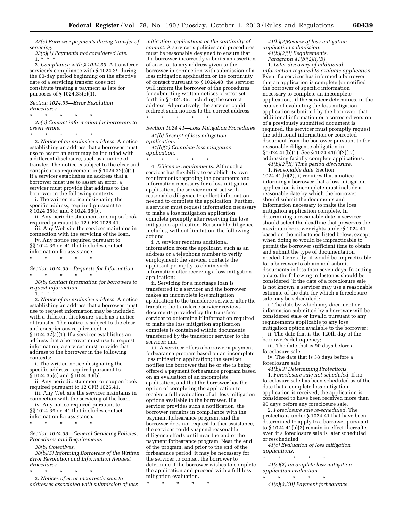*33(c) Borrower payments during transfer of servicing. 33(c)(1) Payments not considered late.* 

 $1. *$ 

2. *Compliance with § 1024.39.* A transferee servicer's compliance with § 1024.39 during the 60-day period beginning on the effective date of a servicing transfer does not constitute treating a payment as late for purposes of § 1024.33(c)(1).

*Section 1024.35—Error Resolution Procedures* 

\* \* \* \* \* *35(c) Contact information for borrowers to assert errors.* 

\* \* \* \* \*

2. *Notice of an exclusive address.* A notice establishing an address that a borrower must use to assert an error may be included with a different disclosure, such as a notice of transfer. The notice is subject to the clear and conspicuous requirement in § 1024.32(a)(1). If a servicer establishes an address that a borrower must use to assert an error, a servicer must provide that address to the borrower in the following contexts:

i. The written notice designating the specific address, required pursuant to § 1024.35(c) and § 1024.36(b).

ii. Any periodic statement or coupon book required pursuant to 12 CFR 1026.41.

iii. Any Web site the servicer maintains in connection with the servicing of the loan. iv. Any notice required pursuant to

§§ 1024.39 or .41 that includes contact information for assistance.

\* \* \* \* \*

#### *Section 1024.36—Requests for Information*  \* \* \* \* \*

*36(b) Contact information for borrowers to request information.* 

1. \* \* \* 2. *Notice of an exclusive address.* A notice establishing an address that a borrower must use to request information may be included with a different disclosure, such as a notice of transfer. The notice is subject to the clear and conspicuous requirement in § 1024.32(a)(1). If a servicer establishes an address that a borrower must use to request information, a servicer must provide that address to the borrower in the following contexts:

i. The written notice designating the specific address, required pursuant to  $\hat{\$1024.35(c) \text{ and } \$1024.36(b).}$ 

ii. Any periodic statement or coupon book required pursuant to 12 CFR 1026.41.

iii. Any Web site the servicer maintains in connection with the servicing of the loan.

iv. Any notice required pursuant to §§ 1024.39 or .41 that includes contact information for assistance.

\* \* \* \* \*

*Section 1024.38—General Servicing Policies, Procedures and Requirements* 

*38(b) Objectives.* 

*38(b)(5) Informing Borrowers of the Written Error Resolution and Information Request Procedures.* 

\* \* \* \* \*

3. *Notices of error incorrectly sent to addresses associated with submission of loss*  *mitigation applications or the continuity of contact.* A servicer's policies and procedures must be reasonably designed to ensure that if a borrower incorrectly submits an assertion of an error to any address given to the borrower in connection with submission of a loss mitigation application or the continuity of contact pursuant to § 1024.40, the servicer will inform the borrower of the procedures for submitting written notices of error set forth in § 1024.35, including the correct address. Alternatively, the servicer could redirect such notices to the correct address. \* \* \* \* \*

*Section 1024.41—Loss Mitigation Procedures* 

# *41(b) Receipt of loss mitigation application.*

*41(b)(1) Complete loss mitigation application.* 

\* \* \* \* \*

4. *Diligence requirements.* Although a servicer has flexibility to establish its own requirements regarding the documents and information necessary for a loss mitigation application, the servicer must act with reasonable diligence to collect information needed to complete the application. Further, a servicer must request information necessary to make a loss mitigation application complete promptly after receiving the loss mitigation application. Reasonable diligence includes, without limitation, the following actions:

i. A servicer requires additional information from the applicant, such as an address or a telephone number to verify employment; the servicer contacts the applicant promptly to obtain such information after receiving a loss mitigation application;

ii. Servicing for a mortgage loan is transferred to a servicer and the borrower makes an incomplete loss mitigation application to the transferee servicer after the transfer; the transferee servicer reviews documents provided by the transferor servicer to determine if information required to make the loss mitigation application complete is contained within documents transferred by the transferor servicer to the servicer; and

iii. A servicer offers a borrower a payment forbearance program based on an incomplete loss mitigation application; the servicer notifies the borrower that he or she is being offered a payment forbearance program based on an evaluation of an incomplete application, and that the borrower has the option of completing the application to receive a full evaluation of all loss mitigation options available to the borrower. If a servicer provides such a notification, the borrower remains in compliance with the payment forbearance program, and the borrower does not request further assistance, the servicer could suspend reasonable diligence efforts until near the end of the payment forbearance program. Near the end of the program, and prior to the end of the forbearance period, it may be necessary for the servicer to contact the borrower to determine if the borrower wishes to complete the application and proceed with a full loss mitigation evaluation.

\* \* \* \* \*

#### *41(b)(2)Review of loss mitigation application submission. 41(b)(2)(i) Requirements.*

*Paragraph 41(b)(2)(i)(B).* 

1. *Later discovery of additional information required to evaluate application.*  Even if a servicer has informed a borrower that an application is complete (or notified the borrower of specific information necessary to complete an incomplete application), if the servicer determines, in the course of evaluating the loss mitigation application submitted by the borrower, that additional information or a corrected version of a previously submitted document is required, the servicer must promptly request the additional information or corrected document from the borrower pursuant to the reasonable diligence obligation in § 1024.41(b)(1). See § 1024.41(c)(2)(iv) addressing facially complete applications.

*41(b)(2)(ii) Time period disclosure.* 

1. *Reasonable date.* Section 1024.41(b)(2)(ii) requires that a notice informing a borrower that a loss mitigation application is incomplete must include a reasonable date by which the borrower should submit the documents and information necessary to make the loss mitigation application complete. In determining a reasonable date, a servicer should select the deadline that preserves the maximum borrower rights under § 1024.41 based on the milestones listed below, except when doing so would be impracticable to permit the borrower sufficient time to obtain and submit the type of documentation needed. Generally, it would be impracticable for a borrower to obtain and submit documents in less than seven days. In setting a date, the following milestones should be considered (if the date of a foreclosure sale is not known, a servicer may use a reasonable estimate of the date for which a foreclosure sale may be scheduled):

i. The date by which any document or information submitted by a borrower will be considered stale or invalid pursuant to any requirements applicable to any loss mitigation option available to the borrower;

ii. The date that is the 120th day of the borrower's delinquency;

iii. The date that is 90 days before a foreclosure sale;

iv. The date that is 38 days before a foreclosure sale.

*41(b)(3) Determining Protections.* 

1. *Foreclosure sale not scheduled.* If no foreclosure sale has been scheduled as of the date that a complete loss mitigation application is received, the application is considered to have been received more than 90 days before any foreclosure sale.

2. *Foreclosure sale re-scheduled.* The protections under § 1024.41 that have been determined to apply to a borrower pursuant to  $\S 1024.41(b)(3)$  remain in effect thereafter, even if a foreclosure sale is later scheduled or rescheduled.

*41(c) Evaluation of loss mitigation applications.* 

\* \* \* \* \* *41(c)(2) Incomplete loss mitigation application evaluation.* 

\* \* \* \* \*

*41(c)(2)(iii) Payment forbearance.*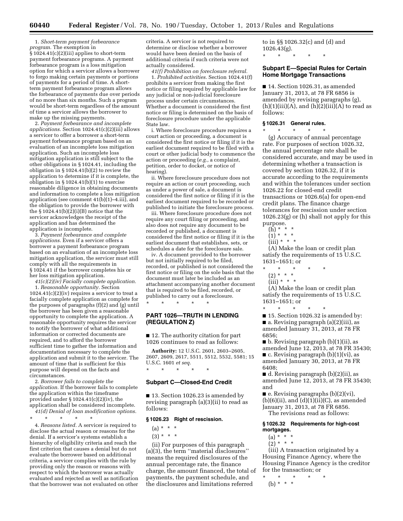1. *Short-term payment forbearance program.* The exemption in § 1024.41(c)(2)(iii) applies to short-term payment forbearance programs. A payment forbearance program is a loss mitigation option for which a servicer allows a borrower to forgo making certain payments or portions of payments for a period of time. A shortterm payment forbearance program allows the forbearance of payments due over periods of no more than six months. Such a program would be short-term regardless of the amount of time a servicer allows the borrower to make up the missing payments.

2. *Payment forbearance and incomplete applications.* Section 1024.41(c)(2)(iii) allows a servicer to offer a borrower a short-term payment forbearance program based on an evaluation of an incomplete loss mitigation application. Such an incomplete loss mitigation application is still subject to the other obligations in § 1024.41, including the obligation in § 1024.41(b)(2) to review the application to determine if it is complete, the obligation in § 1024.41(b)(1) to exercise reasonable diligence in obtaining documents and information to complete a loss mitigation application (see comment 41(b)(1)–4.iii), and the obligation to provide the borrower with the  $\S 1024.41(b)(2)(i)(B)$  notice that the servicer acknowledges the receipt of the application and has determined the application is incomplete.

3. *Payment forbearance and complete applications.* Even if a servicer offers a borrower a payment forbearance program based on an evaluation of an incomplete loss mitigation application, the servicer must still comply with all the requirements in § 1024.41 if the borrower completes his or her loss mitigation application.

*41(c)(2)(iv) Facially complete application.*  1. *Reasonable opportunity.* Section 1024.41(c)(2)(iv) requires a servicer to treat a facially complete application as complete for the purposes of paragraphs (f)(2) and (g) until the borrower has been given a reasonable opportunity to complete the application. A reasonable opportunity requires the servicer to notify the borrower of what additional information or corrected documents are required, and to afford the borrower sufficient time to gather the information and documentation necessary to complete the application and submit it to the servicer. The amount of time that is sufficient for this purpose will depend on the facts and circumstances.

2. *Borrower fails to complete the application.* If the borrower fails to complete the application within the timeframe provided under § 1024.41(c)(2)(iv), the application shall be considered incomplete.

*41(d) Denial of loan modification options.*  \* \* \* \* \*

4. *Reasons listed.* A servicer is required to disclose the actual reason or reasons for the denial. If a servicer's systems establish a hierarchy of eligibility criteria and reach the first criterion that causes a denial but do not evaluate the borrower based on additional criteria, a servicer complies with the rule by providing only the reason or reasons with respect to which the borrower was actually evaluated and rejected as well as notification that the borrower was not evaluated on other

criteria. A servicer is not required to determine or disclose whether a borrower would have been denied on the basis of additional criteria if such criteria were not actually considered.

*41(f) Prohibition on foreclosure referral.*  1. *Prohibited activities.* Section 1024.41(f) prohibits a servicer from making the first notice or filing required by applicable law for any judicial or non-judicial foreclosure process under certain circumstances. Whether a document is considered the first notice or filing is determined on the basis of foreclosure procedure under the applicable State law.

i. Where foreclosure procedure requires a court action or proceeding, a document is considered the first notice or filing if it is the earliest document required to be filed with a court or other judicial body to commence the action or proceeding (*e.g.,* a complaint, petition, order to docket, or notice of hearing).

ii. Where foreclosure procedure does not require an action or court proceeding, such as under a power of sale, a document is considered the first notice or filing if it is the earliest document required to be recorded or published to initiate the foreclosure process.

iii. Where foreclosure procedure does not require any court filing or proceeding, and also does not require any document to be recorded or published, a document is considered the first notice or filing if it is the earliest document that establishes, sets, or schedules a date for the foreclosure sale.

iv. A document provided to the borrower but not initially required to be filed, recorded, or published is not considered the first notice or filing on the sole basis that the document must later be included as an attachment accompanying another document that is required to be filed, recorded, or published to carry out a foreclosure. \* \* \* \* \*

# **PART 1026—TRUTH IN LENDING (REGULATION Z)**

■ 12. The authority citation for part 1026 continues to read as follows:

**Authority:** 12 U.S.C. 2601, 2603–2605, 2607, 2609, 2617, 5511, 5512, 5532, 5581; 15 U.S.C. 1601 *et seq.*  \* \* \* \* \*

#### **Subpart C—Closed-End Credit**

■ 13. Section 1026.23 is amended by revising paragraph (a)(3)(ii) to read as follows:

#### **§ 1026.23 Right of rescission.**

- $(a) * * * *$
- $(3) * * * *$

(ii) For purposes of this paragraph (a)(3), the term ''material disclosures'' means the required disclosures of the annual percentage rate, the finance charge, the amount financed, the total of payments, the payment schedule, and the disclosures and limitations referred

to in §§ 1026.32(c) and (d) and 1026.43(g). \* \* \* \* \*

# **Subpart E—Special Rules for Certain Home Mortgage Transactions**

■ 14. Section 1026.31, as amended January 31, 2013, at 78 FR 6856 is amended by revising paragraphs (g),  $(h)(1)(iii)(A)$ , and  $(h)(2)(iii)(A)$  to read as follows:

#### **§ 1026.31 General rules.**  \* \* \* \* \*

(g) Accuracy of annual percentage rate. For purposes of section 1026.32, the annual percentage rate shall be considered accurate, and may be used in determining whether a transaction is covered by section 1026.32, if it is accurate according to the requirements and within the tolerances under section 1026.22 for closed-end credit transactions or 1026.6(a) for open-end credit plans. The finance charge tolerances for rescission under section 1026.23(g) or (h) shall not apply for this purpose.

- (h) \* \* \*
- $(1) * * * *$
- $(iii) * * * *$

(A) Make the loan or credit plan satisfy the requirements of 15 U.S.C. 1631–1651; or

- \* \* \* \* \*
- $(2) * * * *$
- (iii) \* \* \*

(A) Make the loan or credit plan satisfy the requirements of 15 U.S.C. 1631–1651; or

\* \* \* \* \* ■ 15. Section 1026.32 is amended by: ■ a. Revising paragraph (a)(2)(iii), as amended January 31, 2013, at 78 FR 6856;

■ b. Revising paragraph (b)(1)(ii), as amended June 12, 2013, at 78 FR 35430; ■ c. Revising paragraph (b)(1)(vi), as amended January 30, 2013, at 78 FR 6408;

■ d. Revising paragraph (b)(2)(ii), as amended June 12, 2013, at 78 FR 35430; and

 $\blacksquare$  e. Revising paragraphs (b)(2)(vi),  $(b)(6)(ii)$ , and  $(d)(1)(ii)(C)$ , as amended January 31, 2013, at 78 FR 6856. The revisions read as follows:

#### **§ 1026.32 Requirements for high-cost mortgages.**

- $(a) * * * *$
- $(2) * * * *$

(iii) A transaction originated by a Housing Finance Agency, where the Housing Finance Agency is the creditor for the transaction; or

\* \* \* \* \* (b) \* \* \*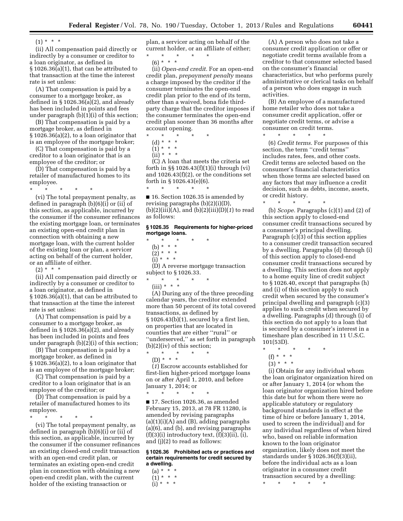$(1) * * * *$ 

(ii) All compensation paid directly or indirectly by a consumer or creditor to a loan originator, as defined in § 1026.36(a)(1), that can be attributed to that transaction at the time the interest rate is set unless:

(A) That compensation is paid by a consumer to a mortgage broker, as defined in § 1026.36(a)(2), and already has been included in points and fees under paragraph (b)(1)(i) of this section;

(B) That compensation is paid by a mortgage broker, as defined in § 1026.36(a)(2), to a loan originator that is an employee of the mortgage broker;

(C) That compensation is paid by a creditor to a loan originator that is an employee of the creditor; or

(D) That compensation is paid by a retailer of manufactured homes to its employee.

\* \* \* \* \*

(vi) The total prepayment penalty, as defined in paragraph (b)(6)(i) or (ii) of this section, as applicable, incurred by the consumer if the consumer refinances the existing mortgage loan, or terminates an existing open-end credit plan in connection with obtaining a new mortgage loan, with the current holder of the existing loan or plan, a servicer acting on behalf of the current holder, or an affiliate of either.

 $(2) * * * *$ 

(ii) All compensation paid directly or indirectly by a consumer or creditor to a loan originator, as defined in § 1026.36(a)(1), that can be attributed to that transaction at the time the interest rate is set unless:

(A) That compensation is paid by a consumer to a mortgage broker, as defined in § 1026.36(a)(2), and already has been included in points and fees under paragraph (b)(2)(i) of this section;

(B) That compensation is paid by a mortgage broker, as defined in § 1026.36(a)(2), to a loan originator that is an employee of the mortgage broker;

(C) That compensation is paid by a creditor to a loan originator that is an employee of the creditor; or

(D) That compensation is paid by a retailer of manufactured homes to its employee.

\* \* \* \* \*

(vi) The total prepayment penalty, as defined in paragraph (b)(6)(i) or (ii) of this section, as applicable, incurred by the consumer if the consumer refinances an existing closed-end credit transaction with an open-end credit plan, or terminates an existing open-end credit plan in connection with obtaining a new open-end credit plan, with the current holder of the existing transaction or

plan, a servicer acting on behalf of the current holder, or an affiliate of either;

 $*$  \*  $(6) * * * *$ 

(ii) *Open-end credit.* For an open-end credit plan, *prepayment penalty* means a charge imposed by the creditor if the consumer terminates the open-end credit plan prior to the end of its term, other than a waived, bona fide thirdparty charge that the creditor imposes if the consumer terminates the open-end credit plan sooner than 36 months after account opening.

\* \* \* \* \*

\* \* \* \* \*

- (d) \* \* \*
- $(1) * * * *$
- (ii) \* \* \*

(C) A loan that meets the criteria set forth in  $\S$  1026.43(f)(1)(i) through (vi) and 1026.43(f)(2), or the conditions set forth in § 1026.43(e)(6).

■ 16. Section 1026.35 is amended by revising paragraphs (b)(2)(i)(D), (b)(2)(iii)(A), and (b)(2)(iii)(D)(*1*) to read as follows:

**§ 1026.35 Requirements for higher-priced mortgage loans.** 

\* \* \* \* \* (b) \* \* \*  $(2) * * * *$  $(i)$  \* \* \* (D) A reverse mortgage transaction subject to § 1026.33.  $\star$   $\star$   $\star$ 

 $(iii) * * * *$ 

(A) During any of the three preceding calendar years, the creditor extended more than 50 percent of its total covered transactions, as defined by § 1026.43(b)(1), secured by a first lien, on properties that are located in counties that are either ''rural'' or ''underserved,'' as set forth in paragraph (b)(2)(iv) of this section; \* \* \* \* \*

(D) \* \* \*

(*1*) Escrow accounts established for first-lien higher-priced mortgage loans on or after April 1, 2010, and before January 1, 2014; or

\* \* \* \* \*

■ 17. Section 1026.36, as amended February 15, 2013, at 78 FR 11280, is amended by revising paragraphs  $(a)(1)(i)(A)$  and  $(B)$ , adding paragraphs (a)(6), and (b), and revising paragraphs  $(f)(3)(i)$  introductory text,  $(f)(3)(ii)$ ,  $(i)$ , and (j)(2) to read as follows:

#### **§ 1026.36 Prohibited acts or practices and certain requirements for credit secured by a dwelling.**

- (a) \* \* \*
- $(1) * * * *$
- $(i)$  \* \* \*
	-

(A) A person who does not take a consumer credit application or offer or negotiate credit terms available from a creditor to that consumer selected based on the consumer's financial characteristics, but who performs purely administrative or clerical tasks on behalf of a person who does engage in such activities.

(B) An employee of a manufactured home retailer who does not take a consumer credit application, offer or negotiate credit terms, or advise a consumer on credit terms.

\* \* \* \* \*

(6) *Credit terms.* For purposes of this section, the term ''credit terms'' includes rates, fees, and other costs. Credit terms are selected based on the consumer's financial characteristics when those terms are selected based on any factors that may influence a credit decision, such as debts, income, assets, or credit history.

\* \* \* \* \* (b) *Scope.* Paragraphs (c)(1) and (2) of this section apply to closed-end consumer credit transactions secured by a consumer's principal dwelling. Paragraph (c)(3) of this section applies to a consumer credit transaction secured by a dwelling. Paragraphs (d) through (i) of this section apply to closed-end consumer credit transactions secured by a dwelling. This section does not apply to a home equity line of credit subject to § 1026.40, except that paragraphs (h) and (i) of this section apply to such credit when secured by the consumer's principal dwelling and paragraph (c)(3) applies to such credit when secured by a dwelling. Paragraphs (d) through (i) of this section do not apply to a loan that is secured by a consumer's interest in a timeshare plan described in 11 U.S.C. 101(53D).

- \* \* \* \* \*
	- (f) \* \* \*
	- $(3) * * * *$

(i) Obtain for any individual whom the loan originator organization hired on or after January 1, 2014 (or whom the loan originator organization hired before this date but for whom there were no applicable statutory or regulatory background standards in effect at the time of hire or before January 1, 2014, used to screen the individual) and for any individual regardless of when hired who, based on reliable information known to the loan originator organization, likely does not meet the standards under § 1026.36(f)(3)(ii), before the individual acts as a loan originator in a consumer credit transaction secured by a dwelling:

\* \* \* \* \*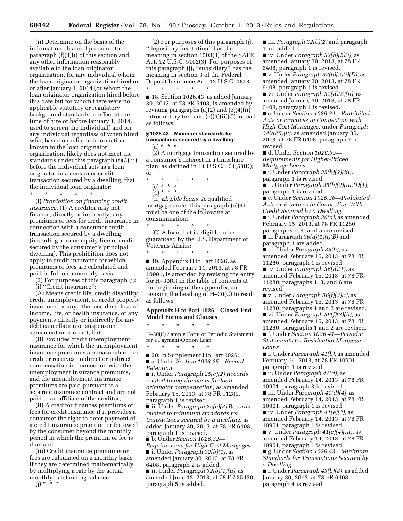\* \* \* \* \*

(ii) Determine on the basis of the information obtained pursuant to paragraph (f)(3)(i) of this section and any other information reasonably available to the loan originator organization, for any individual whom the loan originator organization hired on or after January 1, 2014 (or whom the loan originator organization hired before this date but for whom there were no applicable statutory or regulatory background standards in effect at the time of hire or before January 1, 2014, used to screen the individual) and for any individual regardless of when hired who, based on reliable information known to the loan originator organization, likely does not meet the standards under this paragraph (f)(3)(ii), before the individual acts as a loan originator in a consumer credit transaction secured by a dwelling, that the individual loan originator: \* \* \* \* \*

(i) *Prohibition on financing credit insurance.* (1) A creditor may not finance, directly or indirectly, any premiums or fees for credit insurance in connection with a consumer credit transaction secured by a dwelling (including a home equity line of credit secured by the consumer's principal dwelling). This prohibition does not apply to credit insurance for which premiums or fees are calculated and paid in full on a monthly basis.

(2) For purposes of this paragraph (i): (i) ''Credit insurance'':

(A) Means credit life, credit disability, credit unemployment, or credit property insurance, or any other accident, loss-ofincome, life, or health insurance, or any payments directly or indirectly for any debt cancellation or suspension agreement or contract, but

(B) Excludes credit unemployment insurance for which the unemployment insurance premiums are reasonable, the creditor receives no direct or indirect compensation in connection with the unemployment insurance premiums, and the unemployment insurance premiums are paid pursuant to a separate insurance contract and are not paid to an affiliate of the creditor;

(ii) A creditor finances premiums or fees for credit insurance if it provides a consumer the right to defer payment of a credit insurance premium or fee owed by the consumer beyond the monthly period in which the premium or fee is due; and

(iii) Credit insurance premiums or fees are calculated on a monthly basis if they are determined mathematically by multiplying a rate by the actual monthly outstanding balance.

 $(i) * *$ 

(2) For purposes of this paragraph (j), ''depository institution'' has the meaning in section 1503(3) of the SAFE Act, 12 U.S.C. 5102(3). For purposes of this paragraph (j), ''subsidiary'' has the meaning in section 3 of the Federal Deposit Insurance Act, 12 U.S.C. 1813.

■ 18. Section 1026.43, as added January 30, 2013, at 78 FR 6408, is amended by revising paragraphs (a)(2) and (e)(4)(ii) introductory text and (e)(4)(ii)(C) to read as follows:

# **§ 1026.43 Minimum standards for transactions secured by a dwelling.**

 $(a) * * * *$ 

(2) A mortgage transaction secured by a consumer's interest in a timeshare plan, as defined in 11 U.S.C. 101(53(D); or

- \* \* \* \* \*
	- (e) \* \* \*

 $(4)^*$  \* \* \*

(ii) *Eligible loans.* A qualified mortgage under this paragraph (e)(4) must be one of the following at consummation:

 $\star$   $\star$ (C) A loan that is eligible to be guaranteed by the U.S. Department of Veterans Affairs; \* \* \* \* \*

■ 19. Appendix H to Part 1026, as amended February 14, 2013, at 78 FR 10901, is amended by revising the entry for H–30(C) in the table of contents at the beginning of the appendix, and revising the heading of H–30(C) to read as follows:

# **Appendix H to Part 1026—Closed-End Model Forms and Clauses**

\* \* \* \* \*

H–30(C) Sample Form of Periodic Statement for a Payment-Option Loan

\* \* \* \* \* ■ 20. In Supplement I to Part 1026: ■ a. Under *Section 1026.25—Record Retention* 

■ i. Under *Paragraph 25(c)(2) Records related to requirements for loan originator compensation,* as amended February 15, 2013, at 78 FR 11280, paragraph 1 is revised.

■ ii. Under *Paragraph 25(c)(3) Records related to minimum standards for transactions secured by a dwelling,* as added January 30, 2013, at 78 FR 6408, paragraph 1 is revised.

■ b. Under *Section 1026.32— Requirements for High-Cost Mortgages:* 

■ i. Under *Paragraph 32(b)(1),* as amended January 30, 2013, at 78 FR 6408, paragraph 2 is added.

■ ii. Under *Paragraph 32(b)(1)(ii),* as amended June 12, 2013, at 78 FR 35430, paragraph 5 is added.

■ iii. *Paragraph 32(b)(2)* and paragraph 1 are added.

■ iv. Under *Paragraph 32(b)(2)(i),* as amended January 30, 2013, at 78 FR 6408, paragraph 1 is revised.

■ v. Under *Paragraph 32(b)(2)(i)(D),* as amended January 30, 2013, at 78 FR 6408, paragraph 1 is revised.

■ vi. Under *Paragraph 32(d)(8)(ii),* as amended January 30, 2013, at 78 FR 6408, paragraph 1 is revised.

■ c. Under *Section 1026.34—Prohibited Acts or Practices in Connection with High-Cost Mortgages,* under *Paragraph 34(a)(5)(v),* as amended January 30, 2013, at 78 FR 6408, paragraph 1 is revised.

■ d. Under *Section 1026.35— Requirements for Higher-Priced Mortgage Loans* 

■ i. Under *Paragraph 35(b)(2)(iii),* 

paragraph 1 is revised.

■ ii. Under *Paragraph 35(b)(2)(iii)(D(1),*  paragraph 1 is revised.

■ e. Under *Section 1026.36—Prohibited Acts or Practices in Connection With Credit Secured by a Dwelling* 

■ i. Under *Paragraph 36(a),* as amended February 15, 2013, at 78 FR 11280,

paragraphs 1, 4, and 5 are revised. ■ ii. Paragraph *36(a)(1)(i)(B)* and

paragraph 1 are added.

■ iii. Under *Paragraph 36(b),* as amended February 15, 2013, at 78 FR 11280, paragraph 1 is revised.

■ iv. Under *Paragraph 36(d)(1),* as amended February 15, 2013, at 78 FR 11280, paragraphs 1, 3, and 6 are revised.

■ v. Under *Paragraph 36(f)(3)(i),* as amended February 15, 2013, at 78 FR 11280, paragraphs 1 and 2 are revised.

■ vi. Under *Paragraph 36(f)(3)(ii),* as amended February 15, 2013, at 78 FR 11280, paragraphs 1 and 2 are revised.

■ f. Under *Section 1026.41—Periodic Statements for Residential Mortgage Loans* 

■ i. Under *Paragraph 41(b),* as amended February 14, 2013, at 78 FR 10901, paragraph 1 is revised.

■ ii. Under *Paragraph 41(d),* as amended February 14, 2013, at 78 FR 10901, paragraph 3 is revised.

■ iii. Under *Paragraph 41(d)(4),* as amended February 14, 2013, at 78 FR 10901, paragraph 1 is revised.

■ iv. Under *Paragraph 41(e)(3),* as amended February 14, 2013, at 78 FR 10901, paragraph 1 is revised.

■ v. Under *Paragraph 41(e)(4)(iii),* as amended February 14, 2013, at 78 FR 10901, paragraph 1 is revised.

■ g. Under *Section 1026.43—Minimum Standards for Transactions Secured by a Dwelling:* 

■ i. Under *Paragraph 43(b)(8),* as added January 30, 2013, at 78 FR 6408, paragraph 4 is revised.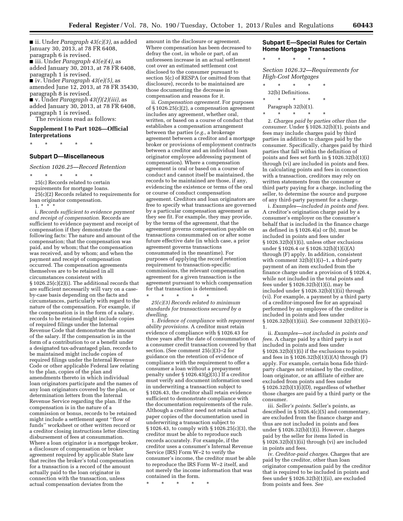■ ii. Under *Paragraph 43(c)(3)*, as added January 30, 2013, at 78 FR 6408, paragraph 6 is revised. ■ iii. Under *Paragraph 43(e)(4),* as added January 30, 2013, at 78 FR 6408, paragraph 1 is revised. ■ iv. Under *Paragraph 43(e)(5),* as amended June 12, 2013, at 78 FR 35430, paragraph 8 is revised. ■ v. Under *Paragraph 43(f)(2)(iii),* as

added January 30, 2013, at 78 FR 6408, paragraph 1 is revised. The revisions read as follows:

# **Supplement I to Part 1026—Official Interpretations**

\* \* \* \* \*

#### **Subpart D—Miscellaneous**

# *Section 1026.25—Record Retention*

\* \* \* \* \* 25(c) Records related to certain requirements for mortgage loans. 25(c)(2) Records related to requirements for loan originator compensation.

 $1 * * * *$ 

i. *Records sufficient to evidence payment and receipt of compensation.* Records are sufficient to evidence payment and receipt of compensation if they demonstrate the following facts: The nature and amount of the compensation; that the compensation was paid, and by whom; that the compensation was received, and by whom; and when the payment and receipt of compensation occurred. The compensation agreements themselves are to be retained in all circumstances consistent with § 1026.25(c)(2)(i). The additional records that are sufficient necessarily will vary on a caseby-case basis depending on the facts and circumstances, particularly with regard to the nature of the compensation. For example, if the compensation is in the form of a salary, records to be retained might include copies of required filings under the Internal Revenue Code that demonstrate the amount of the salary. If the compensation is in the form of a contribution to or a benefit under a designated tax-advantaged plan, records to be maintained might include copies of required filings under the Internal Revenue Code or other applicable Federal law relating to the plan, copies of the plan and amendments thereto in which individual loan originators participate and the names of any loan originators covered by the plan, or determination letters from the Internal Revenue Service regarding the plan. If the compensation is in the nature of a commission or bonus, records to be retained might include a settlement agent ''flow of funds'' worksheet or other written record or a creditor closing instructions letter directing disbursement of fees at consummation. Where a loan originator is a mortgage broker, a disclosure of compensation or broker agreement required by applicable State law that recites the broker's total compensation for a transaction is a record of the amount actually paid to the loan originator in connection with the transaction, unless actual compensation deviates from the

amount in the disclosure or agreement. Where compensation has been decreased to defray the cost, in whole or part, of an unforeseen increase in an actual settlement cost over an estimated settlement cost disclosed to the consumer pursuant to section 5(c) of RESPA (or omitted from that disclosure), records to be maintained are those documenting the decrease in compensation and reasons for it.

ii. *Compensation agreement.* For purposes of § 1026.25(c)(2), a compensation agreement includes any agreement, whether oral, written, or based on a course of conduct that establishes a compensation arrangement between the parties (*e.g.,* a brokerage agreement between a creditor and a mortgage broker or provisions of employment contracts between a creditor and an individual loan originator employee addressing payment of compensation). Where a compensation agreement is oral or based on a course of conduct and cannot itself be maintained, the records to be maintained are those, if any, evidencing the existence or terms of the oral or course of conduct compensation agreement. Creditors and loan originators are free to specify what transactions are governed by a particular compensation agreement as they see fit. For example, they may provide, by the terms of the agreement, that the agreement governs compensation payable on transactions consummated on or after some future effective date (in which case, a prior agreement governs transactions consummated in the meantime). For purposes of applying the record retention requirement to transaction-specific commissions, the relevant compensation agreement for a given transaction is the agreement pursuant to which compensation for that transaction is determined.

*25(c)(3) Records related to minimum standards for transactions secured by a dwelling.* 

\* \* \* \* \*

1. *Evidence of compliance with repayment ability provisions.* A creditor must retain evidence of compliance with § 1026.43 for three years after the date of consummation of a consumer credit transaction covered by that section. (See comment 25(c)(3)–2 for guidance on the retention of evidence of compliance with the requirement to offer a consumer a loan without a prepayment penalty under § 1026.43(g)(3).) If a creditor must verify and document information used in underwriting a transaction subject to § 1026.43, the creditor shall retain evidence sufficient to demonstrate compliance with the documentation requirements of the rule. Although a creditor need not retain actual paper copies of the documentation used in underwriting a transaction subject to § 1026.43, to comply with § 1026.25(c)(3), the creditor must be able to reproduce such records accurately. For example, if the creditor uses a consumer's Internal Revenue Service (IRS) Form W–2 to verify the consumer's income, the creditor must be able to reproduce the IRS Form W–2 itself, and not merely the income information that was contained in the form.

\* \* \* \* \*

# **Subpart E—Special Rules for Certain Home Mortgage Transactions**

\* \* \* \* \*

*Section 1026.32—Requirements for High-Cost Mortgages* 

\* \* \* \* \* 32(b) Definitions.

\* \* \* \* \*

Paragraph 32(b)(1). \* \* \* \* \*

2. *Charges paid by parties other than the consumer.* Under § 1026.32(b)(1), points and fees may include charges paid by third parties in addition to charges paid by the consumer. Specifically, charges paid by third parties that fall within the definition of points and fees set forth in § 1026.32(b)(1)(i) through (vi) are included in points and fees. In calculating points and fees in connection with a transaction, creditors may rely on written statements from the consumer or third party paying for a charge, including the seller, to determine the source and purpose of any third-party payment for a charge.

i. *Examples—included in points and fees.*  A creditor's origination charge paid by a consumer's employer on the consumer's behalf that is included in the finance charge as defined in § 1026.4(a) or (b), must be included in points and fees under  $§ 1026.32(b)$ (1)(i), unless other exclusions under § 1026.4 or § 1026.32(b)(1)(i)(A) through (F) apply. In addition, consistent with comment  $32(b)(1)(i)-1$ , a third-party payment of an item excluded from the finance charge under a provision of § 1026.4, while not included in the total points and fees under § 1026.32(b)(1)(i), may be included under § 1026.32(b)(1)(ii) through (vi). For example, a payment by a third party of a creditor-imposed fee for an appraisal performed by an employee of the creditor is included in points and fees under § 1026.32(b)(1)(iii). *See* comment 32(b)(1)(i)– 1.

ii. *Examples—not included in points and fees.* A charge paid by a third party is not included in points and fees under  $§ 1026.32(b)$ (1)(i) if the exclusions to points and fees in § 1026.32(b)(1)(i)(A) through (F) apply. For example, certain bona fide thirdparty charges not retained by the creditor, loan originator, or an affiliate of either are excluded from points and fees under  $\S 1026.32(b)(1)(i)(D)$ , regardless of whether those charges are paid by a third party or the consumer.

iii. *Seller's points.* Seller's points, as described in  $\hat{S}$  1026.4(c)(5) and commentary, are excluded from the finance charge and thus are not included in points and fees under § 1026.32(b)(1)(i). However, charges paid by the seller for items listed in § 1026.32(b)(1)(ii) through (vi) are included in points and fees.

iv. *Creditor-paid charges.* Charges that are paid by the creditor, other than loan originator compensation paid by the creditor that is required to be included in points and fees under § 1026.32(b)(1)(ii), are excluded from points and fees. *See*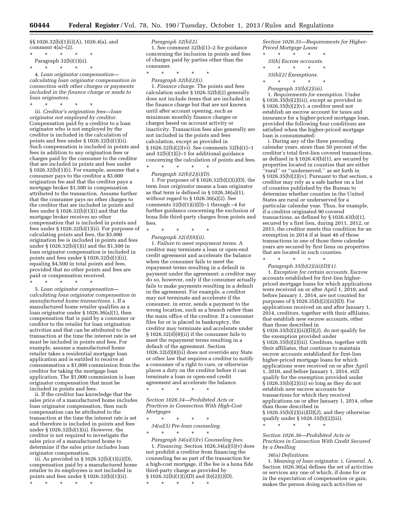§§ 1026.32(b)(1)(i)(A), 1026.4(a), and comment  $4(a)-(2)$ .

\* \* \* \* \* Paragraph 32(b)(1)(ii).

\* \* \* \* \*

4. *Loan originator compensation calculating loan originator compensation in connection with other charges or payments included in the finance charge or made to loan originators.* 

\* \* \* \* \* iii. *Creditor's origination fees—loan originator not employed by creditor.*  Compensation paid by a creditor to a loan originator who is not employed by the creditor is included in the calculation of points and fees under § 1026.32(b)(1)(ii). Such compensation is included in points and fees in addition to any origination fees or charges paid by the consumer to the creditor that are included in points and fees under § 1026.32(b)(1)(i). For example, assume that a consumer pays to the creditor a \$3,000 origination fee and that the creditor pays a mortgage broker \$1,500 in compensation attributed to the transaction. Assume further that the consumer pays no other charges to the creditor that are included in points and fees under § 1026.32(b)(1)(i) and that the mortgage broker receives no other compensation that is included in points and fees under § 1026.32(b)(1)(ii). For purposes of calculating points and fees, the \$3,000 origination fee is included in points and fees under § 1026.32(b)(1)(i) and the \$1,500 in loan originator compensation is included in points and fees under § 1026.32(b)(1)(ii), equaling \$4,500 in total points and fees, provided that no other points and fees are paid or compensation received. \* \* \* \* \*

5. *Loan originator compensation calculating loan originator compensation in manufactured home transactions.* i. If a manufactured home retailer qualifies as a loan originator under § 1026.36(a)(1), then compensation that is paid by a consumer or creditor to the retailer for loan origination activities and that can be attributed to the transaction at the time the interest rate is set must be included in points and fees. For example, assume a manufactured home retailer takes a residential mortgage loan application and is entitled to receive at consummation a \$1,000 commission from the creditor for taking the mortgage loan application. The \$1,000 commission is loan originator compensation that must be included in points and fees.

ii. If the creditor has knowledge that the sales price of a manufactured home includes loan originator compensation, then such compensation can be attributed to the transaction at the time the interest rate is set and therefore is included in points and fees under  $§ 1026.32(b)(1)(ii)$ . However, the creditor is not required to investigate the sales price of a manufactured home to determine if the sales price includes loan originator compensation.

iii. As provided in § 1026.32(b)(1)(ii)(D), compensation paid by a manufactured home retailer to its employees is not included in points and fees under § 1026.32(b)(1)(ii).

\* \* \* \* \*

*Paragraph 32(b)(2).* 

1. See comment 32(b)(1)–2 for guidance concerning the inclusion in points and fees of charges paid by parties other than the consumer.

\* \* \* \* \*

*Paragraph 32(b)(2)(i).* 

1. *Finance charge.* The points and fees calculation under § 1026.32(b)(2) generally does not include items that are included in the finance charge but that are not known until after account opening, such as minimum monthly finance charges or charges based on account activity or inactivity. Transaction fees also generally are not included in the points and fees calculation, except as provided in § 1026.32(b)(2)(vi). See comments 32(b)(1)–1 and 32(b)(1)(i)–1 for additional guidance concerning the calculation of points and fees.

\* \* \* \* \* *Paragraph 32(b)(2)(i)(D).* 

1. For purposes of § 1026.32(b)(2)(i)(D), the term *loan originator* means a loan originator as that term is defined in § 1026.36(a)(1), without regard to § 1026.36(a)(2). See comments  $32(b)(1)(i)(D)-1$  through  $-4$  for further guidance concerning the exclusion of bona fide third-party charges from points and fees.

\* \* \* \* \*

*Paragraph 32(d)(8)(ii).* 

1. *Failure to meet repayment terms.* A creditor may terminate a loan or open-end credit agreement and accelerate the balance when the consumer fails to meet the repayment terms resulting in a default in payment under the agreement; a creditor may do so, however, only if the consumer actually fails to make payments resulting in a default in the agreement. For example, a creditor may not terminate and accelerate if the consumer, in error, sends a payment to the wrong location, such as a branch rather than the main office of the creditor. If a consumer files for or is placed in bankruptcy, the creditor may terminate and accelerate under § 1026.32(d)(8)(ii) if the consumer fails to meet the repayment terms resulting in a default of the agreement. Section 1026.32(d)(8)(ii) does not override any State or other law that requires a creditor to notify a consumer of a right to cure, or otherwise places a duty on the creditor before it can terminate a loan or open-end credit agreement and accelerate the balance.

*Section 1026.34—Prohibited Acts or Practices in Connection With High-Cost Mortgages* 

\* \* \* \* \*

\* \* \* \* \*

*34(a)(5) Pre-loan counseling.*  \* \* \* \* \*

*Paragraph 34(a)(5)(v) Counseling fees.*  1. *Financing.* Section 1026.34(a)(5)(v) does not prohibit a creditor from financing the counseling fee as part of the transaction for a high-cost mortgage, if the fee is a bona fide third-party charge as provided by § 1026.32(b)(1)(i)(D) and (b)(2)(i)(D).

\* \* \* \* \*

*Section 1026.35—Requirements for Higher-Priced Mortgage Loans* 

- \* \* \* \* \* *35(b) Escrow accounts.*  \* \* \* \* \*
- *35(b)(2) Exemptions.*

\* \* \* \* \*

*Paragraph 35(b)(2)(iii).* 

1. *Requirements for exemption.* Under § 1026.35(b)(2)(iii), except as provided in § 1026.35(b)(2)(v), a creditor need not establish an escrow account for taxes and insurance for a higher-priced mortgage loan, provided the following four conditions are satisfied when the higher-priced mortgage loan is consummated:

i. During any of the three preceding calendar years, more than 50 percent of the creditor's total first-lien covered transactions, as defined in § 1026.43(b)(1), are secured by properties located in counties that are either 'rural'' or "underserved," as set forth in § 1026.35(b)(2)(iv). Pursuant to that section, a creditor may rely as a safe harbor on a list of counties published by the Bureau to determine whether counties in the United States are rural or underserved for a particular calendar year. Thus, for example, if a creditor originated 90 covered transactions, as defined by § 1026.43(b)(1), secured by a first lien, during 2011, 2012, or 2013, the creditor meets this condition for an exemption in 2014 if at least 46 of those transactions in one of those three calendar years are secured by first liens on properties that are located in such counties.

\* \* \* \* \* *Paragraph 35(b)(2)(iii)(D)(1).* 

1. *Exception for certain accounts.* Escrow accounts established for first-lien higherpriced mortgage loans for which applications were received on or after April 1, 2010, and before January 1, 2014, are not counted for purposes of  $\S 1026.35(b)(2)(iii)(D)$ . For applications received on and after January 1, 2014, creditors, together with their affiliates, that establish new escrow accounts, other than those described in § 1026.35(b)(2)(iii)(D)(*2*), do not qualify for the exemption provided under § 1026.35(b)(2)(iii). Creditors, together with their affiliates, that continue to maintain escrow accounts established for first-lien higher-priced mortgage loans for which applications were received on or after April 1, 2010, and before January 1, 2014, still qualify for the exemption provided under § 1026.35(b)(2)(iii) so long as they do not establish new escrow accounts for transactions for which they received applications on or after January 1, 2014, other than those described in § 1026.35(b)(2)(iii)(D)(*2*), and they otherwise qualify under § 1026.35(b)(2)(iii).

\* \* \* \* \*

*Section 1026.36—Prohibited Acts or Practices in Connection With Credit Secured by a Dwelling* 

*36(a) Definitions.* 

1. *Meaning of loan originator.* i. *General.* A. Section 1026.36(a) defines the set of activities or services any one of which, if done for or in the expectation of compensation or gain, makes the person doing such activities or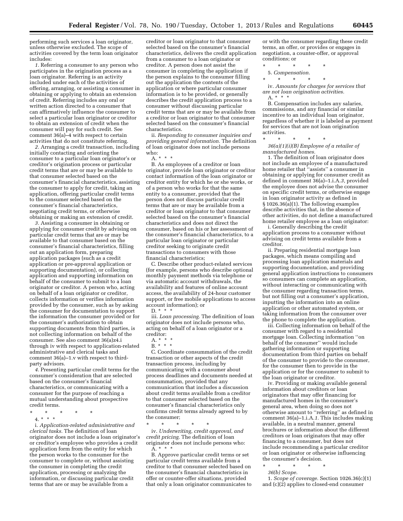performing such services a loan originator, unless otherwise excluded. The scope of activities covered by the term loan originator includes:

*1.* Referring a consumer to any person who participates in the origination process as a loan originator. Referring is an activity included under each of the activities of offering, arranging, or assisting a consumer in obtaining or applying to obtain an extension of credit. Referring includes any oral or written action directed to a consumer that can affirmatively influence the consumer to select a particular loan originator or creditor to obtain an extension of credit when the consumer will pay for such credit. See comment 36(a)–4 with respect to certain activities that do not constitute referring.

*2.* Arranging a credit transaction, including initially contacting and orienting the consumer to a particular loan originator's or creditor's origination process or particular credit terms that are or may be available to that consumer selected based on the consumer's financial characteristics, assisting the consumer to apply for credit, taking an application, offering particular credit terms to the consumer selected based on the consumer's financial characteristics, negotiating credit terms, or otherwise obtaining or making an extension of credit.

*3.* Assisting a consumer in obtaining or applying for consumer credit by advising on particular credit terms that are or may be available to that consumer based on the consumer's financial characteristics, filling out an application form, preparing application packages (such as a credit application or pre-approval application or supporting documentation), or collecting application and supporting information on behalf of the consumer to submit to a loan originator or creditor. A person who, acting on behalf of a loan originator or creditor, collects information or verifies information provided by the consumer, such as by asking the consumer for documentation to support the information the consumer provided or for the consumer's authorization to obtain supporting documents from third parties, is not collecting information on behalf of the consumer. See also comment 36(a)z4.i through iv with respect to application-related administrative and clerical tasks and comment 36(a)–1.v with respect to thirdparty advisors.

*4.* Presenting particular credit terms for the consumer's consideration that are selected based on the consumer's financial characteristics, or communicating with a consumer for the purpose of reaching a mutual understanding about prospective credit terms.

\* \* \* \* \*

4. \* \* \*

i. *Application-related administrative and clerical tasks.* The definition of loan originator does not include a loan originator's or creditor's employee who provides a credit application form from the entity for which the person works to the consumer for the consumer to complete or, without assisting the consumer in completing the credit application, processing or analyzing the information, or discussing particular credit terms that are or may be available from a

creditor or loan originator to that consumer selected based on the consumer's financial characteristics, delivers the credit application from a consumer to a loan originator or creditor. A person does not assist the consumer in completing the application if the person explains to the consumer filling out the application the contents of the application or where particular consumer information is to be provided, or generally describes the credit application process to a consumer without discussing particular credit terms that are or may be available from a creditor or loan originator to that consumer selected based on the consumer's financial characteristics.

ii. *Responding to consumer inquiries and providing general information.* The definition of loan originator does not include persons who:

B. As employees of a creditor or loan originator, provide loan originator or creditor contact information of the loan originator or creditor entity for which he or she works, or of a person who works for that the same entity to a consumer, provided that the person does not discuss particular credit terms that are or may be available from a creditor or loan originator to that consumer selected based on the consumer's financial characteristics and does not direct the consumer, based on his or her assessment of the consumer's financial characteristics, to a particular loan originator or particular creditor seeking to originate credit transactions to consumers with those financial characteristics;

C. Describe other product-related services (for example, persons who describe optional monthly payment methods via telephone or via automatic account withdrawals, the availability and features of online account access, the availability of 24-hour customer support, or free mobile applications to access account information); or  $D. * * * *$ 

iii. *Loan processing.* The definition of loan originator does not include persons who, acting on behalf of a loan originator or a creditor:

C. Coordinate consummation of the credit transaction or other aspects of the credit transaction process, including by communicating with a consumer about process deadlines and documents needed at consummation, provided that any communication that includes a discussion about credit terms available from a creditor to that consumer selected based on the consumer's financial characteristics only confirms credit terms already agreed to by the consumer;

\* \* \* \* \* iv. *Underwriting, credit approval, and credit pricing.* The definition of loan originator does not include persons who:  $A. * * * *$ 

B. Approve particular credit terms or set particular credit terms available from a creditor to that consumer selected based on the consumer's financial characteristics in offer or counter-offer situations, provided that only a loan originator communicates to

or with the consumer regarding these credit terms, an offer, or provides or engages in negotiation, a counter-offer, or approval conditions; or

\* \* \* \* \*

5. *Compensation.*  \* \* \* \* \*

iv. *Amounts for charges for services that* 

*are not loan origination activities.*  A. \* \* \*

B. Compensation includes any salaries, commissions, and any financial or similar incentive to an individual loan originator, regardless of whether it is labeled as payment for services that are not loan origination activities.

\* \* \* \* \*

*36(a)(1)(i)(B) Employee of a retailer of manufactured homes.* 

1. The definition of loan originator does not include an employee of a manufactured home retailer that ''assists'' a consumer in obtaining or applying for consumer credit as defined in comment 36(a)–1.i.A.*3,* provided the employee does not advise the consumer on specific credit terms, or otherwise engage in loan originator activity as defined in § 1026.36(a)(1). The following examples describe activities that, in the absence of other activities, do not define a manufactured home retailer employee as a loan originator:

i. Generally describing the credit application process to a consumer without advising on credit terms available from a creditor.

ii. Preparing residential mortgage loan packages, which means compiling and processing loan application materials and supporting documentation, and providing general application instructions to consumers so consumers can complete an application, without interacting or communicating with the consumer regarding transaction terms, but not filling out a consumer's application, inputting the information into an online application or other automated system, or taking information from the consumer over the phone to complete the application.

iii. Collecting information on behalf of the consumer with regard to a residential mortgage loan. Collecting information ''on behalf of the consumer'' would include gathering information or supporting documentation from third parties on behalf of the consumer to provide to the consumer, for the consumer then to provide in the application or for the consumer to submit to the loan originator or creditor.

iv. Providing or making available general information about creditors or loan originators that may offer financing for manufactured homes in the consumer's general area, when doing so does not otherwise amount to ''referring'' as defined in comment 36(a)–1.i.A.*1.* This includes making available, in a neutral manner, general brochures or information about the different creditors or loan originators that may offer financing to a consumer, but does not include recommending a particular creditor or loan originator or otherwise influencing the consumer's decision.

\* \* \* \* \*

*36(b) Scope.* 

1. *Scope of coverage.* Section 1026.36(c)(1) and  $(c)(2)$  applies to closed-end consumer

 $A. * * * *$ 

A. \* \* \*

B. \* \* \*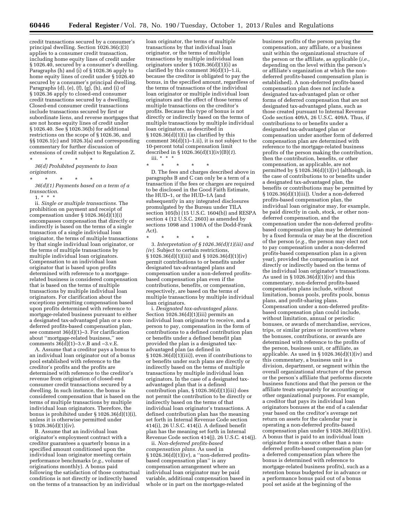credit transactions secured by a consumer's principal dwelling. Section 1026.36(c)(3) applies to a consumer credit transaction, including home equity lines of credit under § 1026.40, secured by a consumer's dwelling. Paragraphs (h) and (i) of § 1026.36 apply to home equity lines of credit under § 1026.40 secured by a consumer's principal dwelling. Paragraphs  $(d)$ ,  $(e)$ ,  $(f)$ ,  $(g)$ ,  $(h)$ , and  $(i)$  of § 1026.36 apply to closed-end consumer credit transactions secured by a dwelling. Closed-end consumer credit transactions include transactions secured by first or subordinate liens, and reverse mortgages that are not home equity lines of credit under § 1026.40. See § 1026.36(b) for additional restrictions on the scope of § 1026.36, and §§ 1026.1(c) and 1026.3(a) and corresponding commentary for further discussion of extensions of credit subject to Regulation Z.

\* \* \* \* \* *36(d) Prohibited payments to loan originators.* 

\* \* \* \* \*

*36(d)(1) Payments based on a term of a transaction.* 

1. \* \* \*

ii. *Single or multiple transactions.* The prohibition on payment and receipt of compensation under § 1026.36(d) $(1)(i)$ encompasses compensation that directly or indirectly is based on the terms of a single transaction of a single individual loan originator, the terms of multiple transactions by that single individual loan originator, or the terms of multiple transactions by multiple individual loan originators. Compensation to an individual loan originator that is based upon profits determined with reference to a mortgagerelated business is considered compensation that is based on the terms of multiple transactions by multiple individual loan originators. For clarification about the exceptions permitting compensation based upon profits determined with reference to mortgage-related business pursuant to either a designated tax-advantaged plan or a nondeferred profits-based compensation plan, see comment 36(d)(1)-3. For clarification about ''mortgage-related business,'' see comments  $36(\text{d})(1)-3.\text{v.B}$  and  $-3.\text{v.E}$ .

A. Assume that a creditor pays a bonus to an individual loan originator out of a bonus pool established with reference to the creditor's profits and the profits are determined with reference to the creditor's revenue from origination of closed-end consumer credit transactions secured by a dwelling. In such instance, the bonus is considered compensation that is based on the terms of multiple transactions by multiple individual loan originators. Therefore, the bonus is prohibited under § 1026.36(d)(1)(i), unless it is otherwise permitted under § 1026.36(d)(1)(iv).

B. Assume that an individual loan originator's employment contract with a creditor guarantees a quarterly bonus in a specified amount conditioned upon the individual loan originator meeting certain performance benchmarks (*e.g.,* volume of originations monthly). A bonus paid following the satisfaction of those contractual conditions is not directly or indirectly based on the terms of a transaction by an individual

loan originator, the terms of multiple transactions by that individual loan originator, or the terms of multiple transactions by multiple individual loan originators under  $\S 1026.36(d)(1)(i)$  as clarified by this comment 36(d)(1)–1.ii, because the creditor is obligated to pay the bonus, in the specified amount, regardless of the terms of transactions of the individual loan originator or multiple individual loan originators and the effect of those terms of multiple transactions on the creditor's profits. Because this type of bonus is not directly or indirectly based on the terms of multiple transactions by multiple individual loan originators, as described in § 1026.36(d)(1)(i) (as clarified by this comment  $36(d)(1)-1$ .ii), it is not subject to the 10-percent total compensation limit described in § 1026.36(d)(1)(iv)(B)(*1*). iii. \* \* \*

\* \* \* \* \*

D. The fees and charges described above in paragraphs B and C can only be a term of a transaction if the fees or charges are required to be disclosed in the Good Faith Estimate, the HUD–1, or the HUD–1A (and subsequently in any integrated disclosures promulgated by the Bureau under TILA section 105(b) (15 U.S.C. 1604(b)) and RESPA section 4 (12 U.S.C. 2603) as amended by sections 1098 and 1100A of the Dodd-Frank Act).

\* \* \* \* \* 3. *Interpretation of § 1026.36(d)(1)(iii) and (iv).* Subject to certain restrictions, § 1026.36(d)(1)(iii) and § 1026.36(d)(1)(iv) permit contributions to or benefits under designated tax-advantaged plans and compensation under a non-deferred profitsbased compensation plan even if the contributions, benefits, or compensation, respectively, are based on the terms of multiple transactions by multiple individual loan originators.

i. *Designated tax-advantaged plans.*  Section  $1026.36(d)(1)(iii)$  permits an individual loan originator to receive, and a person to pay, compensation in the form of contributions to a defined contribution plan or benefits under a defined benefit plan provided the plan is a designated taxadvantaged plan (as defined in  $§ 1026.36(d)(1)(iii)$ , even if contributions to or benefits under such plans are directly or indirectly based on the terms of multiple transactions by multiple individual loan originators. In the case of a designated taxadvantaged plan that is a defined contribution plan, § 1026.36(d)(1)(iii) does not permit the contribution to be directly or indirectly based on the terms of that individual loan originator's transactions. A defined contribution plan has the meaning set forth in Internal Revenue Code section 414(i), 26 U.S.C. 414(i). A defined benefit plan has the meaning set forth in Internal Revenue Code section 414(j), 26 U.S.C. 414(j).

ii. *Non-deferred profits-based compensation plans.* As used in  $§ 1026.36(d)(1)(iv)$ , a "non-deferred profitsbased compensation plan'' is any compensation arrangement where an individual loan originator may be paid variable, additional compensation based in whole or in part on the mortgage-related

business profits of the person paying the compensation, any affiliate, or a business unit within the organizational structure of the person or the affiliate, as applicable (*i.e.,*  depending on the level within the person's or affiliate's organization at which the nondeferred profits-based compensation plan is established). A non-deferred profits-based compensation plan does not include a designated tax-advantaged plan or other forms of deferred compensation that are not designated tax-advantaged plans, such as those created pursuant to Internal Revenue Code section 409A, 26 U.S.C. 409A. Thus, if contributions to or benefits under a designated tax-advantaged plan or compensation under another form of deferred compensation plan are determined with reference to the mortgage-related business profits of the person making the contribution, then the contribution, benefits, or other compensation, as applicable, are not permitted by § 1026.36(d)(1)(iv) (although, in the case of contributions to or benefits under a designated tax-advantaged plan, the benefits or contributions may be permitted by § 1026.36(d)(1)(iii)). Under a non-deferred profits-based compensation plan, the individual loan originator may, for example, be paid directly in cash, stock, or other nondeferred compensation, and the compensation under the non-deferred profitsbased compensation plan may be determined by a fixed formula or may be at the discretion of the person (*e.g.,* the person may elect not to pay compensation under a non-deferred profits-based compensation plan in a given year), provided the compensation is not directly or indirectly based on the terms of the individual loan originator's transactions. As used in § 1026.36(d)(1)(iv) and this commentary, non-deferred profits-based compensation plans include, without limitation, bonus pools, profits pools, bonus plans, and profit-sharing plans. Compensation under a non-deferred profitsbased compensation plan could include, without limitation, annual or periodic bonuses, or awards of merchandise, services, trips, or similar prizes or incentives where the bonuses, contributions, or awards are determined with reference to the profits of the person, business unit, or affiliate, as applicable. As used in § 1026.36(d)(1)(iv) and this commentary, a business unit is a division, department, or segment within the overall organizational structure of the person or the person's affiliate that performs discrete business functions and that the person or the affiliate treats separately for accounting or other organizational purposes. For example, a creditor that pays its individual loan originators bonuses at the end of a calendar year based on the creditor's average net return on assets for the calendar year is operating a non-deferred profits-based compensation plan under § 1026.36(d)(1)(iv). A bonus that is paid to an individual loan originator from a source other than a nondeferred profits-based compensation plan (or a deferred compensation plan where the bonus is determined with reference to mortgage-related business profits), such as a retention bonus budgeted for in advance or a performance bonus paid out of a bonus pool set aside at the beginning of the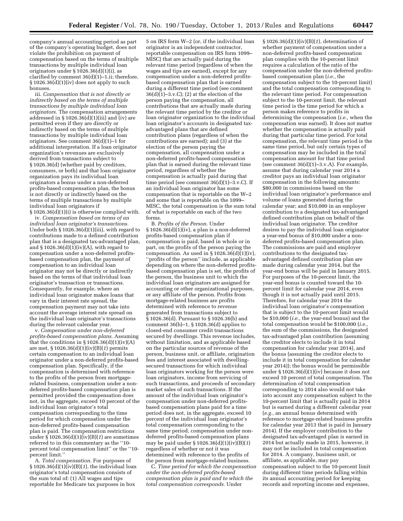company's annual accounting period as part of the company's operating budget, does not violate the prohibition on payment of compensation based on the terms of multiple transactions by multiple individual loan originators under  $\S 1026.36(d)(1)(i)$ , as clarified by comment 36(d)(1)–1.ii; therefore, § 1026.36(d)(1)(iv) does not apply to such bonuses.

iii. *Compensation that is not directly or indirectly based on the terms of multiple transactions by multiple individual loan originators.* The compensation arrangements addressed in  $\S 1026.36(d)(1)(iii)$  and  $(iv)$  are permitted even if they are directly or indirectly based on the terms of multiple transactions by multiple individual loan originators. See comment 36(d)(1)–1 for additional interpretation. If a loan originator organization's revenues are exclusively derived from transactions subject to § 1026.36(d) (whether paid by creditors, consumers, or both) and that loan originator organization pays its individual loan originators a bonus under a non-deferred profits-based compensation plan, the bonus is not directly or indirectly based on the terms of multiple transactions by multiple individual loan originators if

§ 1026.36(d)(1)(i) is otherwise complied with.

iv. *Compensation based on terms of an individual loan originator's transactions.*  Under both § 1026.36(d)(1)(iii), with regard to contributions made to a defined contribution plan that is a designated tax-advantaged plan, and  $\S 1026.36(d)(1)(iv)(A)$ , with regard to compensation under a non-deferred profitsbased compensation plan, the payment of compensation to an individual loan originator may not be directly or indirectly based on the terms of that individual loan originator's transaction or transactions. Consequently, for example, where an individual loan originator makes loans that vary in their interest rate spread, the compensation payment may not take into account the average interest rate spread on the individual loan originator's transactions during the relevant calendar year.

v. *Compensation under non-deferred profits-based compensation plans.* Assuming that the conditions in  $\S 1026.36(d)(1)(iv)(A)$ are met, § 1026.36(d)(1)(iv)(B)(*1*) permits certain compensation to an individual loan originator under a non-deferred profits-based compensation plan. Specifically, if the compensation is determined with reference to the profits of the person from mortgagerelated business, compensation under a nondeferred profits-based compensation plan is permitted provided the compensation does not, in the aggregate, exceed 10 percent of the individual loan originator's total compensation corresponding to the time period for which compensation under the non-deferred profits-based compensation plan is paid. The compensation restrictions under § 1026.36(d)(1)(iv)(B)(*1*) are sometimes referred to in this commentary as the ''10 percent total compensation limit'' or the ''10 percent limit.''

A. *Total compensation.* For purposes of § 1026.36(d)(1)(iv)(B)(*1*), the individual loan originator's total compensation consists of the sum total of: (1) All wages and tips reportable for Medicare tax purposes in box

5 on IRS form W–2 (or, if the individual loan originator is an independent contractor, reportable compensation on IRS form 1099– MISC) that are actually paid during the relevant time period (regardless of when the wages and tips are earned), except for any compensation under a non-deferred profitsbased compensation plan that is earned during a different time period (see comment  $36(d)(1)-3.v.C);$  (2) at the election of the person paying the compensation, all contributions that are actually made during the relevant time period by the creditor or loan originator organization to the individual loan originator's accounts in designated taxadvantaged plans that are defined contribution plans (regardless of when the contributions are earned); and (3) at the election of the person paying the compensation, all compensation under a non-deferred profits-based compensation plan that is earned during the relevant time period, regardless of whether the compensation is actually paid during that time period (see comment 36(d)(1)–3.v.C). If an individual loan originator has some compensation that is reportable on the W–2 and some that is reportable on the 1099– MISC, the total compensation is the sum total of what is reportable on each of the two forms.

B. *Profits of the Person.* Under  $\S 1026.36(d)(1)(iv)$ , a plan is a non-deferred profits-based compensation plan if compensation is paid, based in whole or in part, on the profits of the person paying the compensation. As used in §  $1026.36(d)(1)(iv)$ , ''profits of the person'' include, as applicable depending on where the non-deferred profitsbased compensation plan is set, the profits of the person, the business unit to which the individual loan originators are assigned for accounting or other organizational purposes, or any affiliate of the person. Profits from mortgage-related business are profits determined with reference to revenue generated from transactions subject to § 1026.36(d). Pursuant to § 1026.36(b) and comment 36(b)–1, § 1026.36(d) applies to closed-end consumer credit transactions secured by dwellings. This revenue includes, without limitation, and as applicable based on the particular sources of revenue of the person, business unit, or affiliate, origination fees and interest associated with dwellingsecured transactions for which individual loan originators working for the person were loan originators, income from servicing of such transactions, and proceeds of secondary market sales of such transactions. If the amount of the individual loan originator's compensation under non-deferred profitsbased compensation plans paid for a time period does not, in the aggregate, exceed 10 percent of the individual loan originator's total compensation corresponding to the same time period, compensation under nondeferred profits-based compensation plans may be paid under § 1026.36(d)(1)(iv)(B)(*1*) regardless of whether or not it was determined with reference to the profits of the person from mortgage-related business.

C. *Time period for which the compensation under the non-deferred profits-based compensation plan is paid and to which the total compensation corresponds.* Under

§ 1026.36(d)(1)(iv)(B)(*1*), determination of whether payment of compensation under a non-deferred profits-based compensation plan complies with the 10-percent limit requires a calculation of the ratio of the compensation under the non-deferred profitsbased compensation plan (*i.e.,* the compensation subject to the 10-percent limit) and the total compensation corresponding to the relevant time period. For compensation subject to the 10-percent limit, the relevant time period is the time period for which a person makes reference to profits in determining the compensation (*i.e.,* when the compensation was earned). It does not matter whether the compensation is actually paid during that particular time period. For total compensation, the relevant time period is the same time period, but only certain types of compensation may be included in the total compensation amount for that time period (see comment 36(d)(1)–3.v.A). For example, assume that during calendar year 2014 a creditor pays an individual loan originator compensation in the following amounts: \$80,000 in commissions based on the individual loan originator's performance and volume of loans generated during the calendar year; and \$10,000 in an employer contribution to a designated tax-advantaged defined contribution plan on behalf of the individual loan originator. The creditor desires to pay the individual loan originator a year-end bonus of \$10,000 under a nondeferred profits-based compensation plan. The commissions are paid and employer contributions to the designated taxadvantaged defined contribution plan are made during calendar year 2014, but the year-end bonus will be paid in January 2015. For purposes of the 10-percent limit, the year-end bonus is counted toward the 10 percent limit for calendar year 2014, even though it is not actually paid until 2015. Therefore, for calendar year 2014 the individual loan originator's compensation that is subject to the 10-percent limit would be \$10,000 (*i.e.,* the year-end bonus) and the total compensation would be \$100,000 (*i.e.,*  the sum of the commissions, the designated tax-advantaged plan contribution (assuming the creditor elects to include it in total compensation for calendar year 2014), and the bonus (assuming the creditor elects to include it in total compensation for calendar year 2014)); the bonus would be permissible under § 1026.36(d)(1)(iv) because it does not exceed 10 percent of total compensation. The determination of total compensation corresponding to 2014 also would not take into account any compensation subject to the 10-percent limit that is actually paid in 2014 but is earned during a different calendar year (*e.g.,* an annual bonus determined with reference to mortgage-related business profits for calendar year 2013 that is paid in January 2014). If the employer contribution to the designated tax-advantaged plan is earned in 2014 but actually made in 2015, however, it may not be included in total compensation for 2014. A company, business unit, or affiliate, as applicable, may pay compensation subject to the 10-percent limit during different time periods falling within its annual accounting period for keeping records and reporting income and expenses,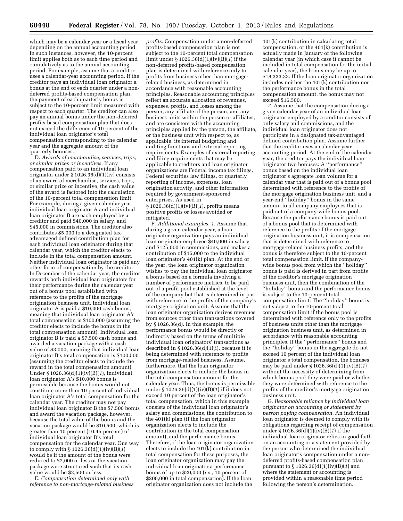which may be a calendar year or a fiscal year depending on the annual accounting period. In such instances, however, the 10-percent limit applies both as to each time period and cumulatively as to the annual accounting period. For example, assume that a creditor uses a calendar-year accounting period. If the creditor pays an individual loan originator a bonus at the end of each quarter under a nondeferred profits-based compensation plan, the payment of each quarterly bonus is subject to the 10-percent limit measured with respect to each quarter. The creditor can also pay an annual bonus under the non-deferred profits-based compensation plan that does not exceed the difference of 10 percent of the individual loan originator's total compensation corresponding to the calendar year and the aggregate amount of the quarterly bonuses.

D. *Awards of merchandise, services, trips, or similar prizes or incentives.* If any compensation paid to an individual loan originator under § 1026.36(d)(1)(iv) consists of an award of merchandise, services, trips, or similar prize or incentive, the cash value of the award is factored into the calculation of the 10-percent total compensation limit. For example, during a given calendar year, individual loan originator A and individual loan originator B are each employed by a creditor and paid \$40,000 in salary, and \$45,000 in commissions. The creditor also contributes \$5,000 to a designated taxadvantaged defined contribution plan for each individual loan originator during that calendar year, which the creditor elects to include in the total compensation amount. Neither individual loan originator is paid any other form of compensation by the creditor. In December of the calendar year, the creditor rewards both individual loan originators for their performance during the calendar year out of a bonus pool established with reference to the profits of the mortgage origination business unit. Individual loan originator A is paid a \$10,000 cash bonus, meaning that individual loan originator A's total compensation is \$100,000 (assuming the creditor elects to include the bonus in the total compensation amount). Individual loan originator B is paid a \$7,500 cash bonus and awarded a vacation package with a cash value of \$3,000, meaning that individual loan originator B's total compensation is \$100,500 (assuming the creditor elects to include the reward in the total compensation amount). Under § 1026.36(d)(1)(iv)(B)(*1*), individual loan originator A's \$10,000 bonus is permissible because the bonus would not constitute more than 10 percent of individual loan originator A's total compensation for the calendar year. The creditor may not pay individual loan originator B the \$7,500 bonus and award the vacation package, however, because the total value of the bonus and the vacation package would be \$10,500, which is greater than 10 percent (10.45 percent) of individual loan originator B's total compensation for the calendar year. One way to comply with § 1026.36(d)(1)(iv)(B)(*1*) would be if the amount of the bonus were reduced to \$7,000 or less or the vacation package were structured such that its cash value would be \$2,500 or less.

E. *Compensation determined only with reference to non-mortgage-related business* 

*profits.* Compensation under a non-deferred profits-based compensation plan is not subject to the 10-percent total compensation limit under § 1026.36(d)(1)(iv)(B)(*1*) if the non-deferred profits-based compensation plan is determined with reference only to profits from business other than mortgagerelated business, as determined in accordance with reasonable accounting principles. Reasonable accounting principles reflect an accurate allocation of revenues, expenses, profits, and losses among the person, any affiliate of the person, and any business units within the person or affiliates, and are consistent with the accounting principles applied by the person, the affiliate, or the business unit with respect to, as applicable, its internal budgeting and auditing functions and external reporting requirements. Examples of external reporting and filing requirements that may be applicable to creditors and loan originator organizations are Federal income tax filings, Federal securities law filings, or quarterly reporting of income, expenses, loan origination activity, and other information required by government-sponsored enterprises. As used in § 1026.36(d)(1)(iv)(B)(*1*), profits means positive profits or losses avoided or mitigated.

F. *Additional examples. 1.* Assume that, during a given calendar year, a loan originator organization pays an individual loan originator employee \$40,000 in salary and \$125,000 in commissions, and makes a contribution of \$15,000 to the individual loan originator's 401(k) plan. At the end of the year, the loan originator organization wishes to pay the individual loan originator a bonus based on a formula involving a number of performance metrics, to be paid out of a profit pool established at the level of the company but that is determined in part with reference to the profits of the company's mortgage origination unit. Assume that the loan originator organization derives revenues from sources other than transactions covered by § 1026.36(d). In this example, the performance bonus would be directly or indirectly based on the terms of multiple individual loan originators' transactions as described in § 1026.36(d)(1)(i), because it is being determined with reference to profits from mortgage-related business. Assume, furthermore, that the loan originator organization elects to include the bonus in the total compensation amount for the calendar year. Thus, the bonus is permissible under § 1026.36(d)(1)(iv)(B)(*1*) if it does not exceed 10 percent of the loan originator's total compensation, which in this example consists of the individual loan originator's salary and commissions, the contribution to the 401(k) plan (if the loan originator organization elects to include the contribution in the total compensation amount), and the performance bonus. Therefore, if the loan originator organization elects to include the 401(k) contribution in total compensation for these purposes, the loan originator organization may pay the individual loan originator a performance bonus of up to \$20,000 (*i.e.,* 10 percent of \$200,000 in total compensation). If the loan originator organization does not include the

401(k) contribution in calculating total compensation, or the 401(k) contribution is actually made in January of the following calendar year (in which case it cannot be included in total compensation for the initial calendar year), the bonus may be up to \$18,333.33. If the loan originator organization includes neither the 401(k) contribution nor the performance bonus in the total compensation amount, the bonus may not exceed \$16,500.

*2.* Assume that the compensation during a given calendar year of an individual loan originator employed by a creditor consists of only salary and commissions, and the individual loan originator does not participate in a designated tax-advantaged defined contribution plan. Assume further that the creditor uses a calendar-year accounting period. At the end of the calendar year, the creditor pays the individual loan originator two bonuses: A ''performance'' bonus based on the individual loan originator's aggregate loan volume for a calendar year that is paid out of a bonus pool determined with reference to the profits of the mortgage origination business unit, and a year-end ''holiday'' bonus in the same amount to all company employees that is paid out of a company-wide bonus pool. Because the performance bonus is paid out of a bonus pool that is determined with reference to the profits of the mortgage origination business unit, it is compensation that is determined with reference to mortgage-related business profits, and the bonus is therefore subject to the 10-percent total compensation limit. If the companywide bonus pool from which the ''holiday'' bonus is paid is derived in part from profits of the creditor's mortgage origination business unit, then the combination of the ''holiday'' bonus and the performance bonus is subject to the 10-percent total compensation limit. The ''holiday'' bonus is not subject to the 10-percent total compensation limit if the bonus pool is determined with reference only to the profits of business units other than the mortgage origination business unit, as determined in accordance with reasonable accounting principles. If the ''performance'' bonus and the ''holiday'' bonus in the aggregate do not exceed 10 percent of the individual loan originator's total compensation, the bonuses may be paid under § 1026.36(d)(1)(iv)(B)(*1*) without the necessity of determining from which bonus pool they were paid or whether they were determined with reference to the profits of the creditor's mortgage origination business unit.

G. *Reasonable reliance by individual loan originator on accounting or statement by person paying compensation.* An individual loan originator is deemed to comply with its obligations regarding receipt of compensation under § 1026.36(d)(1)(iv)(B)(*1*) if the individual loan originator relies in good faith on an accounting or a statement provided by the person who determined the individual loan originator's compensation under a nondeferred profits-based compensation plan pursuant to § 1026.36(d)(1)(iv)(B)(*1*) and where the statement or accounting is provided within a reasonable time period following the person's determination.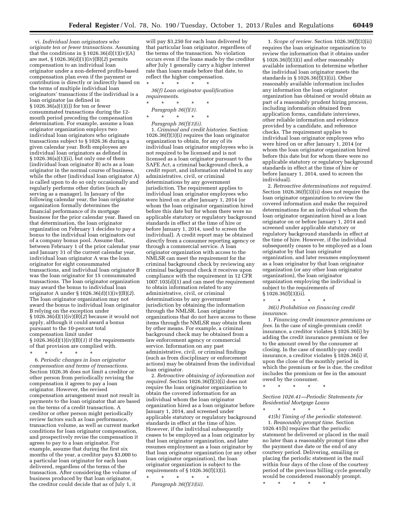vi. *Individual loan originators who originate ten or fewer transactions.* Assuming that the conditions in  $\S 1026.36(d)(1)(iv)(A)$ are met, § 1026.36(d)(1)(iv)(B)(*2*) permits compensation to an individual loan originator under a non-deferred profits-based compensation plan even if the payment or contribution is directly or indirectly based on the terms of multiple individual loan originators' transactions if the individual is a loan originator (as defined in § 1026.36(a)(1)(i)) for ten or fewer consummated transactions during the 12 month period preceding the compensation determination. For example, assume a loan originator organization employs two individual loan originators who originate transactions subject to § 1026.36 during a given calendar year. Both employees are individual loan originators as defined in  $§ 1026.36(a)(1)(ii)$ , but only one of them (individual loan originator B) acts as a loan originator in the normal course of business, while the other (individual loan originator A) is called upon to do so only occasionally and regularly performs other duties (such as serving as a manager). In January of the following calendar year, the loan originator organization formally determines the financial performance of its mortgage business for the prior calendar year. Based on that determination, the loan originator organization on February 1 decides to pay a bonus to the individual loan originators out of a company bonus pool. Assume that, between February 1 of the prior calendar year and January 31 of the current calendar year, individual loan originator A was the loan originator for eight consummated transactions, and individual loan originator B was the loan originator for 15 consummated transactions. The loan originator organization may award the bonus to individual loan originator A under § 1026.36(d)(1)(iv)(B)(*2*). The loan originator organization may not award the bonus to individual loan originator B relying on the exception under § 1026.36(d)(1)(iv)(B)(*2*) because it would not apply, although it could award a bonus pursuant to the 10-percent total compensation limit under § 1026.36(d)(1)(iv)(B)(*1*) if the requirements of that provision are complied with.

\* \* \* \* \*

6. *Periodic changes in loan originator compensation and terms of transactions.*  Section 1026.36 does not limit a creditor or other person from periodically revising the compensation it agrees to pay a loan originator. However, the revised compensation arrangement must not result in payments to the loan originator that are based on the terms of a credit transaction. A creditor or other person might periodically review factors such as loan performance, transaction volume, as well as current market conditions for loan originator compensation, and prospectively revise the compensation it agrees to pay to a loan originator. For example, assume that during the first six months of the year, a creditor pays \$3,000 to a particular loan originator for each loan delivered, regardless of the terms of the transaction. After considering the volume of business produced by that loan originator, the creditor could decide that as of July 1, it

will pay \$3,250 for each loan delivered by that particular loan originator, regardless of the terms of the transaction. No violation occurs even if the loans made by the creditor after July 1 generally carry a higher interest rate than loans made before that date, to reflect the higher compensation.

\* \* \* \* \* *36(f) Loan originator qualification requirements.* 

\* \* \* \* \* *Paragraph 36(f)(3).*  \* \* \* \* \*

*Paragraph 36(f)(3)(i).* 

1. *Criminal and credit histories.* Section 1026.36(f)(3)(i) requires the loan originator organization to obtain, for any of its individual loan originator employees who is not required to be licensed and is not licensed as a loan originator pursuant to the SAFE Act, a criminal background check, a credit report, and information related to any administrative, civil, or criminal determinations by any government jurisdiction. The requirement applies to individual loan originator employees who were hired on or after January 1, 2014 (or whom the loan originator organization hired before this date but for whom there were no applicable statutory or regulatory background standards in effect at the time of hire or before January 1, 2014, used to screen the individual). A credit report may be obtained directly from a consumer reporting agency or through a commercial service. A loan originator organization with access to the NMLSR can meet the requirement for the criminal background check by reviewing any criminal background check it receives upon compliance with the requirement in 12 CFR 1007.103(d)(1) and can meet the requirement to obtain information related to any administrative, civil, or criminal determinations by any government jurisdiction by obtaining the information through the NMLSR. Loan originator organizations that do not have access to these items through the NMLSR may obtain them by other means. For example, a criminal background check may be obtained from a law enforcement agency or commercial service. Information on any past administrative, civil, or criminal findings (such as from disciplinary or enforcement actions) may be obtained from the individual loan originator.

2. *Retroactive obtaining of information not required.* Section 1026.36(f)(3)(i) does not require the loan originator organization to obtain the covered information for an individual whom the loan originator organization hired as a loan originator before January 1, 2014, and screened under applicable statutory or regulatory background standards in effect at the time of hire. However, if the individual subsequently ceases to be employed as a loan originator by that loan originator organization, and later resumes employment as a loan originator by that loan originator organization (or any other loan originator organization), the loan originator organization is subject to the requirements of  $\S 1026.36(f)(3)(i)$ .

\* \* \* \* \*

*Paragraph 36(f)(3)(ii).* 

1. *Scope of review.* Section 1026.36(f)(3)(ii) requires the loan originator organization to review the information that it obtains under § 1026.36(f)(3)(i) and other reasonably available information to determine whether the individual loan originator meets the standards in § 1026.36(f)(3)(ii). Other reasonably available information includes any information the loan originator organization has obtained or would obtain as part of a reasonably prudent hiring process, including information obtained from application forms, candidate interviews, other reliable information and evidence provided by a candidate, and reference checks. The requirement applies to individual loan originator employees who were hired on or after January 1, 2014 (or whom the loan originator organization hired before this date but for whom there were no applicable statutory or regulatory background standards in effect at the time of hire or before January 1, 2014, used to screen the individual).

2. *Retroactive determinations not required.*  Section 1026.36(f)(3)(ii) does not require the loan originator organization to review the covered information and make the required determinations for an individual whom the loan originator organization hired as a loan originator on or before January 1, 2014 and screened under applicable statutory or regulatory background standards in effect at the time of hire. However, if the individual subsequently ceases to be employed as a loan originator by that loan originator organization, and later resumes employment as a loan originator by that loan originator organization (or any other loan originator organization), the loan originator organization employing the individual is subject to the requirements of  $§ 1026.36(f)(3)(ii).$ 

\* \* \* \* \*

*36(i) Prohibition on financing credit insurance.* 

1. *Financing credit insurance premiums or fees.* In the case of single-premium credit insurance, a creditor violates § 1026.36(i) by adding the credit insurance premium or fee to the amount owed by the consumer at closing. In the case of monthly-pay credit insurance, a creditor violates § 1026.36(i) if, upon the close of the monthly period in which the premium or fee is due, the creditor includes the premium or fee in the amount owed by the consumer.

\* \* \* \* \*

*Section 1026.41—Periodic Statements for Residential Mortgage Loans* 

\* \* \* \* \* *41(b) Timing of the periodic statement.*  1. *Reasonably prompt time.* Section 1026.41(b) requires that the periodic statement be delivered or placed in the mail no later than a reasonably prompt time after the payment due date or the end of any courtesy period. Delivering, emailing or placing the periodic statement in the mail within four days of the close of the courtesy period of the previous billing cycle generally would be considered reasonably prompt.

\* \* \* \* \*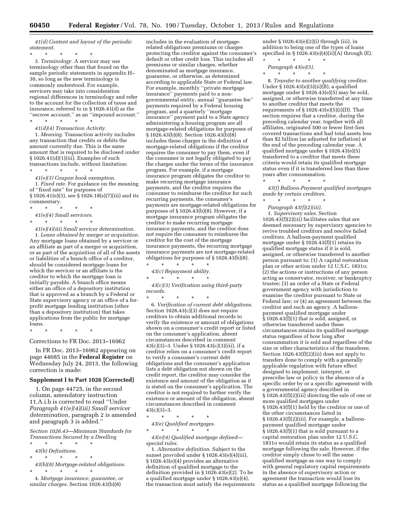*41(d) Content and layout of the periodic statement.* 

\* \* \* \* \* 3. *Terminology.* A servicer may use terminology other than that found on the sample periodic statements in appendix H– 30, so long as the new terminology is commonly understood. For example, servicers may take into consideration regional differences in terminology and refer to the account for the collection of taxes and insurance, referred to in § 1026.41(d) as the ''escrow account,'' as an ''impound account.'' \* \* \* \* \*

*41(d)(4) Transaction Activity.* 

1. *Meaning.* Transaction activity includes any transaction that credits or debits the amount currently due. This is the same amount that is required to be disclosed under  $§ 1026.41(d)(1)(iii)$ . Examples of such transactions include, without limitation:

\* \* \* \* \*

*41(e)(3) Coupon book exemption.* 

1. *Fixed rate.* For guidance on the meaning of ''fixed rate'' for purposes of § 1026.41(e)(3), see § 1026.18(s)(7)(iii) and its commentary.

- \* \* \* \* \* *41(e)(4) Small servicers.*
- \* \* \* \* \*

*41(e)(4)(iii) Small servicer determination.*  1. *Loans obtained by merger or acquisition.*  Any mortgage loans obtained by a servicer or an affiliate as part of a merger or acquisition, or as part of the acquisition of all of the assets or liabilities of a branch office of a creditor, should be considered mortgage loans for which the servicer or an affiliate is the creditor to which the mortgage loan is initially payable. A branch office means either an office of a depository institution that is approved as a branch by a Federal or State supervisory agency or an office of a forprofit mortgage lending institution (other than a depository institution) that takes applications from the public for mortgage loans.

\* \* \* \* \*

Corrections to FR Doc. 2013–16962

In FR Doc. 2013–16962 appearing on page 44685 in the **Federal Register** on Wednesday July 24, 2013, the following correction is made:

#### **Supplement I to Part 1026 [Corrected]**

1. On page 44725, in the second column, amendatory instruction 11.A.i.b is corrected to read ''Under *Paragraph 41(e)(4)(iii) Small servicer determination,* paragraph 2 is amended and paragraph 3 is added.''

*Section 1026.43—Minimum Standards for Transactions Secured by a Dwelling* 

 $*$  \* \* *43(b) Definitions.*  \* \* \* \* \* *43(b)(8) Mortgage-related obligations.*  \* \* \* \* \*

4. *Mortgage insurance, guarantee, or similar charges.* Section 1026.43(b)(8)

includes in the evaluation of mortgagerelated obligations premiums or charges protecting the creditor against the consumer's default or other credit loss. This includes all premiums or similar charges, whether denominated as mortgage insurance, guarantee, or otherwise, as determined according to applicable State or Federal law. For example, monthly ''private mortgage insurance'' payments paid to a nongovernmental entity, annual ''guarantee fee'' payments required by a Federal housing program, and a quarterly ''mortgage insurance'' payment paid to a State agency administering a housing program are all mortgage-related obligations for purposes of § 1026.43(b)(8). Section 1026.43(b)(8) includes these charges in the definition of mortgage-related obligations if the creditor requires the consumer to pay them, even if the consumer is not legally obligated to pay the charges under the terms of the insurance program. For example, if a mortgage insurance program obligates the creditor to make recurring mortgage insurance payments, and the creditor requires the consumer to reimburse the creditor for such recurring payments, the consumer's payments are mortgage-related obligations for purposes of § 1026.43(b)(8). However, if a mortgage insurance program obligates the creditor to make recurring mortgage insurance payments, and the creditor does not require the consumer to reimburse the creditor for the cost of the mortgage insurance payments, the recurring mortgage insurance payments are not mortgage-related obligations for purposes of § 1026.43(b)(8).

\* \* \* \* \* *43(c) Repayment ability.* 

\* \* \* \* \*

*43(c)(3) Verification using third-party records.* 

\* \* \* \* \* 6. *Verification of current debt obligations.*  Section 1026.43(c)(3) does not require creditors to obtain additional records to verify the existence or amount of obligations shown on a consumer's credit report or listed on the consumer's application, absent circumstances described in comment 43(c)(3)–3. Under § 1026.43(c)(3)(iii), if a creditor relies on a consumer's credit report to verify a consumer's current debt obligations and the consumer's application lists a debt obligation not shown on the credit report, the creditor may consider the existence and amount of the obligation as it is stated on the consumer's application. The creditor is not required to further verify the existence or amount of the obligation, absent circumstances described in comment 43(c)(3)–3.

\* \* \* \* \*

*43(e) Qualified mortgages.* 

 $\star$   $\star$   $\star$ 

*43(e)(4) Qualified mortgage defined special rules.* 

1. *Alternative definition.* Subject to the sunset provided under § 1026.43(e)(4)(iii), § 1026.43(e)(4) provides an alternative definition of qualified mortgage to the definition provided in § 1026.43(e)(2). To be a qualified mortgage under § 1026.43(e)(4), the transaction must satisfy the requirements

under § 1026.43(e)(2)(i) through (iii), in addition to being one of the types of loans specified in  $\S 1026.43(e)(4)(ii)(A)$  through (E).

\* \* \* \* \* *Paragraph 43(e)(5).* 

\* \* \* \* \*

8. *Transfer to another qualifying creditor.*  Under § 1026.43(e)(5)(ii)(B), a qualified mortgage under  $\S 1026.43(e)(5)$  may be sold, assigned, or otherwise transferred at any time to another creditor that meets the requirements of  $\S\,1026.43 \textrm{(e)} \textrm{(5)} \textrm{(i)} \textrm{(D)}.$  That section requires that a creditor, during the preceding calendar year, together with all affiliates, originated 500 or fewer first-lien covered transactions and had total assets less than \$2 billion (as adjusted for inflation) at the end of the preceding calendar year. A qualified mortgage under § 1026.43(e)(5) transferred to a creditor that meets these criteria would retain its qualified mortgage status even if it is transferred less than three years after consummation.

\* \* \* \* \* *43(f) Balloon-Payment qualified mortgages made by certain creditors.* 

\* \* \* \* \*

*Paragraph 43(f)(2)(iii).*  1. *Supervisory sales.* Section

 $1026.43(f)(2)(iii)$  facilitates sales that are deemed necessary by supervisory agencies to revive troubled creditors and resolve failed creditors. A balloon-payment qualified mortgage under § 1026.43(f)(1) retains its qualified mortgage status if it is sold, assigned, or otherwise transferred to another person pursuant to: (1) A capital restoration plan or other action under 12 U.S.C. 1831o; (2) the actions or instructions of any person acting as conservator, receiver, or bankruptcy trustee; (3) an order of a State or Federal government agency with jurisdiction to examine the creditor pursuant to State or Federal law; or (4) an agreement between the creditor and such an agency. A balloonpayment qualified mortgage under § 1026.43(f)(1) that is sold, assigned, or otherwise transferred under these circumstances retains its qualified mortgage status regardless of how long after consummation it is sold and regardless of the size or other characteristics of the transferee. Section 1026.43(f)(2)(iii) does not apply to transfers done to comply with a generally applicable regulation with future effect designed to implement, interpret, or prescribe law or policy in the absence of a specific order by or a specific agreement with a governmental agency described in § 1026.43(f)(2)(iii) directing the sale of one or more qualified mortgages under § 1026.43(f)(1) held by the creditor or one of the other circumstances listed in § 1026.43(f)(2)(iii). For example, a balloonpayment qualified mortgage under  $\S 1026.43(f)(1)$  that is sold pursuant to a capital restoration plan under 12 U.S.C. 1831o would retain its status as a qualified mortgage following the sale. However, if the creditor simply chose to sell the same qualified mortgage as one way to comply with general regulatory capital requirements in the absence of supervisory action or agreement the transaction would lose its status as a qualified mortgage following the